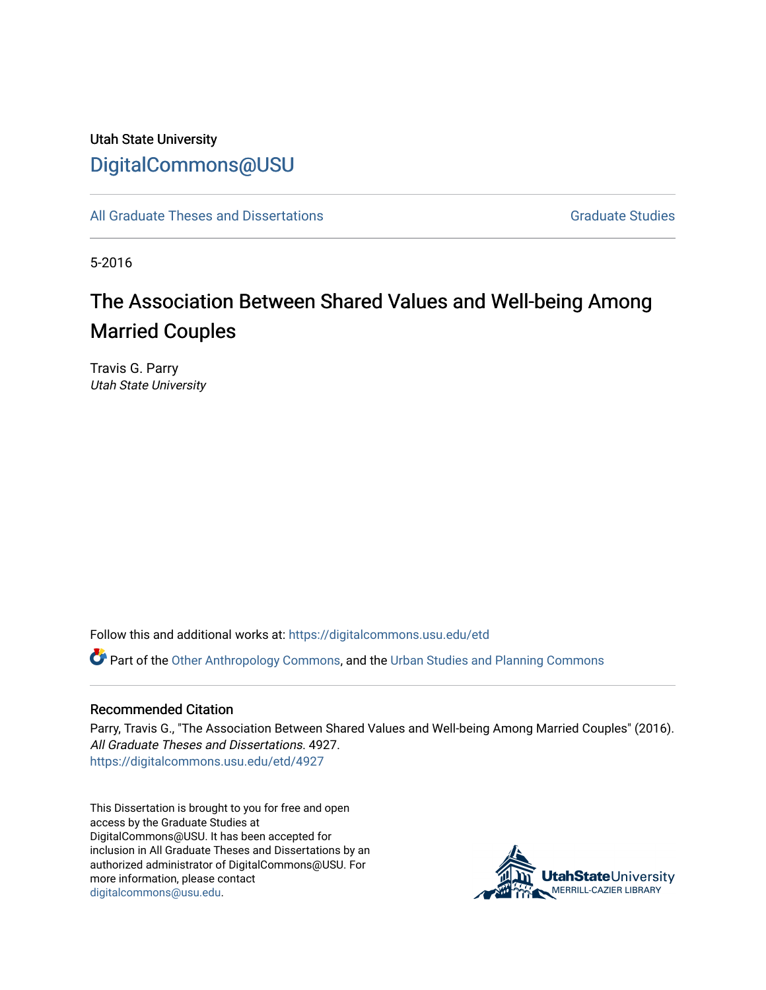## Utah State University [DigitalCommons@USU](https://digitalcommons.usu.edu/)

[All Graduate Theses and Dissertations](https://digitalcommons.usu.edu/etd) Contract Contract Contract Craduate Studies

5-2016

# The Association Between Shared Values and Well-being Among Married Couples

Travis G. Parry Utah State University

Follow this and additional works at: [https://digitalcommons.usu.edu/etd](https://digitalcommons.usu.edu/etd?utm_source=digitalcommons.usu.edu%2Fetd%2F4927&utm_medium=PDF&utm_campaign=PDFCoverPages) 

**P** Part of the [Other Anthropology Commons](http://network.bepress.com/hgg/discipline/324?utm_source=digitalcommons.usu.edu%2Fetd%2F4927&utm_medium=PDF&utm_campaign=PDFCoverPages), and the [Urban Studies and Planning Commons](http://network.bepress.com/hgg/discipline/436?utm_source=digitalcommons.usu.edu%2Fetd%2F4927&utm_medium=PDF&utm_campaign=PDFCoverPages)

#### Recommended Citation

Parry, Travis G., "The Association Between Shared Values and Well-being Among Married Couples" (2016). All Graduate Theses and Dissertations. 4927. [https://digitalcommons.usu.edu/etd/4927](https://digitalcommons.usu.edu/etd/4927?utm_source=digitalcommons.usu.edu%2Fetd%2F4927&utm_medium=PDF&utm_campaign=PDFCoverPages)

This Dissertation is brought to you for free and open access by the Graduate Studies at DigitalCommons@USU. It has been accepted for inclusion in All Graduate Theses and Dissertations by an authorized administrator of DigitalCommons@USU. For more information, please contact [digitalcommons@usu.edu.](mailto:digitalcommons@usu.edu)

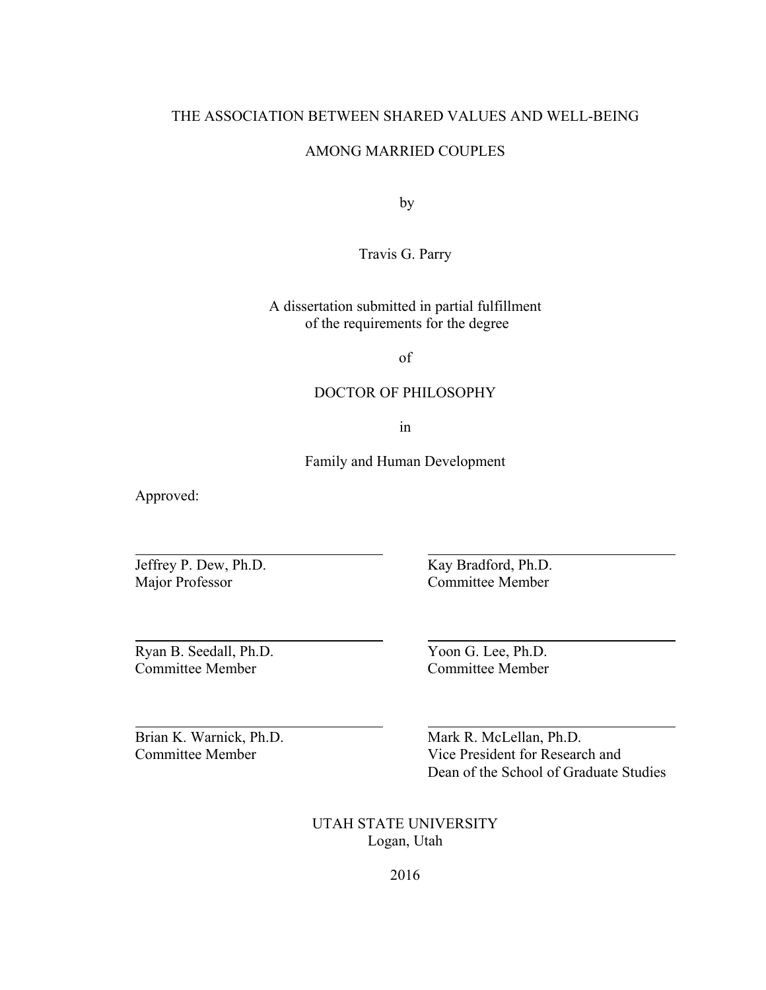#### THE ASSOCIATION BETWEEN SHARED VALUES AND WELL-BEING

#### AMONG MARRIED COUPLES

by

Travis G. Parry

A dissertation submitted in partial fulfillment of the requirements for the degree

of

#### DOCTOR OF PHILOSOPHY

in

Family and Human Development

Approved:

 $\overline{a}$ 

l

l

Jeffrey P. Dew, Ph.D. Kay Bradford, Ph.D. Major Professor Committee Member

Ryan B. Seedall, Ph.D. Yoon G. Lee, Ph.D. Committee Member Committee Member

Brian K. Warnick, Ph.D. Mark R. McLellan, Ph.D. Committee Member Vice President for Research and Dean of the School of Graduate Studies

> UTAH STATE UNIVERSITY Logan, Utah

> > 2016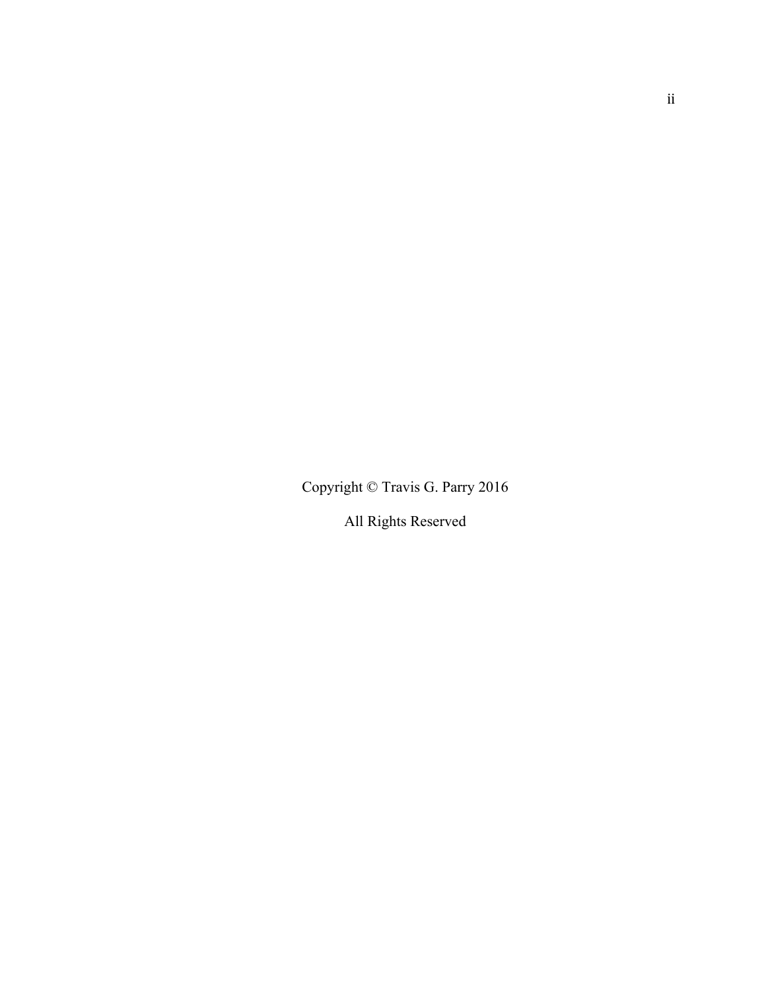Copyright © Travis G. Parry 2016

All Rights Reserved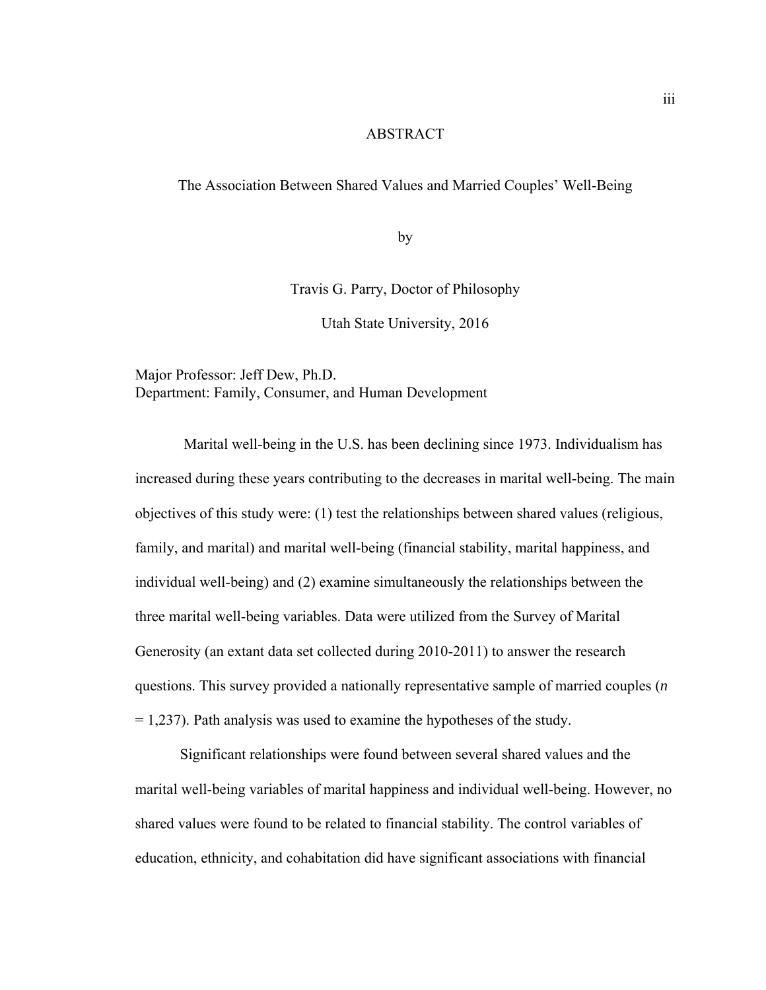#### ABSTRACT

#### The Association Between Shared Values and Married Couples' Well-Being

by

Travis G. Parry, Doctor of Philosophy

Utah State University, 2016

Major Professor: Jeff Dew, Ph.D. Department: Family, Consumer, and Human Development

 Marital well-being in the U.S. has been declining since 1973. Individualism has increased during these years contributing to the decreases in marital well-being. The main objectives of this study were: (1) test the relationships between shared values (religious, family, and marital) and marital well-being (financial stability, marital happiness, and individual well-being) and (2) examine simultaneously the relationships between the three marital well-being variables. Data were utilized from the Survey of Marital Generosity (an extant data set collected during 2010-2011) to answer the research questions. This survey provided a nationally representative sample of married couples (*n*  $= 1,237$ . Path analysis was used to examine the hypotheses of the study.

Significant relationships were found between several shared values and the marital well-being variables of marital happiness and individual well-being. However, no shared values were found to be related to financial stability. The control variables of education, ethnicity, and cohabitation did have significant associations with financial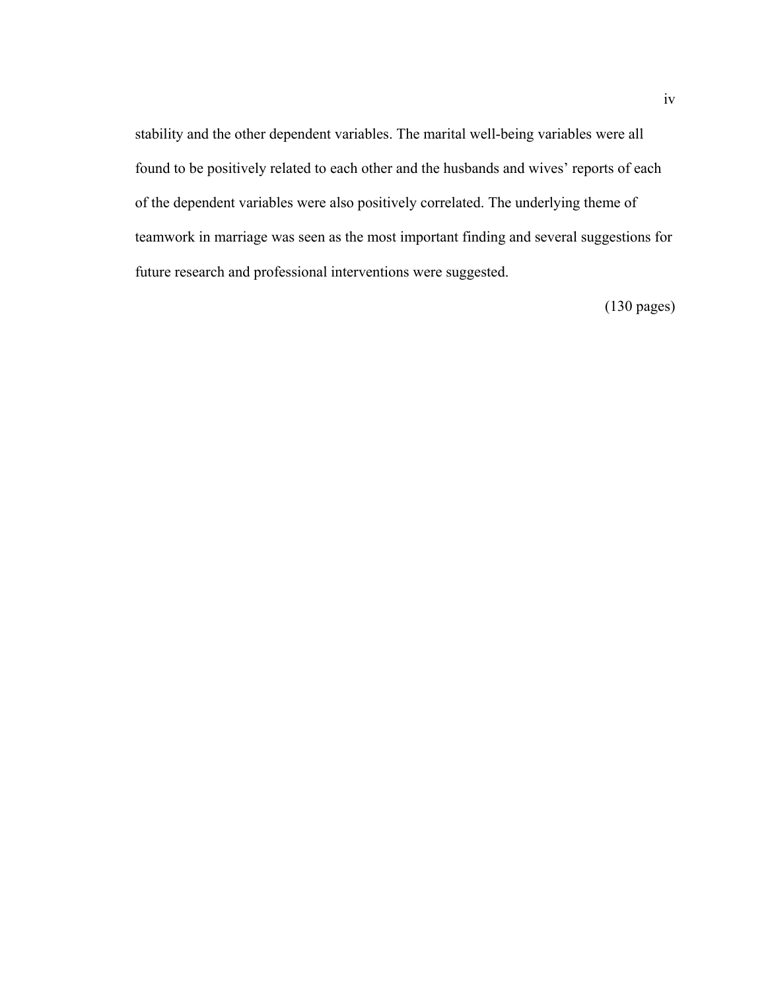stability and the other dependent variables. The marital well-being variables were all found to be positively related to each other and the husbands and wives' reports of each of the dependent variables were also positively correlated. The underlying theme of teamwork in marriage was seen as the most important finding and several suggestions for future research and professional interventions were suggested.

(130 pages)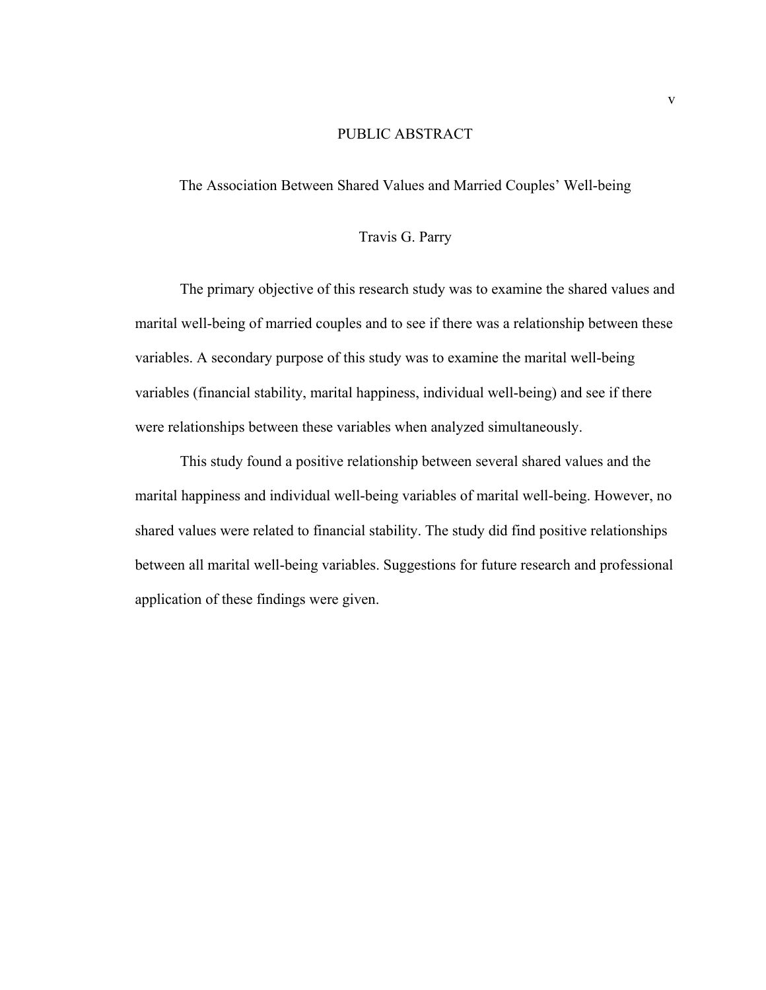#### PUBLIC ABSTRACT

The Association Between Shared Values and Married Couples' Well-being

#### Travis G. Parry

The primary objective of this research study was to examine the shared values and marital well-being of married couples and to see if there was a relationship between these variables. A secondary purpose of this study was to examine the marital well-being variables (financial stability, marital happiness, individual well-being) and see if there were relationships between these variables when analyzed simultaneously.

 This study found a positive relationship between several shared values and the marital happiness and individual well-being variables of marital well-being. However, no shared values were related to financial stability. The study did find positive relationships between all marital well-being variables. Suggestions for future research and professional application of these findings were given.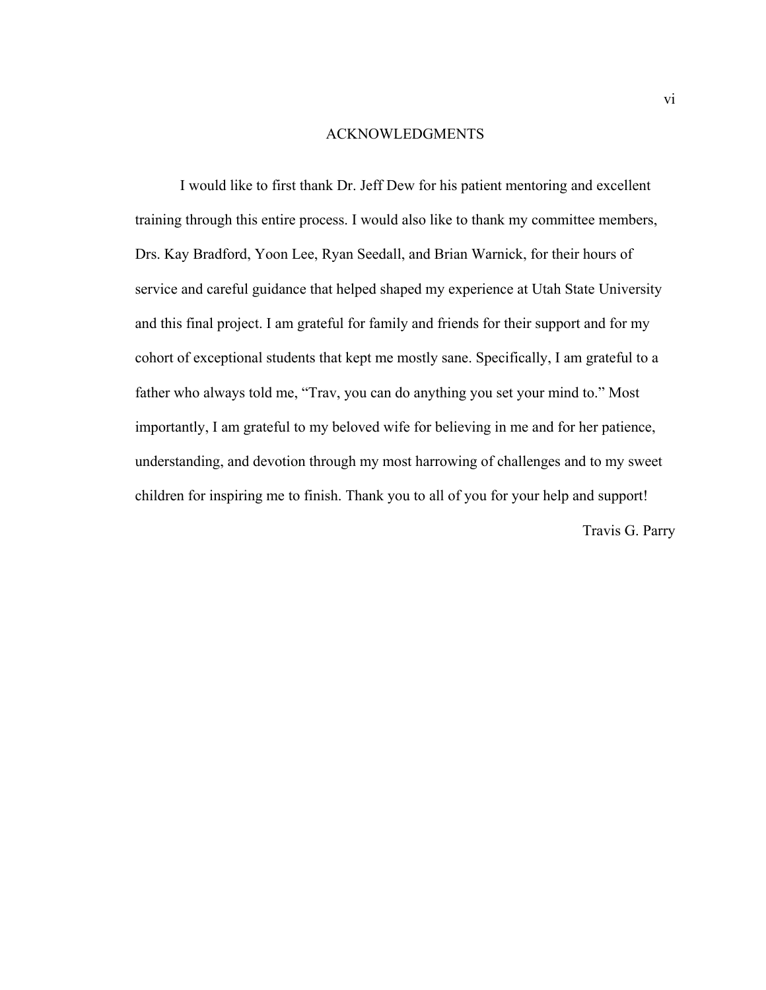#### ACKNOWLEDGMENTS

I would like to first thank Dr. Jeff Dew for his patient mentoring and excellent training through this entire process. I would also like to thank my committee members, Drs. Kay Bradford, Yoon Lee, Ryan Seedall, and Brian Warnick, for their hours of service and careful guidance that helped shaped my experience at Utah State University and this final project. I am grateful for family and friends for their support and for my cohort of exceptional students that kept me mostly sane. Specifically, I am grateful to a father who always told me, "Trav, you can do anything you set your mind to." Most importantly, I am grateful to my beloved wife for believing in me and for her patience, understanding, and devotion through my most harrowing of challenges and to my sweet children for inspiring me to finish. Thank you to all of you for your help and support!

Travis G. Parry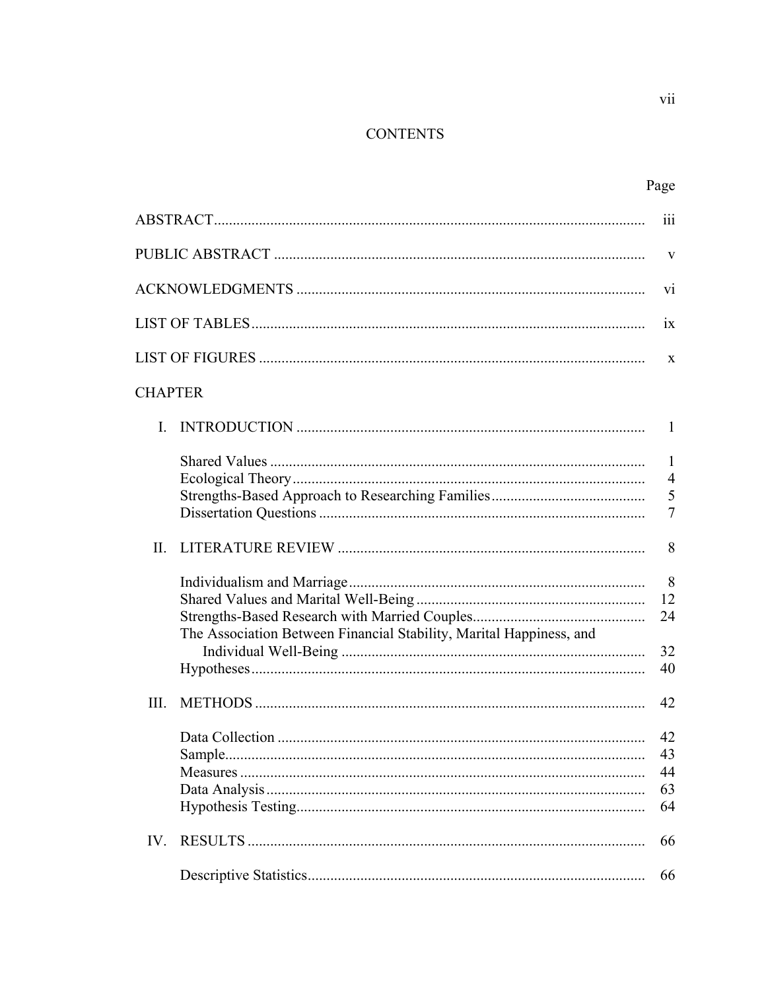### **CONTENTS**

|                                                                     | iii                                           |
|---------------------------------------------------------------------|-----------------------------------------------|
|                                                                     | V                                             |
|                                                                     | V <sub>1</sub>                                |
|                                                                     | ix                                            |
|                                                                     | X                                             |
| <b>CHAPTER</b>                                                      |                                               |
| L.                                                                  | -1                                            |
|                                                                     | $\mathbf{1}$<br>$\overline{4}$<br>5<br>$\tau$ |
| $\Pi$ .                                                             | 8                                             |
| The Association Between Financial Stability, Marital Happiness, and | 8<br>12<br>24<br>32<br>40                     |
| III.                                                                | 42                                            |
|                                                                     | 42<br>43<br>44<br>63<br>64                    |
| IV.                                                                 | 66                                            |
|                                                                     | 66                                            |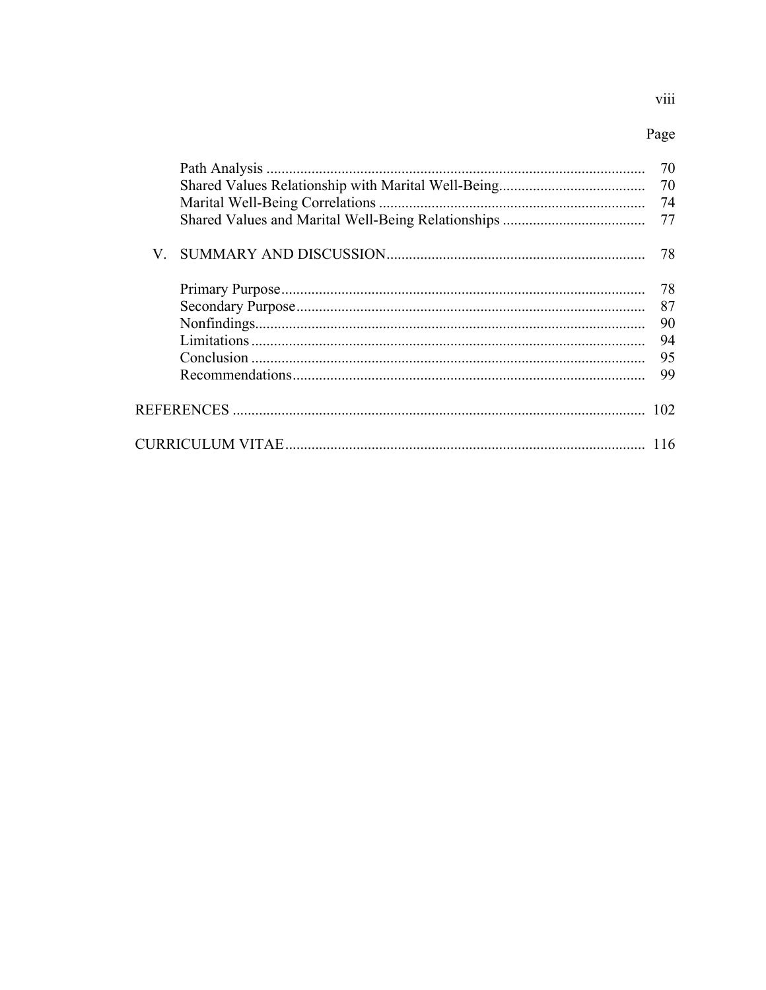## viii

## Page

| 70 |
|----|
| 70 |
| 74 |
| 77 |
|    |
|    |
| 87 |
| 90 |
| 94 |
| 95 |
| 99 |
|    |
|    |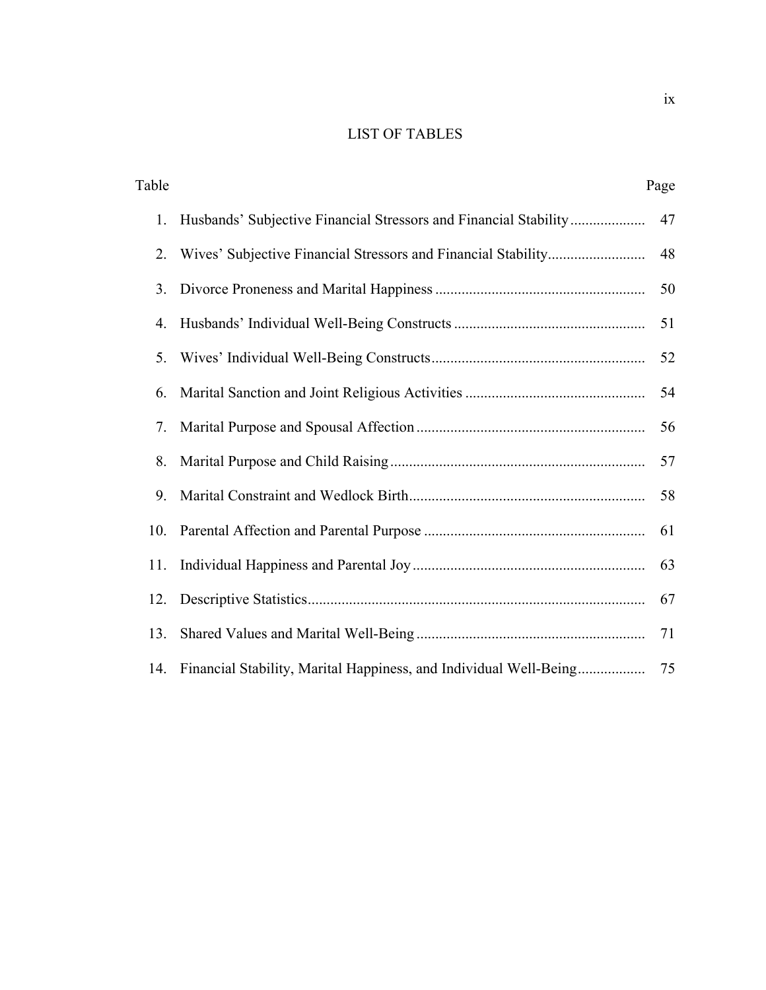### LIST OF TABLES

| Table |                                                                   | Page |
|-------|-------------------------------------------------------------------|------|
| 1.    | Husbands' Subjective Financial Stressors and Financial Stability  | 47   |
| 2.    |                                                                   | 48   |
| 3.    |                                                                   | 50   |
| 4.    |                                                                   | 51   |
| 5.    |                                                                   | 52   |
| 6.    |                                                                   | 54   |
| 7.    |                                                                   | 56   |
| 8.    |                                                                   | 57   |
| 9.    |                                                                   | 58   |
| 10.   |                                                                   | 61   |
| 11.   |                                                                   | 63   |
|       |                                                                   | 67   |
| 13.   |                                                                   | 71   |
| 14.   | Financial Stability, Marital Happiness, and Individual Well-Being | 75   |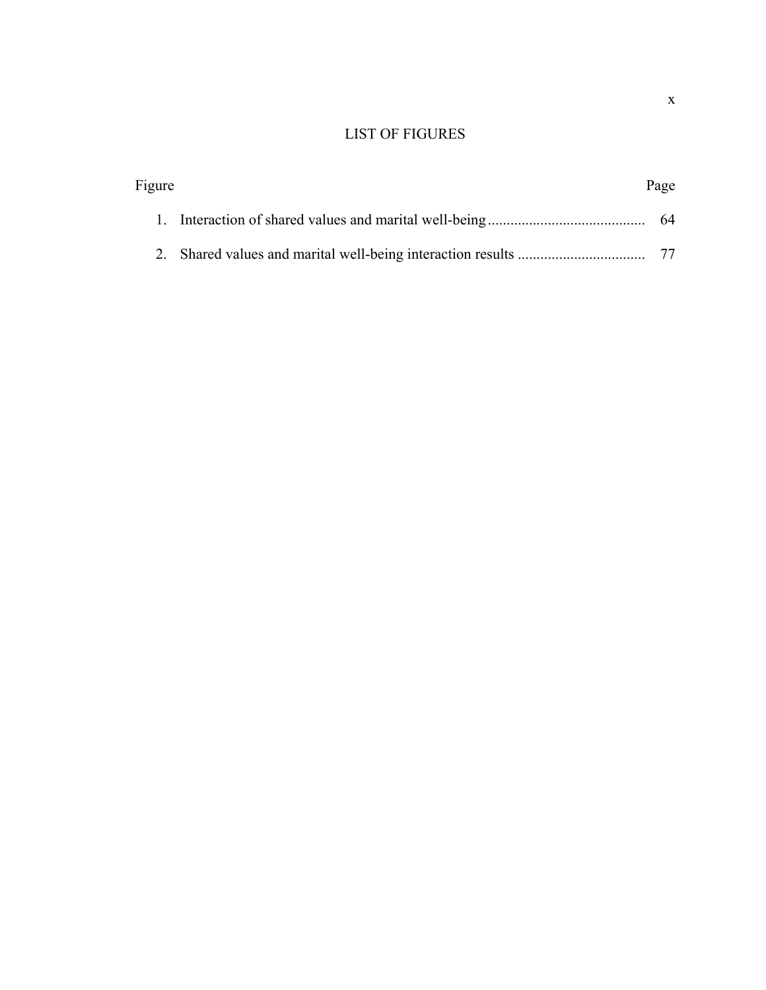### LIST OF FIGURES

| Figure | Page |
|--------|------|
|        |      |
|        |      |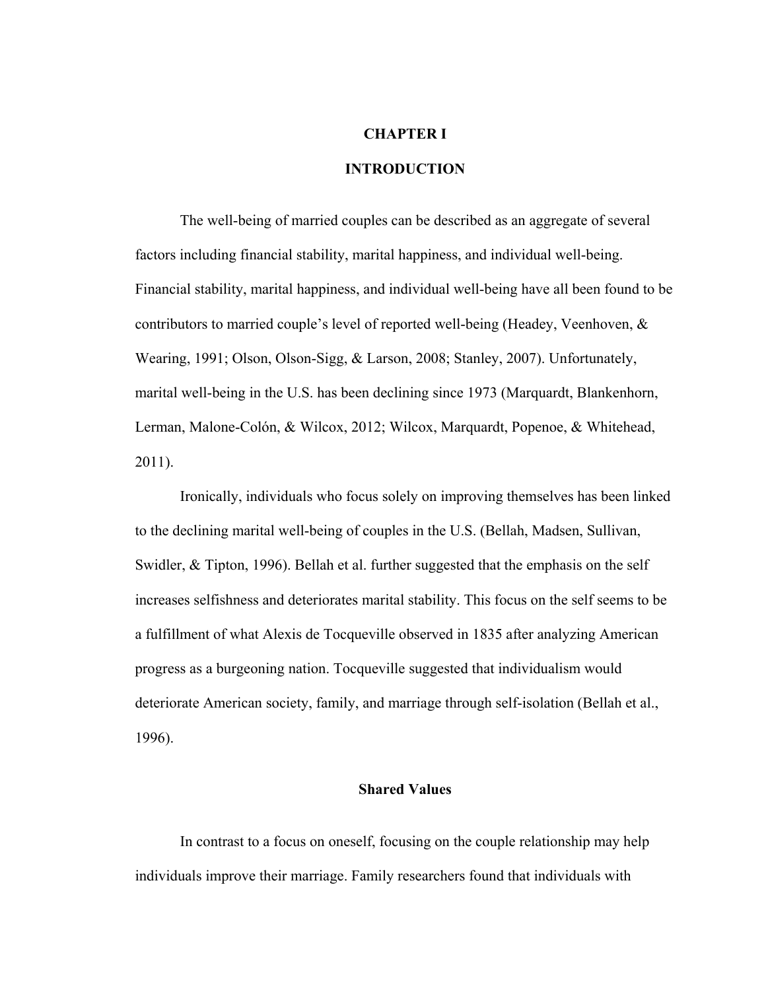#### **CHAPTER I**

#### **INTRODUCTION**

The well-being of married couples can be described as an aggregate of several factors including financial stability, marital happiness, and individual well-being. Financial stability, marital happiness, and individual well-being have all been found to be contributors to married couple's level of reported well-being (Headey, Veenhoven, & Wearing, 1991; Olson, Olson-Sigg, & Larson, 2008; Stanley, 2007). Unfortunately, marital well-being in the U.S. has been declining since 1973 (Marquardt, Blankenhorn, Lerman, Malone-Colón, & Wilcox, 2012; Wilcox, Marquardt, Popenoe, & Whitehead, 2011).

Ironically, individuals who focus solely on improving themselves has been linked to the declining marital well-being of couples in the U.S. (Bellah, Madsen, Sullivan, Swidler, & Tipton, 1996). Bellah et al. further suggested that the emphasis on the self increases selfishness and deteriorates marital stability. This focus on the self seems to be a fulfillment of what Alexis de Tocqueville observed in 1835 after analyzing American progress as a burgeoning nation. Tocqueville suggested that individualism would deteriorate American society, family, and marriage through self-isolation (Bellah et al., 1996).

#### **Shared Values**

In contrast to a focus on oneself, focusing on the couple relationship may help individuals improve their marriage. Family researchers found that individuals with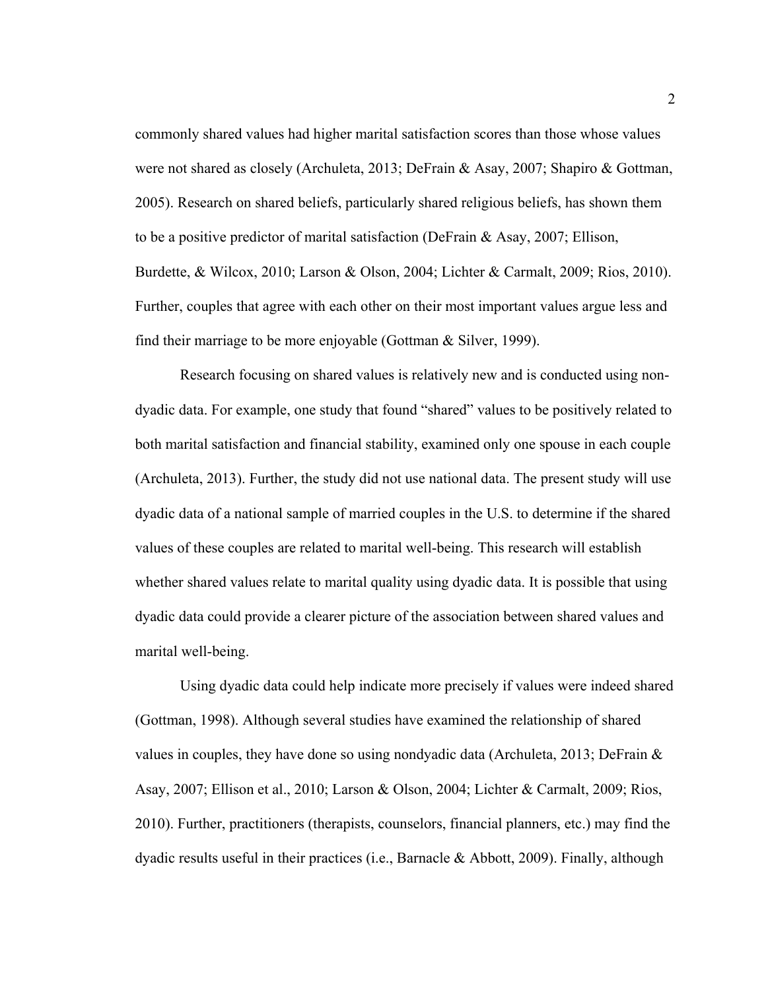commonly shared values had higher marital satisfaction scores than those whose values were not shared as closely (Archuleta, 2013; DeFrain & Asay, 2007; Shapiro & Gottman, 2005). Research on shared beliefs, particularly shared religious beliefs, has shown them to be a positive predictor of marital satisfaction (DeFrain & Asay, 2007; Ellison, Burdette, & Wilcox, 2010; Larson & Olson, 2004; Lichter & Carmalt, 2009; Rios, 2010). Further, couples that agree with each other on their most important values argue less and find their marriage to be more enjoyable (Gottman & Silver, 1999).

Research focusing on shared values is relatively new and is conducted using nondyadic data. For example, one study that found "shared" values to be positively related to both marital satisfaction and financial stability, examined only one spouse in each couple (Archuleta, 2013). Further, the study did not use national data. The present study will use dyadic data of a national sample of married couples in the U.S. to determine if the shared values of these couples are related to marital well-being. This research will establish whether shared values relate to marital quality using dyadic data. It is possible that using dyadic data could provide a clearer picture of the association between shared values and marital well-being.

Using dyadic data could help indicate more precisely if values were indeed shared (Gottman, 1998). Although several studies have examined the relationship of shared values in couples, they have done so using nondyadic data (Archuleta, 2013; DeFrain  $\&$ Asay, 2007; Ellison et al., 2010; Larson & Olson, 2004; Lichter & Carmalt, 2009; Rios, 2010). Further, practitioners (therapists, counselors, financial planners, etc.) may find the dyadic results useful in their practices (i.e., Barnacle & Abbott, 2009). Finally, although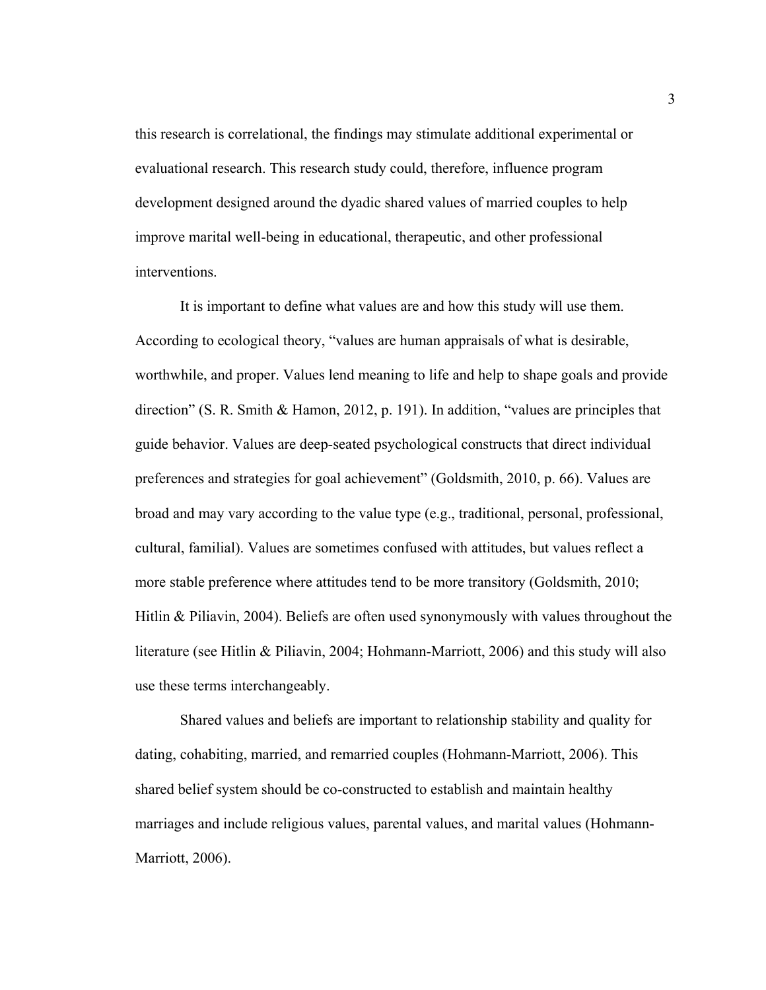this research is correlational, the findings may stimulate additional experimental or evaluational research. This research study could, therefore, influence program development designed around the dyadic shared values of married couples to help improve marital well-being in educational, therapeutic, and other professional interventions.

It is important to define what values are and how this study will use them. According to ecological theory, "values are human appraisals of what is desirable, worthwhile, and proper. Values lend meaning to life and help to shape goals and provide direction" (S. R. Smith & Hamon, 2012, p. 191). In addition, "values are principles that guide behavior. Values are deep-seated psychological constructs that direct individual preferences and strategies for goal achievement" (Goldsmith, 2010, p. 66). Values are broad and may vary according to the value type (e.g., traditional, personal, professional, cultural, familial). Values are sometimes confused with attitudes, but values reflect a more stable preference where attitudes tend to be more transitory (Goldsmith, 2010; Hitlin & Piliavin, 2004). Beliefs are often used synonymously with values throughout the literature (see Hitlin & Piliavin, 2004; Hohmann-Marriott, 2006) and this study will also use these terms interchangeably.

Shared values and beliefs are important to relationship stability and quality for dating, cohabiting, married, and remarried couples (Hohmann-Marriott, 2006). This shared belief system should be co-constructed to establish and maintain healthy marriages and include religious values, parental values, and marital values (Hohmann-Marriott, 2006).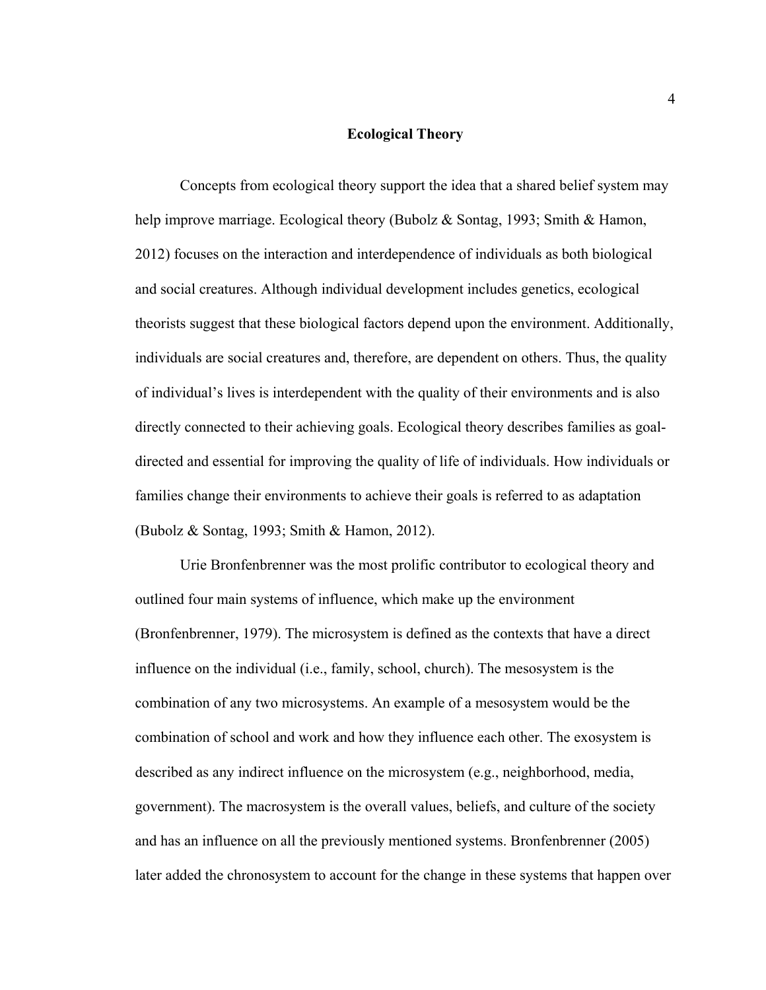#### **Ecological Theory**

Concepts from ecological theory support the idea that a shared belief system may help improve marriage. Ecological theory (Bubolz & Sontag, 1993; Smith & Hamon, 2012) focuses on the interaction and interdependence of individuals as both biological and social creatures. Although individual development includes genetics, ecological theorists suggest that these biological factors depend upon the environment. Additionally, individuals are social creatures and, therefore, are dependent on others. Thus, the quality of individual's lives is interdependent with the quality of their environments and is also directly connected to their achieving goals. Ecological theory describes families as goaldirected and essential for improving the quality of life of individuals. How individuals or families change their environments to achieve their goals is referred to as adaptation (Bubolz & Sontag, 1993; Smith & Hamon, 2012).

Urie Bronfenbrenner was the most prolific contributor to ecological theory and outlined four main systems of influence, which make up the environment (Bronfenbrenner, 1979). The microsystem is defined as the contexts that have a direct influence on the individual (i.e., family, school, church). The mesosystem is the combination of any two microsystems. An example of a mesosystem would be the combination of school and work and how they influence each other. The exosystem is described as any indirect influence on the microsystem (e.g., neighborhood, media, government). The macrosystem is the overall values, beliefs, and culture of the society and has an influence on all the previously mentioned systems. Bronfenbrenner (2005) later added the chronosystem to account for the change in these systems that happen over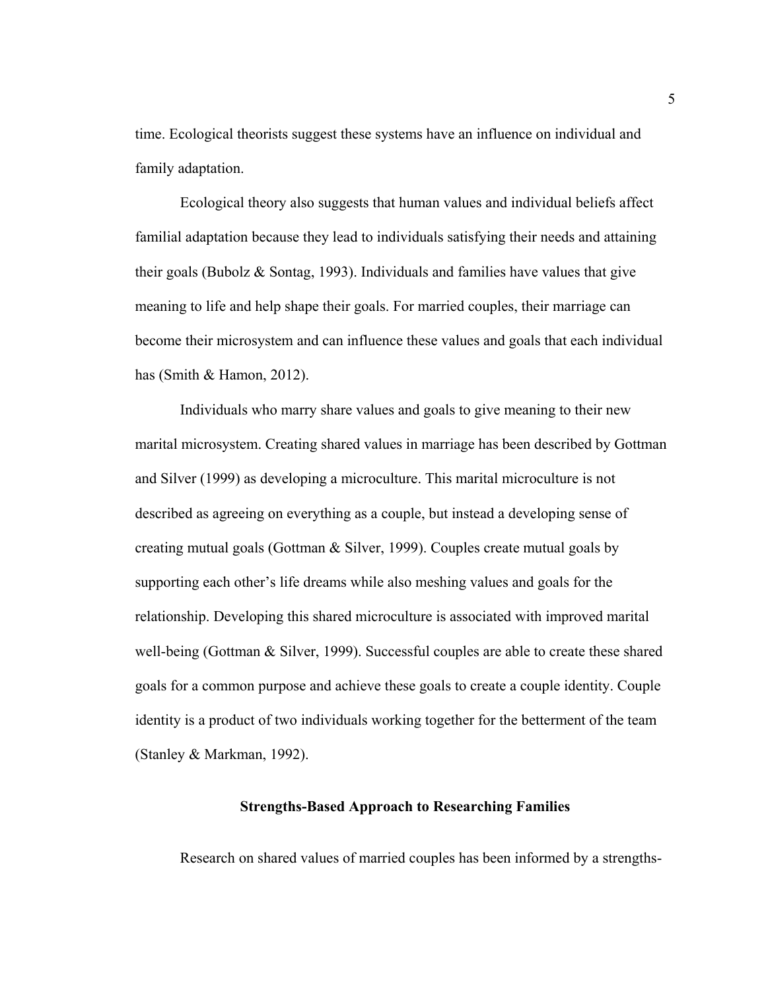time. Ecological theorists suggest these systems have an influence on individual and family adaptation.

Ecological theory also suggests that human values and individual beliefs affect familial adaptation because they lead to individuals satisfying their needs and attaining their goals (Bubolz & Sontag, 1993). Individuals and families have values that give meaning to life and help shape their goals. For married couples, their marriage can become their microsystem and can influence these values and goals that each individual has (Smith & Hamon, 2012).

Individuals who marry share values and goals to give meaning to their new marital microsystem. Creating shared values in marriage has been described by Gottman and Silver (1999) as developing a microculture. This marital microculture is not described as agreeing on everything as a couple, but instead a developing sense of creating mutual goals (Gottman & Silver, 1999). Couples create mutual goals by supporting each other's life dreams while also meshing values and goals for the relationship. Developing this shared microculture is associated with improved marital well-being (Gottman & Silver, 1999). Successful couples are able to create these shared goals for a common purpose and achieve these goals to create a couple identity. Couple identity is a product of two individuals working together for the betterment of the team (Stanley & Markman, 1992).

#### **Strengths-Based Approach to Researching Families**

Research on shared values of married couples has been informed by a strengths-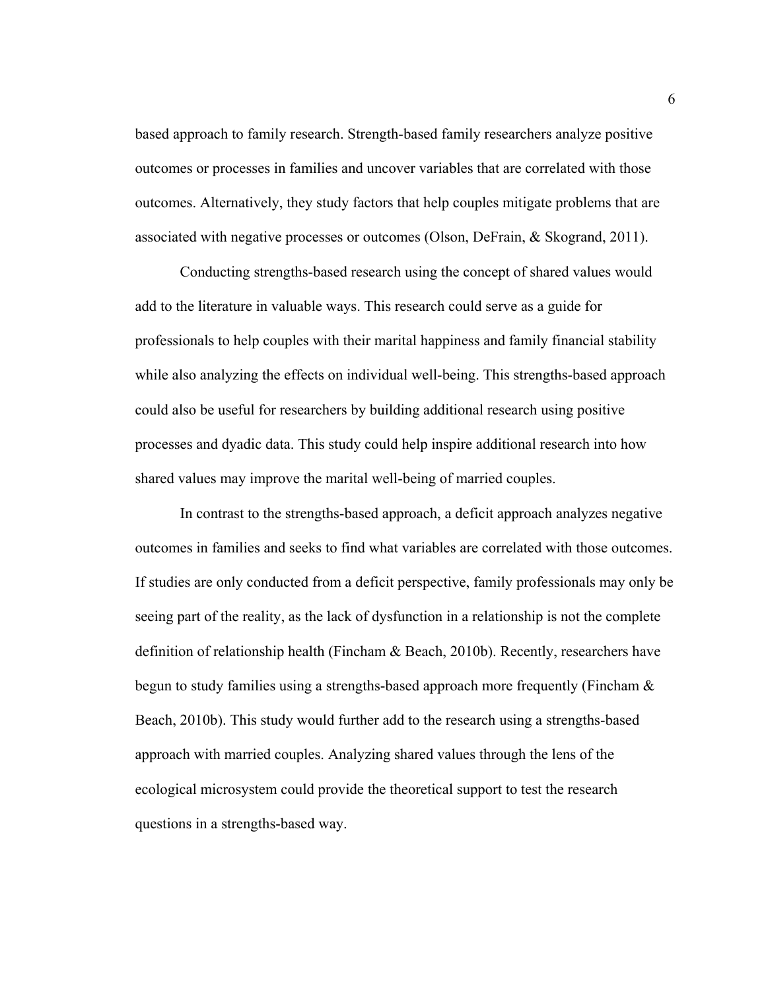based approach to family research. Strength-based family researchers analyze positive outcomes or processes in families and uncover variables that are correlated with those outcomes. Alternatively, they study factors that help couples mitigate problems that are associated with negative processes or outcomes (Olson, DeFrain, & Skogrand, 2011).

Conducting strengths-based research using the concept of shared values would add to the literature in valuable ways. This research could serve as a guide for professionals to help couples with their marital happiness and family financial stability while also analyzing the effects on individual well-being. This strengths-based approach could also be useful for researchers by building additional research using positive processes and dyadic data. This study could help inspire additional research into how shared values may improve the marital well-being of married couples.

In contrast to the strengths-based approach, a deficit approach analyzes negative outcomes in families and seeks to find what variables are correlated with those outcomes. If studies are only conducted from a deficit perspective, family professionals may only be seeing part of the reality, as the lack of dysfunction in a relationship is not the complete definition of relationship health (Fincham & Beach, 2010b). Recently, researchers have begun to study families using a strengths-based approach more frequently (Fincham & Beach, 2010b). This study would further add to the research using a strengths-based approach with married couples. Analyzing shared values through the lens of the ecological microsystem could provide the theoretical support to test the research questions in a strengths-based way.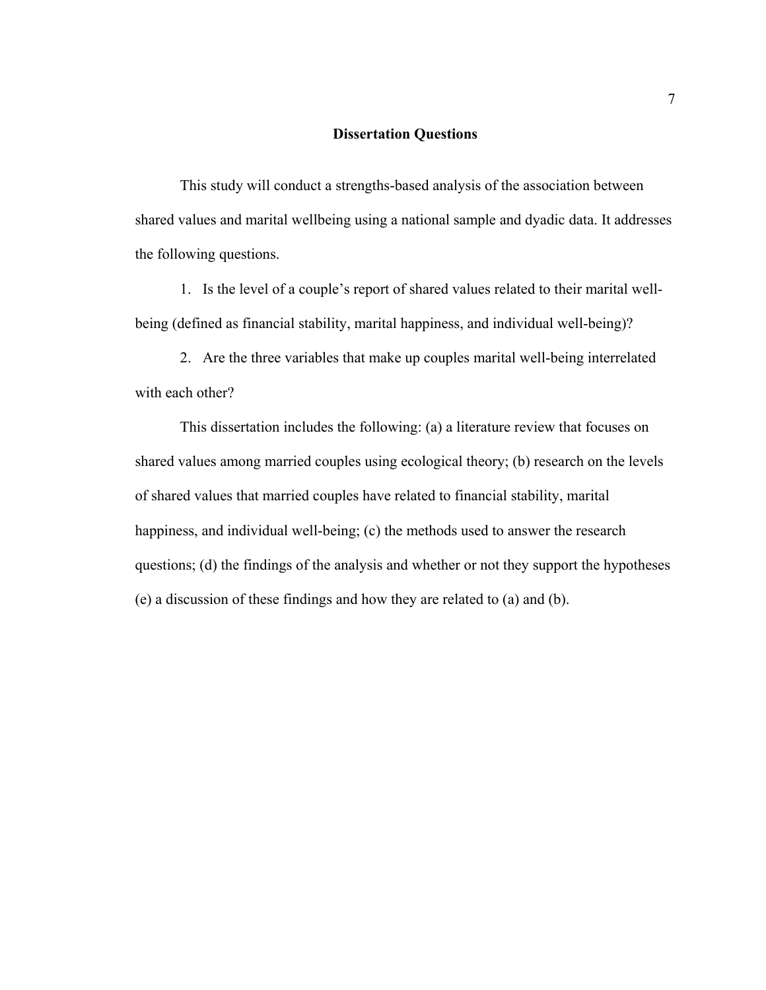#### **Dissertation Questions**

This study will conduct a strengths-based analysis of the association between shared values and marital wellbeing using a national sample and dyadic data. It addresses the following questions.

1. Is the level of a couple's report of shared values related to their marital wellbeing (defined as financial stability, marital happiness, and individual well-being)?

2. Are the three variables that make up couples marital well-being interrelated with each other?

This dissertation includes the following: (a) a literature review that focuses on shared values among married couples using ecological theory; (b) research on the levels of shared values that married couples have related to financial stability, marital happiness, and individual well-being; (c) the methods used to answer the research questions; (d) the findings of the analysis and whether or not they support the hypotheses (e) a discussion of these findings and how they are related to (a) and (b).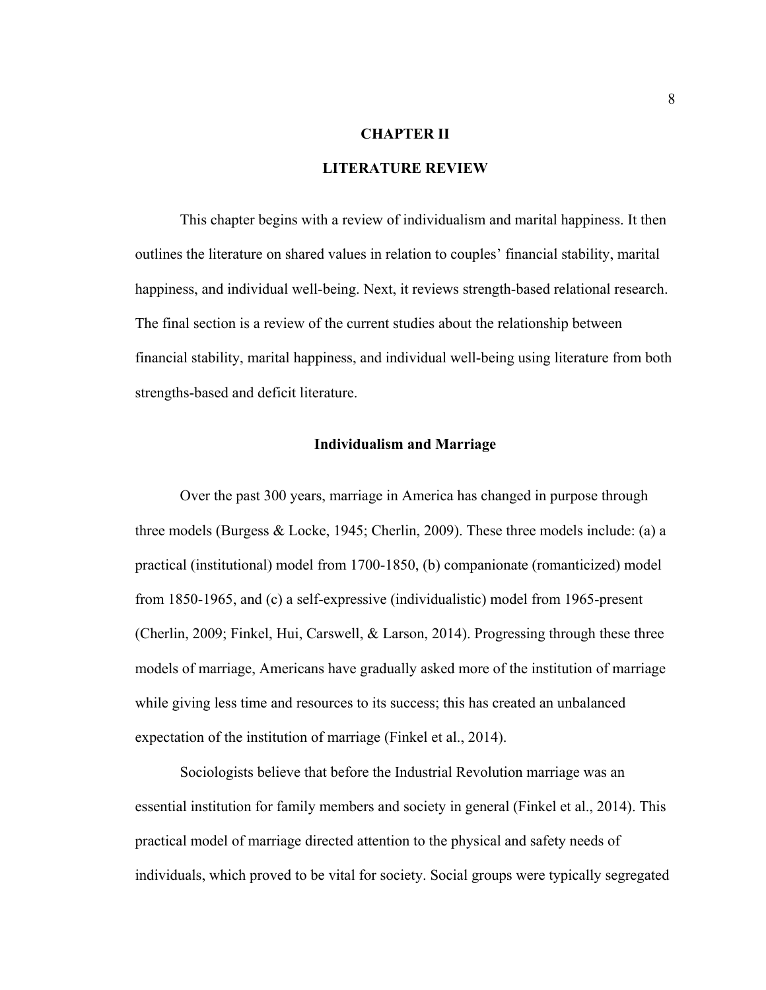#### **CHAPTER II**

#### **LITERATURE REVIEW**

This chapter begins with a review of individualism and marital happiness. It then outlines the literature on shared values in relation to couples' financial stability, marital happiness, and individual well-being. Next, it reviews strength-based relational research. The final section is a review of the current studies about the relationship between financial stability, marital happiness, and individual well-being using literature from both strengths-based and deficit literature.

#### **Individualism and Marriage**

Over the past 300 years, marriage in America has changed in purpose through three models (Burgess & Locke, 1945; Cherlin, 2009). These three models include: (a) a practical (institutional) model from 1700-1850, (b) companionate (romanticized) model from 1850-1965, and (c) a self-expressive (individualistic) model from 1965-present (Cherlin, 2009; Finkel, Hui, Carswell, & Larson, 2014). Progressing through these three models of marriage, Americans have gradually asked more of the institution of marriage while giving less time and resources to its success; this has created an unbalanced expectation of the institution of marriage (Finkel et al., 2014).

Sociologists believe that before the Industrial Revolution marriage was an essential institution for family members and society in general (Finkel et al., 2014). This practical model of marriage directed attention to the physical and safety needs of individuals, which proved to be vital for society. Social groups were typically segregated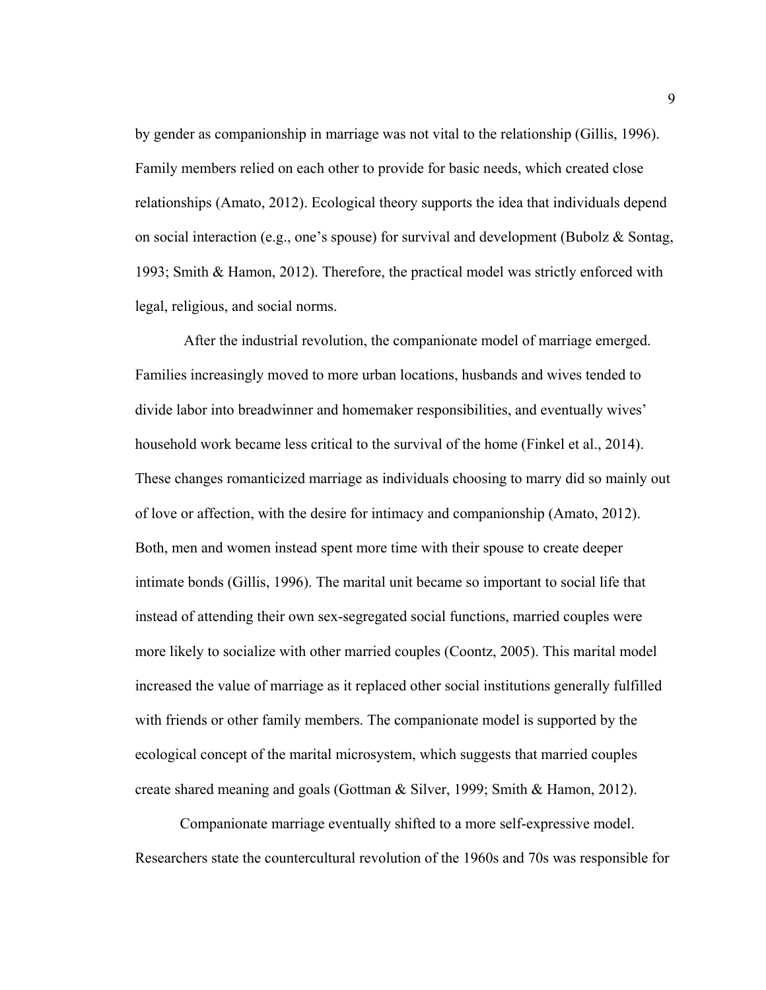by gender as companionship in marriage was not vital to the relationship (Gillis, 1996). Family members relied on each other to provide for basic needs, which created close relationships (Amato, 2012). Ecological theory supports the idea that individuals depend on social interaction (e.g., one's spouse) for survival and development (Bubolz & Sontag, 1993; Smith & Hamon, 2012). Therefore, the practical model was strictly enforced with legal, religious, and social norms.

 After the industrial revolution, the companionate model of marriage emerged. Families increasingly moved to more urban locations, husbands and wives tended to divide labor into breadwinner and homemaker responsibilities, and eventually wives' household work became less critical to the survival of the home (Finkel et al., 2014). These changes romanticized marriage as individuals choosing to marry did so mainly out of love or affection, with the desire for intimacy and companionship (Amato, 2012). Both, men and women instead spent more time with their spouse to create deeper intimate bonds (Gillis, 1996). The marital unit became so important to social life that instead of attending their own sex-segregated social functions, married couples were more likely to socialize with other married couples (Coontz, 2005). This marital model increased the value of marriage as it replaced other social institutions generally fulfilled with friends or other family members. The companionate model is supported by the ecological concept of the marital microsystem, which suggests that married couples create shared meaning and goals (Gottman & Silver, 1999; Smith & Hamon, 2012).

Companionate marriage eventually shifted to a more self-expressive model. Researchers state the countercultural revolution of the 1960s and 70s was responsible for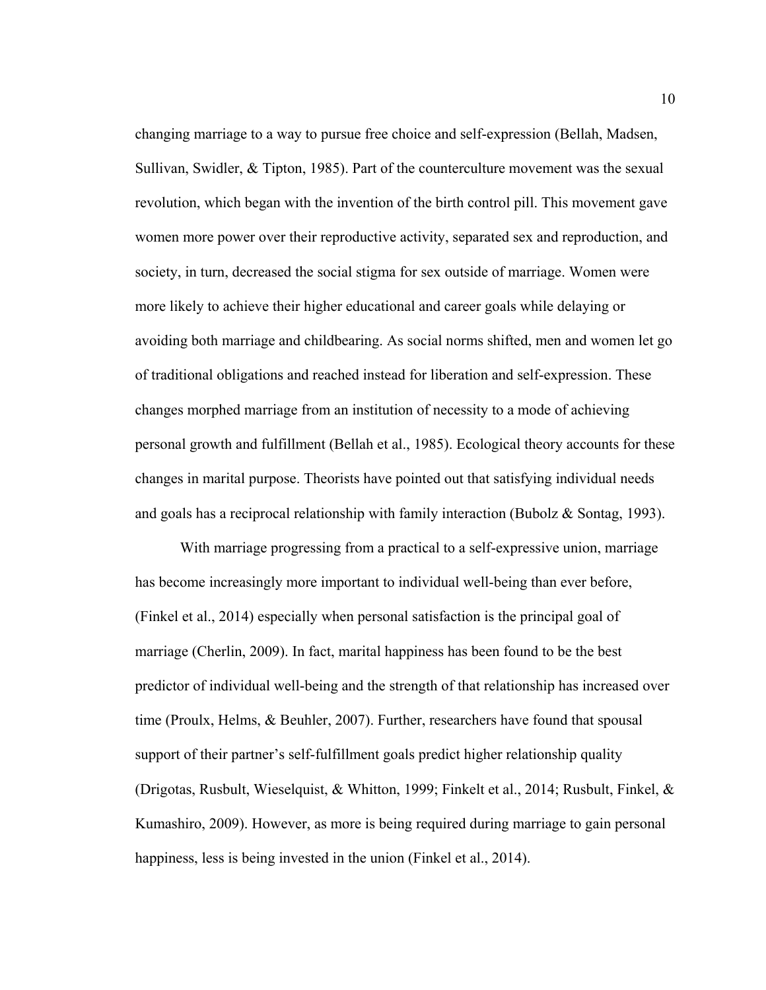changing marriage to a way to pursue free choice and self-expression (Bellah, Madsen, Sullivan, Swidler, & Tipton, 1985). Part of the counterculture movement was the sexual revolution, which began with the invention of the birth control pill. This movement gave women more power over their reproductive activity, separated sex and reproduction, and society, in turn, decreased the social stigma for sex outside of marriage. Women were more likely to achieve their higher educational and career goals while delaying or avoiding both marriage and childbearing. As social norms shifted, men and women let go of traditional obligations and reached instead for liberation and self-expression. These changes morphed marriage from an institution of necessity to a mode of achieving personal growth and fulfillment (Bellah et al., 1985). Ecological theory accounts for these changes in marital purpose. Theorists have pointed out that satisfying individual needs and goals has a reciprocal relationship with family interaction (Bubolz & Sontag, 1993).

With marriage progressing from a practical to a self-expressive union, marriage has become increasingly more important to individual well-being than ever before, (Finkel et al., 2014) especially when personal satisfaction is the principal goal of marriage (Cherlin, 2009). In fact, marital happiness has been found to be the best predictor of individual well-being and the strength of that relationship has increased over time (Proulx, Helms, & Beuhler, 2007). Further, researchers have found that spousal support of their partner's self-fulfillment goals predict higher relationship quality (Drigotas, Rusbult, Wieselquist, & Whitton, 1999; Finkelt et al., 2014; Rusbult, Finkel, & Kumashiro, 2009). However, as more is being required during marriage to gain personal happiness, less is being invested in the union (Finkel et al., 2014).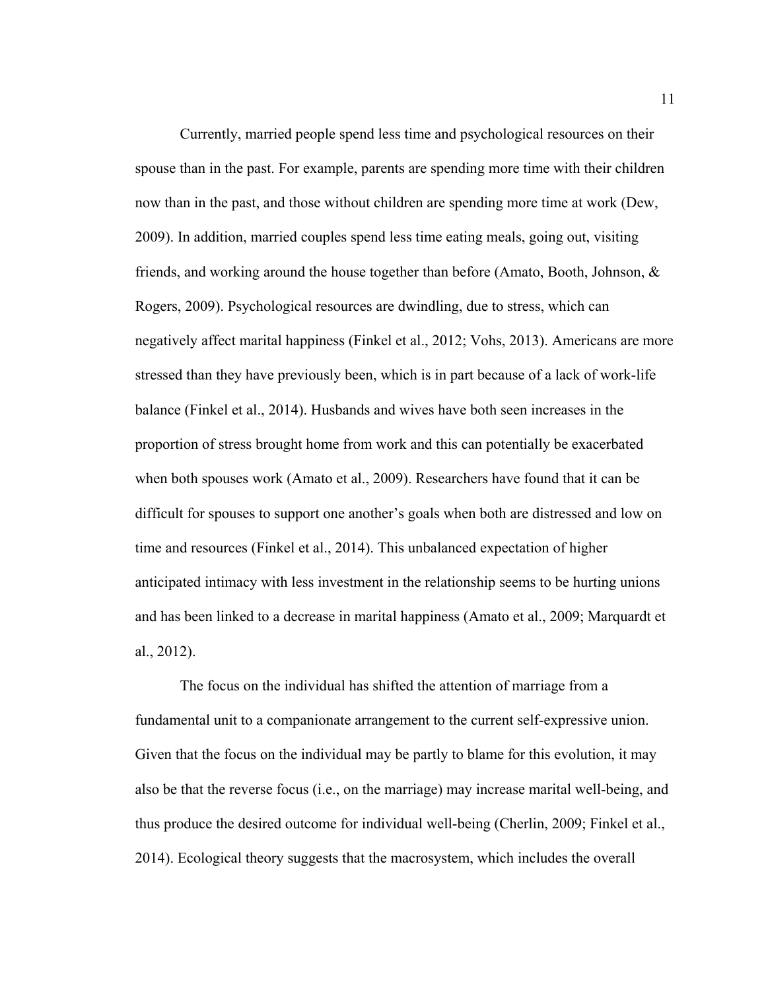Currently, married people spend less time and psychological resources on their spouse than in the past. For example, parents are spending more time with their children now than in the past, and those without children are spending more time at work (Dew, 2009). In addition, married couples spend less time eating meals, going out, visiting friends, and working around the house together than before (Amato, Booth, Johnson, & Rogers, 2009). Psychological resources are dwindling, due to stress, which can negatively affect marital happiness (Finkel et al., 2012; Vohs, 2013). Americans are more stressed than they have previously been, which is in part because of a lack of work-life balance (Finkel et al., 2014). Husbands and wives have both seen increases in the proportion of stress brought home from work and this can potentially be exacerbated when both spouses work (Amato et al., 2009). Researchers have found that it can be difficult for spouses to support one another's goals when both are distressed and low on time and resources (Finkel et al., 2014). This unbalanced expectation of higher anticipated intimacy with less investment in the relationship seems to be hurting unions and has been linked to a decrease in marital happiness (Amato et al., 2009; Marquardt et al., 2012).

The focus on the individual has shifted the attention of marriage from a fundamental unit to a companionate arrangement to the current self-expressive union. Given that the focus on the individual may be partly to blame for this evolution, it may also be that the reverse focus (i.e., on the marriage) may increase marital well-being, and thus produce the desired outcome for individual well-being (Cherlin, 2009; Finkel et al., 2014). Ecological theory suggests that the macrosystem, which includes the overall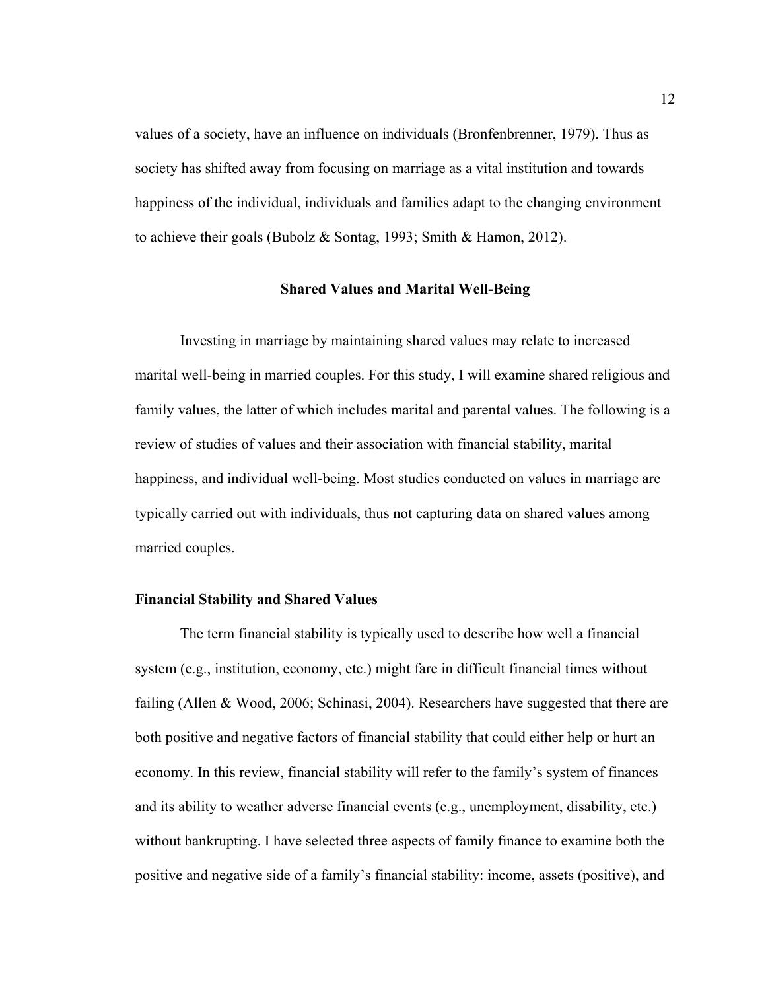values of a society, have an influence on individuals (Bronfenbrenner, 1979). Thus as society has shifted away from focusing on marriage as a vital institution and towards happiness of the individual, individuals and families adapt to the changing environment to achieve their goals (Bubolz & Sontag, 1993; Smith & Hamon, 2012).

#### **Shared Values and Marital Well-Being**

Investing in marriage by maintaining shared values may relate to increased marital well-being in married couples. For this study, I will examine shared religious and family values, the latter of which includes marital and parental values. The following is a review of studies of values and their association with financial stability, marital happiness, and individual well-being. Most studies conducted on values in marriage are typically carried out with individuals, thus not capturing data on shared values among married couples.

#### **Financial Stability and Shared Values**

 The term financial stability is typically used to describe how well a financial system (e.g., institution, economy, etc.) might fare in difficult financial times without failing (Allen & Wood, 2006; Schinasi, 2004). Researchers have suggested that there are both positive and negative factors of financial stability that could either help or hurt an economy. In this review, financial stability will refer to the family's system of finances and its ability to weather adverse financial events (e.g., unemployment, disability, etc.) without bankrupting. I have selected three aspects of family finance to examine both the positive and negative side of a family's financial stability: income, assets (positive), and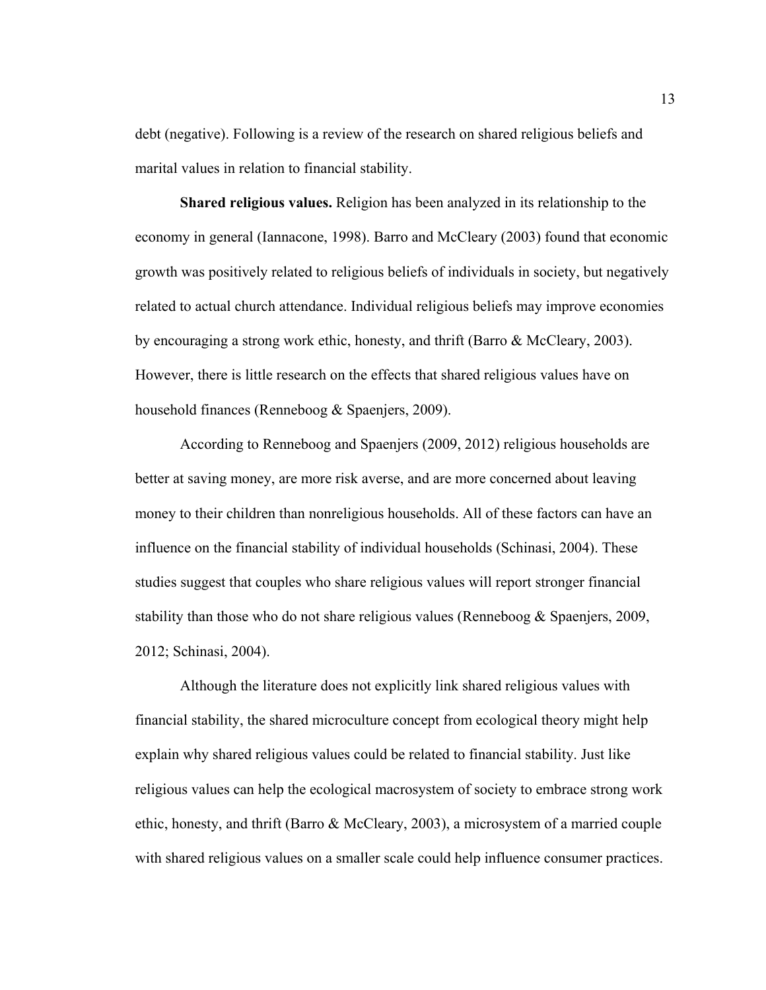debt (negative). Following is a review of the research on shared religious beliefs and marital values in relation to financial stability.

 **Shared religious values.** Religion has been analyzed in its relationship to the economy in general (Iannacone, 1998). Barro and McCleary (2003) found that economic growth was positively related to religious beliefs of individuals in society, but negatively related to actual church attendance. Individual religious beliefs may improve economies by encouraging a strong work ethic, honesty, and thrift (Barro & McCleary, 2003). However, there is little research on the effects that shared religious values have on household finances (Renneboog & Spaenjers, 2009).

According to Renneboog and Spaenjers (2009, 2012) religious households are better at saving money, are more risk averse, and are more concerned about leaving money to their children than nonreligious households. All of these factors can have an influence on the financial stability of individual households (Schinasi, 2004). These studies suggest that couples who share religious values will report stronger financial stability than those who do not share religious values (Renneboog & Spaenjers, 2009, 2012; Schinasi, 2004).

Although the literature does not explicitly link shared religious values with financial stability, the shared microculture concept from ecological theory might help explain why shared religious values could be related to financial stability. Just like religious values can help the ecological macrosystem of society to embrace strong work ethic, honesty, and thrift (Barro & McCleary, 2003), a microsystem of a married couple with shared religious values on a smaller scale could help influence consumer practices.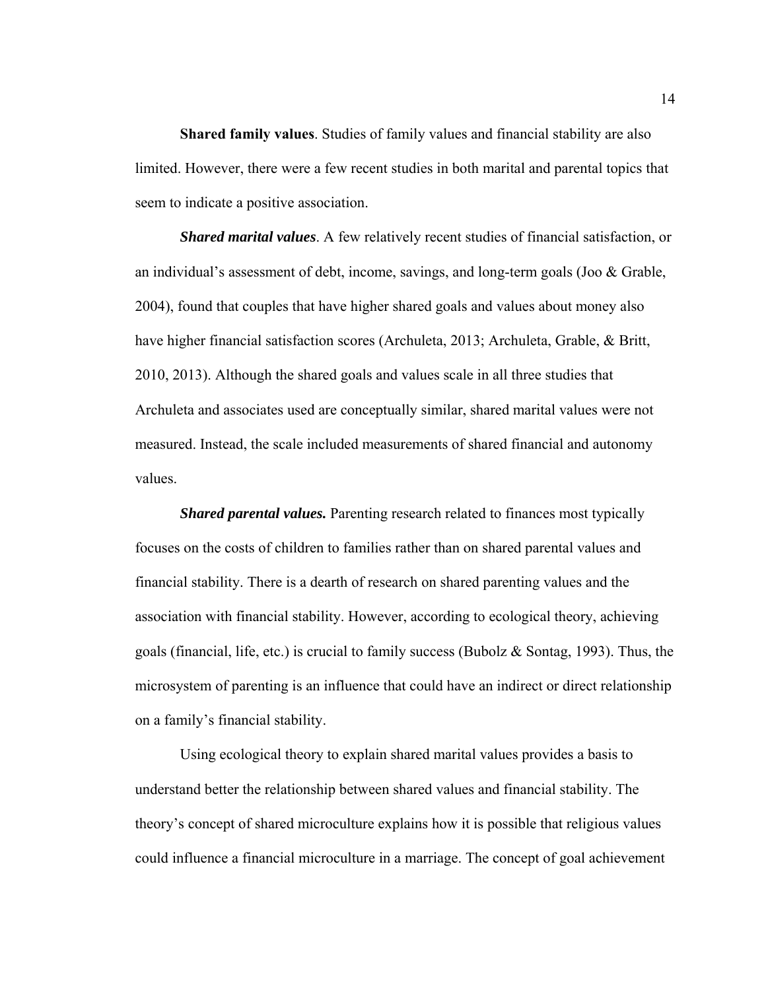**Shared family values**. Studies of family values and financial stability are also limited. However, there were a few recent studies in both marital and parental topics that seem to indicate a positive association.

*Shared marital values*. A few relatively recent studies of financial satisfaction, or an individual's assessment of debt, income, savings, and long-term goals (Joo & Grable, 2004), found that couples that have higher shared goals and values about money also have higher financial satisfaction scores (Archuleta, 2013; Archuleta, Grable, & Britt, 2010, 2013). Although the shared goals and values scale in all three studies that Archuleta and associates used are conceptually similar, shared marital values were not measured. Instead, the scale included measurements of shared financial and autonomy values.

*Shared parental values.* Parenting research related to finances most typically focuses on the costs of children to families rather than on shared parental values and financial stability. There is a dearth of research on shared parenting values and the association with financial stability. However, according to ecological theory, achieving goals (financial, life, etc.) is crucial to family success (Bubolz & Sontag, 1993). Thus, the microsystem of parenting is an influence that could have an indirect or direct relationship on a family's financial stability.

Using ecological theory to explain shared marital values provides a basis to understand better the relationship between shared values and financial stability. The theory's concept of shared microculture explains how it is possible that religious values could influence a financial microculture in a marriage. The concept of goal achievement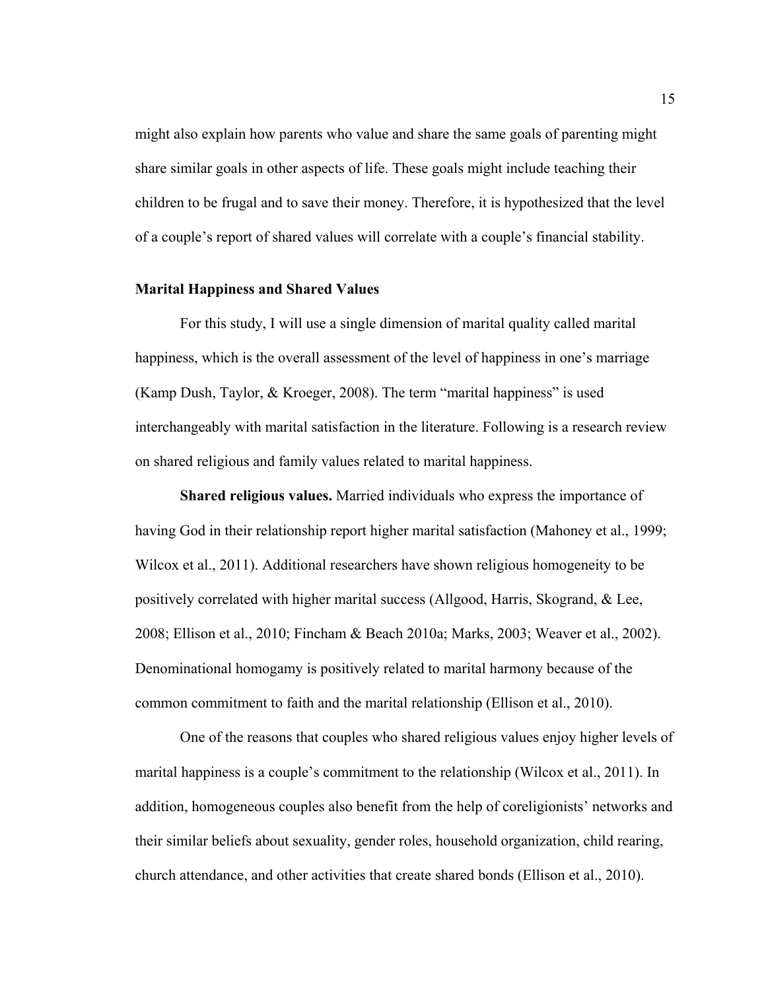might also explain how parents who value and share the same goals of parenting might share similar goals in other aspects of life. These goals might include teaching their children to be frugal and to save their money. Therefore, it is hypothesized that the level of a couple's report of shared values will correlate with a couple's financial stability.

#### **Marital Happiness and Shared Values**

For this study, I will use a single dimension of marital quality called marital happiness, which is the overall assessment of the level of happiness in one's marriage (Kamp Dush, Taylor, & Kroeger, 2008). The term "marital happiness" is used interchangeably with marital satisfaction in the literature. Following is a research review on shared religious and family values related to marital happiness.

**Shared religious values.** Married individuals who express the importance of having God in their relationship report higher marital satisfaction (Mahoney et al., 1999; Wilcox et al., 2011). Additional researchers have shown religious homogeneity to be positively correlated with higher marital success (Allgood, Harris, Skogrand, & Lee, 2008; Ellison et al., 2010; Fincham & Beach 2010a; Marks, 2003; Weaver et al., 2002). Denominational homogamy is positively related to marital harmony because of the common commitment to faith and the marital relationship (Ellison et al., 2010).

One of the reasons that couples who shared religious values enjoy higher levels of marital happiness is a couple's commitment to the relationship (Wilcox et al., 2011). In addition, homogeneous couples also benefit from the help of coreligionists' networks and their similar beliefs about sexuality, gender roles, household organization, child rearing, church attendance, and other activities that create shared bonds (Ellison et al., 2010).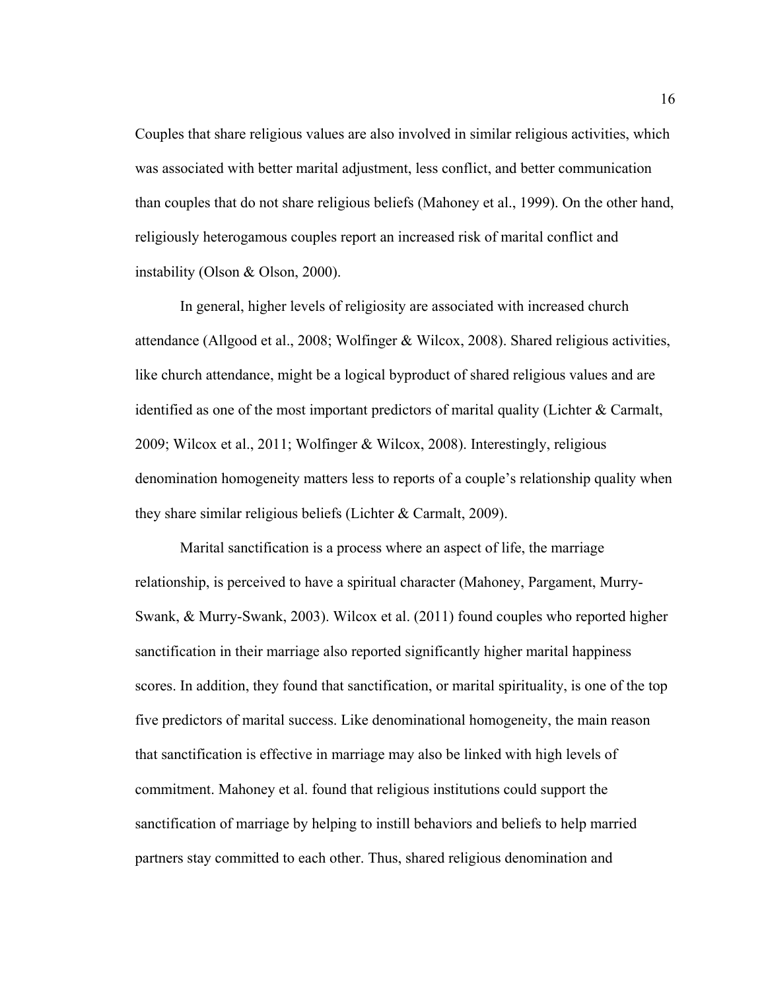Couples that share religious values are also involved in similar religious activities, which was associated with better marital adjustment, less conflict, and better communication than couples that do not share religious beliefs (Mahoney et al., 1999). On the other hand, religiously heterogamous couples report an increased risk of marital conflict and instability (Olson & Olson, 2000).

In general, higher levels of religiosity are associated with increased church attendance (Allgood et al., 2008; Wolfinger & Wilcox, 2008). Shared religious activities, like church attendance, might be a logical byproduct of shared religious values and are identified as one of the most important predictors of marital quality (Lichter & Carmalt, 2009; Wilcox et al., 2011; Wolfinger & Wilcox, 2008). Interestingly, religious denomination homogeneity matters less to reports of a couple's relationship quality when they share similar religious beliefs (Lichter & Carmalt, 2009).

Marital sanctification is a process where an aspect of life, the marriage relationship, is perceived to have a spiritual character (Mahoney, Pargament, Murry-Swank, & Murry-Swank, 2003). Wilcox et al. (2011) found couples who reported higher sanctification in their marriage also reported significantly higher marital happiness scores. In addition, they found that sanctification, or marital spirituality, is one of the top five predictors of marital success. Like denominational homogeneity, the main reason that sanctification is effective in marriage may also be linked with high levels of commitment. Mahoney et al. found that religious institutions could support the sanctification of marriage by helping to instill behaviors and beliefs to help married partners stay committed to each other. Thus, shared religious denomination and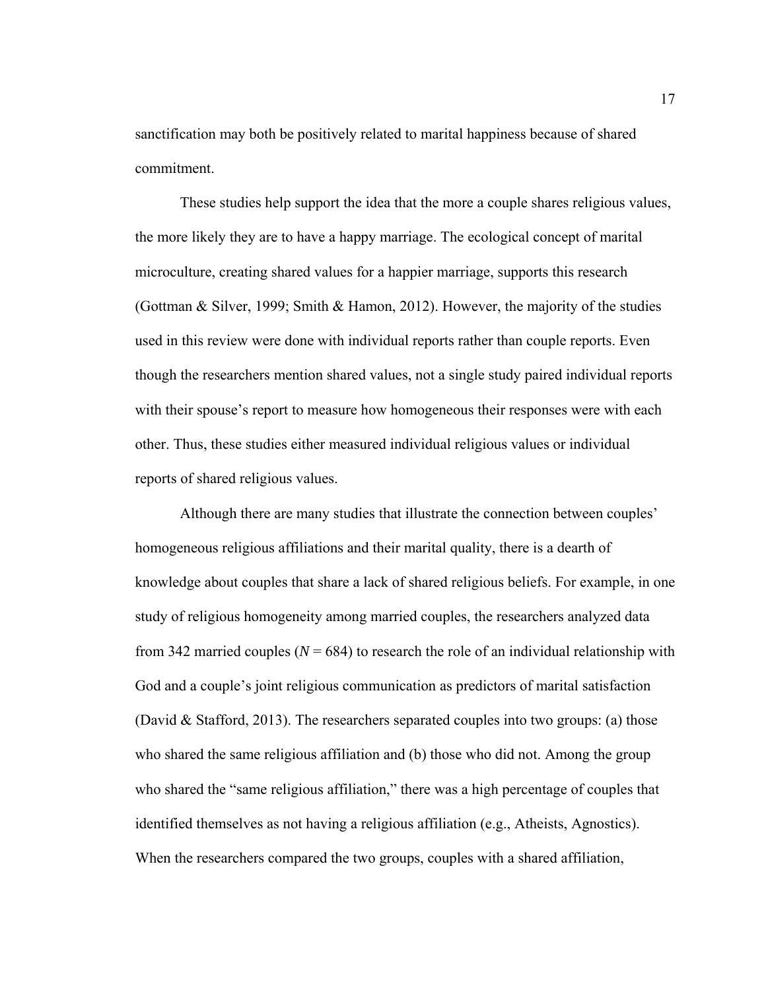sanctification may both be positively related to marital happiness because of shared commitment.

These studies help support the idea that the more a couple shares religious values, the more likely they are to have a happy marriage. The ecological concept of marital microculture, creating shared values for a happier marriage, supports this research (Gottman & Silver, 1999; Smith & Hamon, 2012). However, the majority of the studies used in this review were done with individual reports rather than couple reports. Even though the researchers mention shared values, not a single study paired individual reports with their spouse's report to measure how homogeneous their responses were with each other. Thus, these studies either measured individual religious values or individual reports of shared religious values.

Although there are many studies that illustrate the connection between couples' homogeneous religious affiliations and their marital quality, there is a dearth of knowledge about couples that share a lack of shared religious beliefs. For example, in one study of religious homogeneity among married couples, the researchers analyzed data from 342 married couples  $(N = 684)$  to research the role of an individual relationship with God and a couple's joint religious communication as predictors of marital satisfaction (David & Stafford, 2013). The researchers separated couples into two groups: (a) those who shared the same religious affiliation and (b) those who did not. Among the group who shared the "same religious affiliation," there was a high percentage of couples that identified themselves as not having a religious affiliation (e.g., Atheists, Agnostics). When the researchers compared the two groups, couples with a shared affiliation,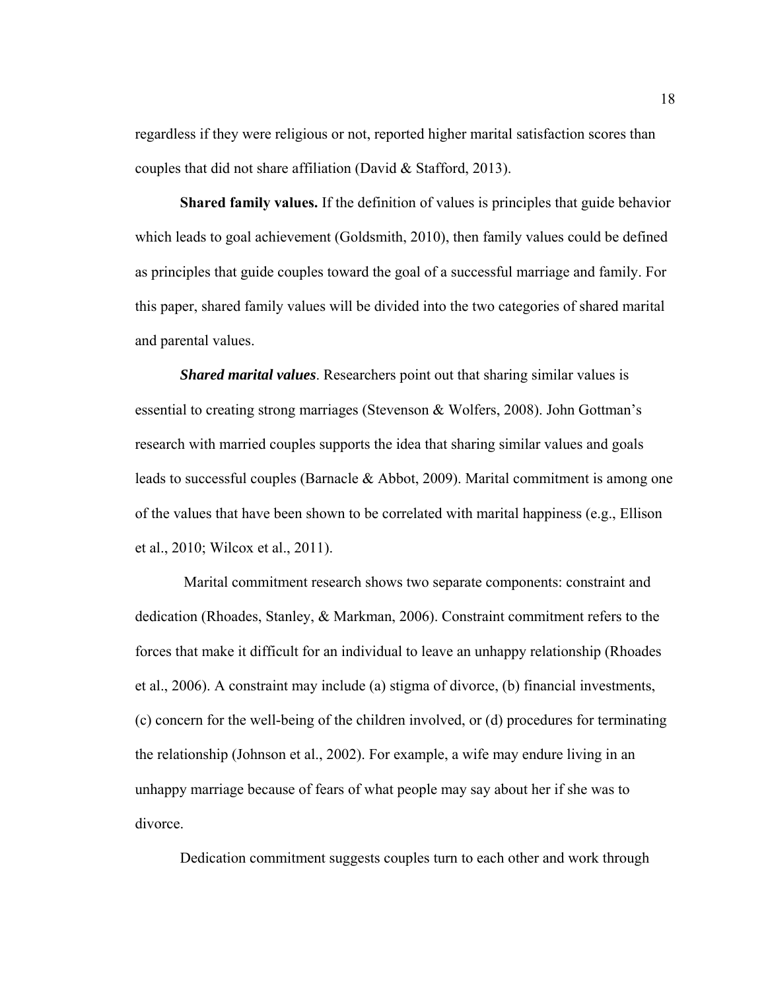regardless if they were religious or not, reported higher marital satisfaction scores than couples that did not share affiliation (David & Stafford, 2013).

**Shared family values.** If the definition of values is principles that guide behavior which leads to goal achievement (Goldsmith, 2010), then family values could be defined as principles that guide couples toward the goal of a successful marriage and family. For this paper, shared family values will be divided into the two categories of shared marital and parental values.

*Shared marital values*. Researchers point out that sharing similar values is essential to creating strong marriages (Stevenson & Wolfers, 2008). John Gottman's research with married couples supports the idea that sharing similar values and goals leads to successful couples (Barnacle & Abbot, 2009). Marital commitment is among one of the values that have been shown to be correlated with marital happiness (e.g., Ellison et al., 2010; Wilcox et al., 2011).

 Marital commitment research shows two separate components: constraint and dedication (Rhoades, Stanley, & Markman, 2006). Constraint commitment refers to the forces that make it difficult for an individual to leave an unhappy relationship (Rhoades et al., 2006). A constraint may include (a) stigma of divorce, (b) financial investments, (c) concern for the well-being of the children involved, or (d) procedures for terminating the relationship (Johnson et al., 2002). For example, a wife may endure living in an unhappy marriage because of fears of what people may say about her if she was to divorce.

Dedication commitment suggests couples turn to each other and work through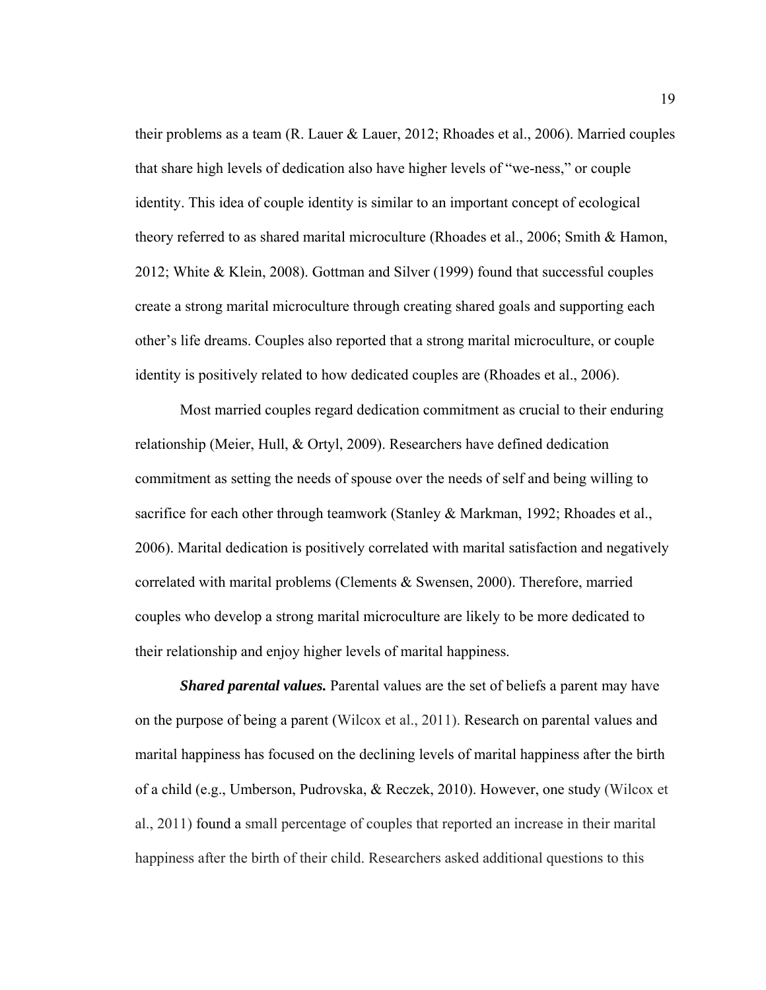their problems as a team (R. Lauer & Lauer, 2012; Rhoades et al., 2006). Married couples that share high levels of dedication also have higher levels of "we-ness," or couple identity. This idea of couple identity is similar to an important concept of ecological theory referred to as shared marital microculture (Rhoades et al., 2006; Smith & Hamon, 2012; White & Klein, 2008). Gottman and Silver (1999) found that successful couples create a strong marital microculture through creating shared goals and supporting each other's life dreams. Couples also reported that a strong marital microculture, or couple identity is positively related to how dedicated couples are (Rhoades et al., 2006).

Most married couples regard dedication commitment as crucial to their enduring relationship (Meier, Hull, & Ortyl, 2009). Researchers have defined dedication commitment as setting the needs of spouse over the needs of self and being willing to sacrifice for each other through teamwork (Stanley & Markman, 1992; Rhoades et al., 2006). Marital dedication is positively correlated with marital satisfaction and negatively correlated with marital problems (Clements & Swensen, 2000). Therefore, married couples who develop a strong marital microculture are likely to be more dedicated to their relationship and enjoy higher levels of marital happiness.

*Shared parental values.* Parental values are the set of beliefs a parent may have on the purpose of being a parent (Wilcox et al., 2011). Research on parental values and marital happiness has focused on the declining levels of marital happiness after the birth of a child (e.g., Umberson, Pudrovska, & Reczek, 2010). However, one study (Wilcox et al., 2011) found a small percentage of couples that reported an increase in their marital happiness after the birth of their child. Researchers asked additional questions to this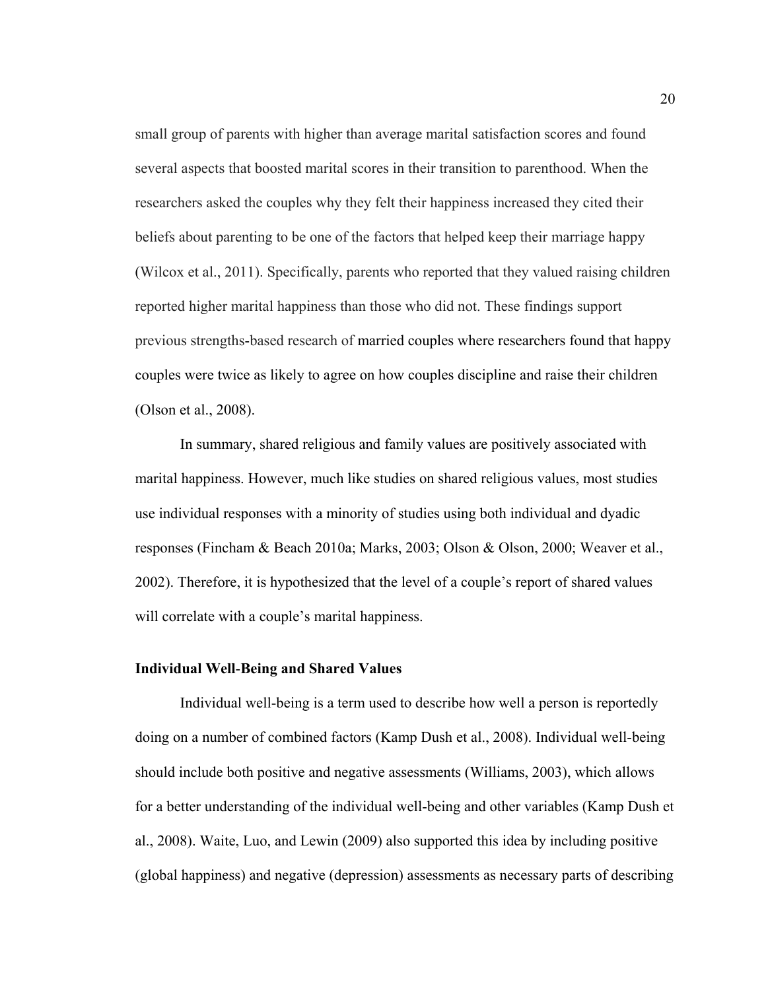small group of parents with higher than average marital satisfaction scores and found several aspects that boosted marital scores in their transition to parenthood. When the researchers asked the couples why they felt their happiness increased they cited their beliefs about parenting to be one of the factors that helped keep their marriage happy (Wilcox et al., 2011). Specifically, parents who reported that they valued raising children reported higher marital happiness than those who did not. These findings support previous strengths-based research of married couples where researchers found that happy couples were twice as likely to agree on how couples discipline and raise their children (Olson et al., 2008).

In summary, shared religious and family values are positively associated with marital happiness. However, much like studies on shared religious values, most studies use individual responses with a minority of studies using both individual and dyadic responses (Fincham & Beach 2010a; Marks, 2003; Olson & Olson, 2000; Weaver et al., 2002). Therefore, it is hypothesized that the level of a couple's report of shared values will correlate with a couple's marital happiness.

#### **Individual Well**-**Being and Shared Values**

Individual well-being is a term used to describe how well a person is reportedly doing on a number of combined factors (Kamp Dush et al., 2008). Individual well-being should include both positive and negative assessments (Williams, 2003), which allows for a better understanding of the individual well-being and other variables (Kamp Dush et al., 2008). Waite, Luo, and Lewin (2009) also supported this idea by including positive (global happiness) and negative (depression) assessments as necessary parts of describing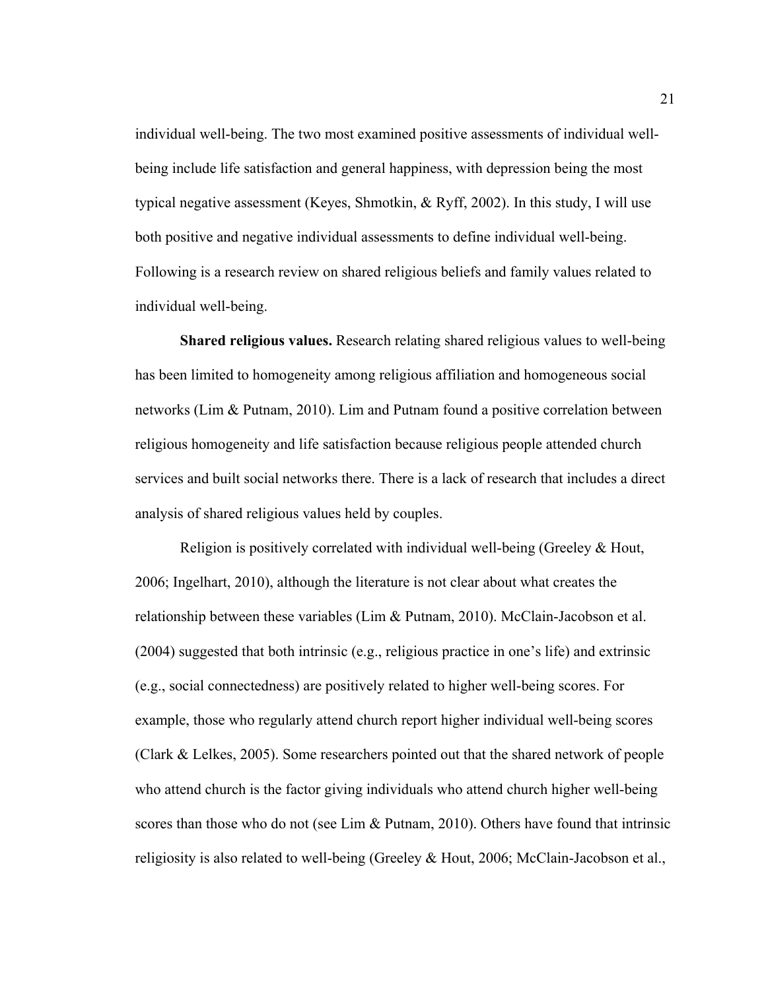individual well-being. The two most examined positive assessments of individual wellbeing include life satisfaction and general happiness, with depression being the most typical negative assessment (Keyes, Shmotkin, & Ryff, 2002). In this study, I will use both positive and negative individual assessments to define individual well-being. Following is a research review on shared religious beliefs and family values related to individual well-being.

 **Shared religious values.** Research relating shared religious values to well-being has been limited to homogeneity among religious affiliation and homogeneous social networks (Lim & Putnam, 2010). Lim and Putnam found a positive correlation between religious homogeneity and life satisfaction because religious people attended church services and built social networks there. There is a lack of research that includes a direct analysis of shared religious values held by couples.

Religion is positively correlated with individual well-being (Greeley & Hout, 2006; Ingelhart, 2010), although the literature is not clear about what creates the relationship between these variables (Lim & Putnam, 2010). McClain-Jacobson et al. (2004) suggested that both intrinsic (e.g., religious practice in one's life) and extrinsic (e.g., social connectedness) are positively related to higher well-being scores. For example, those who regularly attend church report higher individual well-being scores (Clark & Lelkes, 2005). Some researchers pointed out that the shared network of people who attend church is the factor giving individuals who attend church higher well-being scores than those who do not (see Lim & Putnam, 2010). Others have found that intrinsic religiosity is also related to well-being (Greeley & Hout, 2006; McClain-Jacobson et al.,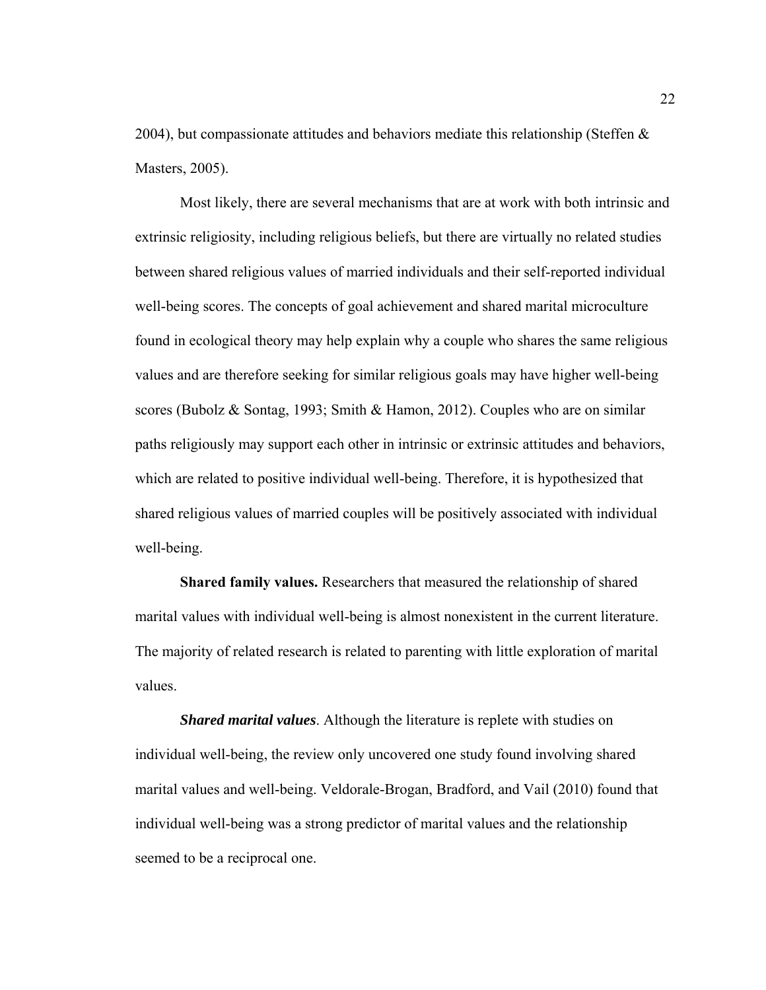2004), but compassionate attitudes and behaviors mediate this relationship (Steffen  $\&$ Masters, 2005).

Most likely, there are several mechanisms that are at work with both intrinsic and extrinsic religiosity, including religious beliefs, but there are virtually no related studies between shared religious values of married individuals and their self-reported individual well-being scores. The concepts of goal achievement and shared marital microculture found in ecological theory may help explain why a couple who shares the same religious values and are therefore seeking for similar religious goals may have higher well-being scores (Bubolz & Sontag, 1993; Smith & Hamon, 2012). Couples who are on similar paths religiously may support each other in intrinsic or extrinsic attitudes and behaviors, which are related to positive individual well-being. Therefore, it is hypothesized that shared religious values of married couples will be positively associated with individual well-being.

**Shared family values.** Researchers that measured the relationship of shared marital values with individual well-being is almost nonexistent in the current literature. The majority of related research is related to parenting with little exploration of marital values.

*Shared marital values*. Although the literature is replete with studies on individual well-being, the review only uncovered one study found involving shared marital values and well-being. Veldorale-Brogan, Bradford, and Vail (2010) found that individual well-being was a strong predictor of marital values and the relationship seemed to be a reciprocal one.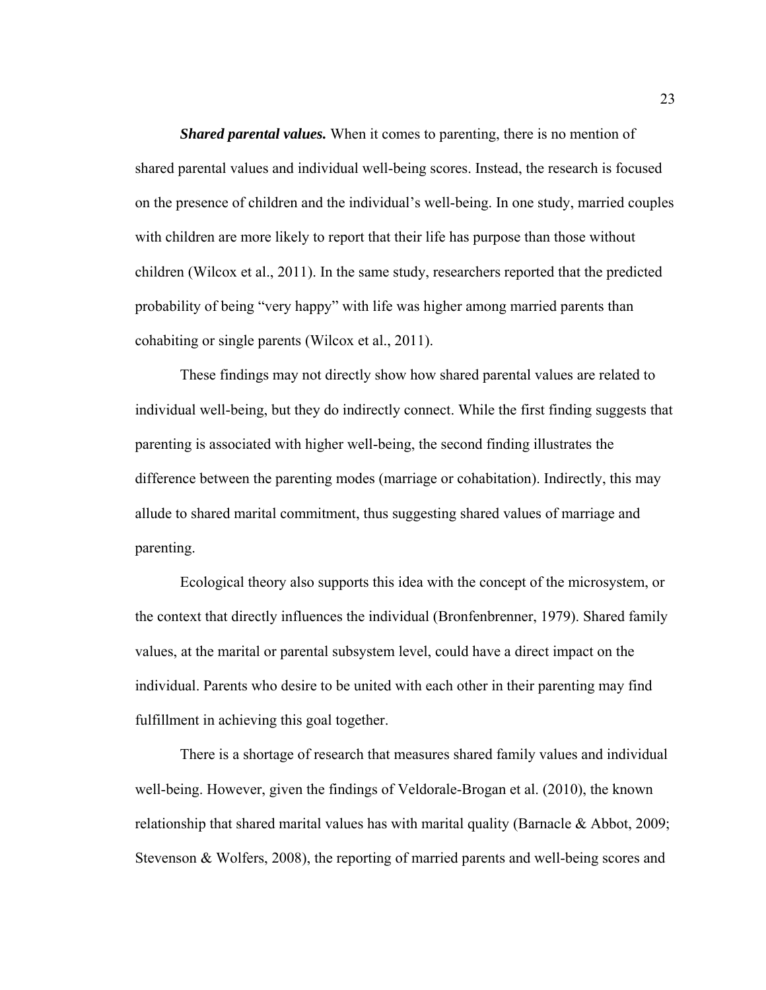*Shared parental values.* When it comes to parenting, there is no mention of shared parental values and individual well-being scores. Instead, the research is focused on the presence of children and the individual's well-being. In one study, married couples with children are more likely to report that their life has purpose than those without children (Wilcox et al., 2011). In the same study, researchers reported that the predicted probability of being "very happy" with life was higher among married parents than cohabiting or single parents (Wilcox et al., 2011).

These findings may not directly show how shared parental values are related to individual well-being, but they do indirectly connect. While the first finding suggests that parenting is associated with higher well-being, the second finding illustrates the difference between the parenting modes (marriage or cohabitation). Indirectly, this may allude to shared marital commitment, thus suggesting shared values of marriage and parenting.

Ecological theory also supports this idea with the concept of the microsystem, or the context that directly influences the individual (Bronfenbrenner, 1979). Shared family values, at the marital or parental subsystem level, could have a direct impact on the individual. Parents who desire to be united with each other in their parenting may find fulfillment in achieving this goal together.

There is a shortage of research that measures shared family values and individual well-being. However, given the findings of Veldorale-Brogan et al. (2010), the known relationship that shared marital values has with marital quality (Barnacle & Abbot, 2009; Stevenson & Wolfers, 2008), the reporting of married parents and well-being scores and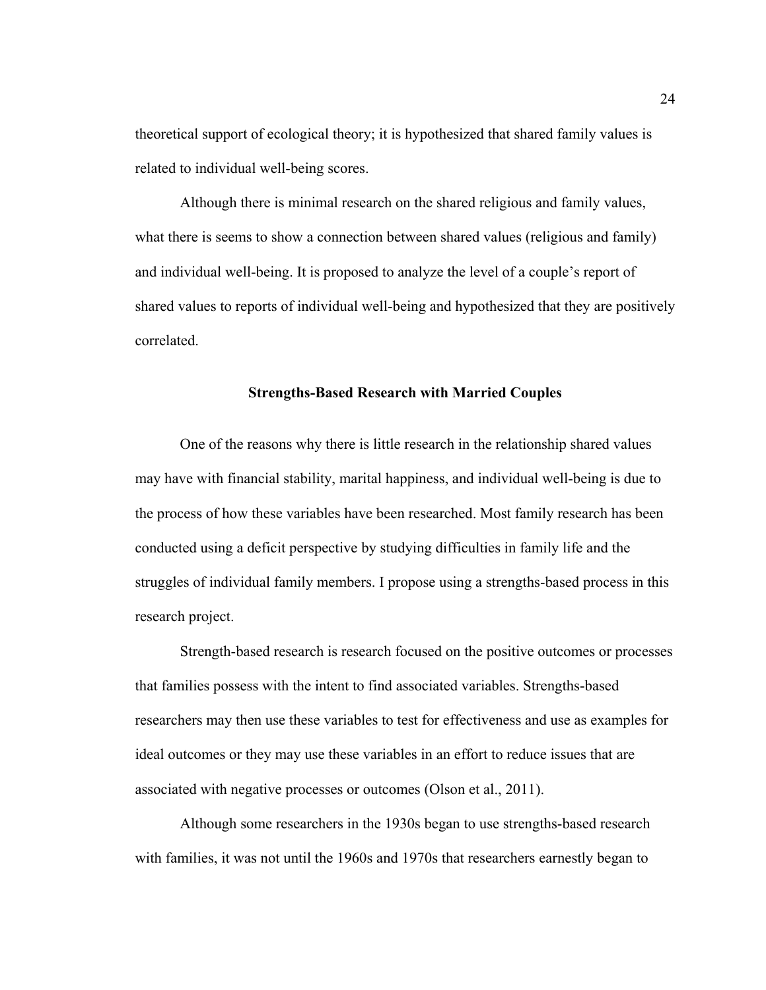theoretical support of ecological theory; it is hypothesized that shared family values is related to individual well-being scores.

Although there is minimal research on the shared religious and family values, what there is seems to show a connection between shared values (religious and family) and individual well-being. It is proposed to analyze the level of a couple's report of shared values to reports of individual well-being and hypothesized that they are positively correlated.

#### **Strengths-Based Research with Married Couples**

One of the reasons why there is little research in the relationship shared values may have with financial stability, marital happiness, and individual well-being is due to the process of how these variables have been researched. Most family research has been conducted using a deficit perspective by studying difficulties in family life and the struggles of individual family members. I propose using a strengths-based process in this research project.

Strength-based research is research focused on the positive outcomes or processes that families possess with the intent to find associated variables. Strengths-based researchers may then use these variables to test for effectiveness and use as examples for ideal outcomes or they may use these variables in an effort to reduce issues that are associated with negative processes or outcomes (Olson et al., 2011).

Although some researchers in the 1930s began to use strengths-based research with families, it was not until the 1960s and 1970s that researchers earnestly began to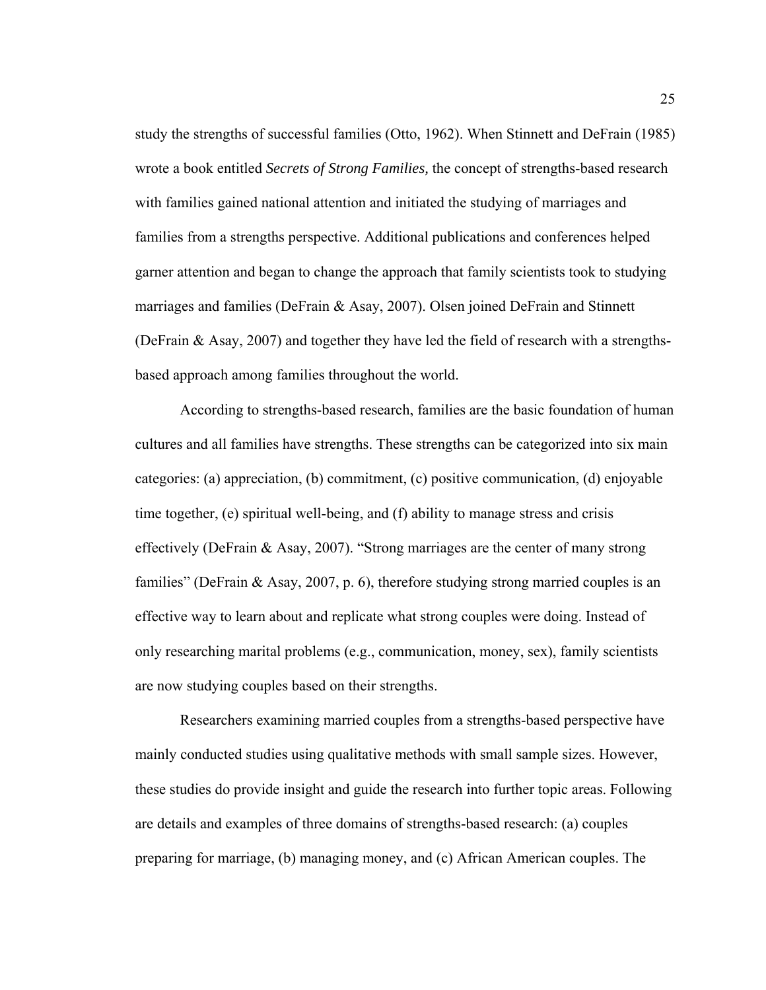study the strengths of successful families (Otto, 1962). When Stinnett and DeFrain (1985) wrote a book entitled *Secrets of Strong Families,* the concept of strengths-based research with families gained national attention and initiated the studying of marriages and families from a strengths perspective. Additional publications and conferences helped garner attention and began to change the approach that family scientists took to studying marriages and families (DeFrain & Asay, 2007). Olsen joined DeFrain and Stinnett (DeFrain & Asay, 2007) and together they have led the field of research with a strengthsbased approach among families throughout the world.

According to strengths-based research, families are the basic foundation of human cultures and all families have strengths. These strengths can be categorized into six main categories: (a) appreciation, (b) commitment, (c) positive communication, (d) enjoyable time together, (e) spiritual well-being, and (f) ability to manage stress and crisis effectively (DeFrain & Asay, 2007). "Strong marriages are the center of many strong families" (DeFrain & Asay, 2007, p. 6), therefore studying strong married couples is an effective way to learn about and replicate what strong couples were doing. Instead of only researching marital problems (e.g., communication, money, sex), family scientists are now studying couples based on their strengths.

Researchers examining married couples from a strengths-based perspective have mainly conducted studies using qualitative methods with small sample sizes. However, these studies do provide insight and guide the research into further topic areas. Following are details and examples of three domains of strengths-based research: (a) couples preparing for marriage, (b) managing money, and (c) African American couples. The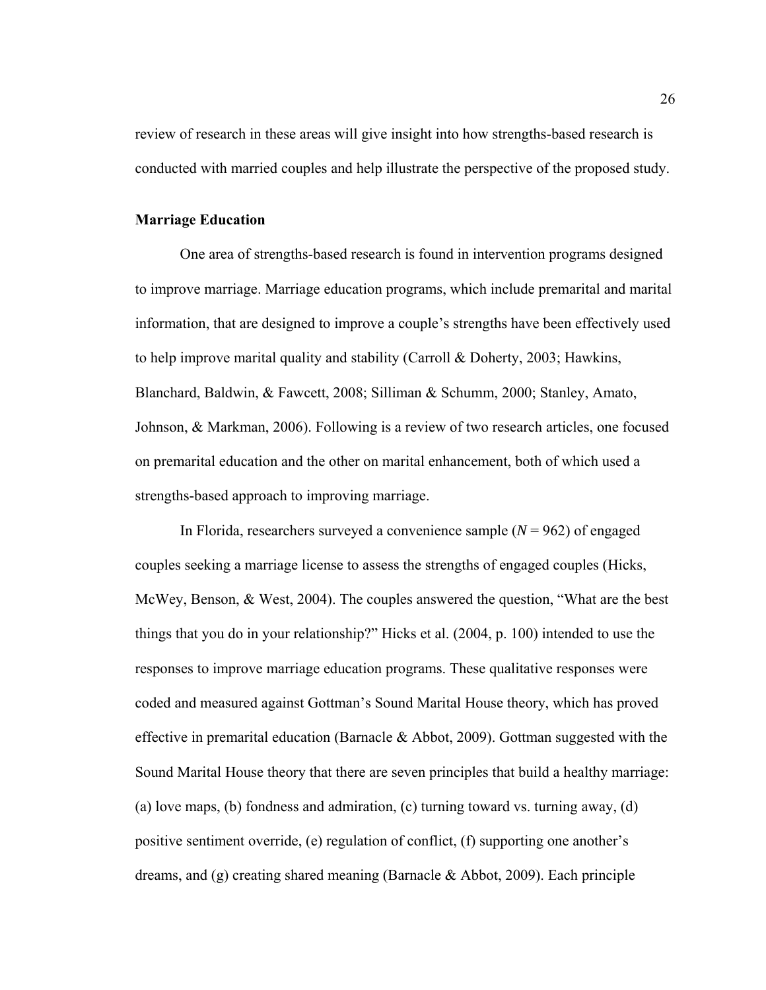review of research in these areas will give insight into how strengths-based research is conducted with married couples and help illustrate the perspective of the proposed study.

# **Marriage Education**

One area of strengths-based research is found in intervention programs designed to improve marriage. Marriage education programs, which include premarital and marital information, that are designed to improve a couple's strengths have been effectively used to help improve marital quality and stability (Carroll & Doherty, 2003; Hawkins, Blanchard, Baldwin, & Fawcett, 2008; Silliman & Schumm, 2000; Stanley, Amato, Johnson, & Markman, 2006). Following is a review of two research articles, one focused on premarital education and the other on marital enhancement, both of which used a strengths-based approach to improving marriage.

In Florida, researchers surveyed a convenience sample  $(N = 962)$  of engaged couples seeking a marriage license to assess the strengths of engaged couples (Hicks, McWey, Benson, & West, 2004). The couples answered the question, "What are the best things that you do in your relationship?" Hicks et al. (2004, p. 100) intended to use the responses to improve marriage education programs. These qualitative responses were coded and measured against Gottman's Sound Marital House theory, which has proved effective in premarital education (Barnacle & Abbot, 2009). Gottman suggested with the Sound Marital House theory that there are seven principles that build a healthy marriage: (a) love maps, (b) fondness and admiration, (c) turning toward vs. turning away, (d) positive sentiment override, (e) regulation of conflict, (f) supporting one another's dreams, and (g) creating shared meaning (Barnacle & Abbot, 2009). Each principle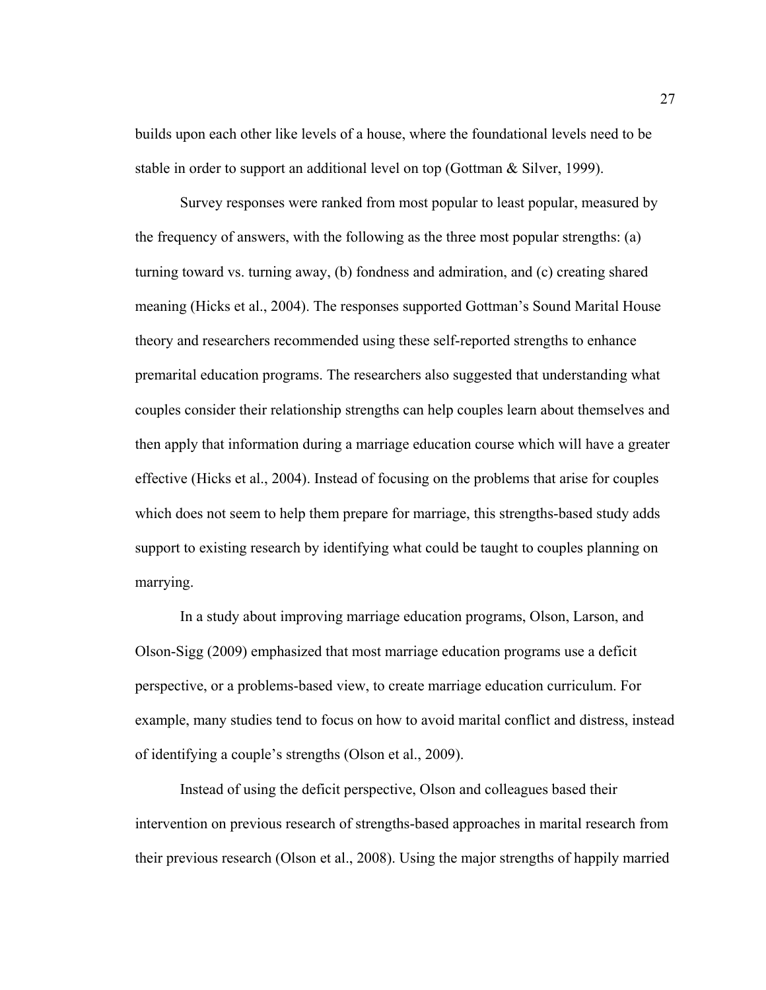builds upon each other like levels of a house, where the foundational levels need to be stable in order to support an additional level on top (Gottman & Silver, 1999).

Survey responses were ranked from most popular to least popular, measured by the frequency of answers, with the following as the three most popular strengths: (a) turning toward vs. turning away, (b) fondness and admiration, and (c) creating shared meaning (Hicks et al., 2004). The responses supported Gottman's Sound Marital House theory and researchers recommended using these self-reported strengths to enhance premarital education programs. The researchers also suggested that understanding what couples consider their relationship strengths can help couples learn about themselves and then apply that information during a marriage education course which will have a greater effective (Hicks et al., 2004). Instead of focusing on the problems that arise for couples which does not seem to help them prepare for marriage, this strengths-based study adds support to existing research by identifying what could be taught to couples planning on marrying.

In a study about improving marriage education programs, Olson, Larson, and Olson-Sigg (2009) emphasized that most marriage education programs use a deficit perspective, or a problems-based view, to create marriage education curriculum. For example, many studies tend to focus on how to avoid marital conflict and distress, instead of identifying a couple's strengths (Olson et al., 2009).

Instead of using the deficit perspective, Olson and colleagues based their intervention on previous research of strengths-based approaches in marital research from their previous research (Olson et al., 2008). Using the major strengths of happily married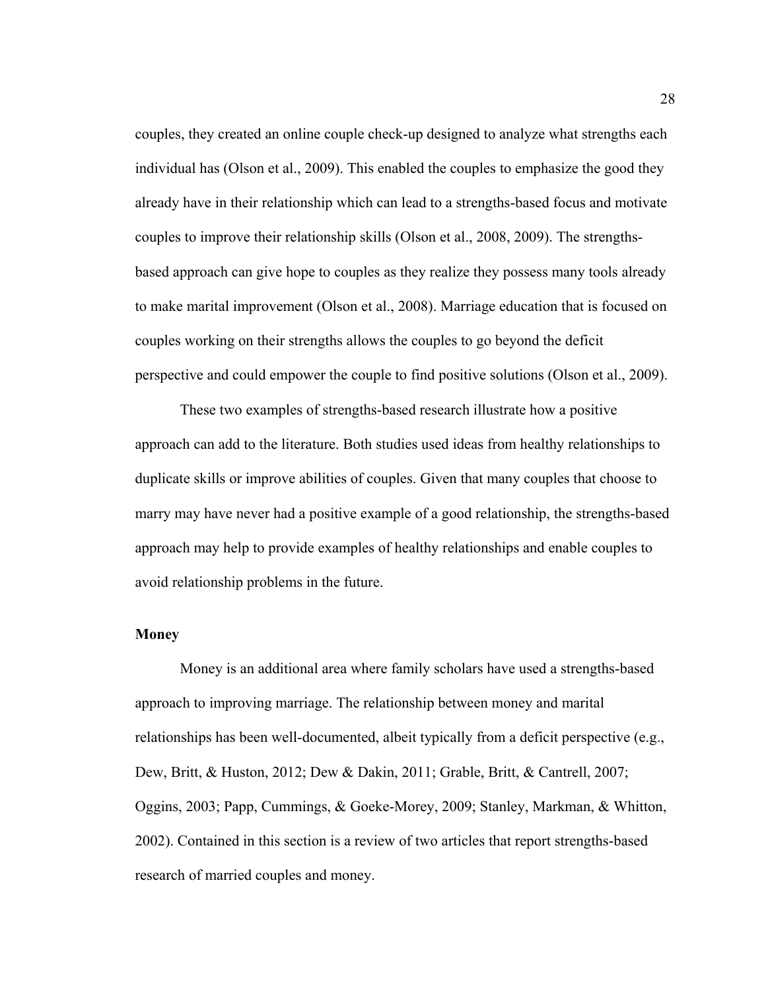couples, they created an online couple check-up designed to analyze what strengths each individual has (Olson et al., 2009). This enabled the couples to emphasize the good they already have in their relationship which can lead to a strengths-based focus and motivate couples to improve their relationship skills (Olson et al., 2008, 2009). The strengthsbased approach can give hope to couples as they realize they possess many tools already to make marital improvement (Olson et al., 2008). Marriage education that is focused on couples working on their strengths allows the couples to go beyond the deficit perspective and could empower the couple to find positive solutions (Olson et al., 2009).

These two examples of strengths-based research illustrate how a positive approach can add to the literature. Both studies used ideas from healthy relationships to duplicate skills or improve abilities of couples. Given that many couples that choose to marry may have never had a positive example of a good relationship, the strengths-based approach may help to provide examples of healthy relationships and enable couples to avoid relationship problems in the future.

#### **Money**

Money is an additional area where family scholars have used a strengths-based approach to improving marriage. The relationship between money and marital relationships has been well-documented, albeit typically from a deficit perspective (e.g., Dew, Britt, & Huston, 2012; Dew & Dakin, 2011; Grable, Britt, & Cantrell, 2007; Oggins, 2003; Papp, Cummings, & Goeke-Morey, 2009; Stanley, Markman, & Whitton, 2002). Contained in this section is a review of two articles that report strengths-based research of married couples and money.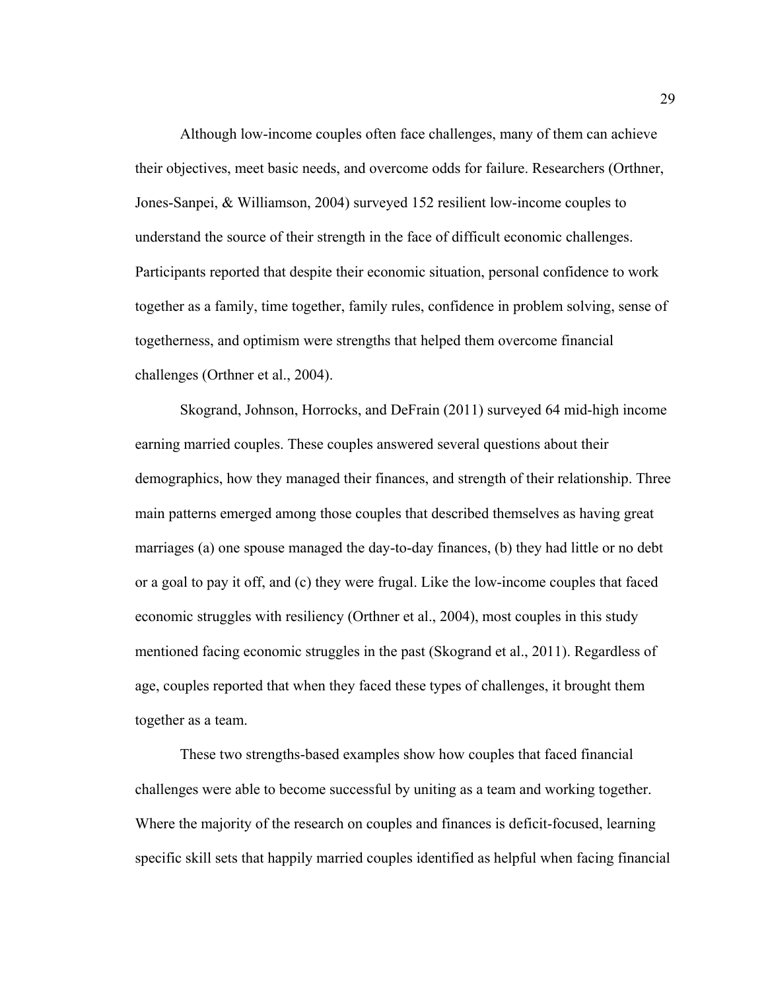Although low-income couples often face challenges, many of them can achieve their objectives, meet basic needs, and overcome odds for failure. Researchers (Orthner, Jones-Sanpei, & Williamson, 2004) surveyed 152 resilient low-income couples to understand the source of their strength in the face of difficult economic challenges. Participants reported that despite their economic situation, personal confidence to work together as a family, time together, family rules, confidence in problem solving, sense of togetherness, and optimism were strengths that helped them overcome financial challenges (Orthner et al., 2004).

Skogrand, Johnson, Horrocks, and DeFrain (2011) surveyed 64 mid-high income earning married couples. These couples answered several questions about their demographics, how they managed their finances, and strength of their relationship. Three main patterns emerged among those couples that described themselves as having great marriages (a) one spouse managed the day-to-day finances, (b) they had little or no debt or a goal to pay it off, and (c) they were frugal. Like the low-income couples that faced economic struggles with resiliency (Orthner et al., 2004), most couples in this study mentioned facing economic struggles in the past (Skogrand et al., 2011). Regardless of age, couples reported that when they faced these types of challenges, it brought them together as a team.

These two strengths-based examples show how couples that faced financial challenges were able to become successful by uniting as a team and working together. Where the majority of the research on couples and finances is deficit-focused, learning specific skill sets that happily married couples identified as helpful when facing financial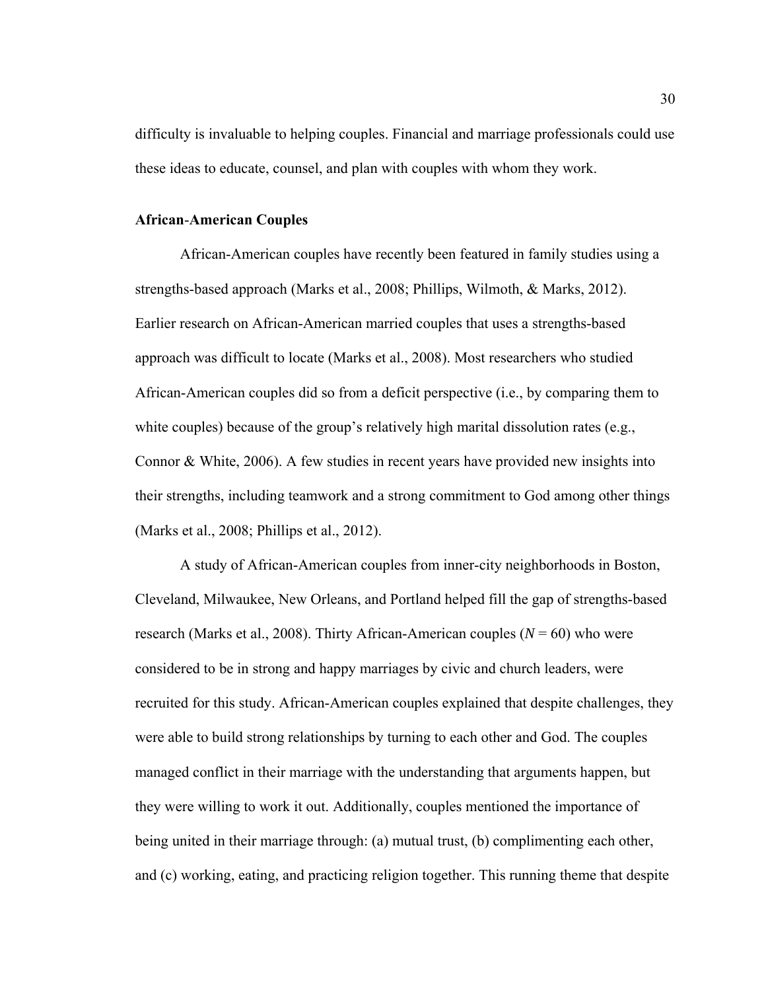difficulty is invaluable to helping couples. Financial and marriage professionals could use these ideas to educate, counsel, and plan with couples with whom they work.

# **African**-**American Couples**

African-American couples have recently been featured in family studies using a strengths-based approach (Marks et al., 2008; Phillips, Wilmoth, & Marks, 2012). Earlier research on African-American married couples that uses a strengths-based approach was difficult to locate (Marks et al., 2008). Most researchers who studied African-American couples did so from a deficit perspective (i.e., by comparing them to white couples) because of the group's relatively high marital dissolution rates (e.g., Connor & White, 2006). A few studies in recent years have provided new insights into their strengths, including teamwork and a strong commitment to God among other things (Marks et al., 2008; Phillips et al., 2012).

A study of African-American couples from inner-city neighborhoods in Boston, Cleveland, Milwaukee, New Orleans, and Portland helped fill the gap of strengths-based research (Marks et al., 2008). Thirty African-American couples  $(N = 60)$  who were considered to be in strong and happy marriages by civic and church leaders, were recruited for this study. African-American couples explained that despite challenges, they were able to build strong relationships by turning to each other and God. The couples managed conflict in their marriage with the understanding that arguments happen, but they were willing to work it out. Additionally, couples mentioned the importance of being united in their marriage through: (a) mutual trust, (b) complimenting each other, and (c) working, eating, and practicing religion together. This running theme that despite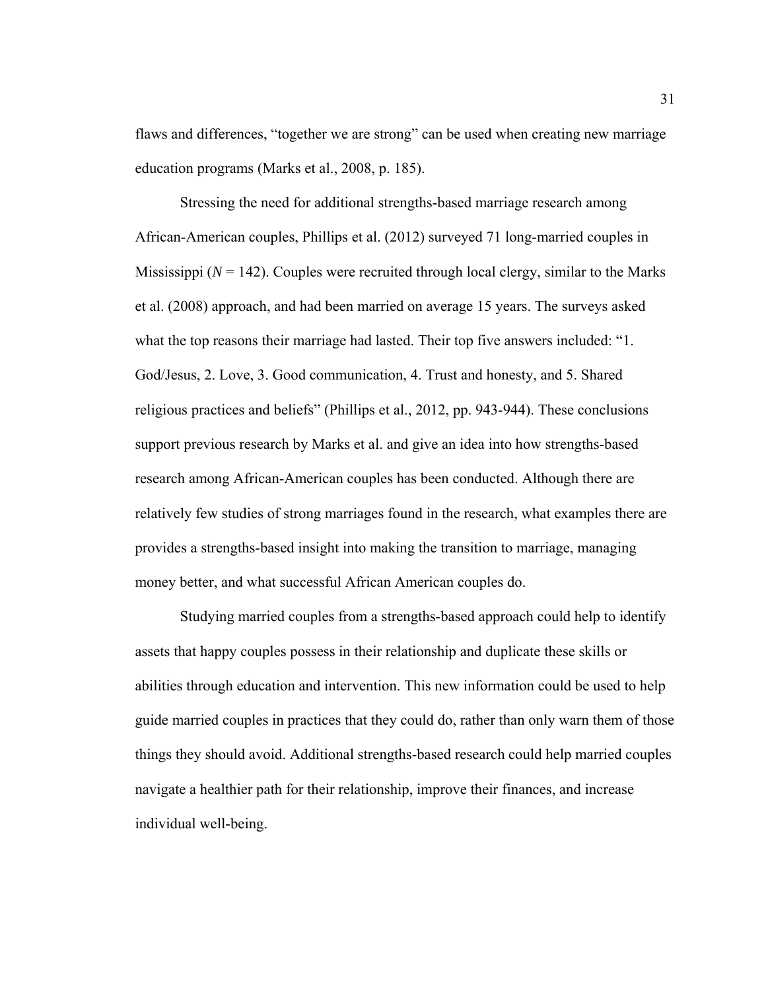flaws and differences, "together we are strong" can be used when creating new marriage education programs (Marks et al., 2008, p. 185).

 Stressing the need for additional strengths-based marriage research among African-American couples, Phillips et al. (2012) surveyed 71 long-married couples in Mississippi ( $N = 142$ ). Couples were recruited through local clergy, similar to the Marks et al. (2008) approach, and had been married on average 15 years. The surveys asked what the top reasons their marriage had lasted. Their top five answers included: "1. God/Jesus, 2. Love, 3. Good communication, 4. Trust and honesty, and 5. Shared religious practices and beliefs" (Phillips et al., 2012, pp. 943-944). These conclusions support previous research by Marks et al. and give an idea into how strengths-based research among African-American couples has been conducted. Although there are relatively few studies of strong marriages found in the research, what examples there are provides a strengths-based insight into making the transition to marriage, managing money better, and what successful African American couples do.

Studying married couples from a strengths-based approach could help to identify assets that happy couples possess in their relationship and duplicate these skills or abilities through education and intervention. This new information could be used to help guide married couples in practices that they could do, rather than only warn them of those things they should avoid. Additional strengths-based research could help married couples navigate a healthier path for their relationship, improve their finances, and increase individual well-being.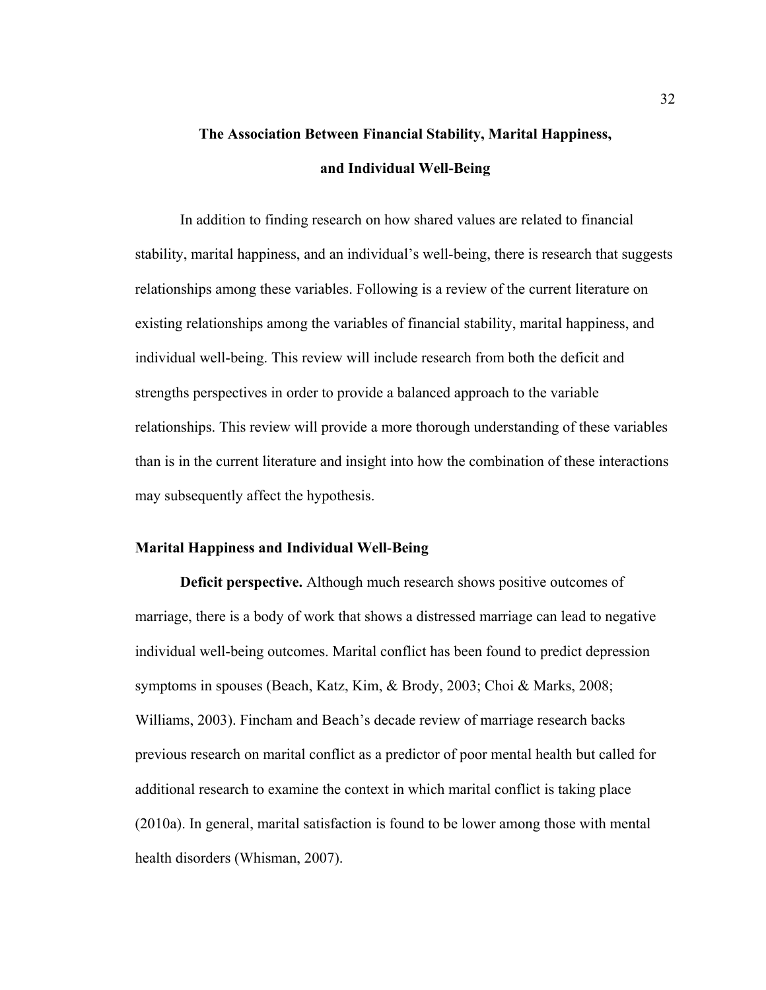# **The Association Between Financial Stability, Marital Happiness, and Individual Well-Being**

In addition to finding research on how shared values are related to financial stability, marital happiness, and an individual's well-being, there is research that suggests relationships among these variables. Following is a review of the current literature on existing relationships among the variables of financial stability, marital happiness, and individual well-being. This review will include research from both the deficit and strengths perspectives in order to provide a balanced approach to the variable relationships. This review will provide a more thorough understanding of these variables than is in the current literature and insight into how the combination of these interactions may subsequently affect the hypothesis.

#### **Marital Happiness and Individual Well**-**Being**

**Deficit perspective.** Although much research shows positive outcomes of marriage, there is a body of work that shows a distressed marriage can lead to negative individual well-being outcomes. Marital conflict has been found to predict depression symptoms in spouses (Beach, Katz, Kim, & Brody, 2003; Choi & Marks, 2008; Williams, 2003). Fincham and Beach's decade review of marriage research backs previous research on marital conflict as a predictor of poor mental health but called for additional research to examine the context in which marital conflict is taking place (2010a). In general, marital satisfaction is found to be lower among those with mental health disorders (Whisman, 2007).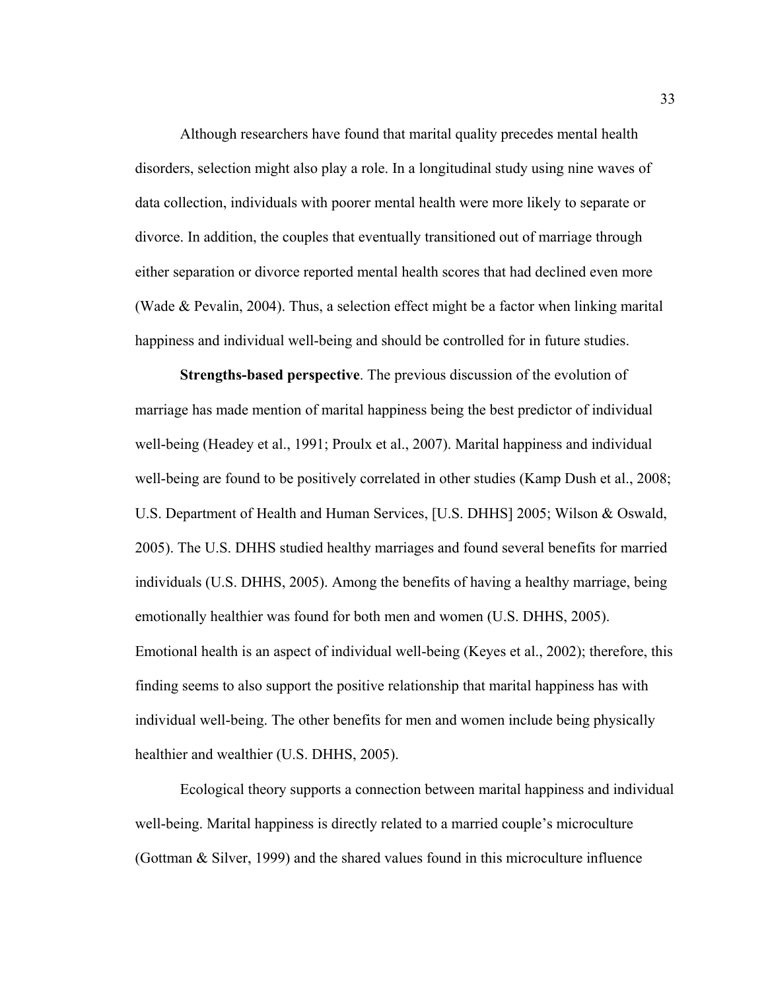Although researchers have found that marital quality precedes mental health disorders, selection might also play a role. In a longitudinal study using nine waves of data collection, individuals with poorer mental health were more likely to separate or divorce. In addition, the couples that eventually transitioned out of marriage through either separation or divorce reported mental health scores that had declined even more (Wade & Pevalin, 2004). Thus, a selection effect might be a factor when linking marital happiness and individual well-being and should be controlled for in future studies.

**Strengths-based perspective**. The previous discussion of the evolution of marriage has made mention of marital happiness being the best predictor of individual well-being (Headey et al., 1991; Proulx et al., 2007). Marital happiness and individual well-being are found to be positively correlated in other studies (Kamp Dush et al., 2008; U.S. Department of Health and Human Services, [U.S. DHHS] 2005; Wilson & Oswald, 2005). The U.S. DHHS studied healthy marriages and found several benefits for married individuals (U.S. DHHS, 2005). Among the benefits of having a healthy marriage, being emotionally healthier was found for both men and women (U.S. DHHS, 2005). Emotional health is an aspect of individual well-being (Keyes et al., 2002); therefore, this finding seems to also support the positive relationship that marital happiness has with individual well-being. The other benefits for men and women include being physically healthier and wealthier (U.S. DHHS, 2005).

Ecological theory supports a connection between marital happiness and individual well-being. Marital happiness is directly related to a married couple's microculture (Gottman & Silver, 1999) and the shared values found in this microculture influence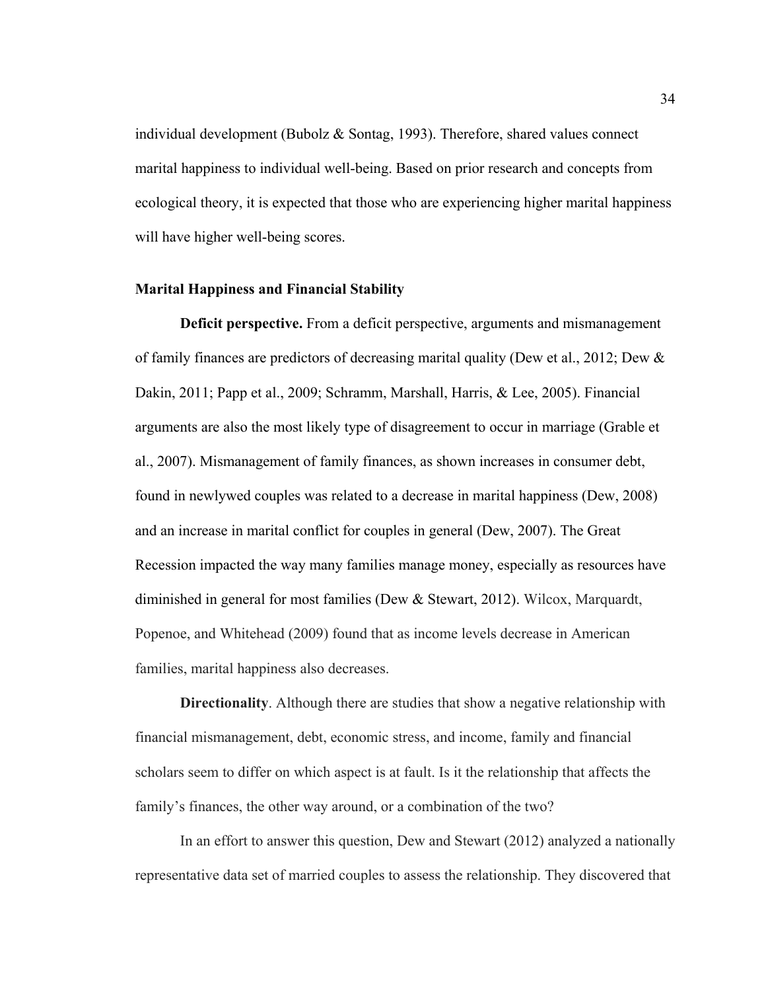individual development (Bubolz & Sontag, 1993). Therefore, shared values connect marital happiness to individual well-being. Based on prior research and concepts from ecological theory, it is expected that those who are experiencing higher marital happiness will have higher well-being scores.

## **Marital Happiness and Financial Stability**

**Deficit perspective.** From a deficit perspective, arguments and mismanagement of family finances are predictors of decreasing marital quality (Dew et al., 2012; Dew & Dakin, 2011; Papp et al., 2009; Schramm, Marshall, Harris, & Lee, 2005). Financial arguments are also the most likely type of disagreement to occur in marriage (Grable et al., 2007). Mismanagement of family finances, as shown increases in consumer debt, found in newlywed couples was related to a decrease in marital happiness (Dew, 2008) and an increase in marital conflict for couples in general (Dew, 2007). The Great Recession impacted the way many families manage money, especially as resources have diminished in general for most families (Dew & Stewart, 2012). Wilcox, Marquardt, Popenoe, and Whitehead (2009) found that as income levels decrease in American families, marital happiness also decreases.

**Directionality**. Although there are studies that show a negative relationship with financial mismanagement, debt, economic stress, and income, family and financial scholars seem to differ on which aspect is at fault. Is it the relationship that affects the family's finances, the other way around, or a combination of the two?

In an effort to answer this question, Dew and Stewart (2012) analyzed a nationally representative data set of married couples to assess the relationship. They discovered that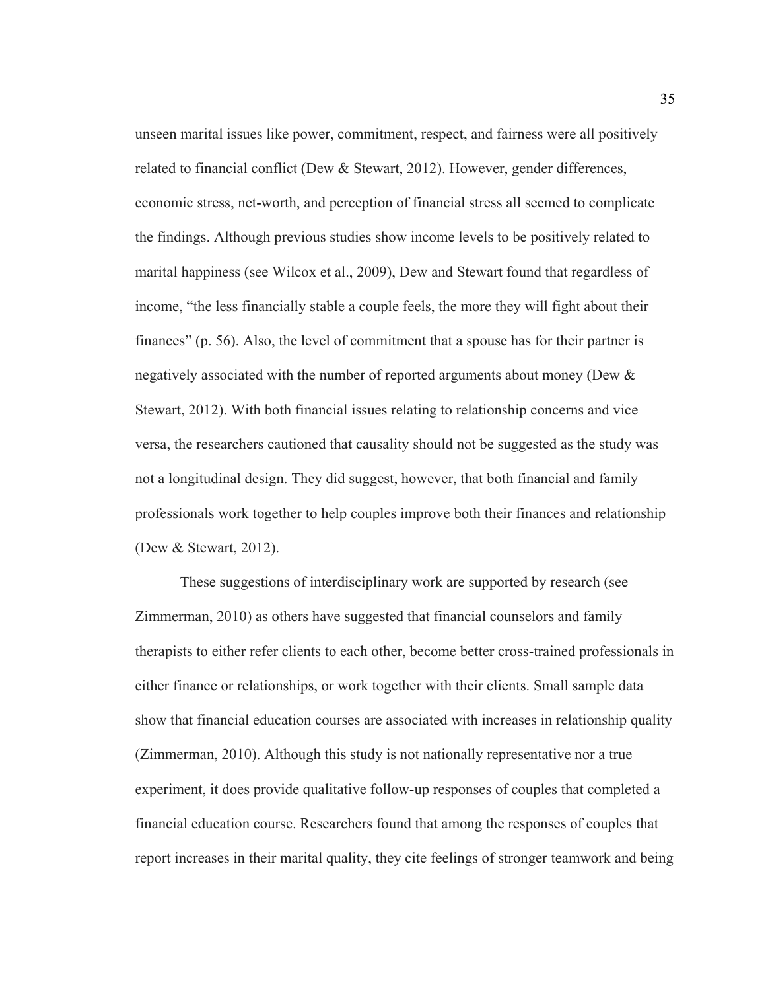unseen marital issues like power, commitment, respect, and fairness were all positively related to financial conflict (Dew & Stewart, 2012). However, gender differences, economic stress, net-worth, and perception of financial stress all seemed to complicate the findings. Although previous studies show income levels to be positively related to marital happiness (see Wilcox et al., 2009), Dew and Stewart found that regardless of income, "the less financially stable a couple feels, the more they will fight about their finances" (p. 56). Also, the level of commitment that a spouse has for their partner is negatively associated with the number of reported arguments about money (Dew & Stewart, 2012). With both financial issues relating to relationship concerns and vice versa, the researchers cautioned that causality should not be suggested as the study was not a longitudinal design. They did suggest, however, that both financial and family professionals work together to help couples improve both their finances and relationship (Dew & Stewart, 2012).

These suggestions of interdisciplinary work are supported by research (see Zimmerman, 2010) as others have suggested that financial counselors and family therapists to either refer clients to each other, become better cross-trained professionals in either finance or relationships, or work together with their clients. Small sample data show that financial education courses are associated with increases in relationship quality (Zimmerman, 2010). Although this study is not nationally representative nor a true experiment, it does provide qualitative follow-up responses of couples that completed a financial education course. Researchers found that among the responses of couples that report increases in their marital quality, they cite feelings of stronger teamwork and being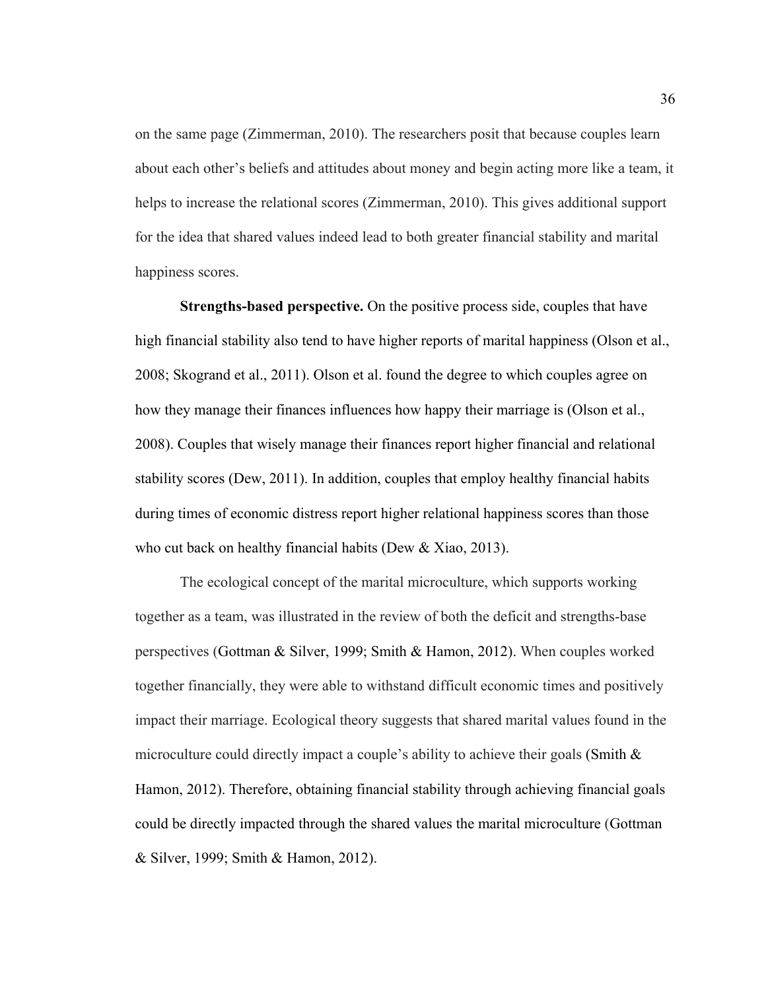on the same page (Zimmerman, 2010). The researchers posit that because couples learn about each other's beliefs and attitudes about money and begin acting more like a team, it helps to increase the relational scores (Zimmerman, 2010). This gives additional support for the idea that shared values indeed lead to both greater financial stability and marital happiness scores.

**Strengths-based perspective.** On the positive process side, couples that have high financial stability also tend to have higher reports of marital happiness (Olson et al., 2008; Skogrand et al., 2011). Olson et al. found the degree to which couples agree on how they manage their finances influences how happy their marriage is (Olson et al., 2008). Couples that wisely manage their finances report higher financial and relational stability scores (Dew, 2011). In addition, couples that employ healthy financial habits during times of economic distress report higher relational happiness scores than those who cut back on healthy financial habits (Dew & Xiao, 2013).

The ecological concept of the marital microculture, which supports working together as a team, was illustrated in the review of both the deficit and strengths-base perspectives (Gottman & Silver, 1999; Smith & Hamon, 2012). When couples worked together financially, they were able to withstand difficult economic times and positively impact their marriage. Ecological theory suggests that shared marital values found in the microculture could directly impact a couple's ability to achieve their goals (Smith & Hamon, 2012). Therefore, obtaining financial stability through achieving financial goals could be directly impacted through the shared values the marital microculture (Gottman & Silver, 1999; Smith & Hamon, 2012).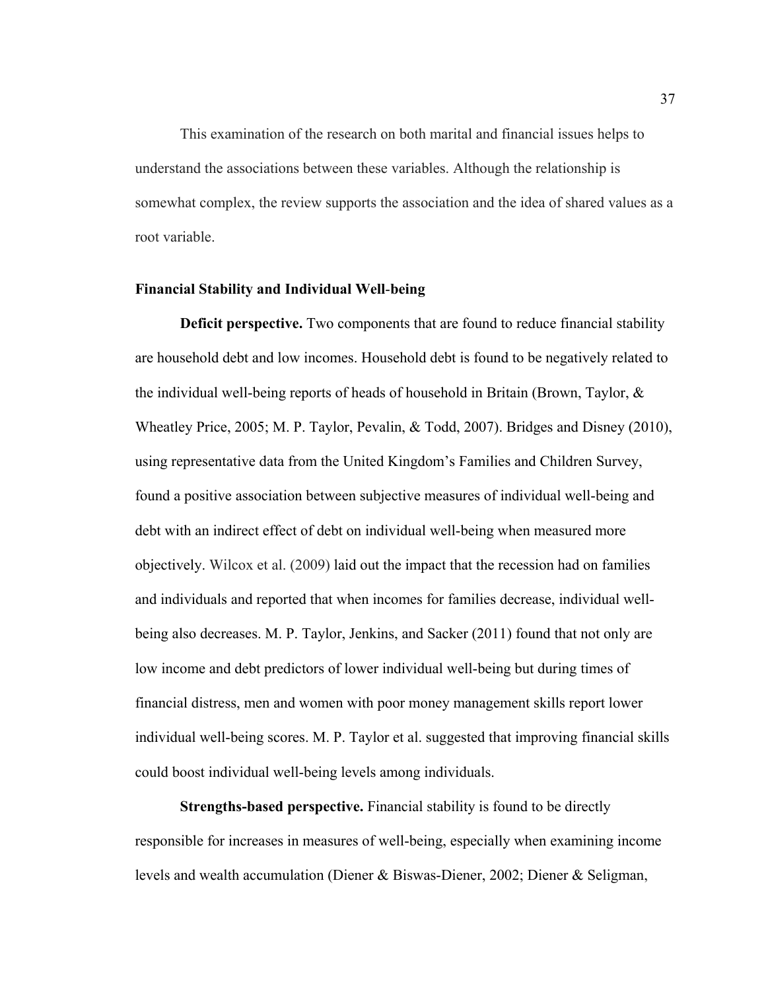This examination of the research on both marital and financial issues helps to understand the associations between these variables. Although the relationship is somewhat complex, the review supports the association and the idea of shared values as a root variable.

## **Financial Stability and Individual Well**-**being**

**Deficit perspective.** Two components that are found to reduce financial stability are household debt and low incomes. Household debt is found to be negatively related to the individual well-being reports of heads of household in Britain (Brown, Taylor, & Wheatley Price, 2005; M. P. Taylor, Pevalin, & Todd, 2007). Bridges and Disney (2010), using representative data from the United Kingdom's Families and Children Survey, found a positive association between subjective measures of individual well-being and debt with an indirect effect of debt on individual well-being when measured more objectively. Wilcox et al. (2009) laid out the impact that the recession had on families and individuals and reported that when incomes for families decrease, individual wellbeing also decreases. M. P. Taylor, Jenkins, and Sacker (2011) found that not only are low income and debt predictors of lower individual well-being but during times of financial distress, men and women with poor money management skills report lower individual well-being scores. M. P. Taylor et al. suggested that improving financial skills could boost individual well-being levels among individuals.

**Strengths-based perspective.** Financial stability is found to be directly responsible for increases in measures of well-being, especially when examining income levels and wealth accumulation (Diener & Biswas-Diener, 2002; Diener & Seligman,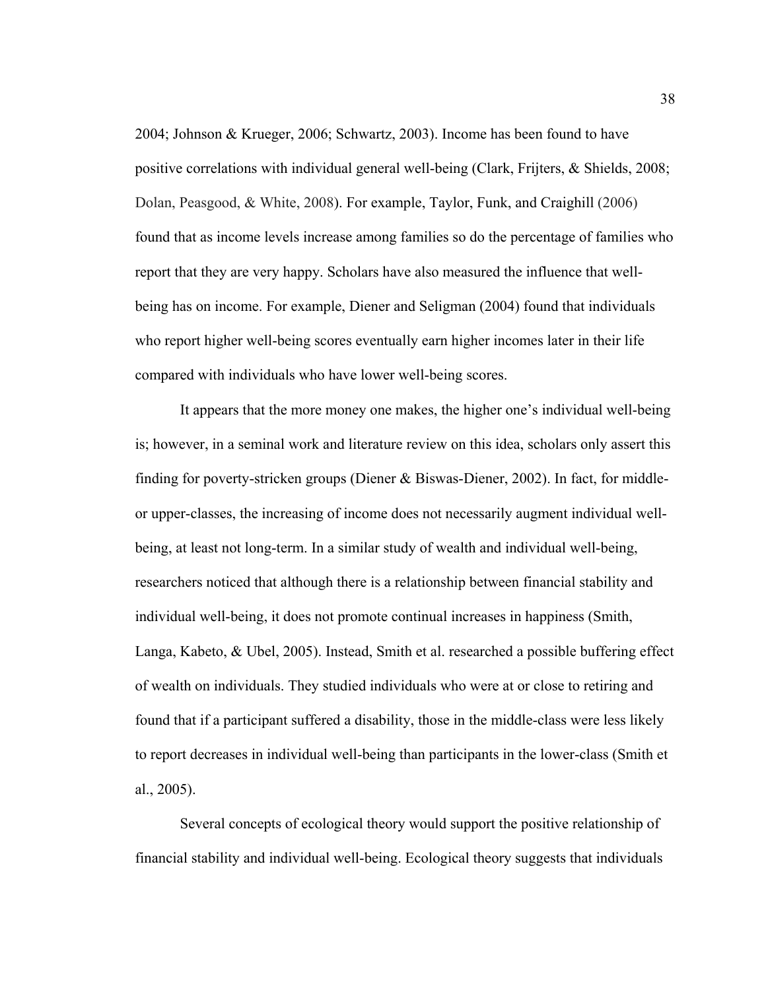2004; Johnson & Krueger, 2006; Schwartz, 2003). Income has been found to have positive correlations with individual general well-being (Clark, Frijters, & Shields, 2008; Dolan, Peasgood, & White, 2008). For example, Taylor, Funk, and Craighill (2006) found that as income levels increase among families so do the percentage of families who report that they are very happy. Scholars have also measured the influence that wellbeing has on income. For example, Diener and Seligman (2004) found that individuals who report higher well-being scores eventually earn higher incomes later in their life compared with individuals who have lower well-being scores.

It appears that the more money one makes, the higher one's individual well-being is; however, in a seminal work and literature review on this idea, scholars only assert this finding for poverty-stricken groups (Diener  $\&$  Biswas-Diener, 2002). In fact, for middleor upper-classes, the increasing of income does not necessarily augment individual wellbeing, at least not long-term. In a similar study of wealth and individual well-being, researchers noticed that although there is a relationship between financial stability and individual well-being, it does not promote continual increases in happiness (Smith, Langa, Kabeto, & Ubel, 2005). Instead, Smith et al. researched a possible buffering effect of wealth on individuals. They studied individuals who were at or close to retiring and found that if a participant suffered a disability, those in the middle-class were less likely to report decreases in individual well-being than participants in the lower-class (Smith et al., 2005).

Several concepts of ecological theory would support the positive relationship of financial stability and individual well-being. Ecological theory suggests that individuals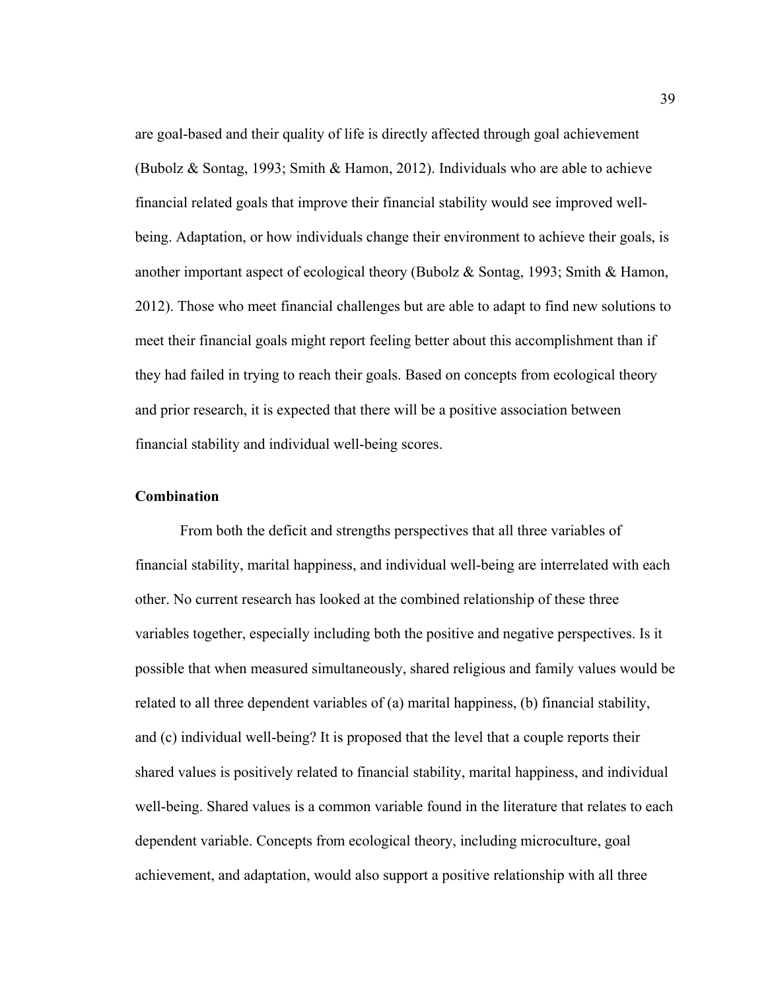are goal-based and their quality of life is directly affected through goal achievement (Bubolz & Sontag, 1993; Smith & Hamon, 2012). Individuals who are able to achieve financial related goals that improve their financial stability would see improved wellbeing. Adaptation, or how individuals change their environment to achieve their goals, is another important aspect of ecological theory (Bubolz & Sontag, 1993; Smith & Hamon, 2012). Those who meet financial challenges but are able to adapt to find new solutions to meet their financial goals might report feeling better about this accomplishment than if they had failed in trying to reach their goals. Based on concepts from ecological theory and prior research, it is expected that there will be a positive association between financial stability and individual well-being scores.

# **Combination**

 From both the deficit and strengths perspectives that all three variables of financial stability, marital happiness, and individual well-being are interrelated with each other. No current research has looked at the combined relationship of these three variables together, especially including both the positive and negative perspectives. Is it possible that when measured simultaneously, shared religious and family values would be related to all three dependent variables of (a) marital happiness, (b) financial stability, and (c) individual well-being? It is proposed that the level that a couple reports their shared values is positively related to financial stability, marital happiness, and individual well-being. Shared values is a common variable found in the literature that relates to each dependent variable. Concepts from ecological theory, including microculture, goal achievement, and adaptation, would also support a positive relationship with all three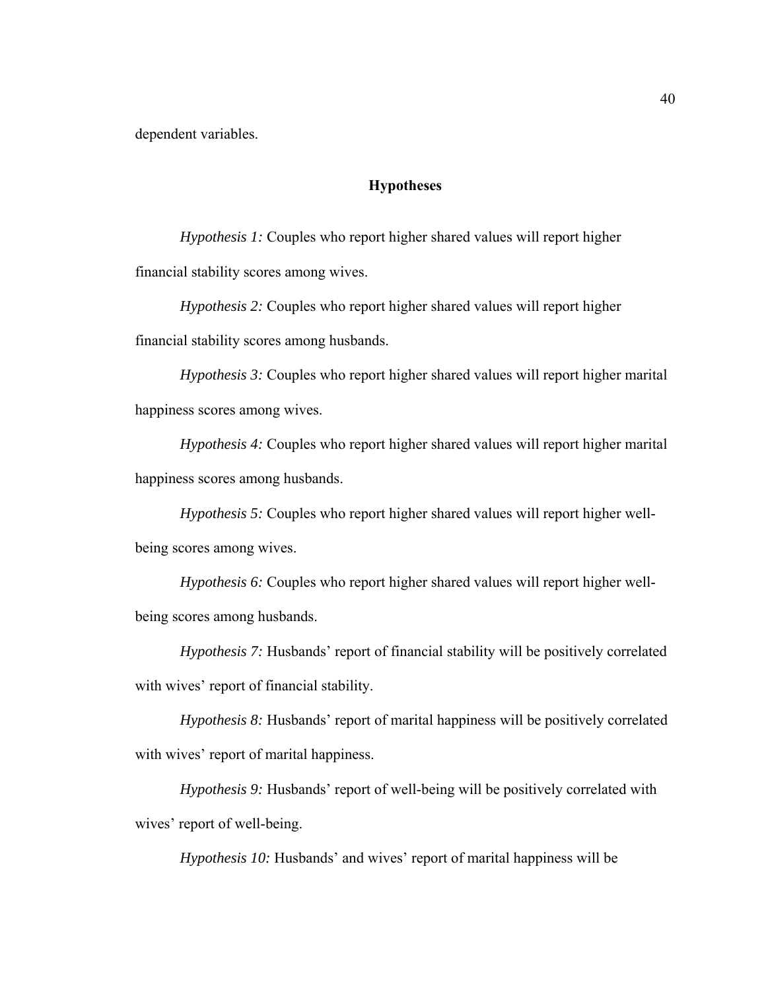dependent variables.

## **Hypotheses**

*Hypothesis 1:* Couples who report higher shared values will report higher financial stability scores among wives.

*Hypothesis 2:* Couples who report higher shared values will report higher financial stability scores among husbands.

*Hypothesis 3:* Couples who report higher shared values will report higher marital happiness scores among wives.

*Hypothesis 4:* Couples who report higher shared values will report higher marital happiness scores among husbands.

*Hypothesis 5:* Couples who report higher shared values will report higher wellbeing scores among wives.

*Hypothesis 6:* Couples who report higher shared values will report higher wellbeing scores among husbands.

*Hypothesis 7:* Husbands' report of financial stability will be positively correlated with wives' report of financial stability.

*Hypothesis 8:* Husbands' report of marital happiness will be positively correlated with wives' report of marital happiness.

*Hypothesis 9:* Husbands' report of well-being will be positively correlated with wives' report of well-being.

*Hypothesis 10:* Husbands' and wives' report of marital happiness will be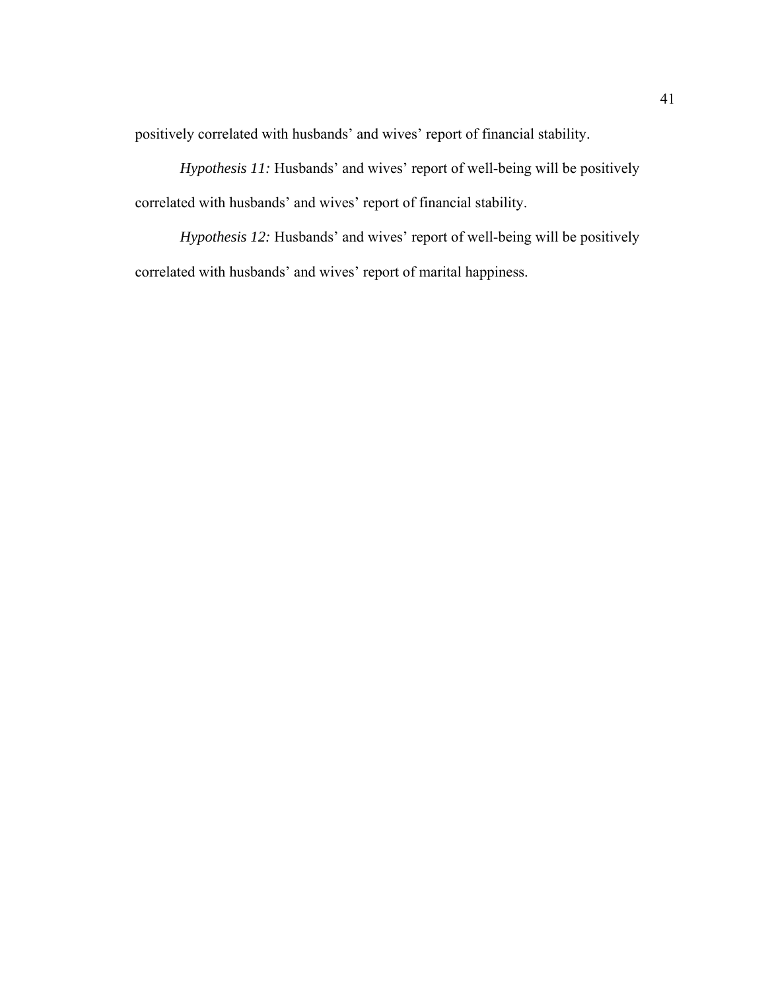positively correlated with husbands' and wives' report of financial stability.

*Hypothesis 11:* Husbands' and wives' report of well-being will be positively correlated with husbands' and wives' report of financial stability.

*Hypothesis 12:* Husbands' and wives' report of well-being will be positively correlated with husbands' and wives' report of marital happiness.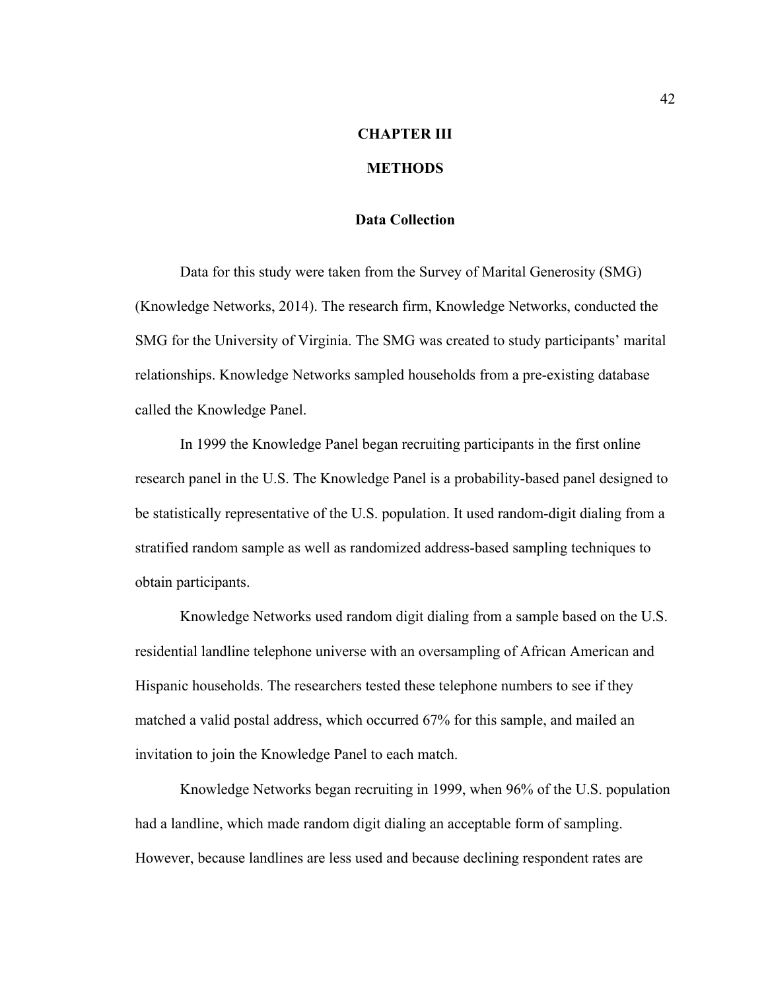# **CHAPTER III**

# **METHODS**

# **Data Collection**

Data for this study were taken from the Survey of Marital Generosity (SMG) (Knowledge Networks, 2014). The research firm, Knowledge Networks, conducted the SMG for the University of Virginia. The SMG was created to study participants' marital relationships. Knowledge Networks sampled households from a pre-existing database called the Knowledge Panel.

In 1999 the Knowledge Panel began recruiting participants in the first online research panel in the U.S. The Knowledge Panel is a probability-based panel designed to be statistically representative of the U.S. population. It used random-digit dialing from a stratified random sample as well as randomized address-based sampling techniques to obtain participants.

Knowledge Networks used random digit dialing from a sample based on the U.S. residential landline telephone universe with an oversampling of African American and Hispanic households. The researchers tested these telephone numbers to see if they matched a valid postal address, which occurred 67% for this sample, and mailed an invitation to join the Knowledge Panel to each match.

Knowledge Networks began recruiting in 1999, when 96% of the U.S. population had a landline, which made random digit dialing an acceptable form of sampling. However, because landlines are less used and because declining respondent rates are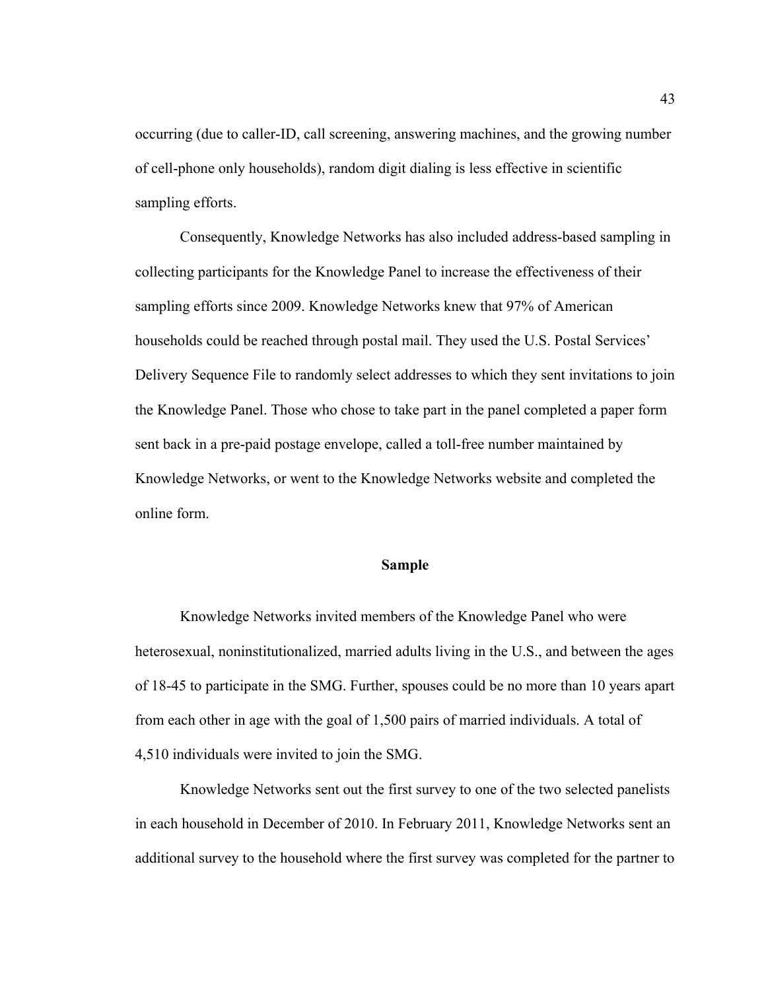occurring (due to caller-ID, call screening, answering machines, and the growing number of cell-phone only households), random digit dialing is less effective in scientific sampling efforts.

Consequently, Knowledge Networks has also included address-based sampling in collecting participants for the Knowledge Panel to increase the effectiveness of their sampling efforts since 2009. Knowledge Networks knew that 97% of American households could be reached through postal mail. They used the U.S. Postal Services' Delivery Sequence File to randomly select addresses to which they sent invitations to join the Knowledge Panel. Those who chose to take part in the panel completed a paper form sent back in a pre-paid postage envelope, called a toll-free number maintained by Knowledge Networks, or went to the Knowledge Networks website and completed the online form.

## **Sample**

Knowledge Networks invited members of the Knowledge Panel who were heterosexual, noninstitutionalized, married adults living in the U.S., and between the ages of 18-45 to participate in the SMG. Further, spouses could be no more than 10 years apart from each other in age with the goal of 1,500 pairs of married individuals. A total of 4,510 individuals were invited to join the SMG.

Knowledge Networks sent out the first survey to one of the two selected panelists in each household in December of 2010. In February 2011, Knowledge Networks sent an additional survey to the household where the first survey was completed for the partner to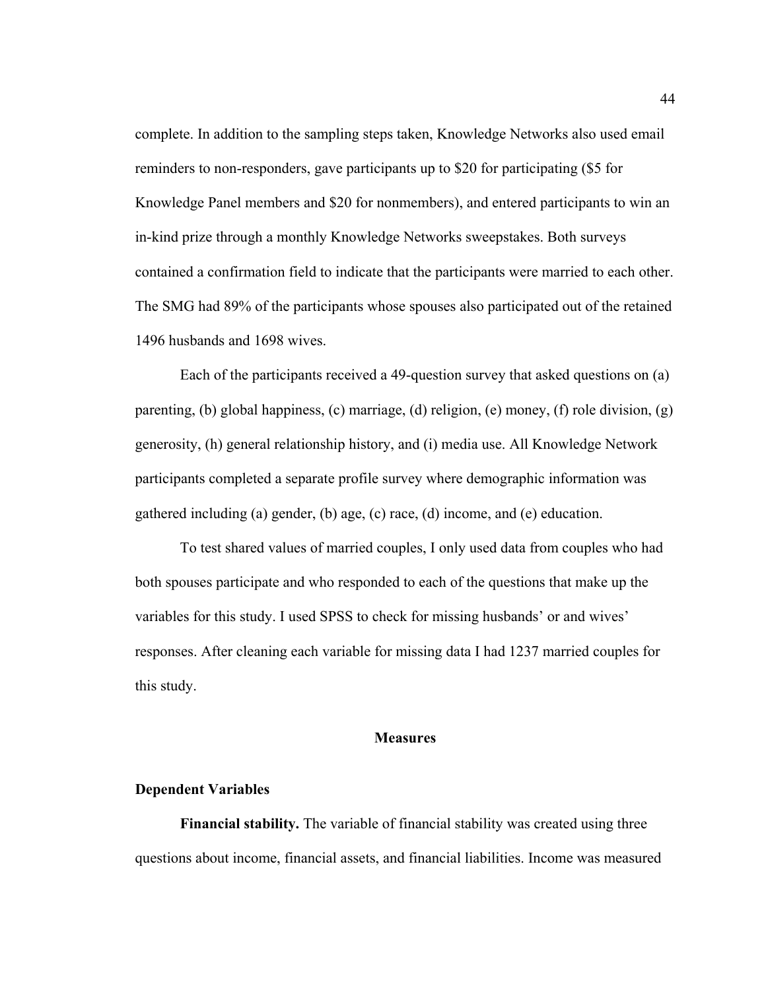complete. In addition to the sampling steps taken, Knowledge Networks also used email reminders to non-responders, gave participants up to \$20 for participating (\$5 for Knowledge Panel members and \$20 for nonmembers), and entered participants to win an in-kind prize through a monthly Knowledge Networks sweepstakes. Both surveys contained a confirmation field to indicate that the participants were married to each other. The SMG had 89% of the participants whose spouses also participated out of the retained 1496 husbands and 1698 wives.

Each of the participants received a 49-question survey that asked questions on (a) parenting, (b) global happiness, (c) marriage, (d) religion, (e) money, (f) role division, (g) generosity, (h) general relationship history, and (i) media use. All Knowledge Network participants completed a separate profile survey where demographic information was gathered including (a) gender, (b) age, (c) race, (d) income, and (e) education.

To test shared values of married couples, I only used data from couples who had both spouses participate and who responded to each of the questions that make up the variables for this study. I used SPSS to check for missing husbands' or and wives' responses. After cleaning each variable for missing data I had 1237 married couples for this study.

## **Measures**

#### **Dependent Variables**

**Financial stability.** The variable of financial stability was created using three questions about income, financial assets, and financial liabilities. Income was measured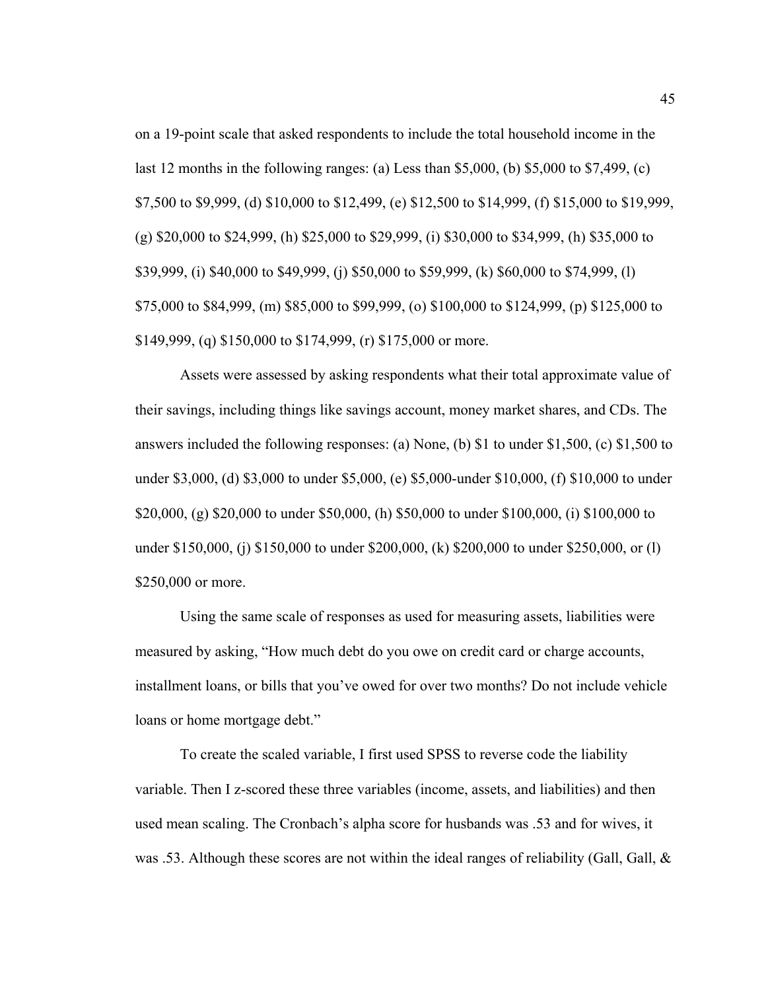on a 19-point scale that asked respondents to include the total household income in the last 12 months in the following ranges: (a) Less than \$5,000, (b) \$5,000 to \$7,499, (c) \$7,500 to \$9,999, (d) \$10,000 to \$12,499, (e) \$12,500 to \$14,999, (f) \$15,000 to \$19,999, (g) \$20,000 to \$24,999, (h) \$25,000 to \$29,999, (i) \$30,000 to \$34,999, (h) \$35,000 to \$39,999, (i) \$40,000 to \$49,999, (j) \$50,000 to \$59,999, (k) \$60,000 to \$74,999, (l) \$75,000 to \$84,999, (m) \$85,000 to \$99,999, (o) \$100,000 to \$124,999, (p) \$125,000 to \$149,999, (q) \$150,000 to \$174,999, (r) \$175,000 or more.

Assets were assessed by asking respondents what their total approximate value of their savings, including things like savings account, money market shares, and CDs. The answers included the following responses: (a) None, (b) \$1 to under \$1,500, (c) \$1,500 to under \$3,000, (d) \$3,000 to under \$5,000, (e) \$5,000-under \$10,000, (f) \$10,000 to under \$20,000, (g) \$20,000 to under \$50,000, (h) \$50,000 to under \$100,000, (i) \$100,000 to under \$150,000, (j) \$150,000 to under \$200,000, (k) \$200,000 to under \$250,000, or (l) \$250,000 or more.

Using the same scale of responses as used for measuring assets, liabilities were measured by asking, "How much debt do you owe on credit card or charge accounts, installment loans, or bills that you've owed for over two months? Do not include vehicle loans or home mortgage debt."

To create the scaled variable, I first used SPSS to reverse code the liability variable. Then I z-scored these three variables (income, assets, and liabilities) and then used mean scaling. The Cronbach's alpha score for husbands was .53 and for wives, it was .53. Although these scores are not within the ideal ranges of reliability (Gall, Gall, &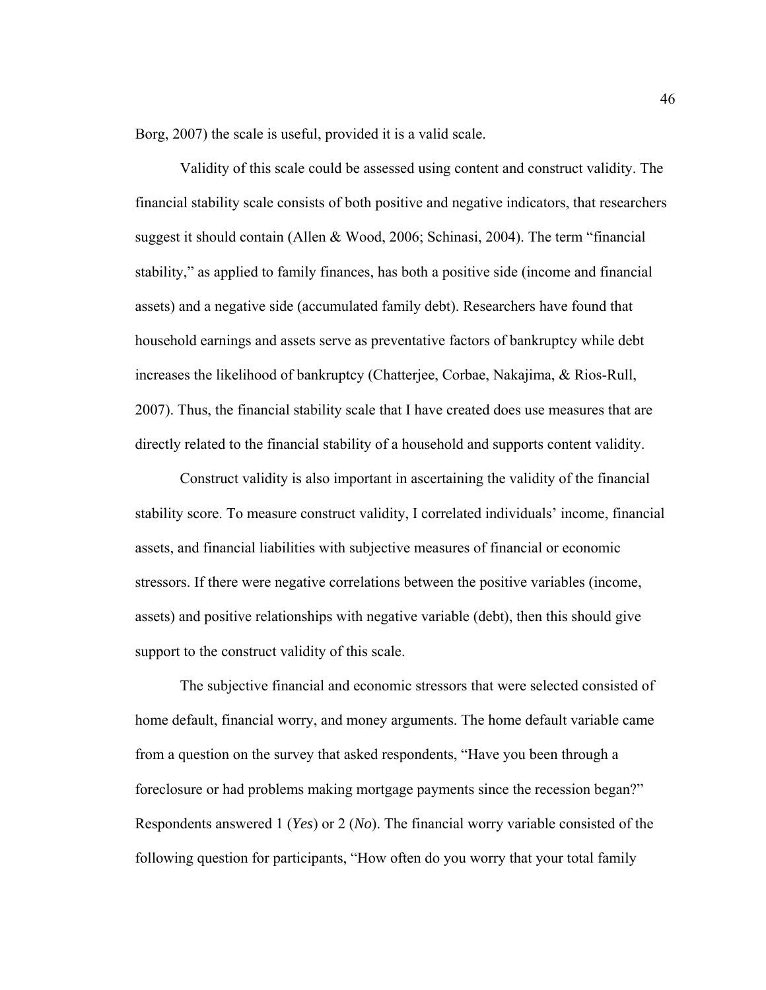Borg, 2007) the scale is useful, provided it is a valid scale.

Validity of this scale could be assessed using content and construct validity. The financial stability scale consists of both positive and negative indicators, that researchers suggest it should contain (Allen & Wood, 2006; Schinasi, 2004). The term "financial stability," as applied to family finances, has both a positive side (income and financial assets) and a negative side (accumulated family debt). Researchers have found that household earnings and assets serve as preventative factors of bankruptcy while debt increases the likelihood of bankruptcy (Chatterjee, Corbae, Nakajima, & Rios-Rull, 2007). Thus, the financial stability scale that I have created does use measures that are directly related to the financial stability of a household and supports content validity.

Construct validity is also important in ascertaining the validity of the financial stability score. To measure construct validity, I correlated individuals' income, financial assets, and financial liabilities with subjective measures of financial or economic stressors. If there were negative correlations between the positive variables (income, assets) and positive relationships with negative variable (debt), then this should give support to the construct validity of this scale.

The subjective financial and economic stressors that were selected consisted of home default, financial worry, and money arguments. The home default variable came from a question on the survey that asked respondents, "Have you been through a foreclosure or had problems making mortgage payments since the recession began?" Respondents answered 1 (*Yes*) or 2 (*No*). The financial worry variable consisted of the following question for participants, "How often do you worry that your total family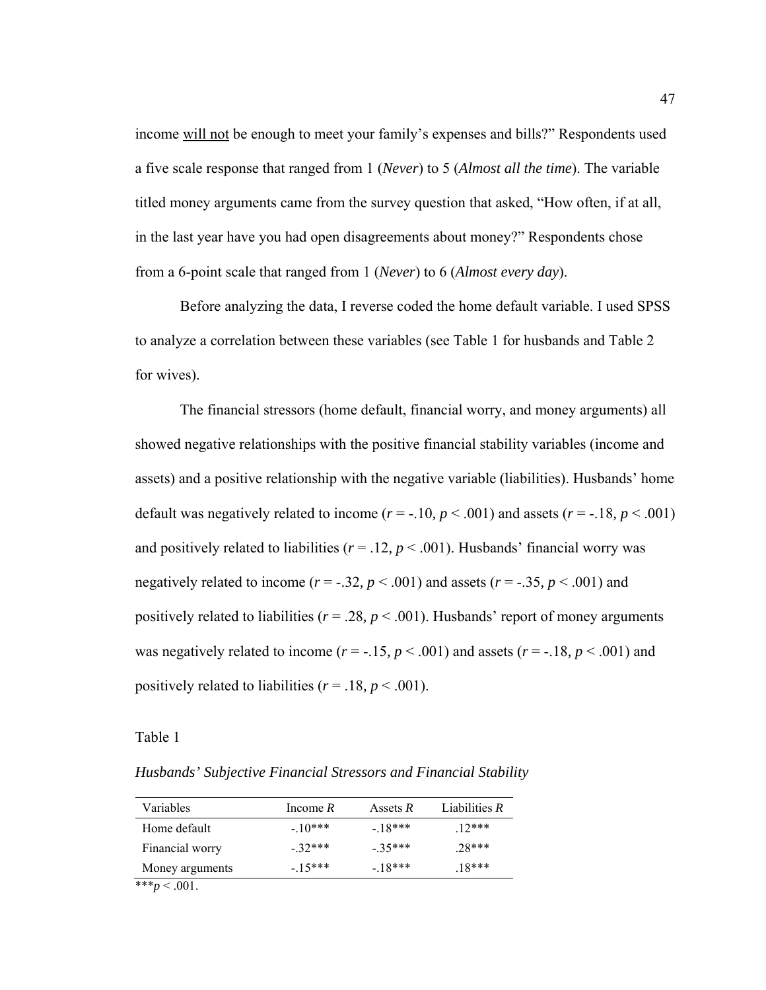income will not be enough to meet your family's expenses and bills?" Respondents used a five scale response that ranged from 1 (*Never*) to 5 (*Almost all the time*). The variable titled money arguments came from the survey question that asked, "How often, if at all, in the last year have you had open disagreements about money?" Respondents chose from a 6-point scale that ranged from 1 (*Never*) to 6 (*Almost every day*).

Before analyzing the data, I reverse coded the home default variable. I used SPSS to analyze a correlation between these variables (see Table 1 for husbands and Table 2 for wives).

The financial stressors (home default, financial worry, and money arguments) all showed negative relationships with the positive financial stability variables (income and assets) and a positive relationship with the negative variable (liabilities). Husbands' home default was negatively related to income  $(r = -.10, p < .001)$  and assets  $(r = -.18, p < .001)$ and positively related to liabilities ( $r = .12$ ,  $p < .001$ ). Husbands' financial worry was negatively related to income  $(r = -.32, p < .001)$  and assets  $(r = -.35, p < .001)$  and positively related to liabilities ( $r = .28$ ,  $p < .001$ ). Husbands' report of money arguments was negatively related to income  $(r = -.15, p < .001)$  and assets  $(r = -.18, p < .001)$  and positively related to liabilities ( $r = .18$ ,  $p < .001$ ).

Table 1

*Husbands' Subjective Financial Stressors and Financial Stability* 

| Variables        | Income $R$ | Assets $R$ | Liabilities $R$ |
|------------------|------------|------------|-----------------|
| Home default     | $-10***$   | $-18***$   | $12***$         |
| Financial worry  | $-32***$   | $-35***$   | $.28***$        |
| Money arguments  | $-15***$   | $-18***$   | $.18***$        |
| *** $p < .001$ . |            |            |                 |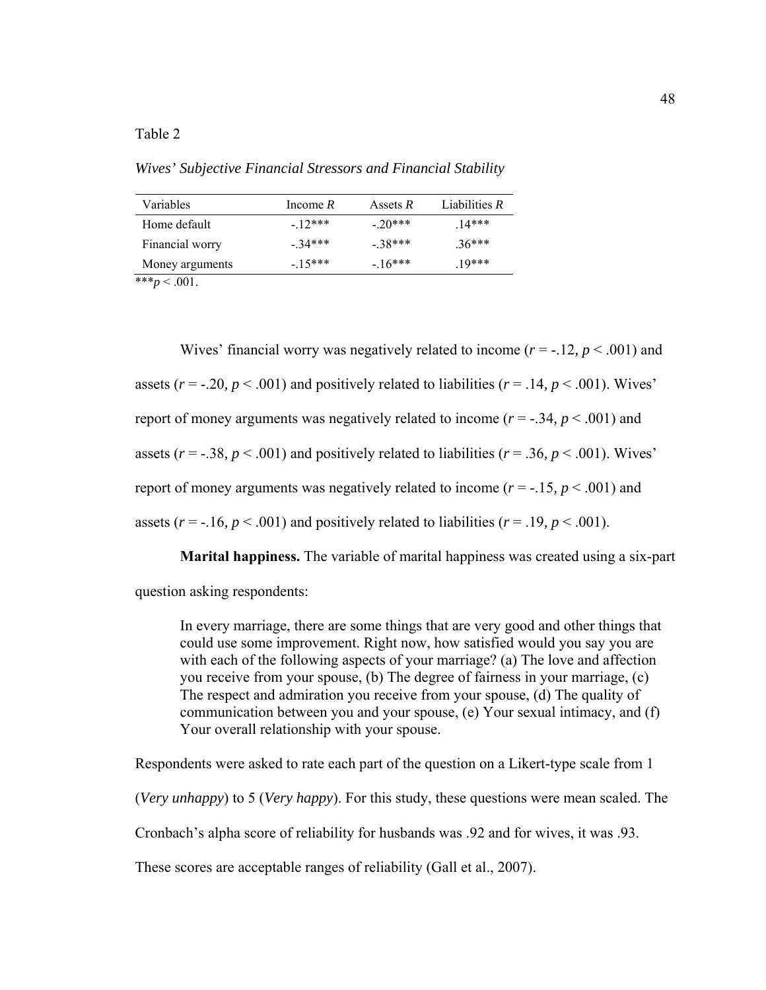*Wives' Subjective Financial Stressors and Financial Stability* 

| Income $R$ | Assets $R$ | Liabilities $R$ |
|------------|------------|-----------------|
| $-12***$   | $-20***$   | $14***$         |
| $-34***$   | $-38***$   | $.36***$        |
| $-15***$   | $-16***$   | $10***$         |
|            |            |                 |

\*\*\* $p < .001$ .

Wives' financial worry was negatively related to income  $(r = -.12, p < .001)$  and assets ( $r = -0.20$ ,  $p < .001$ ) and positively related to liabilities ( $r = .14$ ,  $p < .001$ ). Wives' report of money arguments was negatively related to income (*r* = -.34*, p* < .001) and assets ( $r = -0.38$ ,  $p < .001$ ) and positively related to liabilities ( $r = 0.36$ ,  $p < .001$ ). Wives' report of money arguments was negatively related to income  $(r = -.15, p < .001)$  and assets ( $r = -16$ ,  $p < .001$ ) and positively related to liabilities ( $r = .19$ ,  $p < .001$ ).

**Marital happiness.** The variable of marital happiness was created using a six-part question asking respondents:

In every marriage, there are some things that are very good and other things that could use some improvement. Right now, how satisfied would you say you are with each of the following aspects of your marriage? (a) The love and affection you receive from your spouse, (b) The degree of fairness in your marriage, (c) The respect and admiration you receive from your spouse, (d) The quality of communication between you and your spouse, (e) Your sexual intimacy, and (f) Your overall relationship with your spouse.

Respondents were asked to rate each part of the question on a Likert-type scale from 1

(*Very unhappy*) to 5 (*Very happy*). For this study, these questions were mean scaled. The

Cronbach's alpha score of reliability for husbands was .92 and for wives, it was .93.

These scores are acceptable ranges of reliability (Gall et al., 2007).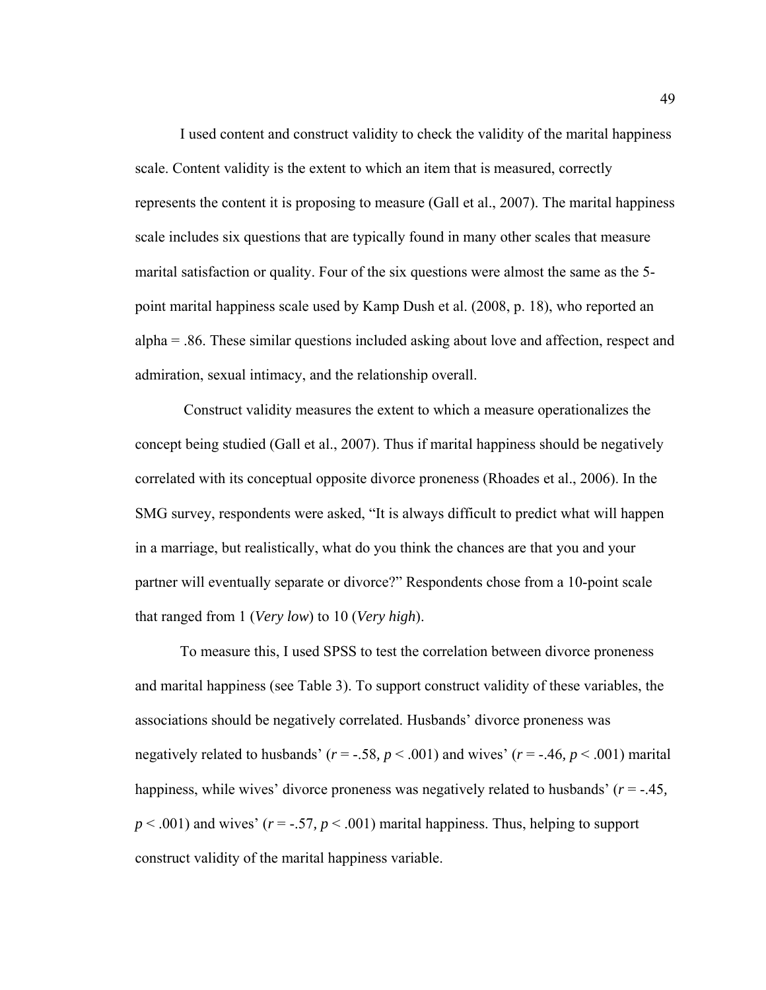I used content and construct validity to check the validity of the marital happiness scale. Content validity is the extent to which an item that is measured, correctly represents the content it is proposing to measure (Gall et al., 2007). The marital happiness scale includes six questions that are typically found in many other scales that measure marital satisfaction or quality. Four of the six questions were almost the same as the 5 point marital happiness scale used by Kamp Dush et al. (2008, p. 18), who reported an alpha = .86. These similar questions included asking about love and affection, respect and admiration, sexual intimacy, and the relationship overall.

 Construct validity measures the extent to which a measure operationalizes the concept being studied (Gall et al., 2007). Thus if marital happiness should be negatively correlated with its conceptual opposite divorce proneness (Rhoades et al., 2006). In the SMG survey, respondents were asked, "It is always difficult to predict what will happen in a marriage, but realistically, what do you think the chances are that you and your partner will eventually separate or divorce?" Respondents chose from a 10-point scale that ranged from 1 (*Very low*) to 10 (*Very high*).

To measure this, I used SPSS to test the correlation between divorce proneness and marital happiness (see Table 3). To support construct validity of these variables, the associations should be negatively correlated. Husbands' divorce proneness was negatively related to husbands' (*r* = -.58*, p* < .001) and wives' (*r* = -.46*, p* < .001) marital happiness, while wives' divorce proneness was negatively related to husbands' (*r* = -.45*,*   $p < .001$ ) and wives' ( $r = -.57$ ,  $p < .001$ ) marital happiness. Thus, helping to support construct validity of the marital happiness variable.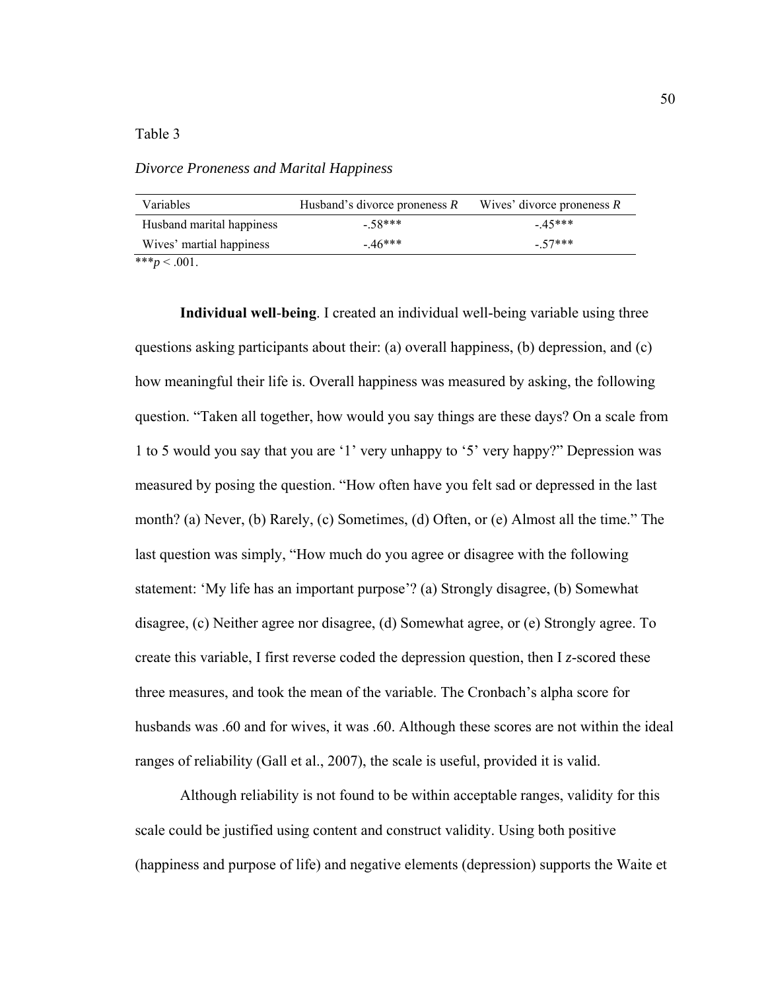# Table 3

*Divorce Proneness and Marital Happiness* 

| Variables                  | Husband's divorce proneness $R$ | Wives' divorce proneness $R$ |
|----------------------------|---------------------------------|------------------------------|
| Husband marital happiness  | $-58***$                        | $-45***$                     |
| Wives' martial happiness   | $-46***$                        | $-57***$                     |
| مله مله مله<br>$\sim$ 0.01 |                                 |                              |

\*\*\* $p < .001$ .

**Individual well**-**being**. I created an individual well-being variable using three questions asking participants about their: (a) overall happiness, (b) depression, and (c) how meaningful their life is. Overall happiness was measured by asking, the following question. "Taken all together, how would you say things are these days? On a scale from 1 to 5 would you say that you are '1' very unhappy to '5' very happy?" Depression was measured by posing the question. "How often have you felt sad or depressed in the last month? (a) Never, (b) Rarely, (c) Sometimes, (d) Often, or (e) Almost all the time." The last question was simply, "How much do you agree or disagree with the following statement: 'My life has an important purpose'? (a) Strongly disagree, (b) Somewhat disagree, (c) Neither agree nor disagree, (d) Somewhat agree, or (e) Strongly agree. To create this variable, I first reverse coded the depression question, then I *z*-scored these three measures, and took the mean of the variable. The Cronbach's alpha score for husbands was .60 and for wives, it was .60. Although these scores are not within the ideal ranges of reliability (Gall et al., 2007), the scale is useful, provided it is valid.

Although reliability is not found to be within acceptable ranges, validity for this scale could be justified using content and construct validity. Using both positive (happiness and purpose of life) and negative elements (depression) supports the Waite et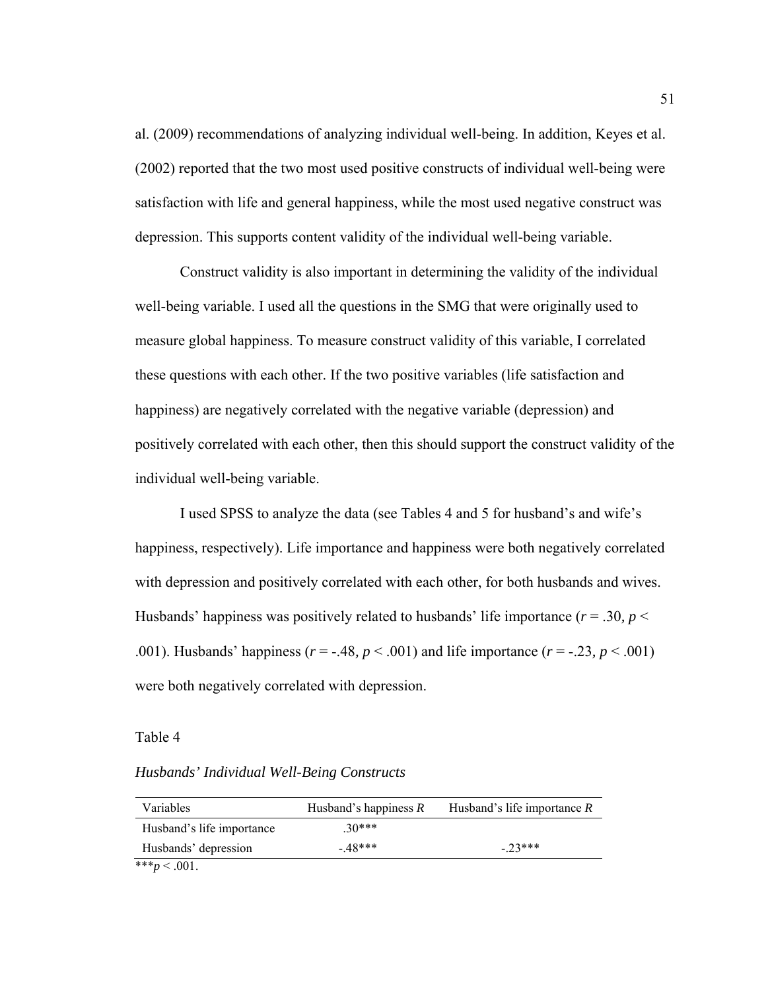al. (2009) recommendations of analyzing individual well-being. In addition, Keyes et al. (2002) reported that the two most used positive constructs of individual well-being were satisfaction with life and general happiness, while the most used negative construct was depression. This supports content validity of the individual well-being variable.

Construct validity is also important in determining the validity of the individual well-being variable. I used all the questions in the SMG that were originally used to measure global happiness. To measure construct validity of this variable, I correlated these questions with each other. If the two positive variables (life satisfaction and happiness) are negatively correlated with the negative variable (depression) and positively correlated with each other, then this should support the construct validity of the individual well-being variable.

I used SPSS to analyze the data (see Tables 4 and 5 for husband's and wife's happiness, respectively). Life importance and happiness were both negatively correlated with depression and positively correlated with each other, for both husbands and wives. Husbands' happiness was positively related to husbands' life importance ( $r = .30$ ,  $p <$ .001). Husbands' happiness (*r* = -.48*, p* < .001) and life importance (*r* = -.23*, p* < .001) were both negatively correlated with depression.

#### Table 4

## *Husbands' Individual Well-Being Constructs*

| Variables                 | Husband's happiness $R$ | Husband's life importance $R$ |
|---------------------------|-------------------------|-------------------------------|
| Husband's life importance | $30***$                 |                               |
| Husbands' depression      | $-48***$                | $-23***$                      |
| *** $p < .001$ .          |                         |                               |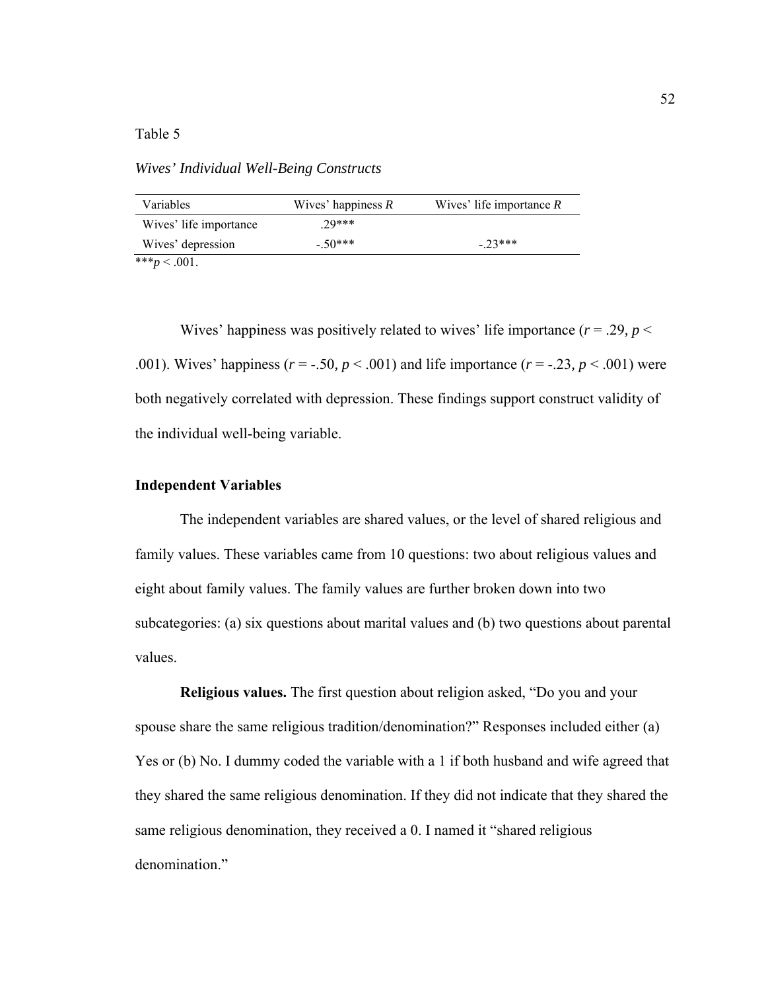## Table 5

*Wives' Individual Well-Being Constructs* 

| Variables              | Wives' happiness $R$ | Wives' life importance $R$ |
|------------------------|----------------------|----------------------------|
| Wives' life importance | $29***$              |                            |
| Wives' depression      | $-50***$             | $-23***$                   |
| *** $p < .001$ .       |                      |                            |

Wives' happiness was positively related to wives' life importance ( $r = .29$ ,  $p <$ .001). Wives' happiness ( $r = -0.50$ ,  $p < 0.001$ ) and life importance ( $r = -0.23$ ,  $p < 0.001$ ) were both negatively correlated with depression. These findings support construct validity of the individual well-being variable.

## **Independent Variables**

The independent variables are shared values, or the level of shared religious and family values. These variables came from 10 questions: two about religious values and eight about family values. The family values are further broken down into two subcategories: (a) six questions about marital values and (b) two questions about parental values.

**Religious values.** The first question about religion asked, "Do you and your spouse share the same religious tradition/denomination?" Responses included either (a) Yes or (b) No. I dummy coded the variable with a 1 if both husband and wife agreed that they shared the same religious denomination. If they did not indicate that they shared the same religious denomination, they received a 0. I named it "shared religious denomination."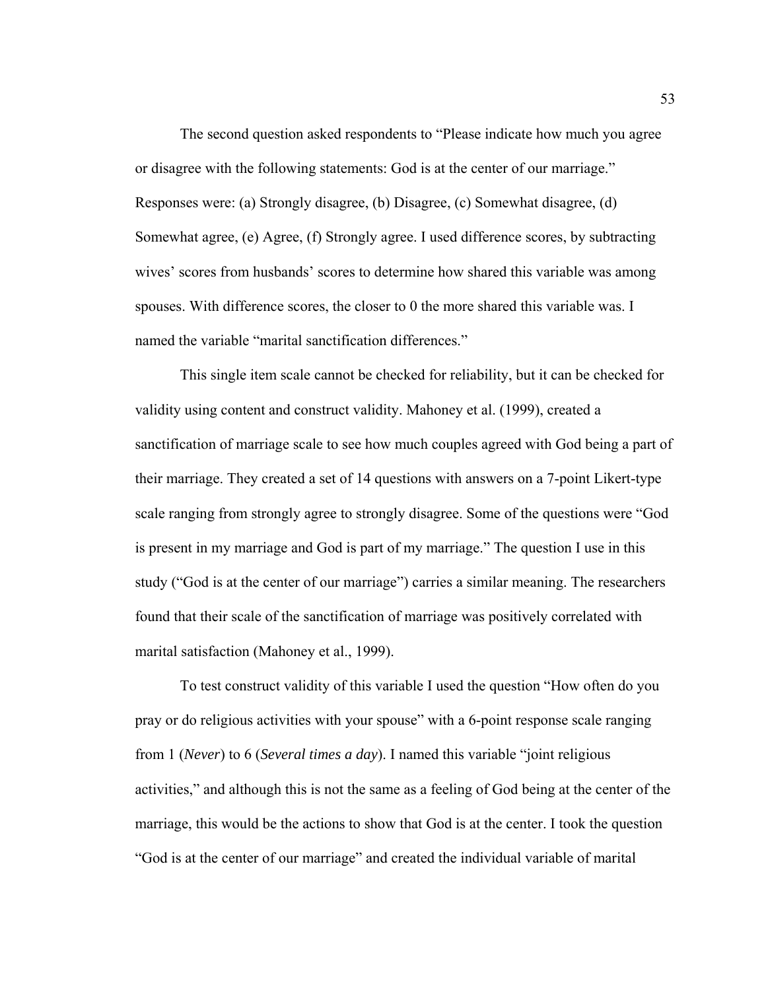The second question asked respondents to "Please indicate how much you agree or disagree with the following statements: God is at the center of our marriage." Responses were: (a) Strongly disagree, (b) Disagree, (c) Somewhat disagree, (d) Somewhat agree, (e) Agree, (f) Strongly agree. I used difference scores, by subtracting wives' scores from husbands' scores to determine how shared this variable was among spouses. With difference scores, the closer to 0 the more shared this variable was. I named the variable "marital sanctification differences."

This single item scale cannot be checked for reliability, but it can be checked for validity using content and construct validity. Mahoney et al. (1999), created a sanctification of marriage scale to see how much couples agreed with God being a part of their marriage. They created a set of 14 questions with answers on a 7-point Likert-type scale ranging from strongly agree to strongly disagree. Some of the questions were "God is present in my marriage and God is part of my marriage." The question I use in this study ("God is at the center of our marriage") carries a similar meaning. The researchers found that their scale of the sanctification of marriage was positively correlated with marital satisfaction (Mahoney et al., 1999).

To test construct validity of this variable I used the question "How often do you pray or do religious activities with your spouse" with a 6-point response scale ranging from 1 (*Never*) to 6 (*Several times a day*). I named this variable "joint religious activities," and although this is not the same as a feeling of God being at the center of the marriage, this would be the actions to show that God is at the center. I took the question "God is at the center of our marriage" and created the individual variable of marital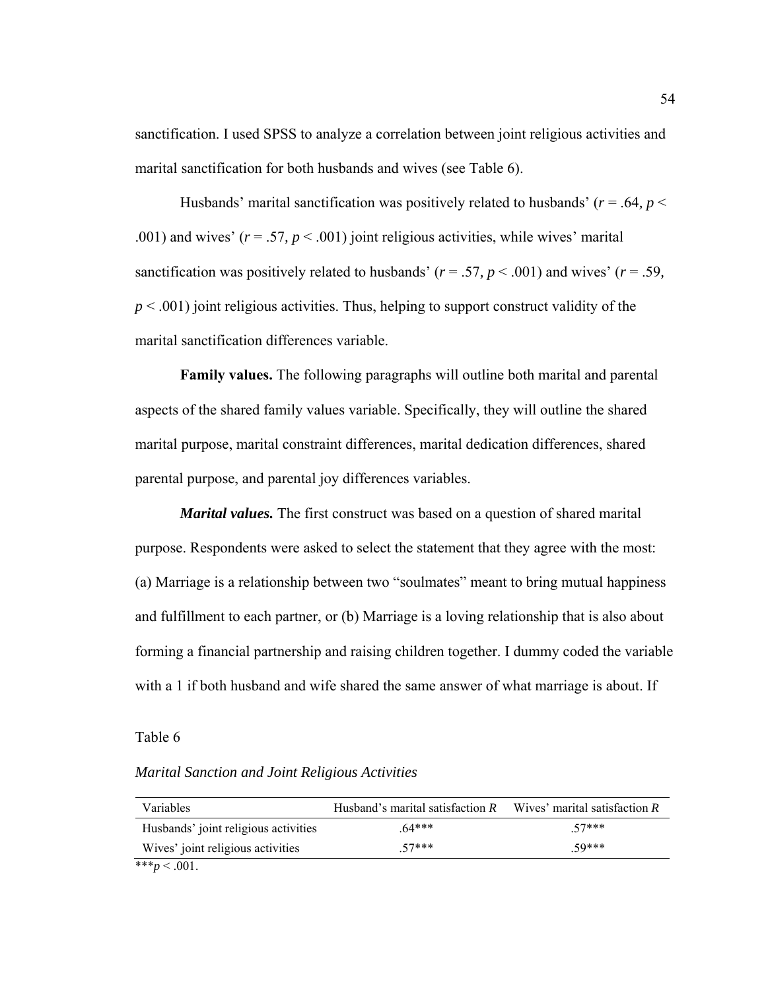sanctification. I used SPSS to analyze a correlation between joint religious activities and marital sanctification for both husbands and wives (see Table 6).

Husbands' marital sanctification was positively related to husbands' ( $r = .64$ ,  $p <$ .001) and wives'  $(r = .57, p < .001)$  joint religious activities, while wives' marital sanctification was positively related to husbands' ( $r = .57$ ,  $p < .001$ ) and wives' ( $r = .59$ , *p* < .001) joint religious activities. Thus, helping to support construct validity of the marital sanctification differences variable.

**Family values.** The following paragraphs will outline both marital and parental aspects of the shared family values variable. Specifically, they will outline the shared marital purpose, marital constraint differences, marital dedication differences, shared parental purpose, and parental joy differences variables.

*Marital values.* The first construct was based on a question of shared marital purpose. Respondents were asked to select the statement that they agree with the most: (a) Marriage is a relationship between two "soulmates" meant to bring mutual happiness and fulfillment to each partner, or (b) Marriage is a loving relationship that is also about forming a financial partnership and raising children together. I dummy coded the variable with a 1 if both husband and wife shared the same answer of what marriage is about. If

## Table 6

## *Marital Sanction and Joint Religious Activities*

| Variables                            | Husband's marital satisfaction $R$ | Wives' marital satisfaction $R$ |
|--------------------------------------|------------------------------------|---------------------------------|
| Husbands' joint religious activities | $64***$                            | 57***                           |
| Wives' joint religious activities    | 57***                              | 50***                           |
| *** $p < .001$ .                     |                                    |                                 |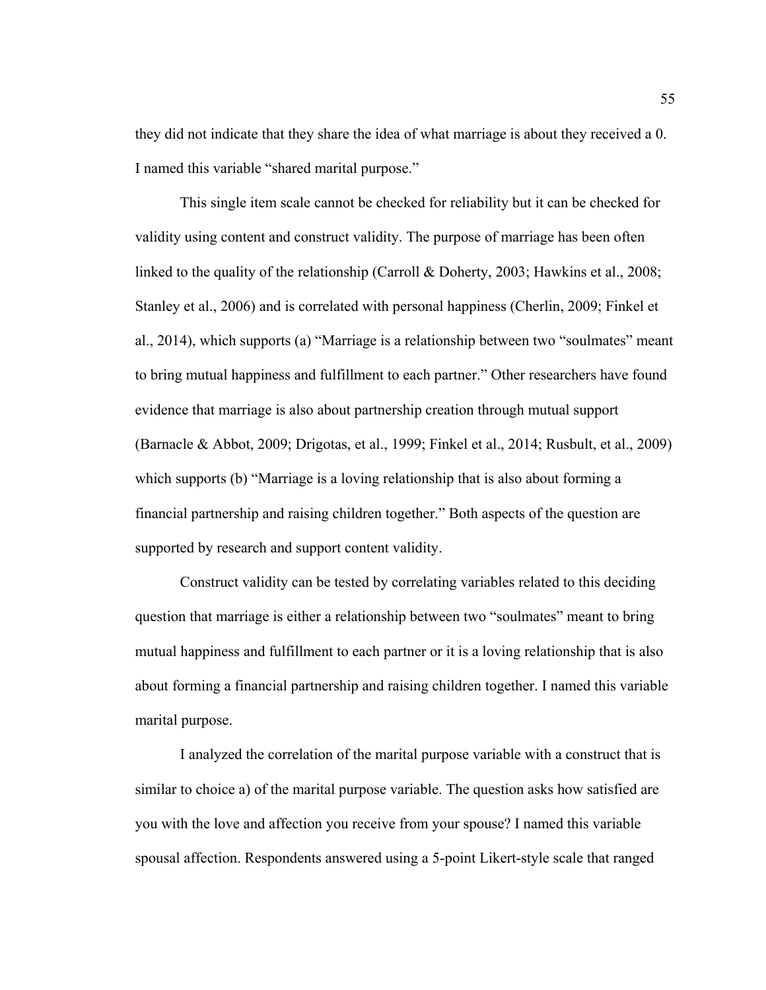they did not indicate that they share the idea of what marriage is about they received a 0. I named this variable "shared marital purpose."

This single item scale cannot be checked for reliability but it can be checked for validity using content and construct validity. The purpose of marriage has been often linked to the quality of the relationship (Carroll & Doherty, 2003; Hawkins et al., 2008; Stanley et al., 2006) and is correlated with personal happiness (Cherlin, 2009; Finkel et al., 2014), which supports (a) "Marriage is a relationship between two "soulmates" meant to bring mutual happiness and fulfillment to each partner." Other researchers have found evidence that marriage is also about partnership creation through mutual support (Barnacle & Abbot, 2009; Drigotas, et al., 1999; Finkel et al., 2014; Rusbult, et al., 2009) which supports (b) "Marriage is a loving relationship that is also about forming a financial partnership and raising children together." Both aspects of the question are supported by research and support content validity.

Construct validity can be tested by correlating variables related to this deciding question that marriage is either a relationship between two "soulmates" meant to bring mutual happiness and fulfillment to each partner or it is a loving relationship that is also about forming a financial partnership and raising children together. I named this variable marital purpose.

I analyzed the correlation of the marital purpose variable with a construct that is similar to choice a) of the marital purpose variable. The question asks how satisfied are you with the love and affection you receive from your spouse? I named this variable spousal affection. Respondents answered using a 5-point Likert-style scale that ranged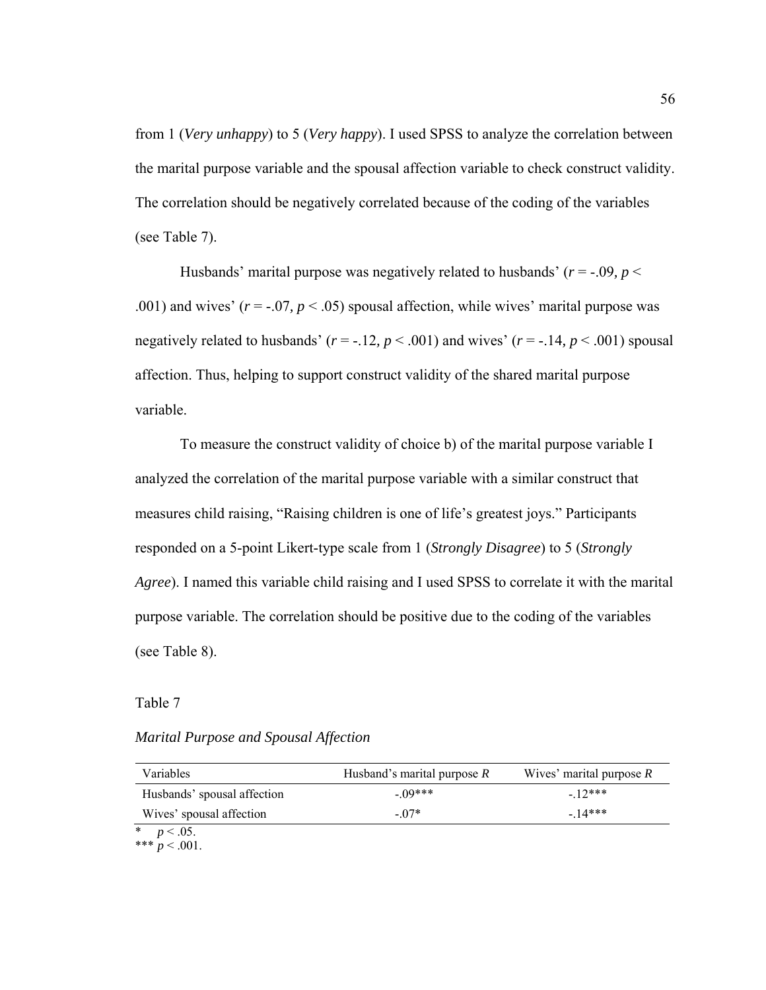from 1 (*Very unhappy*) to 5 (*Very happy*). I used SPSS to analyze the correlation between the marital purpose variable and the spousal affection variable to check construct validity. The correlation should be negatively correlated because of the coding of the variables (see Table 7).

Husbands' marital purpose was negatively related to husbands'  $(r = -.09, p <$ .001) and wives'  $(r = -.07, p < .05)$  spousal affection, while wives' marital purpose was negatively related to husbands' (*r* = -.12*, p* < .001) and wives' (*r* = -.14*, p* < .001) spousal affection. Thus, helping to support construct validity of the shared marital purpose variable.

To measure the construct validity of choice b) of the marital purpose variable I analyzed the correlation of the marital purpose variable with a similar construct that measures child raising, "Raising children is one of life's greatest joys." Participants responded on a 5-point Likert-type scale from 1 (*Strongly Disagree*) to 5 (*Strongly Agree*). I named this variable child raising and I used SPSS to correlate it with the marital purpose variable. The correlation should be positive due to the coding of the variables (see Table 8).

Table 7

*Marital Purpose and Spousal Affection* 

| Variables                   | Husband's marital purpose $R$ | Wives' marital purpose $R$ |
|-----------------------------|-------------------------------|----------------------------|
| Husbands' spousal affection | $-09***$                      | $-12***$                   |
| Wives' spousal affection    | $-07*$                        | $-14***$                   |

 $p < .05$ .

\*\*\*  $p < .001$ .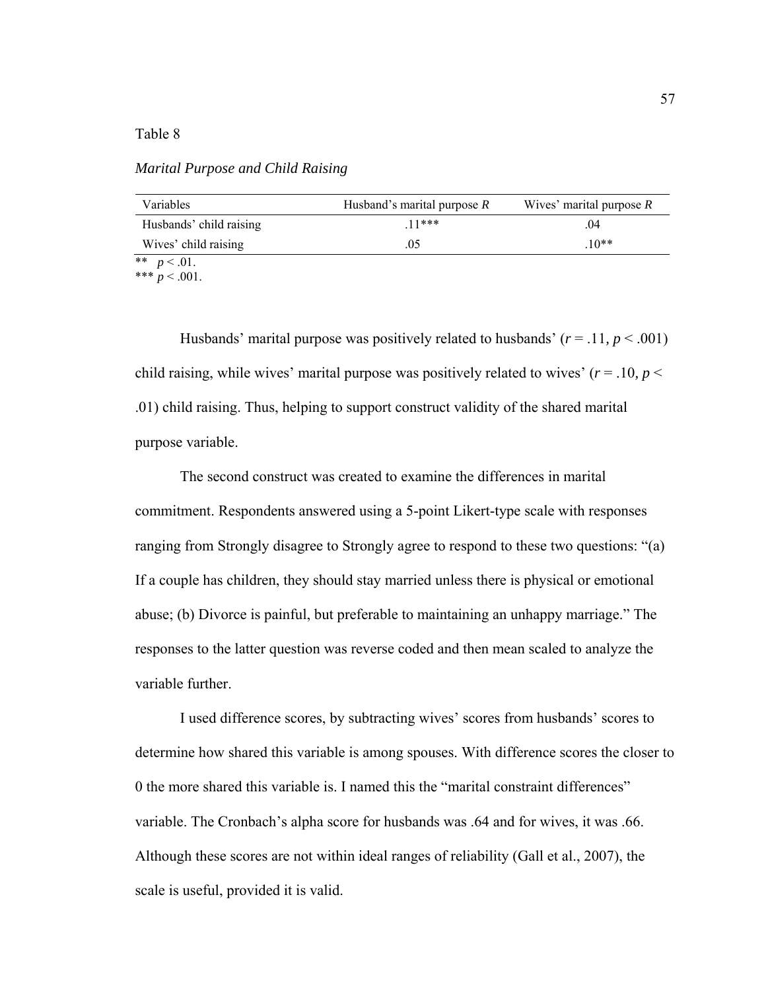## Table 8

*Marital Purpose and Child Raising* 

| Variables               | Husband's marital purpose $R$ | Wives' marital purpose $R$ |
|-------------------------|-------------------------------|----------------------------|
| Husbands' child raising | $11***$                       | .04                        |
| Wives' child raising    | .05                           | $.10**$                    |
| ** $p < .01$ .          |                               |                            |

\*\*\*  $p < .001$ .

Husbands' marital purpose was positively related to husbands'  $(r = .11, p < .001)$ child raising, while wives' marital purpose was positively related to wives'  $(r = .10, p <$ .01) child raising. Thus, helping to support construct validity of the shared marital purpose variable.

The second construct was created to examine the differences in marital commitment. Respondents answered using a 5-point Likert-type scale with responses ranging from Strongly disagree to Strongly agree to respond to these two questions: "(a) If a couple has children, they should stay married unless there is physical or emotional abuse; (b) Divorce is painful, but preferable to maintaining an unhappy marriage." The responses to the latter question was reverse coded and then mean scaled to analyze the variable further.

I used difference scores, by subtracting wives' scores from husbands' scores to determine how shared this variable is among spouses. With difference scores the closer to 0 the more shared this variable is. I named this the "marital constraint differences" variable. The Cronbach's alpha score for husbands was .64 and for wives, it was .66. Although these scores are not within ideal ranges of reliability (Gall et al., 2007), the scale is useful, provided it is valid.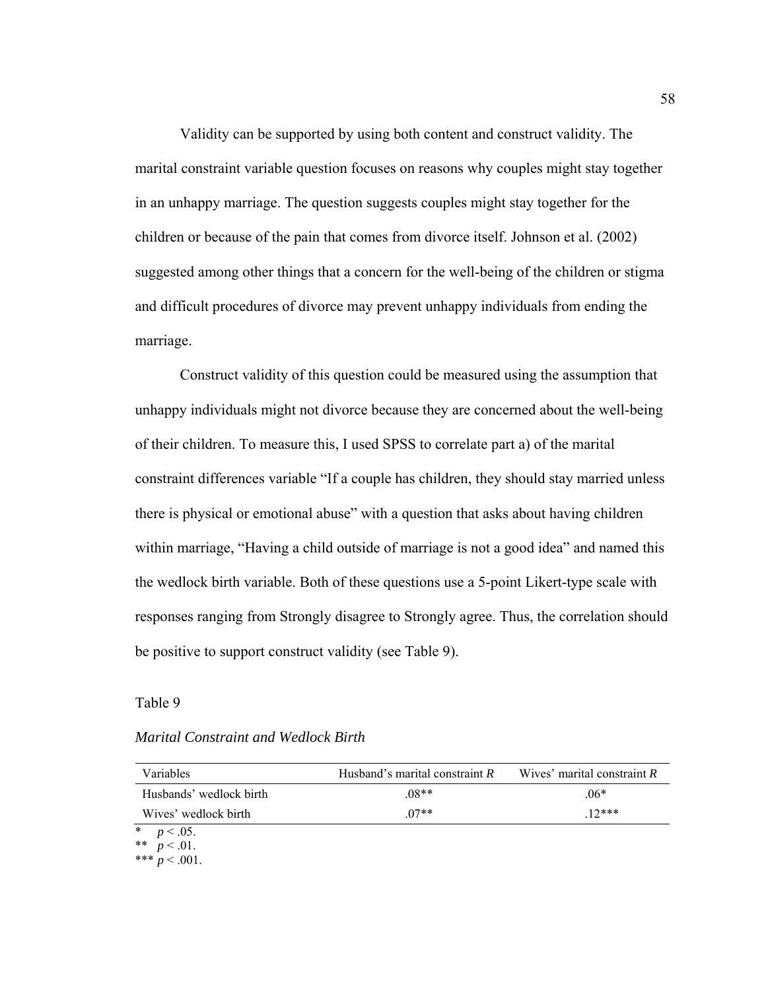Validity can be supported by using both content and construct validity. The marital constraint variable question focuses on reasons why couples might stay together in an unhappy marriage. The question suggests couples might stay together for the children or because of the pain that comes from divorce itself. Johnson et al. (2002) suggested among other things that a concern for the well-being of the children or stigma and difficult procedures of divorce may prevent unhappy individuals from ending the marriage.

Construct validity of this question could be measured using the assumption that unhappy individuals might not divorce because they are concerned about the well-being of their children. To measure this, I used SPSS to correlate part a) of the marital constraint differences variable "If a couple has children, they should stay married unless there is physical or emotional abuse" with a question that asks about having children within marriage, "Having a child outside of marriage is not a good idea" and named this the wedlock birth variable. Both of these questions use a 5-point Likert-type scale with responses ranging from Strongly disagree to Strongly agree. Thus, the correlation should be positive to support construct validity (see Table 9).

Table 9

# *Marital Constraint and Wedlock Birth*

| Variables                       | Husband's marital constraint $R$ | Wives' marital constraint $R$ |
|---------------------------------|----------------------------------|-------------------------------|
| Husbands' wedlock birth         | $.08**$                          | $.06*$                        |
| Wives' wedlock birth            | $07**$                           | $12***$                       |
| * $p < .05$ .<br>** $p < .01$ . |                                  |                               |

\*\*\*  $p < .001$ .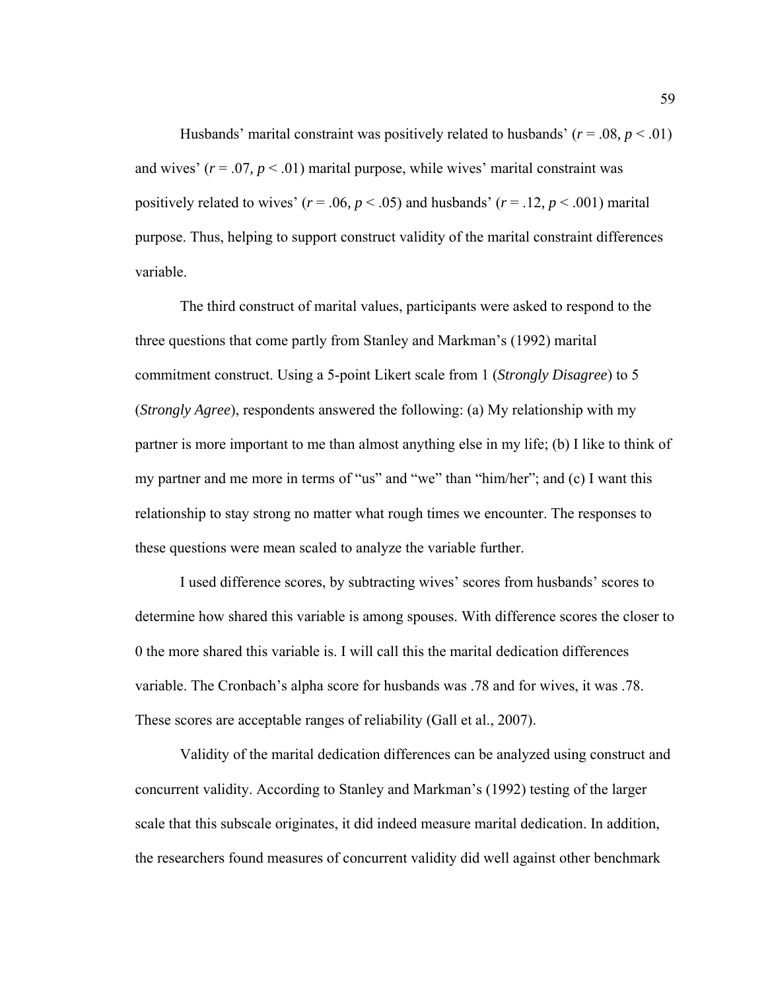Husbands' marital constraint was positively related to husbands'  $(r = .08, p < .01)$ and wives'  $(r = .07, p < .01)$  marital purpose, while wives' marital constraint was positively related to wives'  $(r = .06, p < .05)$  and husbands'  $(r = .12, p < .001)$  marital purpose. Thus, helping to support construct validity of the marital constraint differences variable.

The third construct of marital values, participants were asked to respond to the three questions that come partly from Stanley and Markman's (1992) marital commitment construct. Using a 5-point Likert scale from 1 (*Strongly Disagree*) to 5 (*Strongly Agree*), respondents answered the following: (a) My relationship with my partner is more important to me than almost anything else in my life; (b) I like to think of my partner and me more in terms of "us" and "we" than "him/her"; and (c) I want this relationship to stay strong no matter what rough times we encounter. The responses to these questions were mean scaled to analyze the variable further.

I used difference scores, by subtracting wives' scores from husbands' scores to determine how shared this variable is among spouses. With difference scores the closer to 0 the more shared this variable is. I will call this the marital dedication differences variable. The Cronbach's alpha score for husbands was .78 and for wives, it was .78. These scores are acceptable ranges of reliability (Gall et al., 2007).

Validity of the marital dedication differences can be analyzed using construct and concurrent validity. According to Stanley and Markman's (1992) testing of the larger scale that this subscale originates, it did indeed measure marital dedication. In addition, the researchers found measures of concurrent validity did well against other benchmark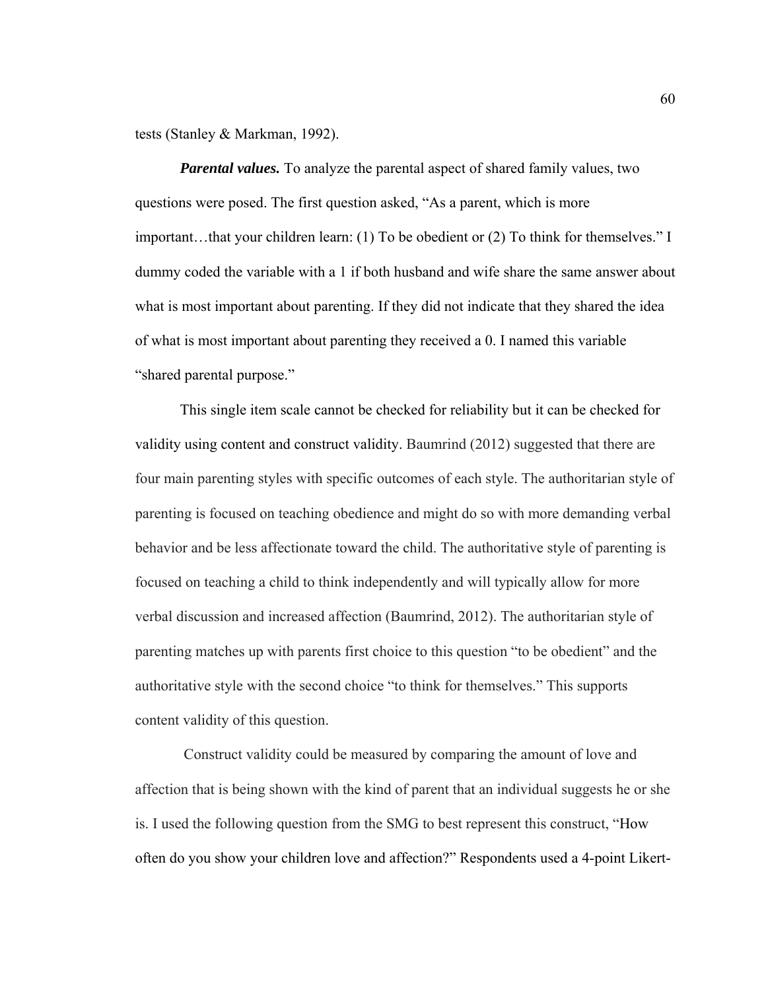tests (Stanley & Markman, 1992).

*Parental values.* To analyze the parental aspect of shared family values, two questions were posed. The first question asked, "As a parent, which is more important…that your children learn: (1) To be obedient or (2) To think for themselves." I dummy coded the variable with a 1 if both husband and wife share the same answer about what is most important about parenting. If they did not indicate that they shared the idea of what is most important about parenting they received a 0. I named this variable "shared parental purpose."

This single item scale cannot be checked for reliability but it can be checked for validity using content and construct validity. Baumrind (2012) suggested that there are four main parenting styles with specific outcomes of each style. The authoritarian style of parenting is focused on teaching obedience and might do so with more demanding verbal behavior and be less affectionate toward the child. The authoritative style of parenting is focused on teaching a child to think independently and will typically allow for more verbal discussion and increased affection (Baumrind, 2012). The authoritarian style of parenting matches up with parents first choice to this question "to be obedient" and the authoritative style with the second choice "to think for themselves." This supports content validity of this question.

 Construct validity could be measured by comparing the amount of love and affection that is being shown with the kind of parent that an individual suggests he or she is. I used the following question from the SMG to best represent this construct, "How often do you show your children love and affection?" Respondents used a 4-point Likert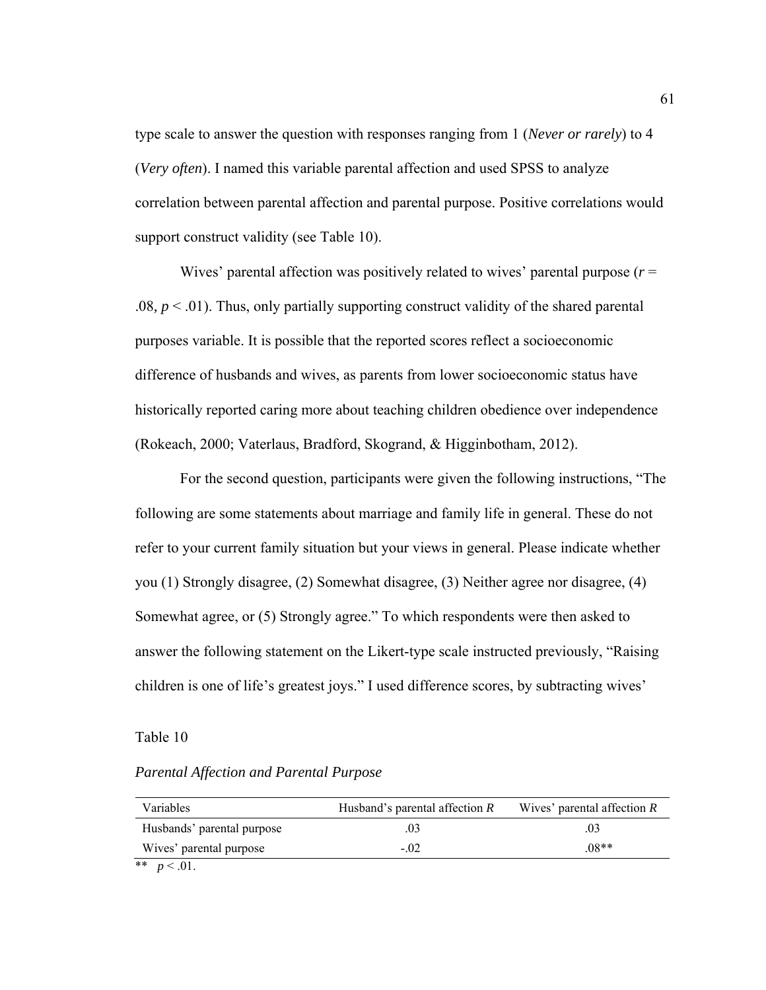type scale to answer the question with responses ranging from 1 (*Never or rarely*) to 4 (*Very often*). I named this variable parental affection and used SPSS to analyze correlation between parental affection and parental purpose. Positive correlations would support construct validity (see Table 10).

Wives' parental affection was positively related to wives' parental purpose (*r* = .08*, p* < .01). Thus, only partially supporting construct validity of the shared parental purposes variable. It is possible that the reported scores reflect a socioeconomic difference of husbands and wives, as parents from lower socioeconomic status have historically reported caring more about teaching children obedience over independence (Rokeach, 2000; Vaterlaus, Bradford, Skogrand, & Higginbotham, 2012).

For the second question, participants were given the following instructions, "The following are some statements about marriage and family life in general. These do not refer to your current family situation but your views in general. Please indicate whether you (1) Strongly disagree, (2) Somewhat disagree, (3) Neither agree nor disagree, (4) Somewhat agree, or (5) Strongly agree." To which respondents were then asked to answer the following statement on the Likert-type scale instructed previously, "Raising children is one of life's greatest joys." I used difference scores, by subtracting wives'

## Table 10

# *Parental Affection and Parental Purpose*

| Variables                  | Husband's parental affection $R$ | Wives' parental affection $R$ |
|----------------------------|----------------------------------|-------------------------------|
| Husbands' parental purpose | .03                              |                               |
| Wives' parental purpose    | $-.02$                           | $.08**$                       |
| ** $p < .01$ .             |                                  |                               |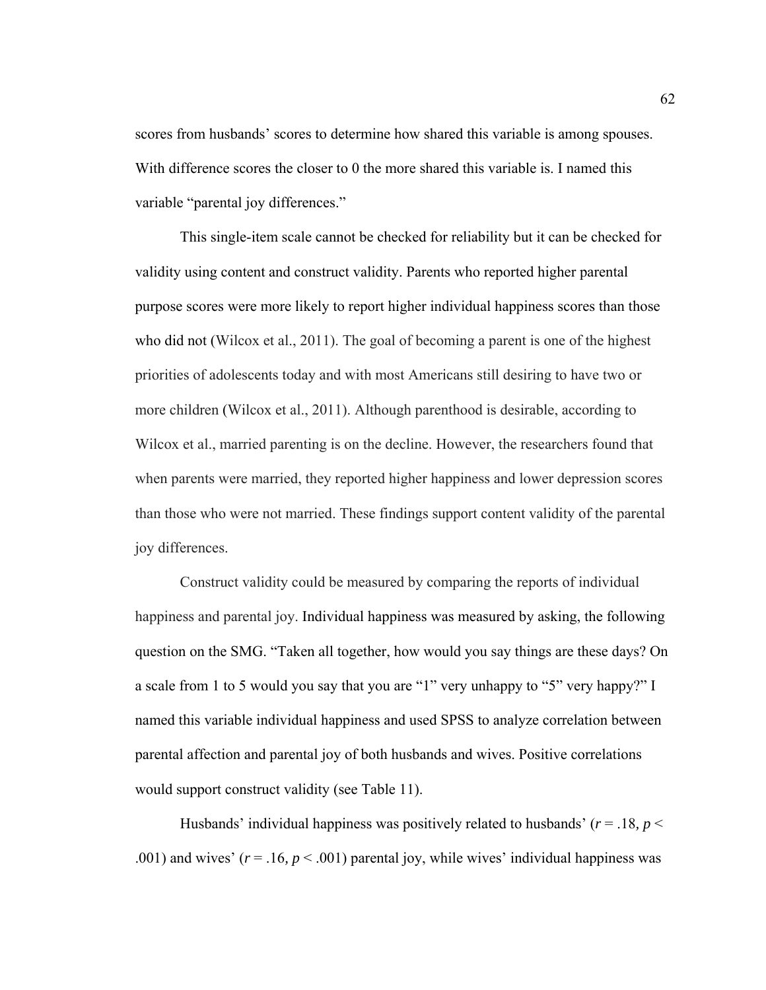scores from husbands' scores to determine how shared this variable is among spouses. With difference scores the closer to 0 the more shared this variable is. I named this variable "parental joy differences."

This single-item scale cannot be checked for reliability but it can be checked for validity using content and construct validity. Parents who reported higher parental purpose scores were more likely to report higher individual happiness scores than those who did not (Wilcox et al., 2011). The goal of becoming a parent is one of the highest priorities of adolescents today and with most Americans still desiring to have two or more children (Wilcox et al., 2011). Although parenthood is desirable, according to Wilcox et al., married parenting is on the decline. However, the researchers found that when parents were married, they reported higher happiness and lower depression scores than those who were not married. These findings support content validity of the parental joy differences.

Construct validity could be measured by comparing the reports of individual happiness and parental joy. Individual happiness was measured by asking, the following question on the SMG. "Taken all together, how would you say things are these days? On a scale from 1 to 5 would you say that you are "1" very unhappy to "5" very happy?" I named this variable individual happiness and used SPSS to analyze correlation between parental affection and parental joy of both husbands and wives. Positive correlations would support construct validity (see Table 11).

Husbands' individual happiness was positively related to husbands' (*r* = .18*, p* < .001) and wives'  $(r = .16, p < .001)$  parental joy, while wives' individual happiness was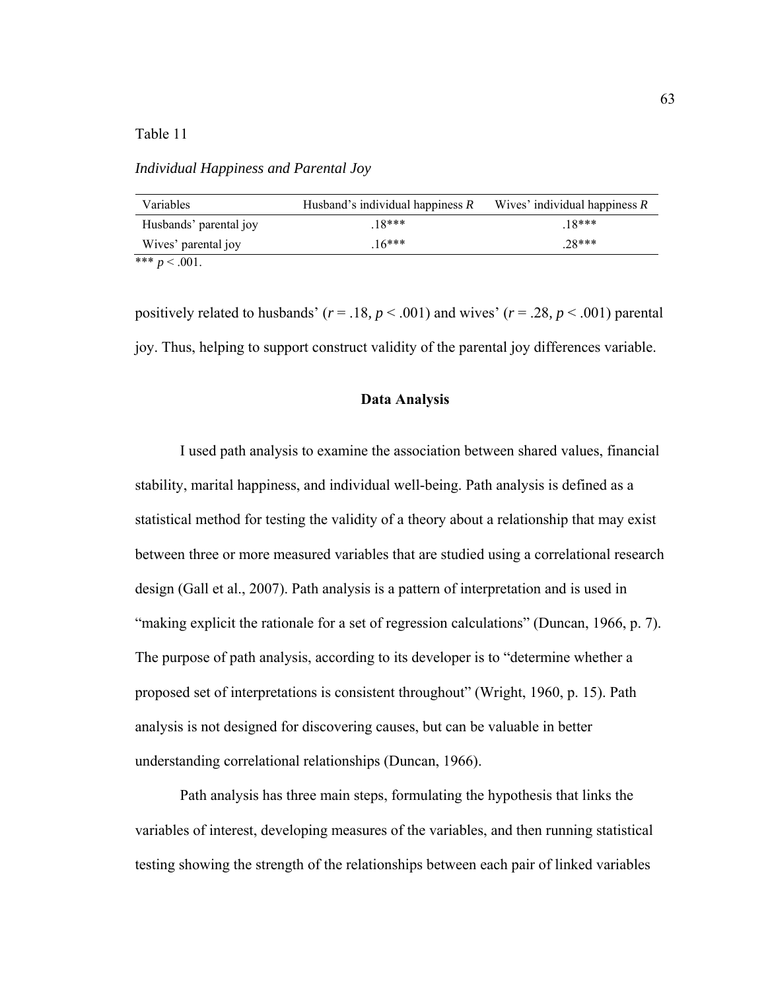Table 11

*Individual Happiness and Parental Joy* 

| Variables              | Husband's individual happiness $R$ | Wives' individual happiness $R$ |
|------------------------|------------------------------------|---------------------------------|
| Husbands' parental joy | $18***$                            | $18***$                         |
| Wives' parental joy    | $16***$                            | $28***$                         |
| *** $p < .001$ .       |                                    |                                 |

positively related to husbands' ( $r = .18$ ,  $p < .001$ ) and wives' ( $r = .28$ ,  $p < .001$ ) parental joy. Thus, helping to support construct validity of the parental joy differences variable.

## **Data Analysis**

I used path analysis to examine the association between shared values, financial stability, marital happiness, and individual well-being. Path analysis is defined as a statistical method for testing the validity of a theory about a relationship that may exist between three or more measured variables that are studied using a correlational research design (Gall et al., 2007). Path analysis is a pattern of interpretation and is used in "making explicit the rationale for a set of regression calculations" (Duncan, 1966, p. 7). The purpose of path analysis, according to its developer is to "determine whether a proposed set of interpretations is consistent throughout" (Wright, 1960, p. 15). Path analysis is not designed for discovering causes, but can be valuable in better understanding correlational relationships (Duncan, 1966).

 Path analysis has three main steps, formulating the hypothesis that links the variables of interest, developing measures of the variables, and then running statistical testing showing the strength of the relationships between each pair of linked variables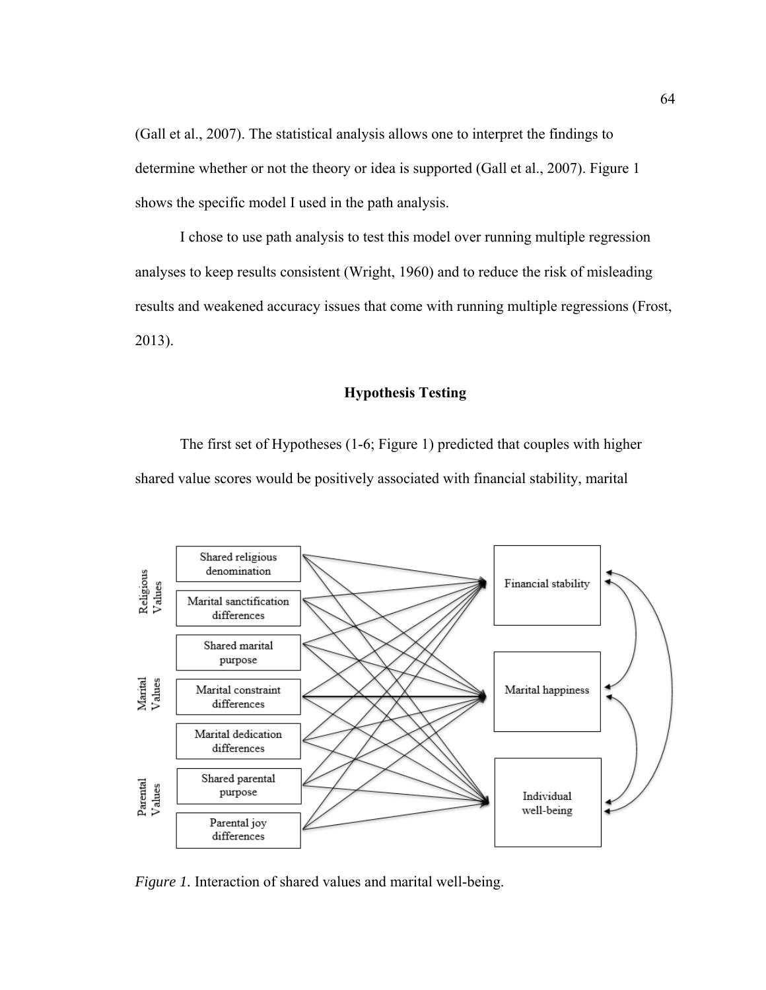(Gall et al., 2007). The statistical analysis allows one to interpret the findings to determine whether or not the theory or idea is supported (Gall et al., 2007). Figure 1 shows the specific model I used in the path analysis.

I chose to use path analysis to test this model over running multiple regression analyses to keep results consistent (Wright, 1960) and to reduce the risk of misleading results and weakened accuracy issues that come with running multiple regressions (Frost, 2013).

## **Hypothesis Testing**

The first set of Hypotheses (1-6; Figure 1) predicted that couples with higher shared value scores would be positively associated with financial stability, marital



*Figure 1.* Interaction of shared values and marital well-being.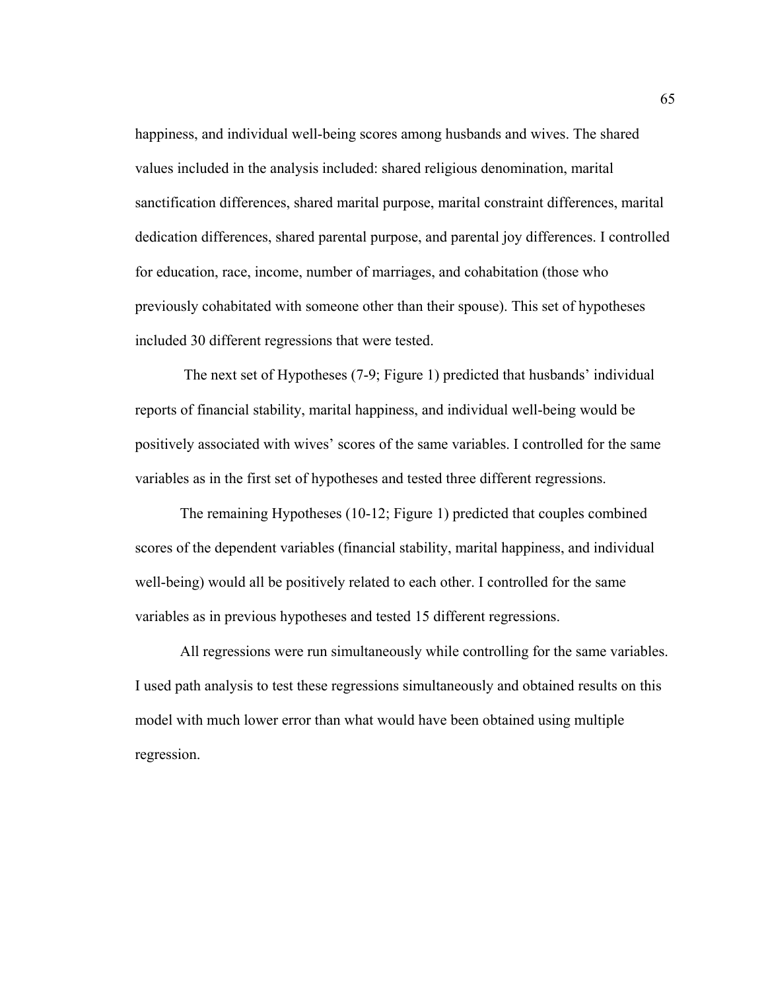happiness, and individual well-being scores among husbands and wives. The shared values included in the analysis included: shared religious denomination, marital sanctification differences, shared marital purpose, marital constraint differences, marital dedication differences, shared parental purpose, and parental joy differences. I controlled for education, race, income, number of marriages, and cohabitation (those who previously cohabitated with someone other than their spouse). This set of hypotheses included 30 different regressions that were tested.

 The next set of Hypotheses (7-9; Figure 1) predicted that husbands' individual reports of financial stability, marital happiness, and individual well-being would be positively associated with wives' scores of the same variables. I controlled for the same variables as in the first set of hypotheses and tested three different regressions.

The remaining Hypotheses (10-12; Figure 1) predicted that couples combined scores of the dependent variables (financial stability, marital happiness, and individual well-being) would all be positively related to each other. I controlled for the same variables as in previous hypotheses and tested 15 different regressions.

All regressions were run simultaneously while controlling for the same variables. I used path analysis to test these regressions simultaneously and obtained results on this model with much lower error than what would have been obtained using multiple regression.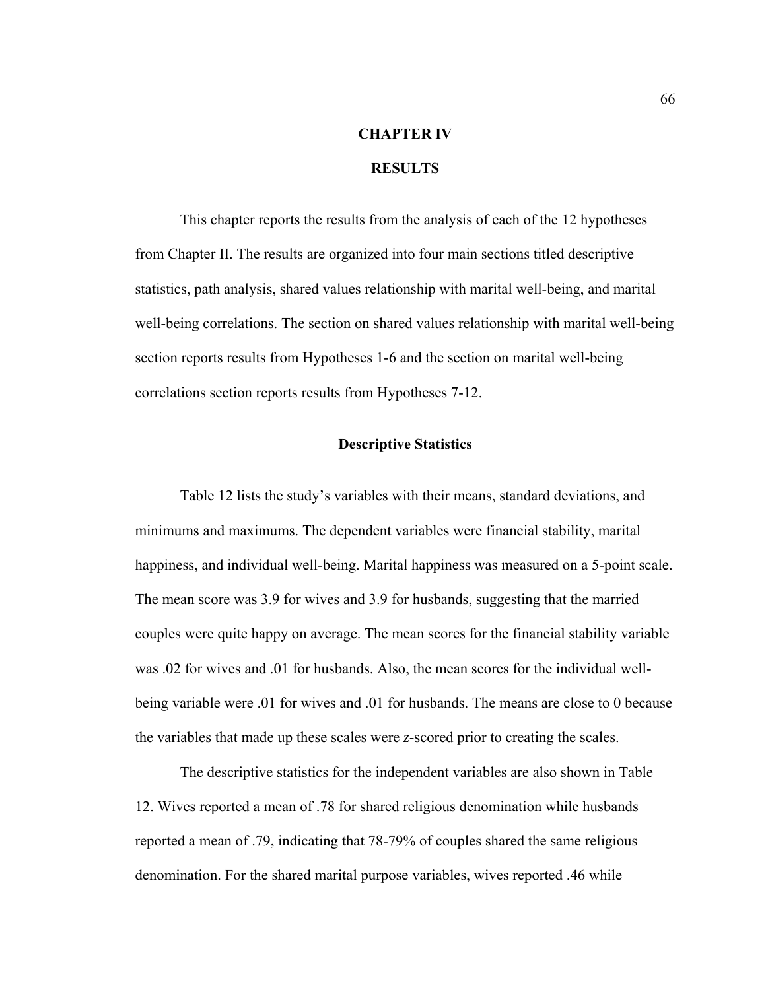# **CHAPTER IV**

## **RESULTS**

 This chapter reports the results from the analysis of each of the 12 hypotheses from Chapter II. The results are organized into four main sections titled descriptive statistics, path analysis, shared values relationship with marital well-being, and marital well-being correlations. The section on shared values relationship with marital well-being section reports results from Hypotheses 1-6 and the section on marital well-being correlations section reports results from Hypotheses 7-12.

## **Descriptive Statistics**

 Table 12 lists the study's variables with their means, standard deviations, and minimums and maximums. The dependent variables were financial stability, marital happiness, and individual well-being. Marital happiness was measured on a 5-point scale. The mean score was 3.9 for wives and 3.9 for husbands, suggesting that the married couples were quite happy on average. The mean scores for the financial stability variable was .02 for wives and .01 for husbands. Also, the mean scores for the individual wellbeing variable were .01 for wives and .01 for husbands. The means are close to 0 because the variables that made up these scales were *z*-scored prior to creating the scales.

 The descriptive statistics for the independent variables are also shown in Table 12. Wives reported a mean of .78 for shared religious denomination while husbands reported a mean of .79, indicating that 78-79% of couples shared the same religious denomination. For the shared marital purpose variables, wives reported .46 while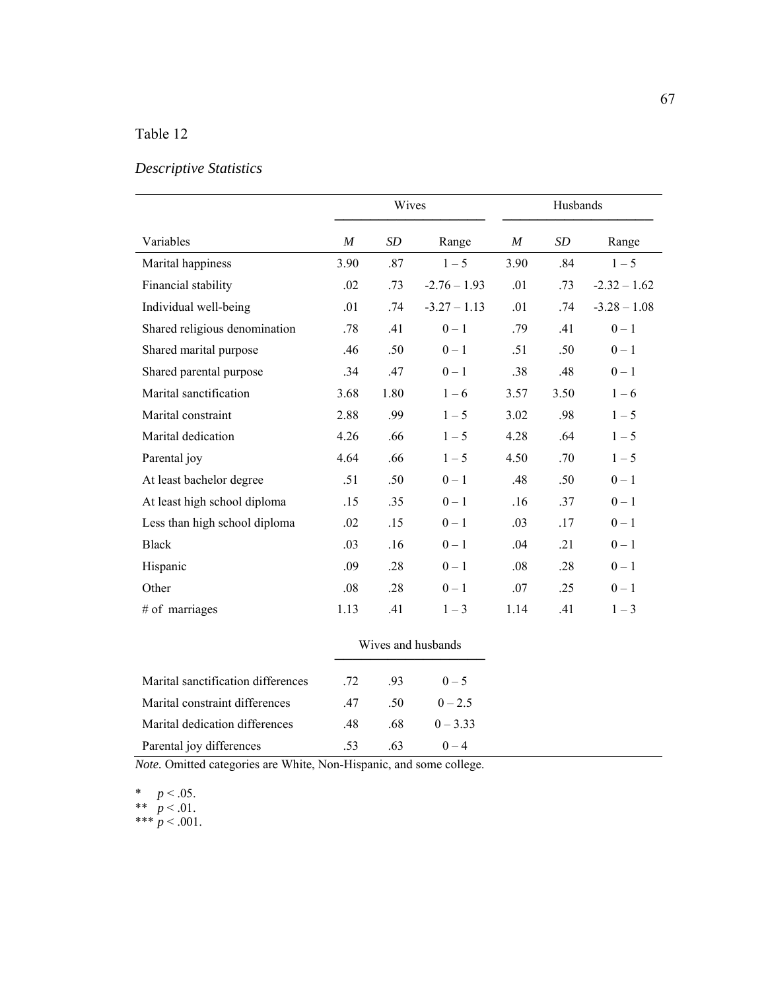# Table 12

## *Descriptive Statistics*

|                               |      | Wives            |                | Husbands |                 |                |  |  |
|-------------------------------|------|------------------|----------------|----------|-----------------|----------------|--|--|
| Variables                     | M    | <i>SD</i>        | Range          | M        | SD <sub>-</sub> | Range          |  |  |
| Marital happiness             | 3.90 | .87              | $1 - 5$        | 3.90     | .84             | $1 - 5$        |  |  |
| Financial stability           | .02  | .73              | $-2.76 - 1.93$ | .01      | .73             | $-2.32 - 1.62$ |  |  |
| Individual well-being         | .01  | .74              | $-3.27 - 1.13$ | .01      | .74             | $-3.28 - 1.08$ |  |  |
| Shared religious denomination | .78  | .41              | $0 - 1$        | .79      | .41             | $0 - 1$        |  |  |
| Shared marital purpose        | .46  | .50              | $0 - 1$        | .51      | .50             | $0 - 1$        |  |  |
| Shared parental purpose       | .34  | .47              | $0 - 1$        | .38      | .48             | $0 - 1$        |  |  |
| Marital sanctification        | 3.68 | 1.80             | $1 - 6$        | 3.57     | 3.50            | $1 - 6$        |  |  |
| Marital constraint            | 2.88 | .99              | $1 - 5$        | 3.02     | .98             | $1 - 5$        |  |  |
| Marital dedication            | 4.26 | .66              | $1 - 5$        | 4.28     | .64             | $1 - 5$        |  |  |
| Parental joy                  | 4.64 | .66              | $1 - 5$        | 4.50     | .70             | $1 - 5$        |  |  |
| At least bachelor degree      | .51  | .50 <sub>1</sub> | $0 - 1$        | .48      | .50             | $0 - 1$        |  |  |
| At least high school diploma  | .15  | .35              | $0 - 1$        | .16      | .37             | $0 - 1$        |  |  |
| Less than high school diploma | .02  | .15              | $0 - 1$        | .03      | .17             | $0-1$          |  |  |
| <b>Black</b>                  | .03  | .16              | $0 - 1$        | .04      | .21             | $0 - 1$        |  |  |
| Hispanic                      | .09  | .28              | $0 - 1$        | .08      | .28             | $0 - 1$        |  |  |
| Other                         | .08  | .28              | $0 - 1$        | .07      | .25             | $0 - 1$        |  |  |
| # of marriages                | 1.13 | .41              | $1 - 3$        | 1.14     | .41             | $1 - 3$        |  |  |

|                                    | Wives and husbands |                  |            |  |  |
|------------------------------------|--------------------|------------------|------------|--|--|
| Marital sanctification differences |                    | 72. 93           | $0-5$      |  |  |
| Marital constraint differences     | .47                | .50 <sub>1</sub> | $0 - 2.5$  |  |  |
| Marital dedication differences     | - 48               | .68              | $0 - 3.33$ |  |  |
| Parental joy differences           | .53                | .63              | $0 - 4$    |  |  |

*Note.* Omitted categories are White, Non-Hispanic, and some college.

\*  $p < .05$ . \*\*  $p < .01$ .

\*\*\*  $p < .001$ .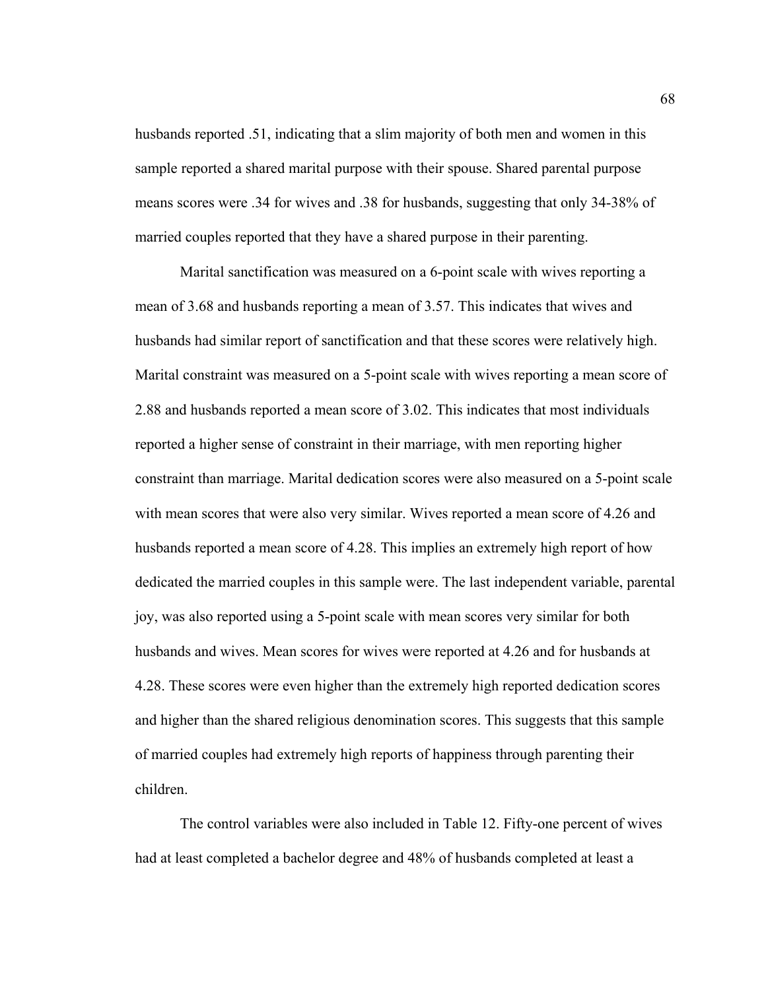husbands reported .51, indicating that a slim majority of both men and women in this sample reported a shared marital purpose with their spouse. Shared parental purpose means scores were .34 for wives and .38 for husbands, suggesting that only 34-38% of married couples reported that they have a shared purpose in their parenting.

Marital sanctification was measured on a 6-point scale with wives reporting a mean of 3.68 and husbands reporting a mean of 3.57. This indicates that wives and husbands had similar report of sanctification and that these scores were relatively high. Marital constraint was measured on a 5-point scale with wives reporting a mean score of 2.88 and husbands reported a mean score of 3.02. This indicates that most individuals reported a higher sense of constraint in their marriage, with men reporting higher constraint than marriage. Marital dedication scores were also measured on a 5-point scale with mean scores that were also very similar. Wives reported a mean score of 4.26 and husbands reported a mean score of 4.28. This implies an extremely high report of how dedicated the married couples in this sample were. The last independent variable, parental joy, was also reported using a 5-point scale with mean scores very similar for both husbands and wives. Mean scores for wives were reported at 4.26 and for husbands at 4.28. These scores were even higher than the extremely high reported dedication scores and higher than the shared religious denomination scores. This suggests that this sample of married couples had extremely high reports of happiness through parenting their children.

 The control variables were also included in Table 12. Fifty-one percent of wives had at least completed a bachelor degree and 48% of husbands completed at least a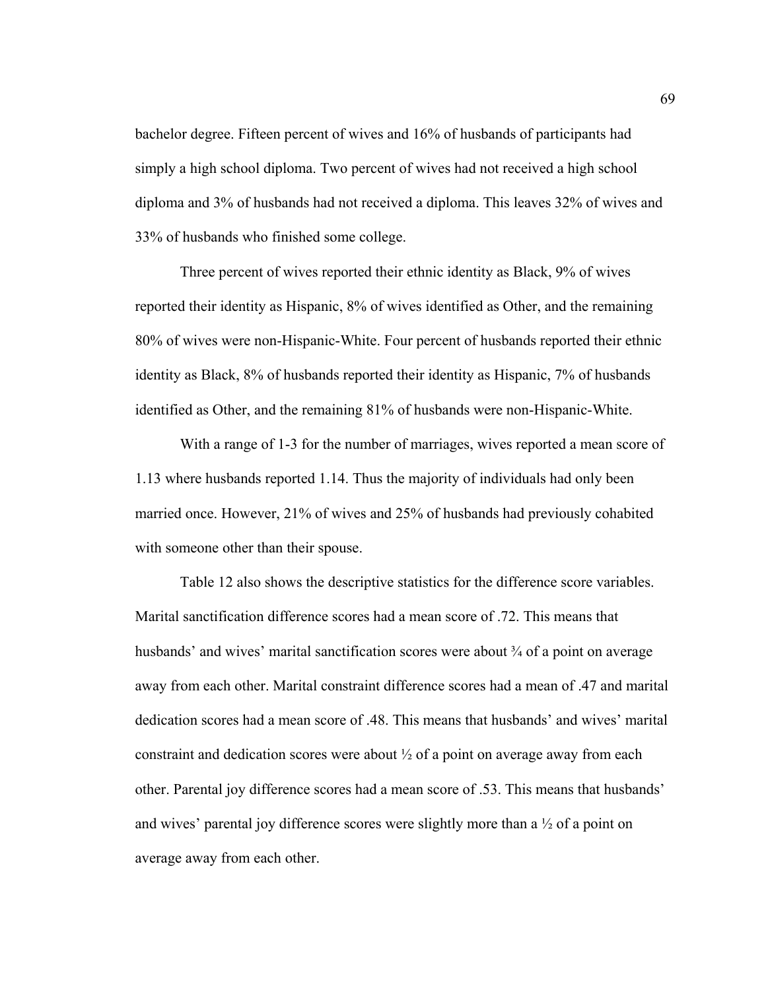bachelor degree. Fifteen percent of wives and 16% of husbands of participants had simply a high school diploma. Two percent of wives had not received a high school diploma and 3% of husbands had not received a diploma. This leaves 32% of wives and 33% of husbands who finished some college.

Three percent of wives reported their ethnic identity as Black, 9% of wives reported their identity as Hispanic, 8% of wives identified as Other, and the remaining 80% of wives were non-Hispanic-White. Four percent of husbands reported their ethnic identity as Black, 8% of husbands reported their identity as Hispanic, 7% of husbands identified as Other, and the remaining 81% of husbands were non-Hispanic-White.

With a range of 1-3 for the number of marriages, wives reported a mean score of 1.13 where husbands reported 1.14. Thus the majority of individuals had only been married once. However, 21% of wives and 25% of husbands had previously cohabited with someone other than their spouse.

Table 12 also shows the descriptive statistics for the difference score variables. Marital sanctification difference scores had a mean score of .72. This means that husbands' and wives' marital sanctification scores were about  $\frac{3}{4}$  of a point on average away from each other. Marital constraint difference scores had a mean of .47 and marital dedication scores had a mean score of .48. This means that husbands' and wives' marital constraint and dedication scores were about  $\frac{1}{2}$  of a point on average away from each other. Parental joy difference scores had a mean score of .53. This means that husbands' and wives' parental joy difference scores were slightly more than a  $\frac{1}{2}$  of a point on average away from each other.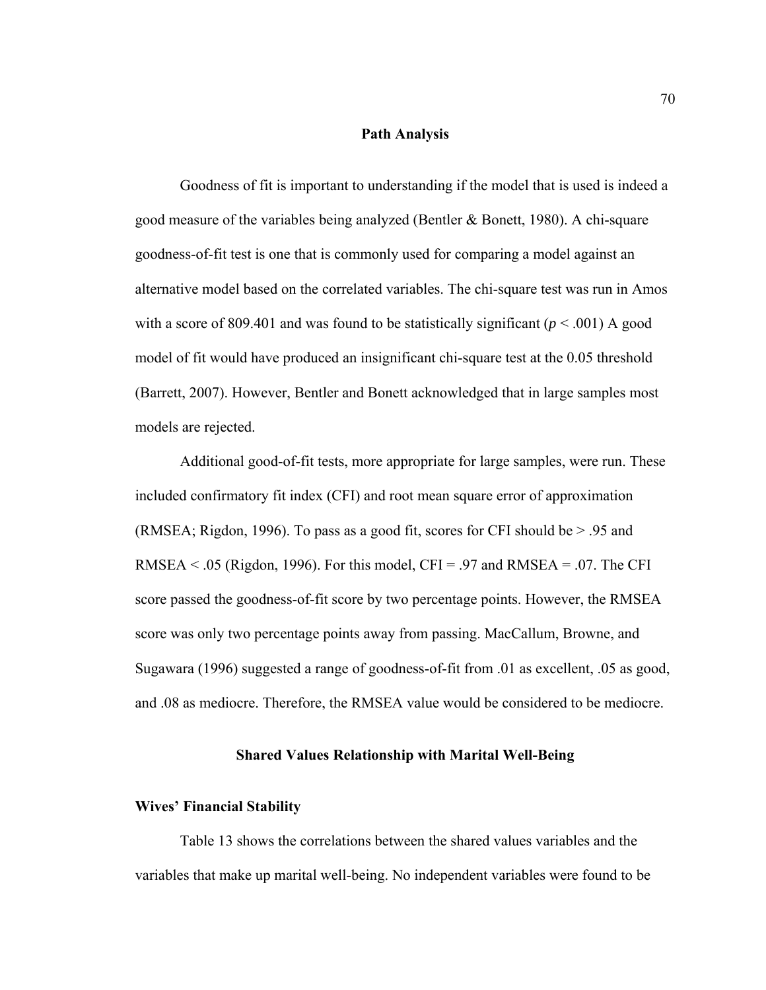## **Path Analysis**

 Goodness of fit is important to understanding if the model that is used is indeed a good measure of the variables being analyzed (Bentler & Bonett, 1980). A chi-square goodness-of-fit test is one that is commonly used for comparing a model against an alternative model based on the correlated variables. The chi-square test was run in Amos with a score of 809.401 and was found to be statistically significant  $(p < .001)$  A good model of fit would have produced an insignificant chi-square test at the 0.05 threshold (Barrett, 2007). However, Bentler and Bonett acknowledged that in large samples most models are rejected.

Additional good-of-fit tests, more appropriate for large samples, were run. These included confirmatory fit index (CFI) and root mean square error of approximation (RMSEA; Rigdon, 1996). To pass as a good fit, scores for CFI should be > .95 and RMSEA  $\leq$  .05 (Rigdon, 1996). For this model, CFI = .97 and RMSEA = .07. The CFI score passed the goodness-of-fit score by two percentage points. However, the RMSEA score was only two percentage points away from passing. MacCallum, Browne, and Sugawara (1996) suggested a range of goodness-of-fit from .01 as excellent, .05 as good, and .08 as mediocre. Therefore, the RMSEA value would be considered to be mediocre.

#### **Shared Values Relationship with Marital Well-Being**

## **Wives' Financial Stability**

Table 13 shows the correlations between the shared values variables and the variables that make up marital well-being. No independent variables were found to be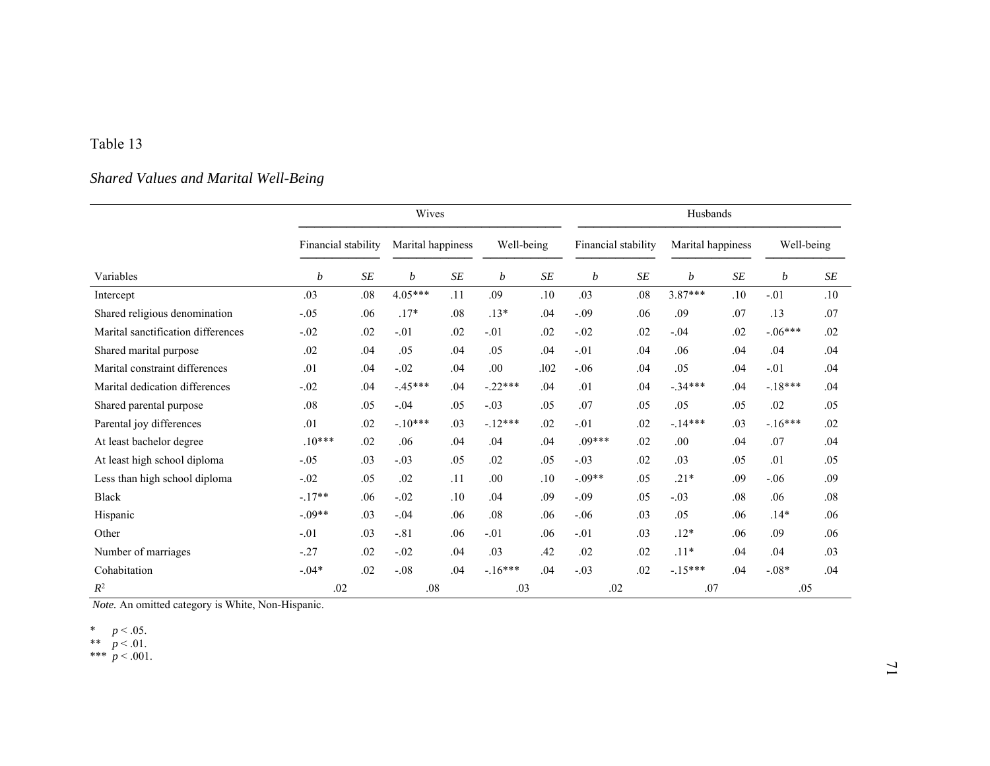## Table 13

## *Shared Values and Marital Well-Being*

|                                    |                     |           | Wives     |                      |           |            | Husbands |                     |           |                   |           |            |
|------------------------------------|---------------------|-----------|-----------|----------------------|-----------|------------|----------|---------------------|-----------|-------------------|-----------|------------|
|                                    | Financial stability |           |           | Marital happiness    |           | Well-being |          | Financial stability |           | Marital happiness |           | Well-being |
| Variables                          | b                   | $\cal SE$ | b         | $S\hspace{-0.08em}E$ | b         | $\cal SE$  | b        | $\cal SE$           | b         | $\cal SE$         | b         | SE         |
| Intercept                          | .03                 | .08       | $4.05***$ | .11                  | .09       | .10        | .03      | .08                 | $3.87***$ | .10               | $-.01$    | .10        |
| Shared religious denomination      | $-.05$              | .06       | $.17*$    | .08                  | $.13*$    | .04        | $-.09$   | .06                 | .09       | .07               | .13       | .07        |
| Marital sanctification differences | $-.02$              | .02       | $-.01$    | .02                  | $-.01$    | .02        | $-.02$   | .02                 | $-.04$    | .02               | $-.06***$ | .02        |
| Shared marital purpose             | .02                 | .04       | .05       | .04                  | .05       | .04        | $-.01$   | .04                 | .06       | .04               | .04       | .04        |
| Marital constraint differences     | .01                 | .04       | $-.02$    | .04                  | .00       | .102       | $-.06$   | .04                 | .05       | .04               | $-.01$    | .04        |
| Marital dedication differences     | $-.02$              | .04       | $-.45***$ | .04                  | $-.22***$ | .04        | .01      | .04                 | $-.34***$ | .04               | $-18***$  | .04        |
| Shared parental purpose            | .08                 | .05       | $-.04$    | .05                  | $-.03$    | .05        | .07      | .05                 | .05       | .05               | .02       | .05        |
| Parental joy differences           | .01                 | .02       | $-.10***$ | .03                  | $-12***$  | .02        | $-.01$   | .02                 | $-14***$  | .03               | $-16***$  | .02        |
| At least bachelor degree           | $.10***$            | .02       | .06       | .04                  | .04       | .04        | $.09***$ | .02                 | .00       | .04               | .07       | .04        |
| At least high school diploma       | $-.05$              | .03       | $-.03$    | .05                  | .02       | .05        | $-.03$   | .02                 | .03       | .05               | .01       | .05        |
| Less than high school diploma      | $-.02$              | .05       | .02       | .11                  | .00       | .10        | $-.09**$ | .05                 | $.21*$    | .09               | $-.06$    | .09        |
| Black                              | $-.17**$            | .06       | $-.02$    | .10                  | .04       | .09        | $-.09$   | .05                 | $-.03$    | .08               | .06       | .08        |
| Hispanic                           | $-.09**$            | .03       | $-.04$    | .06                  | .08       | .06        | $-.06$   | .03                 | .05       | .06               | $.14*$    | .06        |
| Other                              | $-.01$              | .03       | $-.81$    | .06                  | $-.01$    | .06        | $-.01$   | .03                 | $.12*$    | .06               | .09       | .06        |
| Number of marriages                | $-27$               | .02       | $-.02$    | .04                  | .03       | .42        | .02      | .02                 | $.11*$    | .04               | .04       | .03        |
| Cohabitation                       | $-.04*$             | .02       | $-.08$    | .04                  | $-.16***$ | .04        | $-.03$   | .02                 | $-15***$  | .04               | $-.08*$   | .04        |
| $R^2$                              | .02                 |           | .08       |                      | .03       |            | .02      |                     | .07       |                   | .05       |            |

*Note.* An omitted category is White, Non-Hispanic.

\*  $p < .05$ .

\*\*  $p < .01$ .

\*\*\*  $p < .001$ .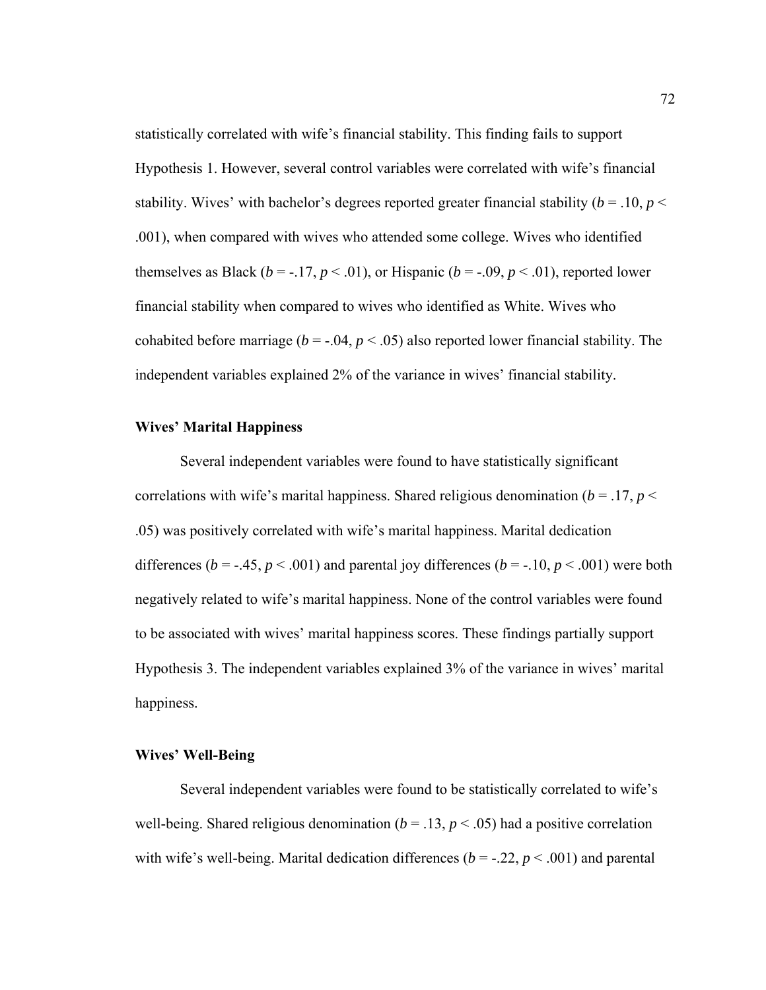statistically correlated with wife's financial stability. This finding fails to support Hypothesis 1. However, several control variables were correlated with wife's financial stability. Wives' with bachelor's degrees reported greater financial stability ( $b = .10$ ,  $p <$ .001), when compared with wives who attended some college. Wives who identified themselves as Black ( $b = -.17$ ,  $p < .01$ ), or Hispanic ( $b = -.09$ ,  $p < .01$ ), reported lower financial stability when compared to wives who identified as White. Wives who cohabited before marriage ( $b = -0.04$ ,  $p < 0.05$ ) also reported lower financial stability. The independent variables explained 2% of the variance in wives' financial stability.

## **Wives' Marital Happiness**

Several independent variables were found to have statistically significant correlations with wife's marital happiness. Shared religious denomination ( $b = .17$ ,  $p <$ .05) was positively correlated with wife's marital happiness. Marital dedication differences ( $b = -0.45$ ,  $p < 0.001$ ) and parental joy differences ( $b = -0.10$ ,  $p < 0.001$ ) were both negatively related to wife's marital happiness. None of the control variables were found to be associated with wives' marital happiness scores. These findings partially support Hypothesis 3. The independent variables explained 3% of the variance in wives' marital happiness.

## **Wives' Well-Being**

Several independent variables were found to be statistically correlated to wife's well-being. Shared religious denomination ( $b = .13$ ,  $p < .05$ ) had a positive correlation with wife's well-being. Marital dedication differences ( $b = -22$ ,  $p < .001$ ) and parental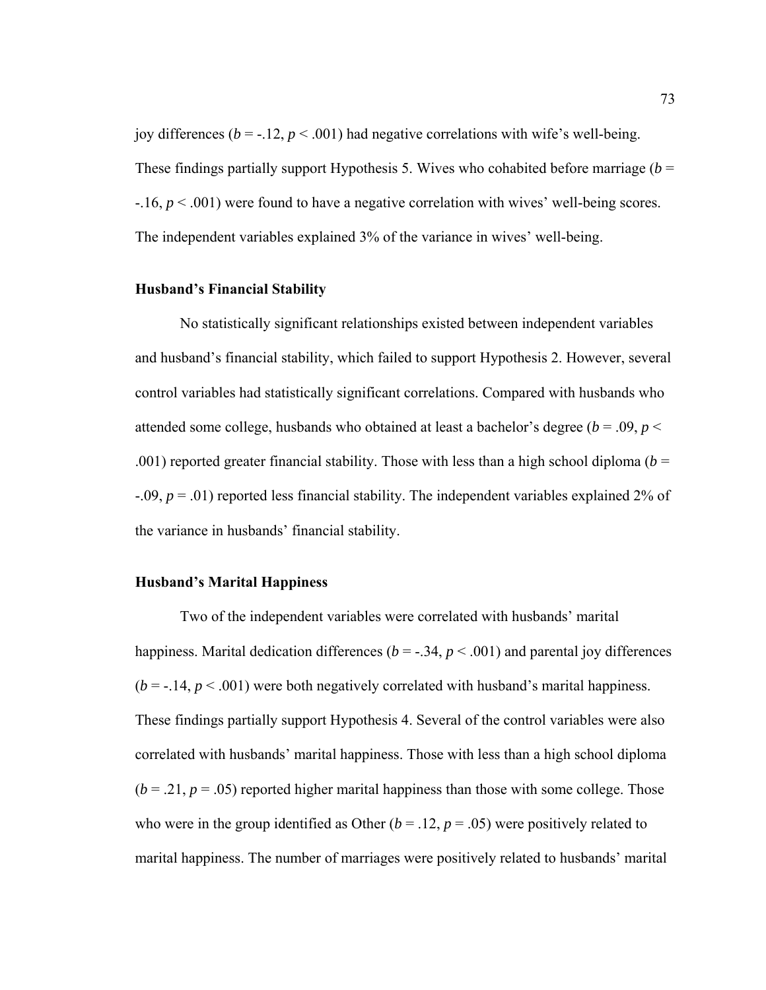joy differences ( $b = -.12$ ,  $p < .001$ ) had negative correlations with wife's well-being. These findings partially support Hypothesis 5. Wives who cohabited before marriage  $(b =$ -.16, *p* < .001) were found to have a negative correlation with wives' well-being scores. The independent variables explained 3% of the variance in wives' well-being.

## **Husband's Financial Stability**

No statistically significant relationships existed between independent variables and husband's financial stability, which failed to support Hypothesis 2. However, several control variables had statistically significant correlations. Compared with husbands who attended some college, husbands who obtained at least a bachelor's degree ( $b = .09$ ,  $p <$ .001) reported greater financial stability. Those with less than a high school diploma ( $b =$ -.09, *p* = .01) reported less financial stability. The independent variables explained 2% of the variance in husbands' financial stability.

#### **Husband's Marital Happiness**

Two of the independent variables were correlated with husbands' marital happiness. Marital dedication differences ( $b = -.34$ ,  $p < .001$ ) and parental joy differences  $(b = -.14, p < .001)$  were both negatively correlated with husband's marital happiness. These findings partially support Hypothesis 4. Several of the control variables were also correlated with husbands' marital happiness. Those with less than a high school diploma  $(b = .21, p = .05)$  reported higher marital happiness than those with some college. Those who were in the group identified as Other  $(b = .12, p = .05)$  were positively related to marital happiness. The number of marriages were positively related to husbands' marital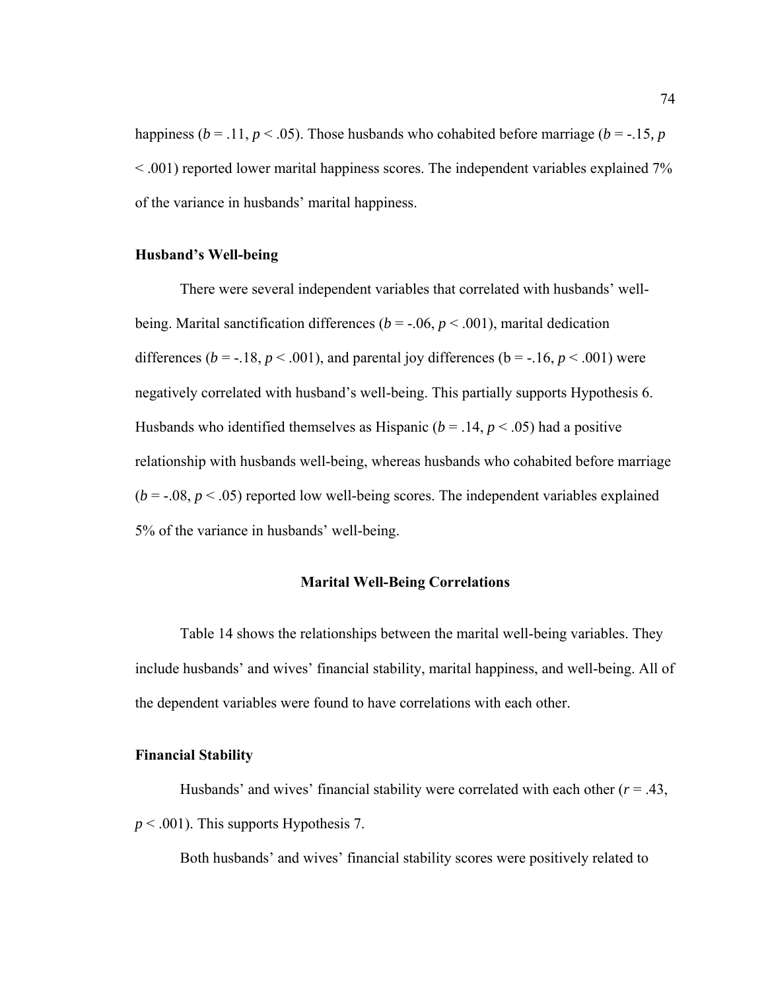happiness ( $b = .11$ ,  $p < .05$ ). Those husbands who cohabited before marriage ( $b = .15$ ,  $p$ < .001) reported lower marital happiness scores. The independent variables explained 7% of the variance in husbands' marital happiness.

## **Husband's Well-being**

There were several independent variables that correlated with husbands' wellbeing. Marital sanctification differences ( $b = -.06$ ,  $p < .001$ ), marital dedication differences ( $b = -18$ ,  $p < .001$ ), and parental joy differences ( $b = -16$ ,  $p < .001$ ) were negatively correlated with husband's well-being. This partially supports Hypothesis 6. Husbands who identified themselves as Hispanic ( $b = .14$ ,  $p < .05$ ) had a positive relationship with husbands well-being, whereas husbands who cohabited before marriage  $(b = -0.08, p < 0.05)$  reported low well-being scores. The independent variables explained 5% of the variance in husbands' well-being.

## **Marital Well-Being Correlations**

Table 14 shows the relationships between the marital well-being variables. They include husbands' and wives' financial stability, marital happiness, and well-being. All of the dependent variables were found to have correlations with each other.

## **Financial Stability**

Husbands' and wives' financial stability were correlated with each other  $(r = .43, )$ *p* < .001). This supports Hypothesis 7.

Both husbands' and wives' financial stability scores were positively related to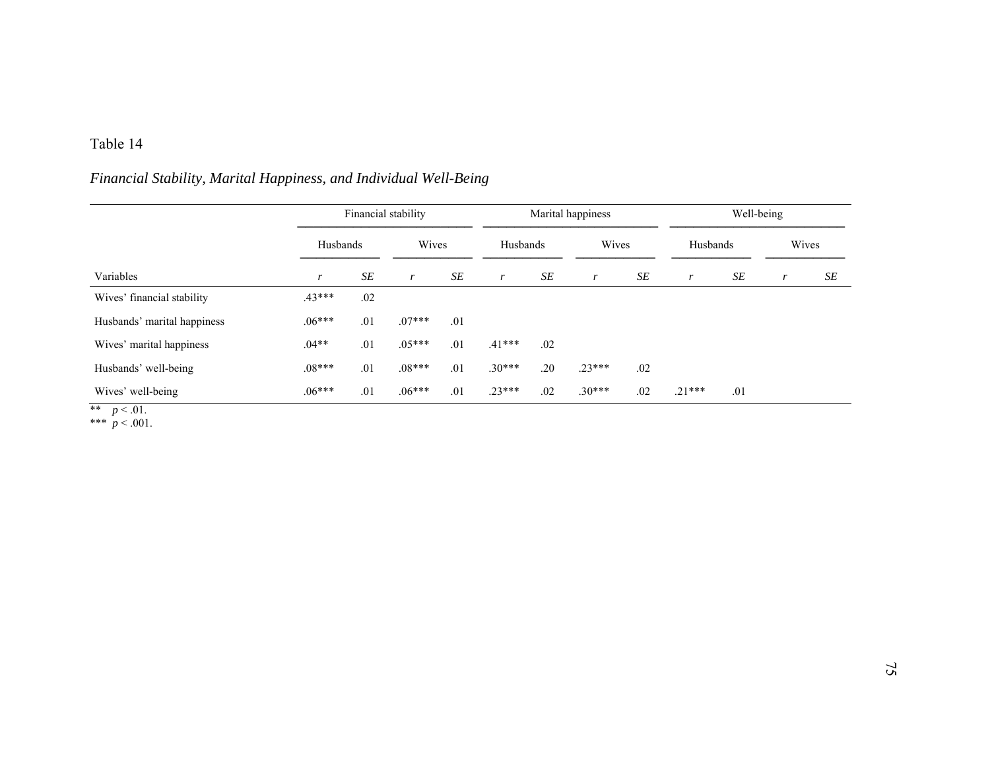## Table 14

# *Financial Stability, Marital Happiness, and Individual Well-Being*

|                             |          |          | Financial stability |       |          | Marital happiness | Well-being   |       |          |          |   |       |  |
|-----------------------------|----------|----------|---------------------|-------|----------|-------------------|--------------|-------|----------|----------|---|-------|--|
| Variables                   |          | Husbands |                     | Wives |          | Husbands          |              | Wives |          | Husbands |   | Wives |  |
|                             | r        | SE       | r                   | SE    | r        | SE                | $\mathbf{r}$ | SE    | r        | SE       | r | SE    |  |
| Wives' financial stability  | $.43***$ | .02      |                     |       |          |                   |              |       |          |          |   |       |  |
| Husbands' marital happiness | $.06***$ | .01      | $.07***$            | .01   |          |                   |              |       |          |          |   |       |  |
| Wives' marital happiness    | $.04**$  | .01      | $.05***$            | .01   | $.41***$ | .02               |              |       |          |          |   |       |  |
| Husbands' well-being        | $.08***$ | .01      | $.08***$            | .01   | $.30***$ | .20               | $.23***$     | .02   |          |          |   |       |  |
| Wives' well-being           | $.06***$ | .01      | $.06***$            | .01   | $.23***$ | .02               | $.30***$     | .02   | $.21***$ | .01      |   |       |  |

\*\*  $p < .01$ . \*\*\*  $p < .001$ .

75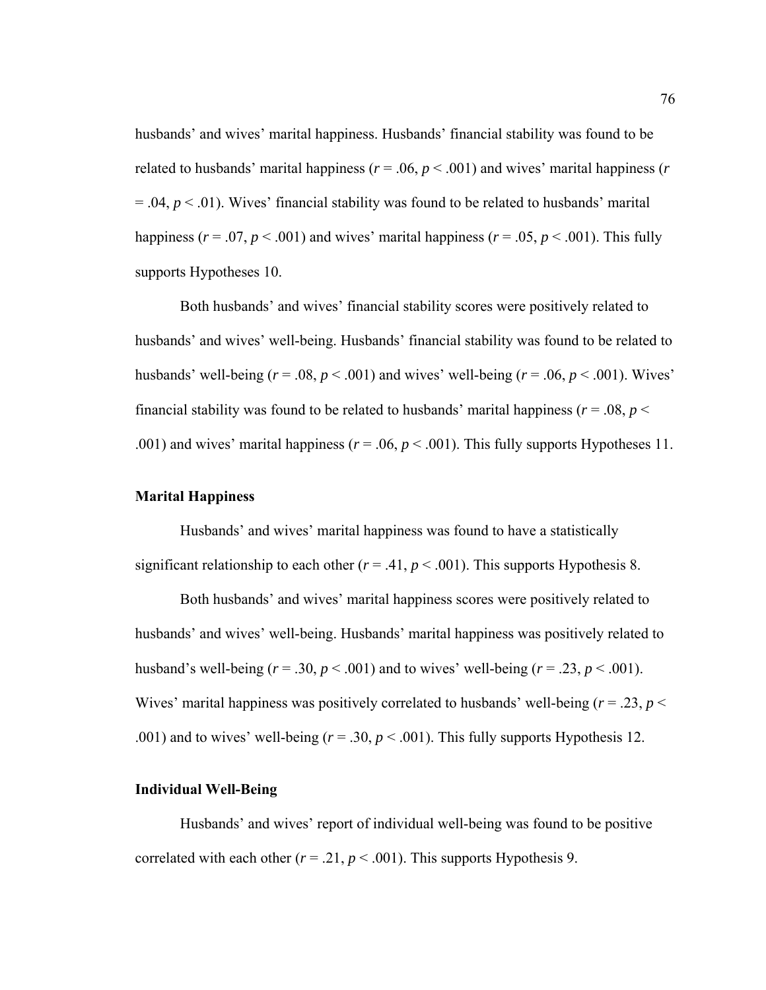husbands' and wives' marital happiness. Husbands' financial stability was found to be related to husbands' marital happiness ( $r = .06$ ,  $p < .001$ ) and wives' marital happiness ( $r$  $= .04, p < .01$ ). Wives' financial stability was found to be related to husbands' marital happiness ( $r = .07$ ,  $p < .001$ ) and wives' marital happiness ( $r = .05$ ,  $p < .001$ ). This fully supports Hypotheses 10.

Both husbands' and wives' financial stability scores were positively related to husbands' and wives' well-being. Husbands' financial stability was found to be related to husbands' well-being  $(r = .08, p < .001)$  and wives' well-being  $(r = .06, p < .001)$ . Wives' financial stability was found to be related to husbands' marital happiness ( $r = .08$ ,  $p <$ .001) and wives' marital happiness  $(r = .06, p < .001)$ . This fully supports Hypotheses 11.

## **Marital Happiness**

Husbands' and wives' marital happiness was found to have a statistically significant relationship to each other  $(r = .41, p < .001)$ . This supports Hypothesis 8.

Both husbands' and wives' marital happiness scores were positively related to husbands' and wives' well-being. Husbands' marital happiness was positively related to husband's well-being  $(r = .30, p < .001)$  and to wives' well-being  $(r = .23, p < .001)$ . Wives' marital happiness was positively correlated to husbands' well-being  $(r = .23, p <$ .001) and to wives' well-being  $(r = .30, p < .001)$ . This fully supports Hypothesis 12.

#### **Individual Well-Being**

Husbands' and wives' report of individual well-being was found to be positive correlated with each other ( $r = .21$ ,  $p < .001$ ). This supports Hypothesis 9.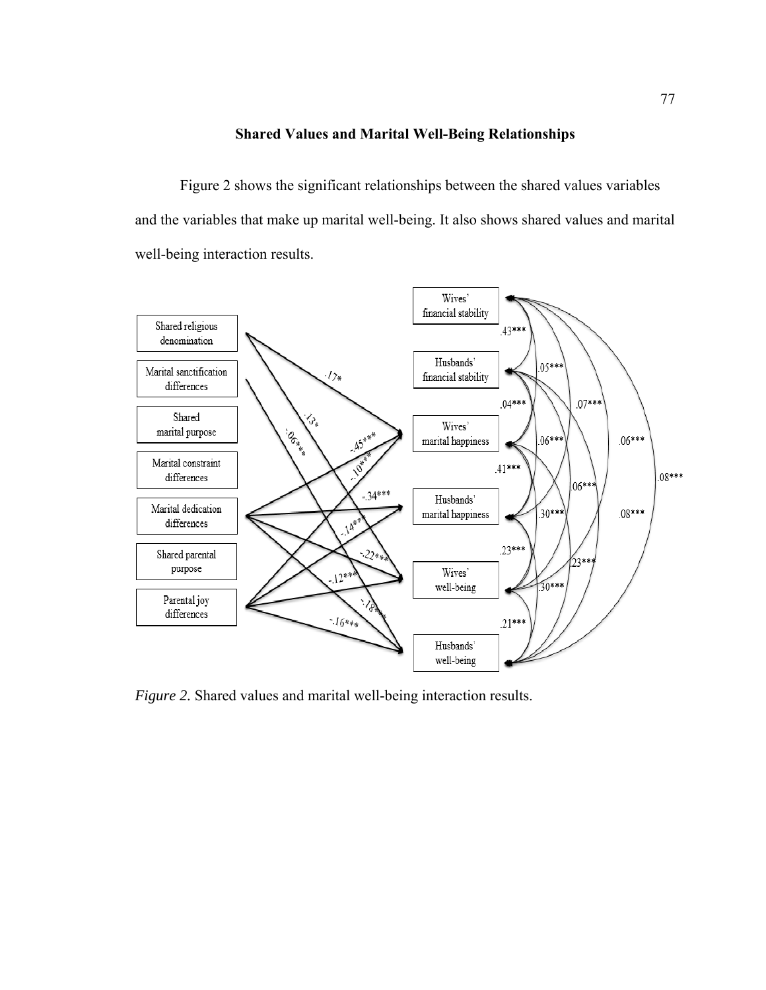## **Shared Values and Marital Well-Being Relationships**

Figure 2 shows the significant relationships between the shared values variables and the variables that make up marital well-being. It also shows shared values and marital well-being interaction results.



*Figure 2.* Shared values and marital well-being interaction results.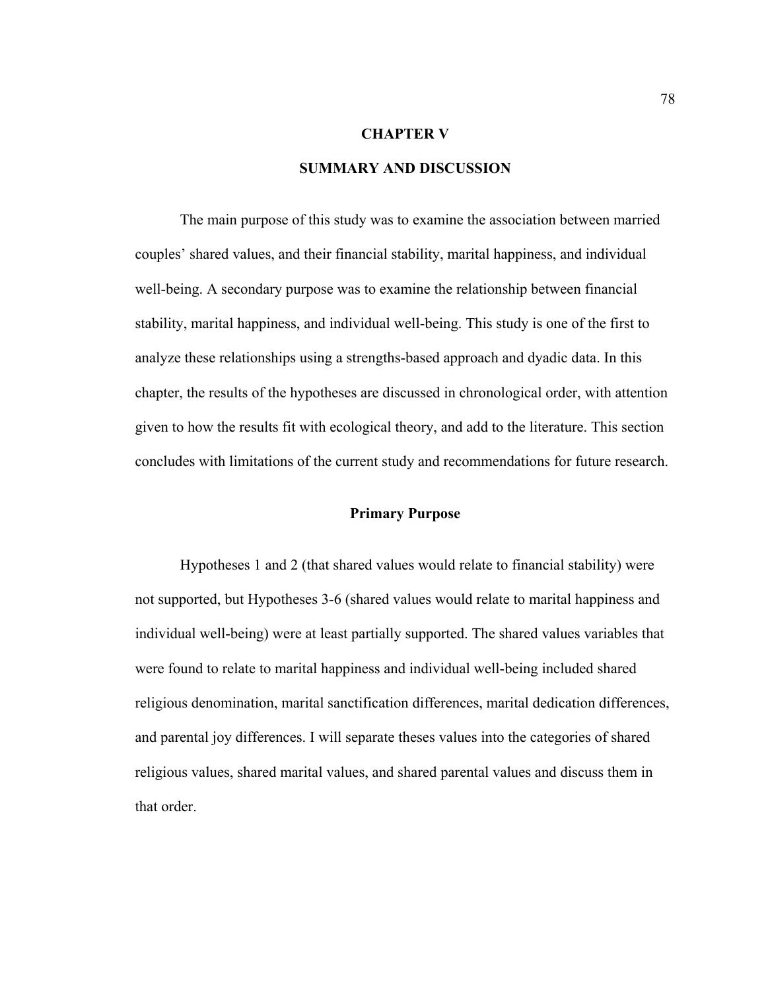## **CHAPTER V**

## **SUMMARY AND DISCUSSION**

 The main purpose of this study was to examine the association between married couples' shared values, and their financial stability, marital happiness, and individual well-being. A secondary purpose was to examine the relationship between financial stability, marital happiness, and individual well-being. This study is one of the first to analyze these relationships using a strengths-based approach and dyadic data. In this chapter, the results of the hypotheses are discussed in chronological order, with attention given to how the results fit with ecological theory, and add to the literature. This section concludes with limitations of the current study and recommendations for future research.

#### **Primary Purpose**

Hypotheses 1 and 2 (that shared values would relate to financial stability) were not supported, but Hypotheses 3-6 (shared values would relate to marital happiness and individual well-being) were at least partially supported. The shared values variables that were found to relate to marital happiness and individual well-being included shared religious denomination, marital sanctification differences, marital dedication differences, and parental joy differences. I will separate theses values into the categories of shared religious values, shared marital values, and shared parental values and discuss them in that order.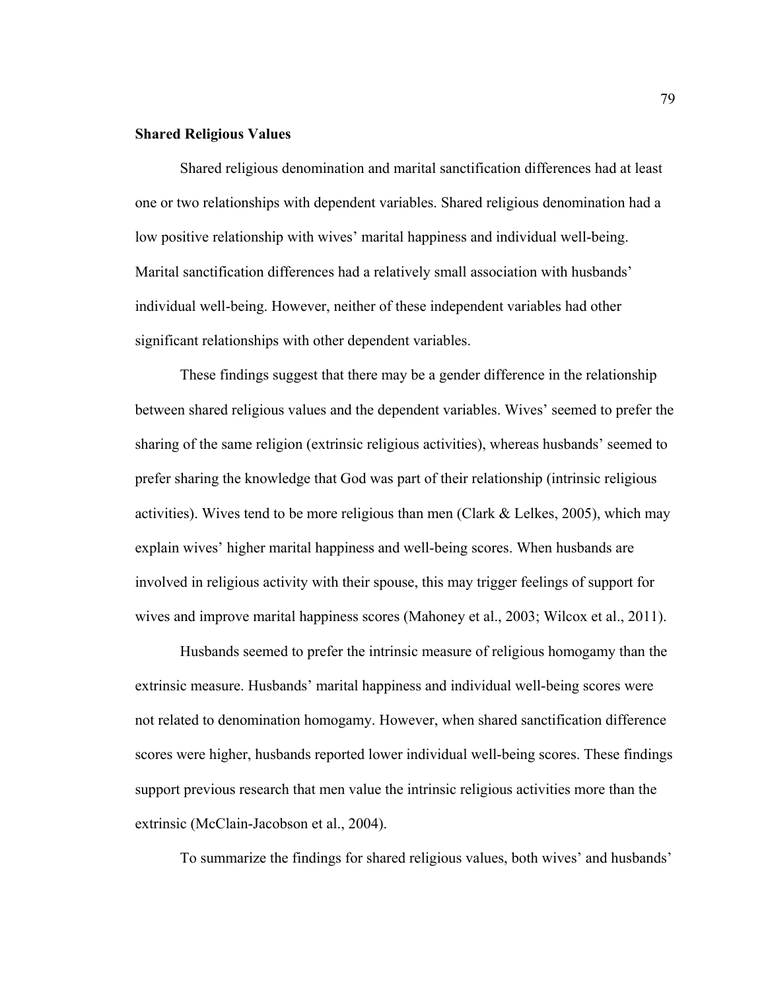## **Shared Religious Values**

Shared religious denomination and marital sanctification differences had at least one or two relationships with dependent variables. Shared religious denomination had a low positive relationship with wives' marital happiness and individual well-being. Marital sanctification differences had a relatively small association with husbands' individual well-being. However, neither of these independent variables had other significant relationships with other dependent variables.

These findings suggest that there may be a gender difference in the relationship between shared religious values and the dependent variables. Wives' seemed to prefer the sharing of the same religion (extrinsic religious activities), whereas husbands' seemed to prefer sharing the knowledge that God was part of their relationship (intrinsic religious activities). Wives tend to be more religious than men (Clark  $&$  Lelkes, 2005), which may explain wives' higher marital happiness and well-being scores. When husbands are involved in religious activity with their spouse, this may trigger feelings of support for wives and improve marital happiness scores (Mahoney et al., 2003; Wilcox et al., 2011).

Husbands seemed to prefer the intrinsic measure of religious homogamy than the extrinsic measure. Husbands' marital happiness and individual well-being scores were not related to denomination homogamy. However, when shared sanctification difference scores were higher, husbands reported lower individual well-being scores. These findings support previous research that men value the intrinsic religious activities more than the extrinsic (McClain-Jacobson et al., 2004).

To summarize the findings for shared religious values, both wives' and husbands'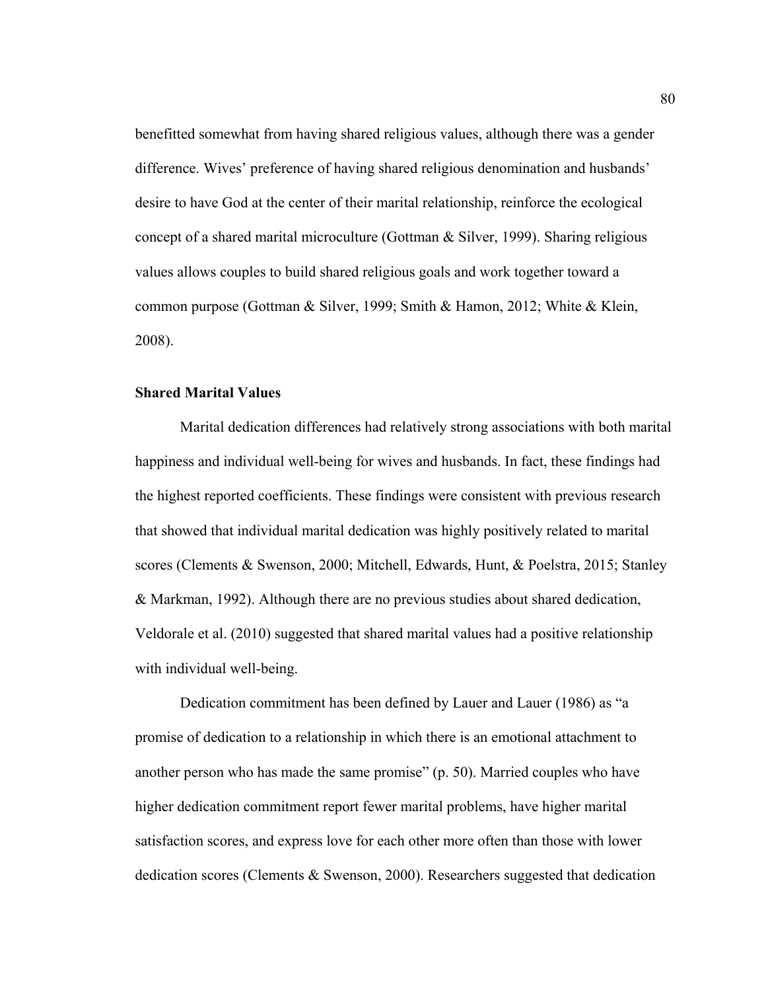benefitted somewhat from having shared religious values, although there was a gender difference. Wives' preference of having shared religious denomination and husbands' desire to have God at the center of their marital relationship, reinforce the ecological concept of a shared marital microculture (Gottman & Silver, 1999). Sharing religious values allows couples to build shared religious goals and work together toward a common purpose (Gottman & Silver, 1999; Smith & Hamon, 2012; White & Klein, 2008).

## **Shared Marital Values**

Marital dedication differences had relatively strong associations with both marital happiness and individual well-being for wives and husbands. In fact, these findings had the highest reported coefficients. These findings were consistent with previous research that showed that individual marital dedication was highly positively related to marital scores (Clements & Swenson, 2000; Mitchell, Edwards, Hunt, & Poelstra, 2015; Stanley & Markman, 1992). Although there are no previous studies about shared dedication, Veldorale et al. (2010) suggested that shared marital values had a positive relationship with individual well-being.

Dedication commitment has been defined by Lauer and Lauer (1986) as "a promise of dedication to a relationship in which there is an emotional attachment to another person who has made the same promise" (p. 50). Married couples who have higher dedication commitment report fewer marital problems, have higher marital satisfaction scores, and express love for each other more often than those with lower dedication scores (Clements & Swenson, 2000). Researchers suggested that dedication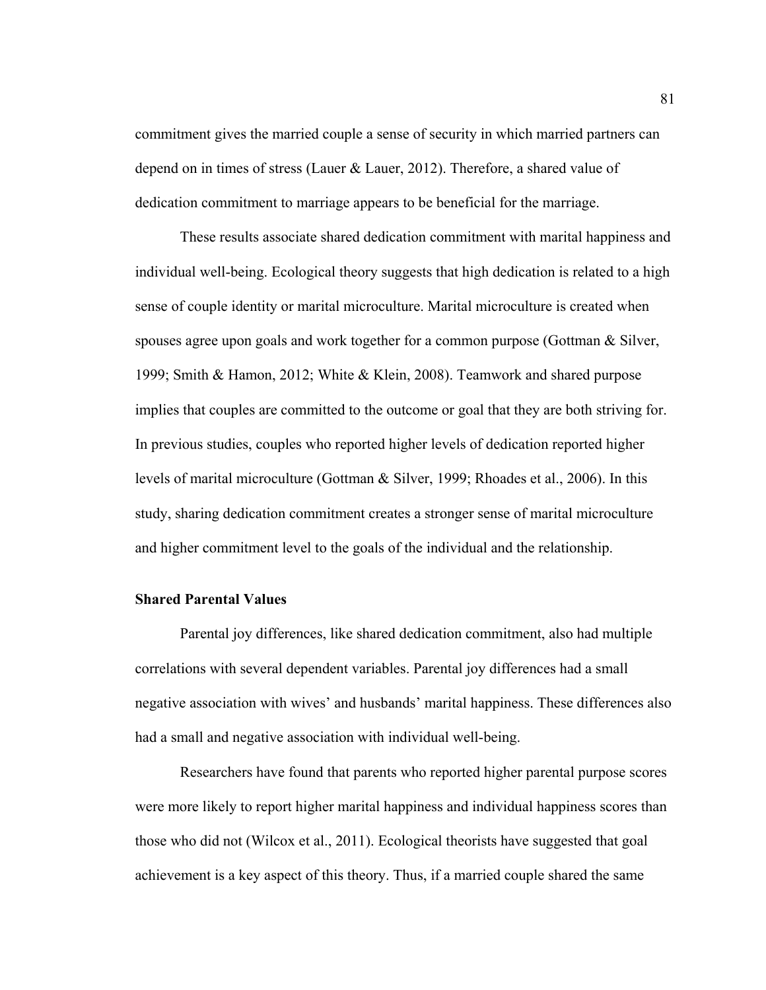commitment gives the married couple a sense of security in which married partners can depend on in times of stress (Lauer & Lauer, 2012). Therefore, a shared value of dedication commitment to marriage appears to be beneficial for the marriage.

These results associate shared dedication commitment with marital happiness and individual well-being. Ecological theory suggests that high dedication is related to a high sense of couple identity or marital microculture. Marital microculture is created when spouses agree upon goals and work together for a common purpose (Gottman & Silver, 1999; Smith & Hamon, 2012; White & Klein, 2008). Teamwork and shared purpose implies that couples are committed to the outcome or goal that they are both striving for. In previous studies, couples who reported higher levels of dedication reported higher levels of marital microculture (Gottman & Silver, 1999; Rhoades et al., 2006). In this study, sharing dedication commitment creates a stronger sense of marital microculture and higher commitment level to the goals of the individual and the relationship.

## **Shared Parental Values**

Parental joy differences, like shared dedication commitment, also had multiple correlations with several dependent variables. Parental joy differences had a small negative association with wives' and husbands' marital happiness. These differences also had a small and negative association with individual well-being.

 Researchers have found that parents who reported higher parental purpose scores were more likely to report higher marital happiness and individual happiness scores than those who did not (Wilcox et al., 2011). Ecological theorists have suggested that goal achievement is a key aspect of this theory. Thus, if a married couple shared the same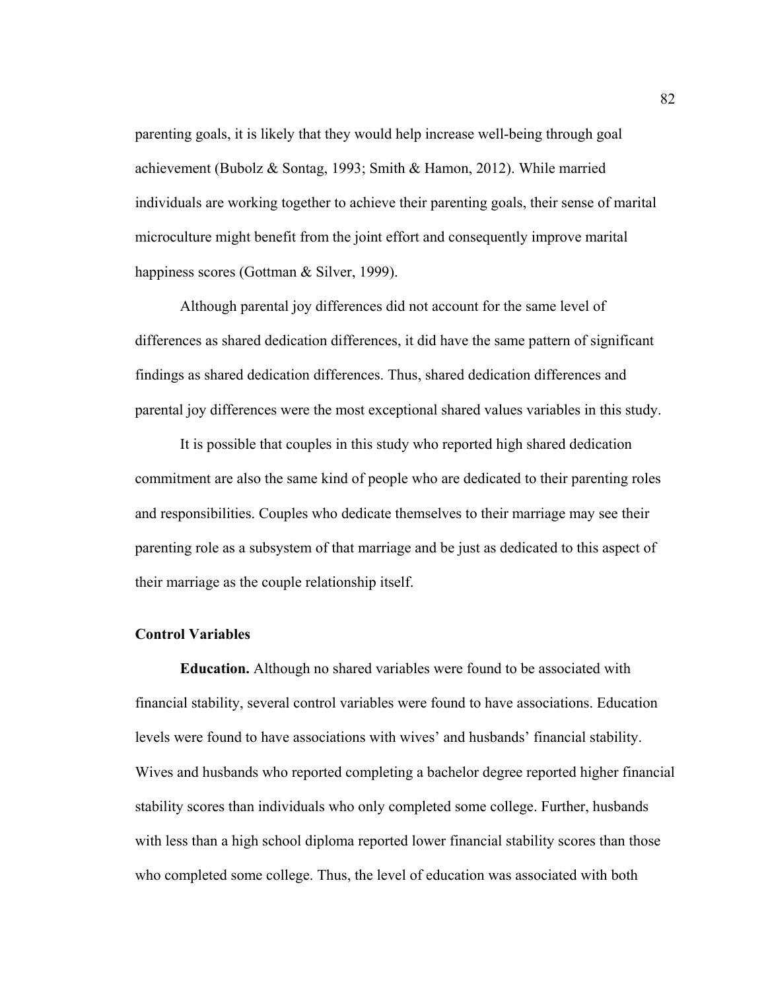parenting goals, it is likely that they would help increase well-being through goal achievement (Bubolz & Sontag, 1993; Smith & Hamon, 2012). While married individuals are working together to achieve their parenting goals, their sense of marital microculture might benefit from the joint effort and consequently improve marital happiness scores (Gottman & Silver, 1999).

Although parental joy differences did not account for the same level of differences as shared dedication differences, it did have the same pattern of significant findings as shared dedication differences. Thus, shared dedication differences and parental joy differences were the most exceptional shared values variables in this study.

It is possible that couples in this study who reported high shared dedication commitment are also the same kind of people who are dedicated to their parenting roles and responsibilities. Couples who dedicate themselves to their marriage may see their parenting role as a subsystem of that marriage and be just as dedicated to this aspect of their marriage as the couple relationship itself.

## **Control Variables**

**Education.** Although no shared variables were found to be associated with financial stability, several control variables were found to have associations. Education levels were found to have associations with wives' and husbands' financial stability. Wives and husbands who reported completing a bachelor degree reported higher financial stability scores than individuals who only completed some college. Further, husbands with less than a high school diploma reported lower financial stability scores than those who completed some college. Thus, the level of education was associated with both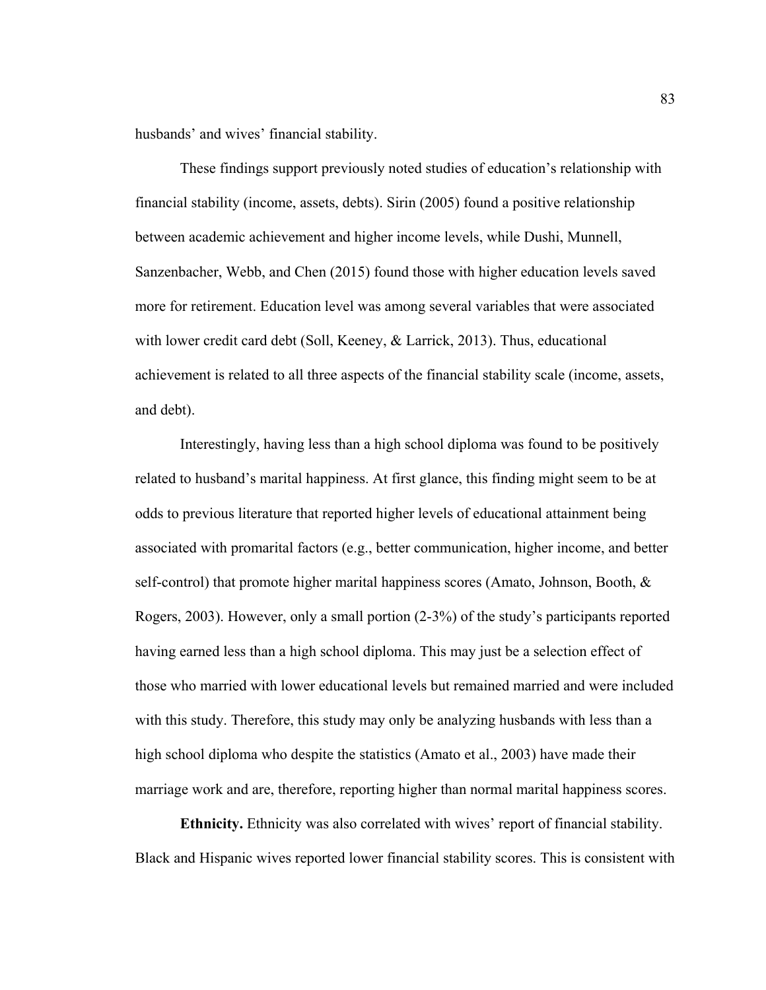husbands' and wives' financial stability.

These findings support previously noted studies of education's relationship with financial stability (income, assets, debts). Sirin (2005) found a positive relationship between academic achievement and higher income levels, while Dushi, Munnell, Sanzenbacher, Webb, and Chen (2015) found those with higher education levels saved more for retirement. Education level was among several variables that were associated with lower credit card debt (Soll, Keeney, & Larrick, 2013). Thus, educational achievement is related to all three aspects of the financial stability scale (income, assets, and debt).

Interestingly, having less than a high school diploma was found to be positively related to husband's marital happiness. At first glance, this finding might seem to be at odds to previous literature that reported higher levels of educational attainment being associated with promarital factors (e.g., better communication, higher income, and better self-control) that promote higher marital happiness scores (Amato, Johnson, Booth, & Rogers, 2003). However, only a small portion (2-3%) of the study's participants reported having earned less than a high school diploma. This may just be a selection effect of those who married with lower educational levels but remained married and were included with this study. Therefore, this study may only be analyzing husbands with less than a high school diploma who despite the statistics (Amato et al., 2003) have made their marriage work and are, therefore, reporting higher than normal marital happiness scores.

**Ethnicity.** Ethnicity was also correlated with wives' report of financial stability. Black and Hispanic wives reported lower financial stability scores. This is consistent with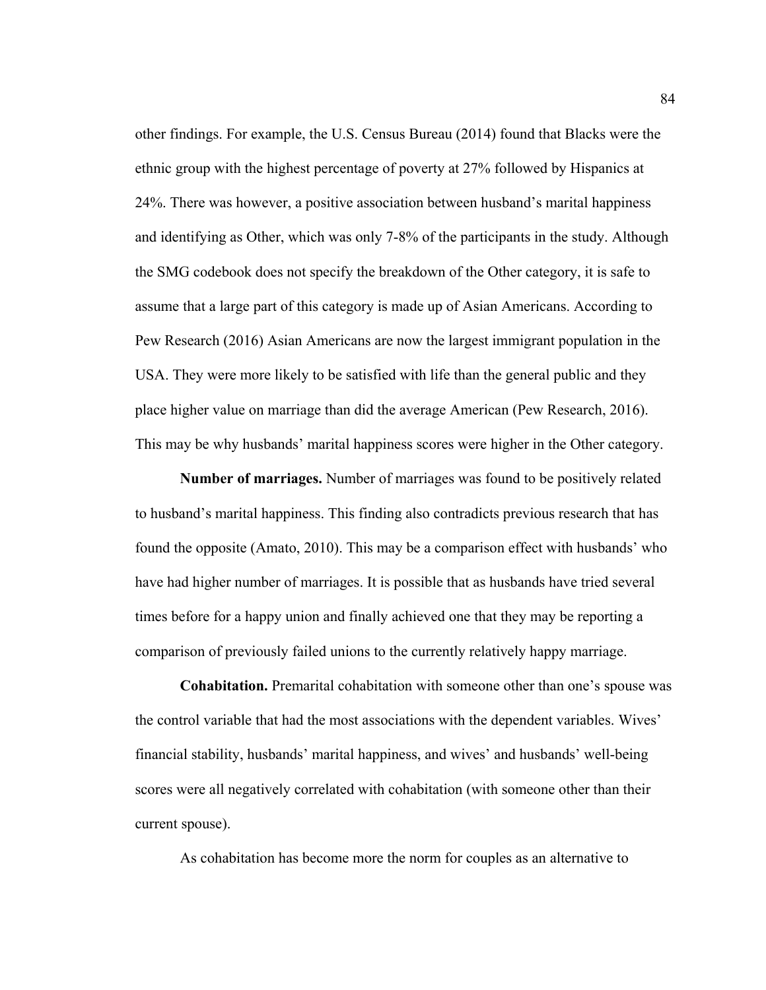other findings. For example, the U.S. Census Bureau (2014) found that Blacks were the ethnic group with the highest percentage of poverty at 27% followed by Hispanics at 24%. There was however, a positive association between husband's marital happiness and identifying as Other, which was only 7-8% of the participants in the study. Although the SMG codebook does not specify the breakdown of the Other category, it is safe to assume that a large part of this category is made up of Asian Americans. According to Pew Research (2016) Asian Americans are now the largest immigrant population in the USA. They were more likely to be satisfied with life than the general public and they place higher value on marriage than did the average American (Pew Research, 2016). This may be why husbands' marital happiness scores were higher in the Other category.

**Number of marriages.** Number of marriages was found to be positively related to husband's marital happiness. This finding also contradicts previous research that has found the opposite (Amato, 2010). This may be a comparison effect with husbands' who have had higher number of marriages. It is possible that as husbands have tried several times before for a happy union and finally achieved one that they may be reporting a comparison of previously failed unions to the currently relatively happy marriage.

**Cohabitation.** Premarital cohabitation with someone other than one's spouse was the control variable that had the most associations with the dependent variables. Wives' financial stability, husbands' marital happiness, and wives' and husbands' well-being scores were all negatively correlated with cohabitation (with someone other than their current spouse).

As cohabitation has become more the norm for couples as an alternative to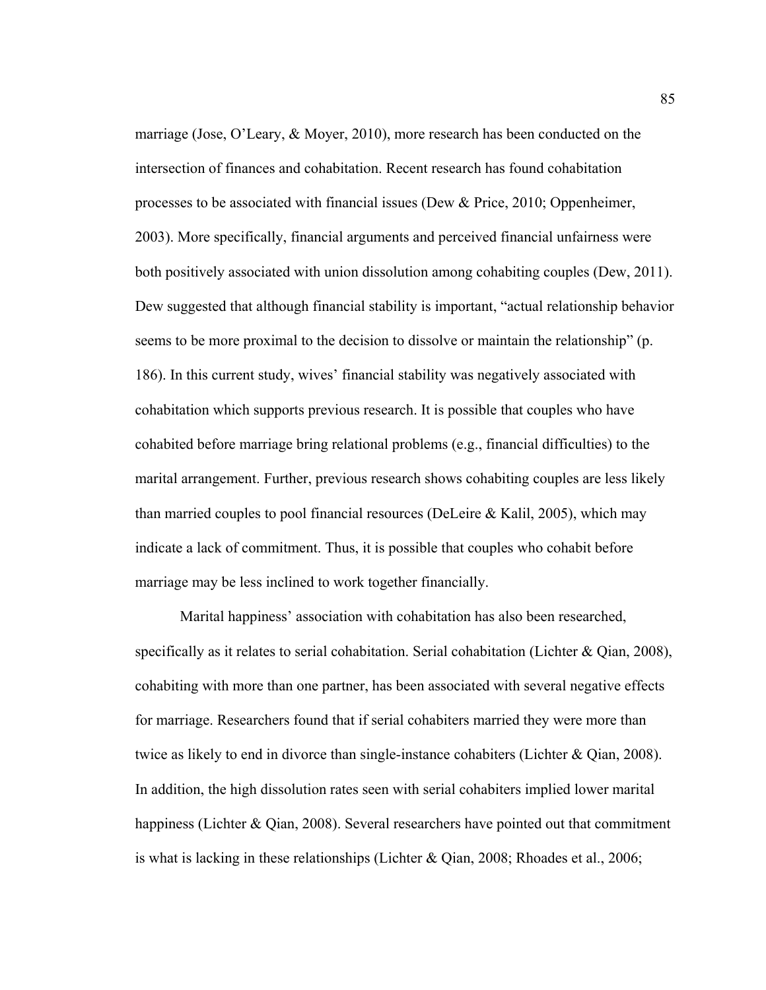marriage (Jose, O'Leary, & Moyer, 2010), more research has been conducted on the intersection of finances and cohabitation. Recent research has found cohabitation processes to be associated with financial issues (Dew & Price, 2010; Oppenheimer, 2003). More specifically, financial arguments and perceived financial unfairness were both positively associated with union dissolution among cohabiting couples (Dew, 2011). Dew suggested that although financial stability is important, "actual relationship behavior seems to be more proximal to the decision to dissolve or maintain the relationship" (p. 186). In this current study, wives' financial stability was negatively associated with cohabitation which supports previous research. It is possible that couples who have cohabited before marriage bring relational problems (e.g., financial difficulties) to the marital arrangement. Further, previous research shows cohabiting couples are less likely than married couples to pool financial resources (DeLeire  $\&$  Kalil, 2005), which may indicate a lack of commitment. Thus, it is possible that couples who cohabit before marriage may be less inclined to work together financially.

Marital happiness' association with cohabitation has also been researched, specifically as it relates to serial cohabitation. Serial cohabitation (Lichter & Qian, 2008), cohabiting with more than one partner, has been associated with several negative effects for marriage. Researchers found that if serial cohabiters married they were more than twice as likely to end in divorce than single-instance cohabiters (Lichter & Qian, 2008). In addition, the high dissolution rates seen with serial cohabiters implied lower marital happiness (Lichter & Qian, 2008). Several researchers have pointed out that commitment is what is lacking in these relationships (Lichter & Qian, 2008; Rhoades et al., 2006;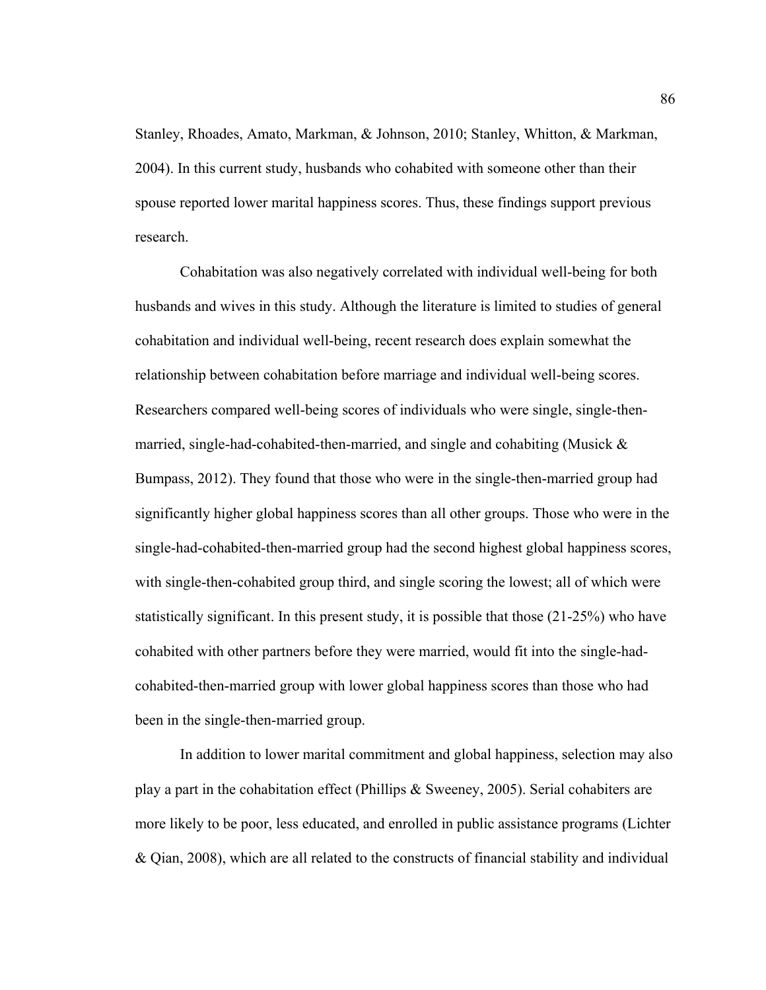Stanley, Rhoades, Amato, Markman, & Johnson, 2010; Stanley, Whitton, & Markman, 2004). In this current study, husbands who cohabited with someone other than their spouse reported lower marital happiness scores. Thus, these findings support previous research.

Cohabitation was also negatively correlated with individual well-being for both husbands and wives in this study. Although the literature is limited to studies of general cohabitation and individual well-being, recent research does explain somewhat the relationship between cohabitation before marriage and individual well-being scores. Researchers compared well-being scores of individuals who were single, single-thenmarried, single-had-cohabited-then-married, and single and cohabiting (Musick & Bumpass, 2012). They found that those who were in the single-then-married group had significantly higher global happiness scores than all other groups. Those who were in the single-had-cohabited-then-married group had the second highest global happiness scores, with single-then-cohabited group third, and single scoring the lowest; all of which were statistically significant. In this present study, it is possible that those (21-25%) who have cohabited with other partners before they were married, would fit into the single-hadcohabited-then-married group with lower global happiness scores than those who had been in the single-then-married group.

In addition to lower marital commitment and global happiness, selection may also play a part in the cohabitation effect (Phillips & Sweeney, 2005). Serial cohabiters are more likely to be poor, less educated, and enrolled in public assistance programs (Lichter & Qian, 2008), which are all related to the constructs of financial stability and individual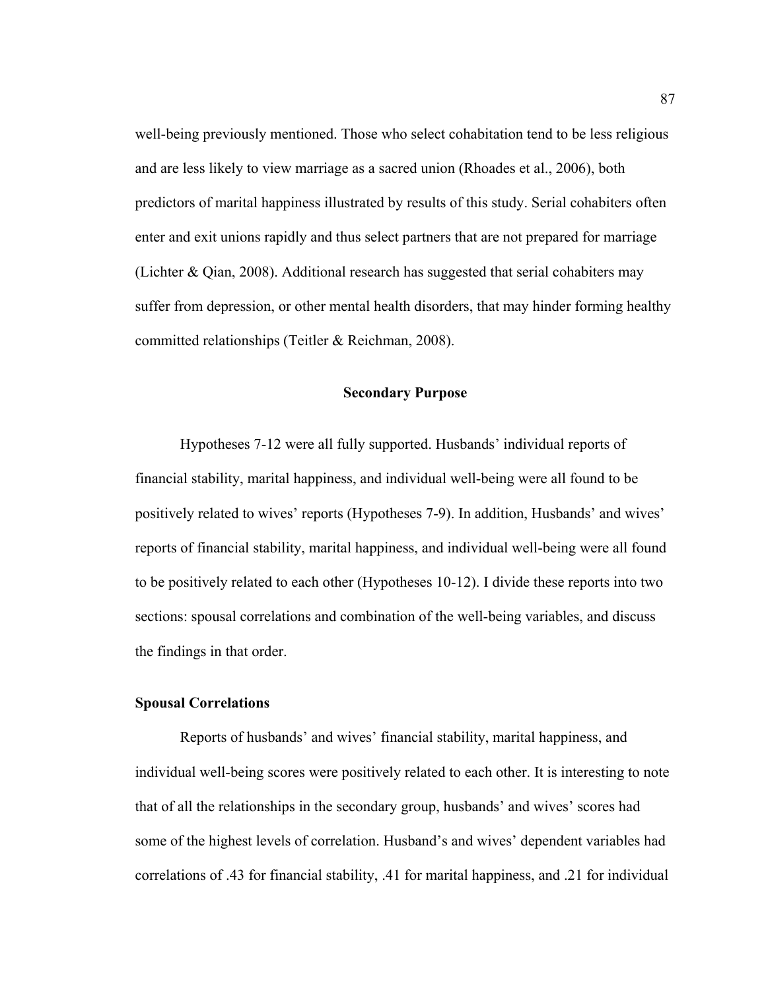well-being previously mentioned. Those who select cohabitation tend to be less religious and are less likely to view marriage as a sacred union (Rhoades et al., 2006), both predictors of marital happiness illustrated by results of this study. Serial cohabiters often enter and exit unions rapidly and thus select partners that are not prepared for marriage (Lichter & Qian, 2008). Additional research has suggested that serial cohabiters may suffer from depression, or other mental health disorders, that may hinder forming healthy committed relationships (Teitler & Reichman, 2008).

## **Secondary Purpose**

Hypotheses 7-12 were all fully supported. Husbands' individual reports of financial stability, marital happiness, and individual well-being were all found to be positively related to wives' reports (Hypotheses 7-9). In addition, Husbands' and wives' reports of financial stability, marital happiness, and individual well-being were all found to be positively related to each other (Hypotheses 10-12). I divide these reports into two sections: spousal correlations and combination of the well-being variables, and discuss the findings in that order.

## **Spousal Correlations**

Reports of husbands' and wives' financial stability, marital happiness, and individual well-being scores were positively related to each other. It is interesting to note that of all the relationships in the secondary group, husbands' and wives' scores had some of the highest levels of correlation. Husband's and wives' dependent variables had correlations of .43 for financial stability, .41 for marital happiness, and .21 for individual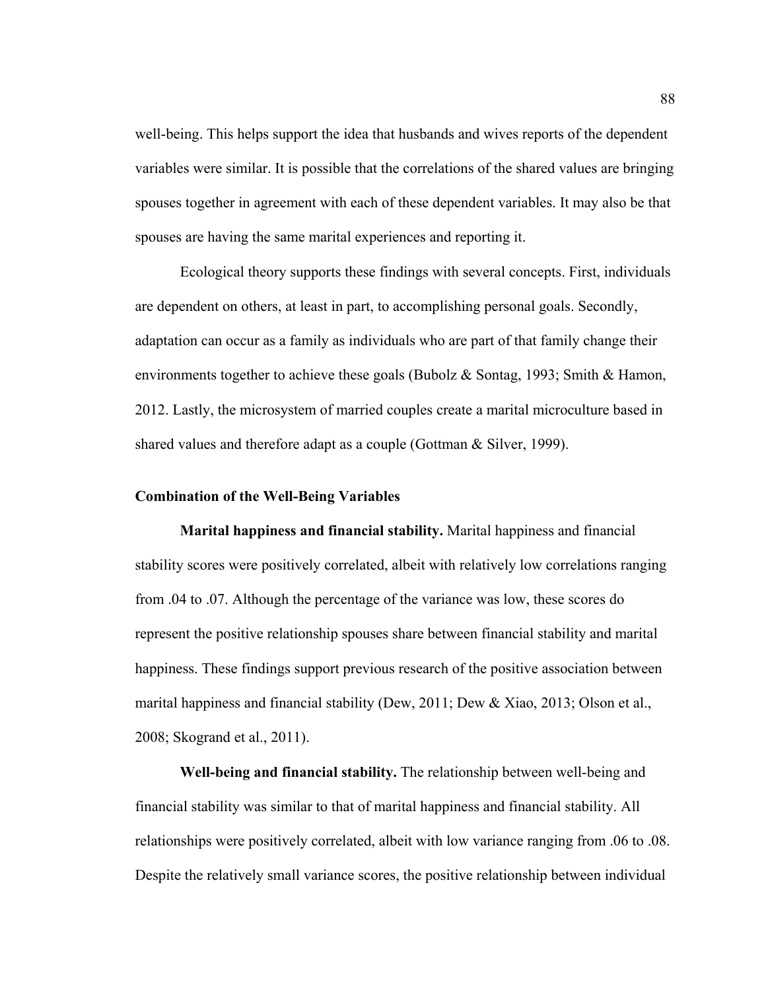well-being. This helps support the idea that husbands and wives reports of the dependent variables were similar. It is possible that the correlations of the shared values are bringing spouses together in agreement with each of these dependent variables. It may also be that spouses are having the same marital experiences and reporting it.

 Ecological theory supports these findings with several concepts. First, individuals are dependent on others, at least in part, to accomplishing personal goals. Secondly, adaptation can occur as a family as individuals who are part of that family change their environments together to achieve these goals (Bubolz & Sontag, 1993; Smith & Hamon, 2012. Lastly, the microsystem of married couples create a marital microculture based in shared values and therefore adapt as a couple (Gottman & Silver, 1999).

### **Combination of the Well-Being Variables**

**Marital happiness and financial stability.** Marital happiness and financial stability scores were positively correlated, albeit with relatively low correlations ranging from .04 to .07. Although the percentage of the variance was low, these scores do represent the positive relationship spouses share between financial stability and marital happiness. These findings support previous research of the positive association between marital happiness and financial stability (Dew, 2011; Dew & Xiao, 2013; Olson et al., 2008; Skogrand et al., 2011).

**Well-being and financial stability.** The relationship between well-being and financial stability was similar to that of marital happiness and financial stability. All relationships were positively correlated, albeit with low variance ranging from .06 to .08. Despite the relatively small variance scores, the positive relationship between individual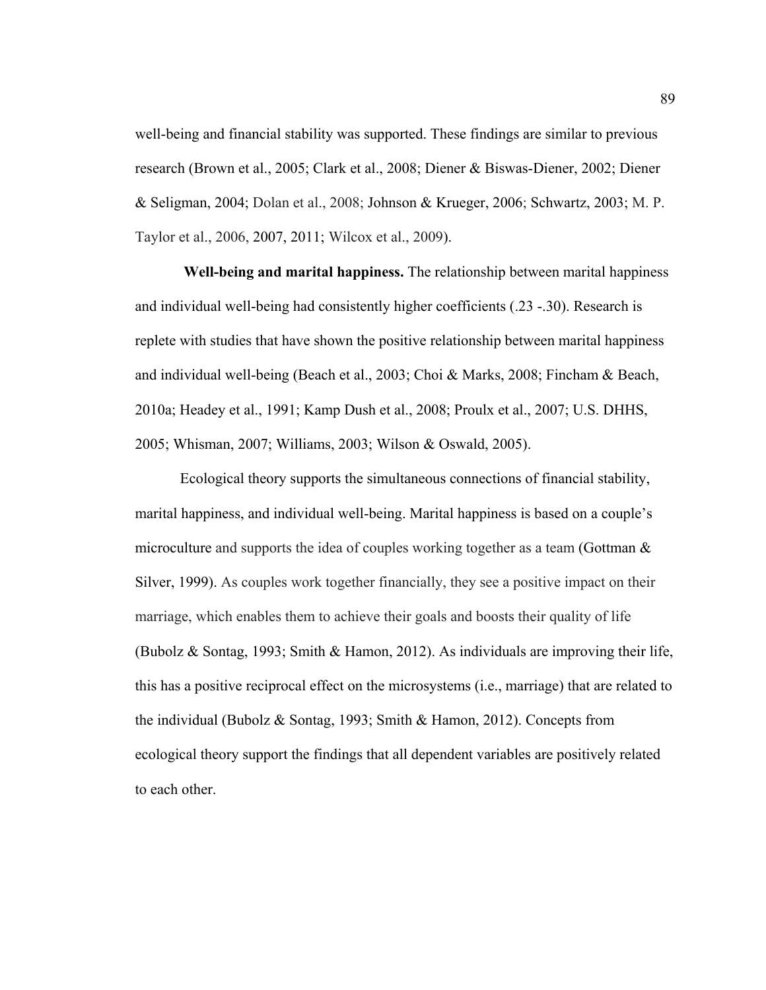well-being and financial stability was supported. These findings are similar to previous research (Brown et al., 2005; Clark et al., 2008; Diener & Biswas-Diener, 2002; Diener & Seligman, 2004; Dolan et al., 2008; Johnson & Krueger, 2006; Schwartz, 2003; M. P. Taylor et al., 2006, 2007, 2011; Wilcox et al., 2009).

**Well-being and marital happiness.** The relationship between marital happiness and individual well-being had consistently higher coefficients (.23 -.30). Research is replete with studies that have shown the positive relationship between marital happiness and individual well-being (Beach et al., 2003; Choi & Marks, 2008; Fincham & Beach, 2010a; Headey et al., 1991; Kamp Dush et al., 2008; Proulx et al., 2007; U.S. DHHS, 2005; Whisman, 2007; Williams, 2003; Wilson & Oswald, 2005).

 Ecological theory supports the simultaneous connections of financial stability, marital happiness, and individual well-being. Marital happiness is based on a couple's microculture and supports the idea of couples working together as a team (Gottman  $\&$ Silver, 1999). As couples work together financially, they see a positive impact on their marriage, which enables them to achieve their goals and boosts their quality of life (Bubolz & Sontag, 1993; Smith & Hamon, 2012). As individuals are improving their life, this has a positive reciprocal effect on the microsystems (i.e., marriage) that are related to the individual (Bubolz & Sontag, 1993; Smith & Hamon, 2012). Concepts from ecological theory support the findings that all dependent variables are positively related to each other.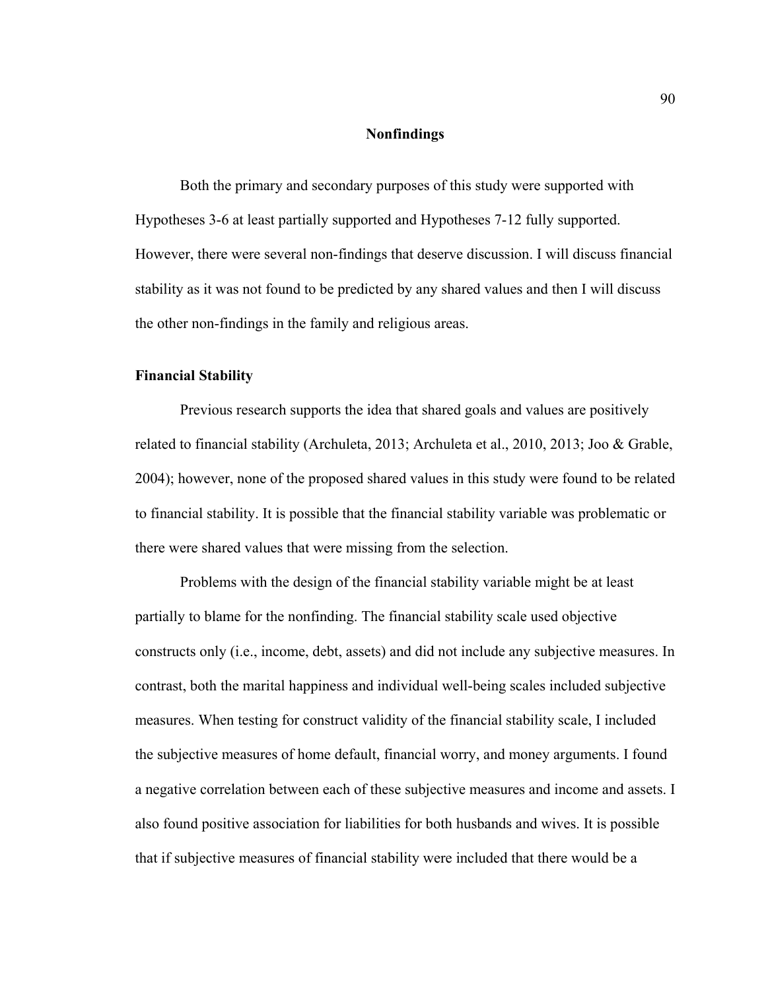## **Nonfindings**

Both the primary and secondary purposes of this study were supported with Hypotheses 3-6 at least partially supported and Hypotheses 7-12 fully supported. However, there were several non-findings that deserve discussion. I will discuss financial stability as it was not found to be predicted by any shared values and then I will discuss the other non-findings in the family and religious areas.

## **Financial Stability**

Previous research supports the idea that shared goals and values are positively related to financial stability (Archuleta, 2013; Archuleta et al., 2010, 2013; Joo & Grable, 2004); however, none of the proposed shared values in this study were found to be related to financial stability. It is possible that the financial stability variable was problematic or there were shared values that were missing from the selection.

Problems with the design of the financial stability variable might be at least partially to blame for the nonfinding. The financial stability scale used objective constructs only (i.e., income, debt, assets) and did not include any subjective measures. In contrast, both the marital happiness and individual well-being scales included subjective measures. When testing for construct validity of the financial stability scale, I included the subjective measures of home default, financial worry, and money arguments. I found a negative correlation between each of these subjective measures and income and assets. I also found positive association for liabilities for both husbands and wives. It is possible that if subjective measures of financial stability were included that there would be a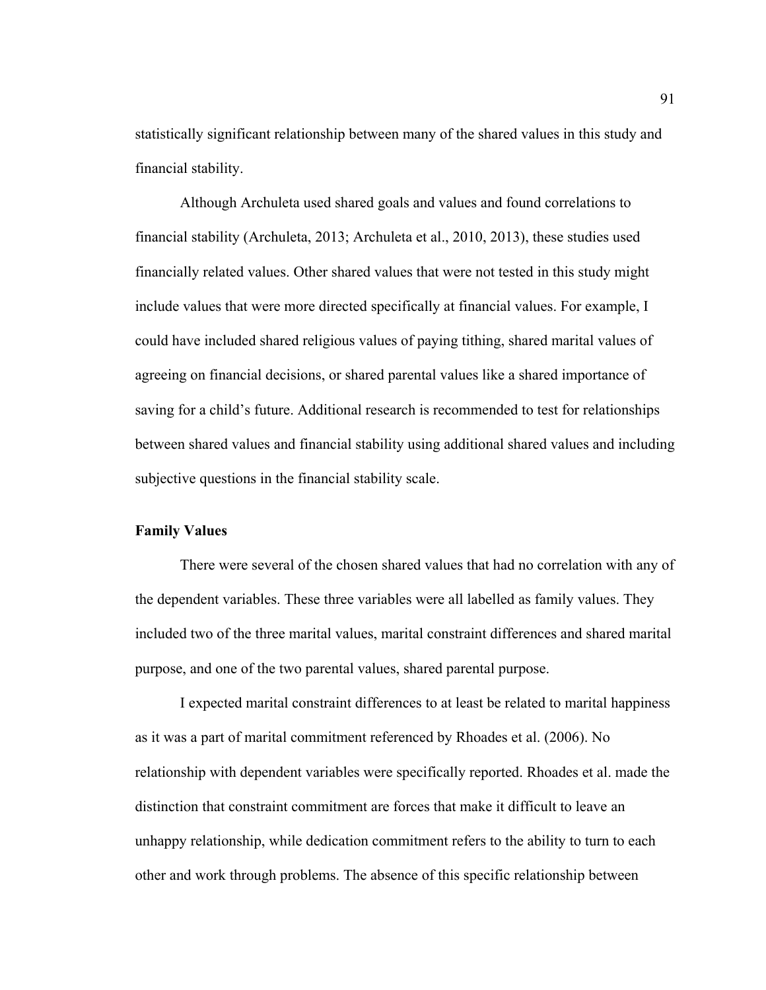statistically significant relationship between many of the shared values in this study and financial stability.

Although Archuleta used shared goals and values and found correlations to financial stability (Archuleta, 2013; Archuleta et al., 2010, 2013), these studies used financially related values. Other shared values that were not tested in this study might include values that were more directed specifically at financial values. For example, I could have included shared religious values of paying tithing, shared marital values of agreeing on financial decisions, or shared parental values like a shared importance of saving for a child's future. Additional research is recommended to test for relationships between shared values and financial stability using additional shared values and including subjective questions in the financial stability scale.

## **Family Values**

There were several of the chosen shared values that had no correlation with any of the dependent variables. These three variables were all labelled as family values. They included two of the three marital values, marital constraint differences and shared marital purpose, and one of the two parental values, shared parental purpose.

I expected marital constraint differences to at least be related to marital happiness as it was a part of marital commitment referenced by Rhoades et al. (2006). No relationship with dependent variables were specifically reported. Rhoades et al. made the distinction that constraint commitment are forces that make it difficult to leave an unhappy relationship, while dedication commitment refers to the ability to turn to each other and work through problems. The absence of this specific relationship between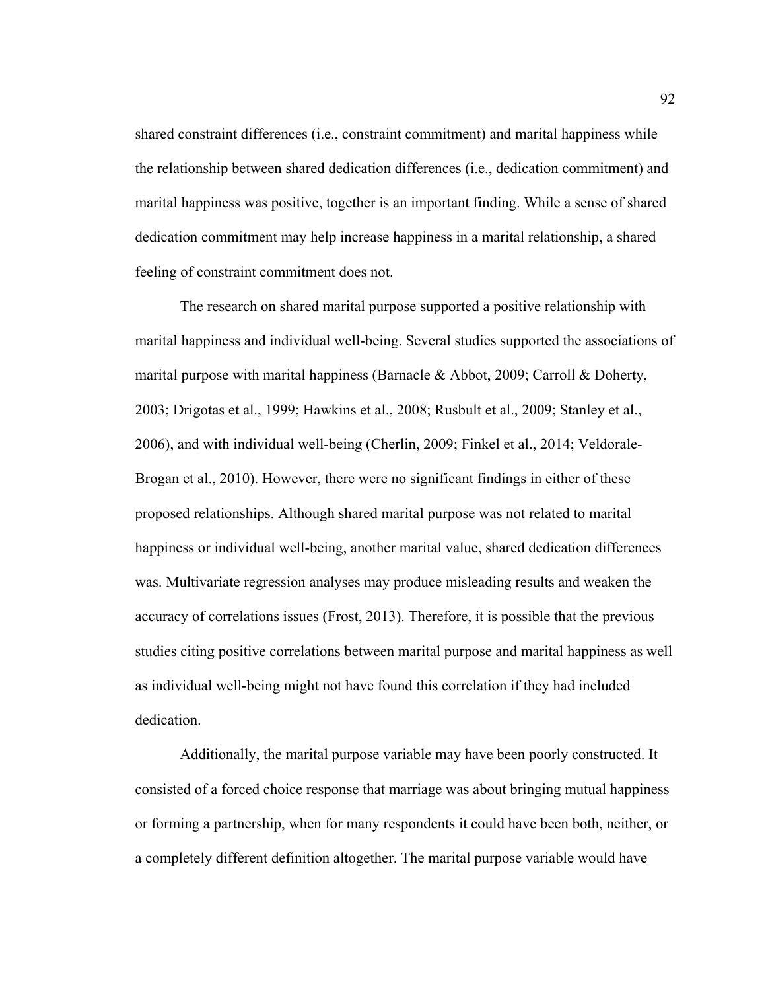shared constraint differences (i.e., constraint commitment) and marital happiness while the relationship between shared dedication differences (i.e., dedication commitment) and marital happiness was positive, together is an important finding. While a sense of shared dedication commitment may help increase happiness in a marital relationship, a shared feeling of constraint commitment does not.

The research on shared marital purpose supported a positive relationship with marital happiness and individual well-being. Several studies supported the associations of marital purpose with marital happiness (Barnacle & Abbot, 2009; Carroll & Doherty, 2003; Drigotas et al., 1999; Hawkins et al., 2008; Rusbult et al., 2009; Stanley et al., 2006), and with individual well-being (Cherlin, 2009; Finkel et al., 2014; Veldorale-Brogan et al., 2010). However, there were no significant findings in either of these proposed relationships. Although shared marital purpose was not related to marital happiness or individual well-being, another marital value, shared dedication differences was. Multivariate regression analyses may produce misleading results and weaken the accuracy of correlations issues (Frost, 2013). Therefore, it is possible that the previous studies citing positive correlations between marital purpose and marital happiness as well as individual well-being might not have found this correlation if they had included dedication.

Additionally, the marital purpose variable may have been poorly constructed. It consisted of a forced choice response that marriage was about bringing mutual happiness or forming a partnership, when for many respondents it could have been both, neither, or a completely different definition altogether. The marital purpose variable would have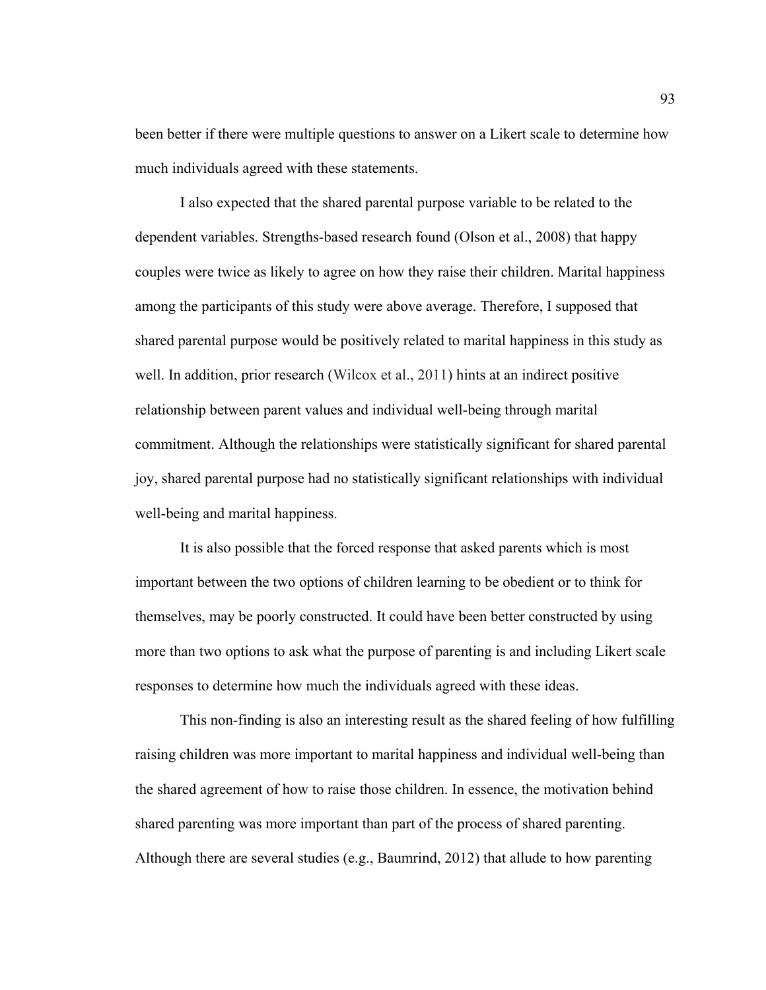been better if there were multiple questions to answer on a Likert scale to determine how much individuals agreed with these statements.

I also expected that the shared parental purpose variable to be related to the dependent variables. Strengths-based research found (Olson et al., 2008) that happy couples were twice as likely to agree on how they raise their children. Marital happiness among the participants of this study were above average. Therefore, I supposed that shared parental purpose would be positively related to marital happiness in this study as well. In addition, prior research (Wilcox et al., 2011) hints at an indirect positive relationship between parent values and individual well-being through marital commitment. Although the relationships were statistically significant for shared parental joy, shared parental purpose had no statistically significant relationships with individual well-being and marital happiness.

It is also possible that the forced response that asked parents which is most important between the two options of children learning to be obedient or to think for themselves, may be poorly constructed. It could have been better constructed by using more than two options to ask what the purpose of parenting is and including Likert scale responses to determine how much the individuals agreed with these ideas.

This non-finding is also an interesting result as the shared feeling of how fulfilling raising children was more important to marital happiness and individual well-being than the shared agreement of how to raise those children. In essence, the motivation behind shared parenting was more important than part of the process of shared parenting. Although there are several studies (e.g., Baumrind, 2012) that allude to how parenting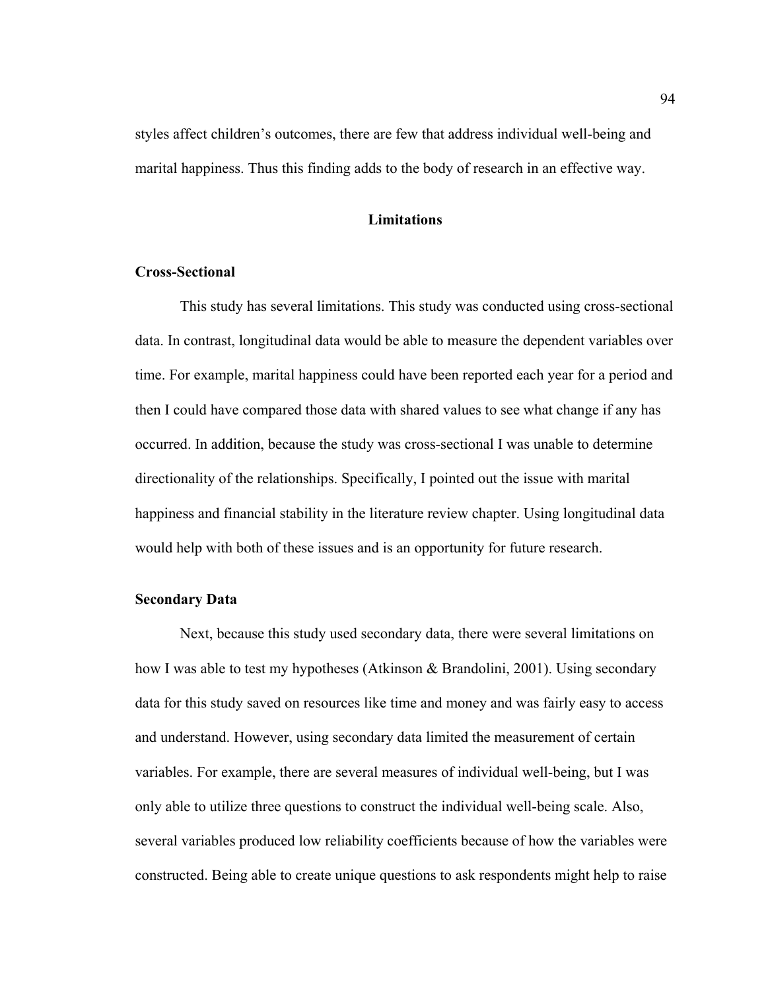styles affect children's outcomes, there are few that address individual well-being and marital happiness. Thus this finding adds to the body of research in an effective way.

## **Limitations**

## **Cross-Sectional**

This study has several limitations. This study was conducted using cross-sectional data. In contrast, longitudinal data would be able to measure the dependent variables over time. For example, marital happiness could have been reported each year for a period and then I could have compared those data with shared values to see what change if any has occurred. In addition, because the study was cross-sectional I was unable to determine directionality of the relationships. Specifically, I pointed out the issue with marital happiness and financial stability in the literature review chapter. Using longitudinal data would help with both of these issues and is an opportunity for future research.

## **Secondary Data**

Next, because this study used secondary data, there were several limitations on how I was able to test my hypotheses (Atkinson & Brandolini, 2001). Using secondary data for this study saved on resources like time and money and was fairly easy to access and understand. However, using secondary data limited the measurement of certain variables. For example, there are several measures of individual well-being, but I was only able to utilize three questions to construct the individual well-being scale. Also, several variables produced low reliability coefficients because of how the variables were constructed. Being able to create unique questions to ask respondents might help to raise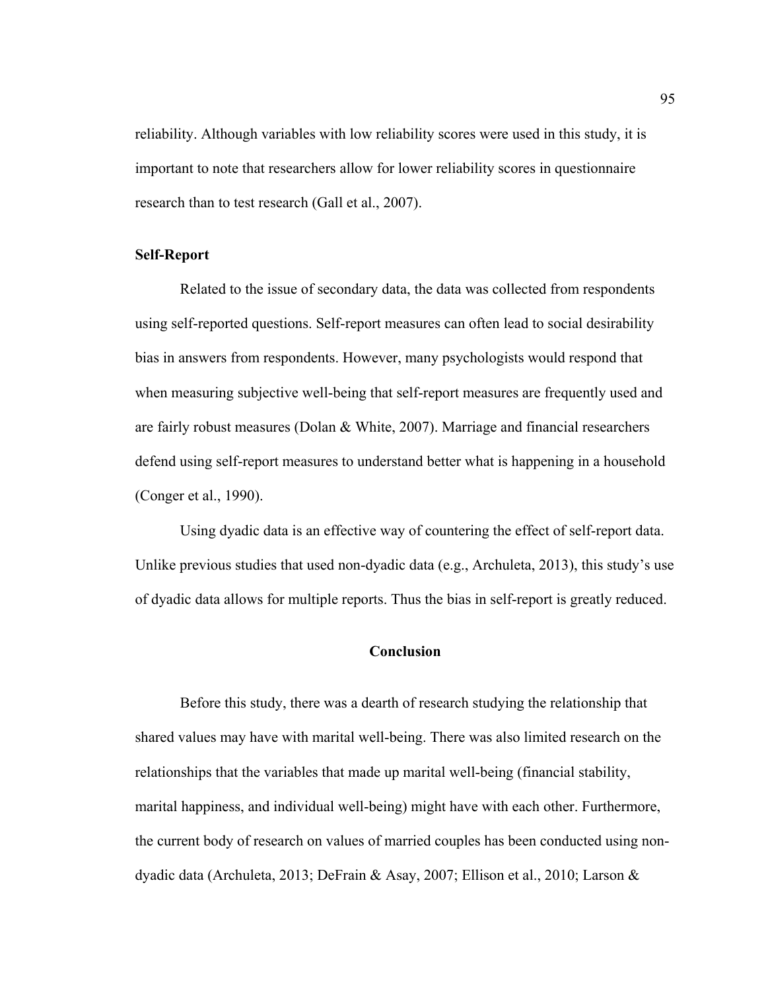reliability. Although variables with low reliability scores were used in this study, it is important to note that researchers allow for lower reliability scores in questionnaire research than to test research (Gall et al., 2007).

## **Self-Report**

Related to the issue of secondary data, the data was collected from respondents using self-reported questions. Self-report measures can often lead to social desirability bias in answers from respondents. However, many psychologists would respond that when measuring subjective well-being that self-report measures are frequently used and are fairly robust measures (Dolan & White, 2007). Marriage and financial researchers defend using self-report measures to understand better what is happening in a household (Conger et al., 1990).

 Using dyadic data is an effective way of countering the effect of self-report data. Unlike previous studies that used non-dyadic data (e.g., Archuleta, 2013), this study's use of dyadic data allows for multiple reports. Thus the bias in self-report is greatly reduced.

### **Conclusion**

Before this study, there was a dearth of research studying the relationship that shared values may have with marital well-being. There was also limited research on the relationships that the variables that made up marital well-being (financial stability, marital happiness, and individual well-being) might have with each other. Furthermore, the current body of research on values of married couples has been conducted using nondyadic data (Archuleta, 2013; DeFrain & Asay, 2007; Ellison et al., 2010; Larson &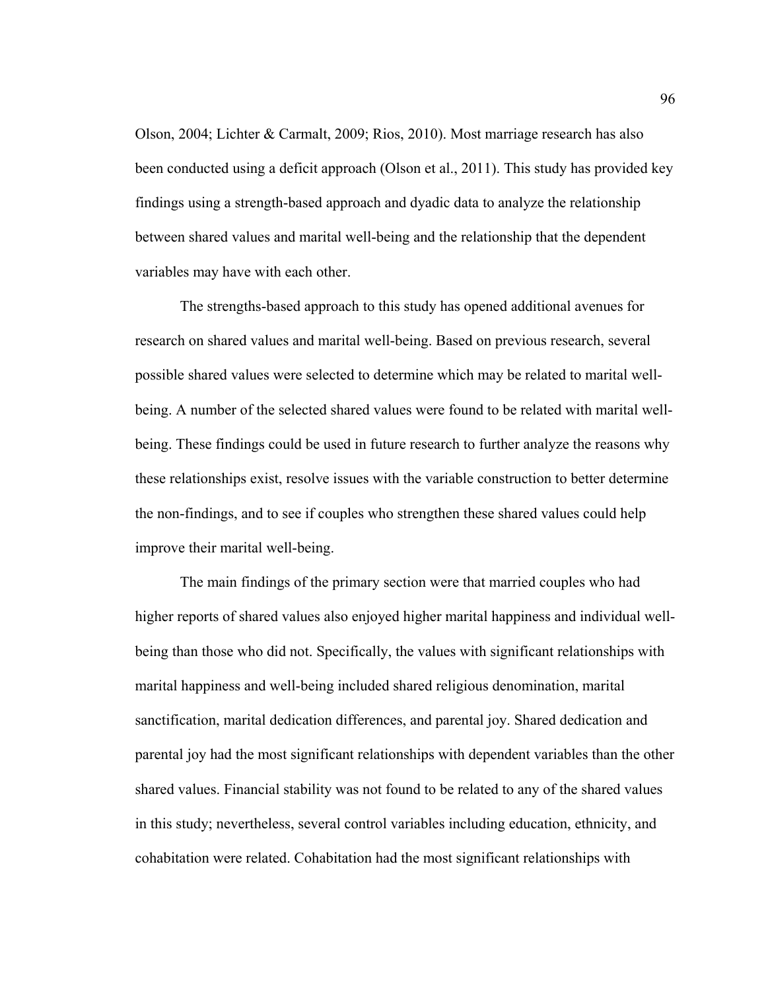Olson, 2004; Lichter & Carmalt, 2009; Rios, 2010). Most marriage research has also been conducted using a deficit approach (Olson et al., 2011). This study has provided key findings using a strength-based approach and dyadic data to analyze the relationship between shared values and marital well-being and the relationship that the dependent variables may have with each other.

The strengths-based approach to this study has opened additional avenues for research on shared values and marital well-being. Based on previous research, several possible shared values were selected to determine which may be related to marital wellbeing. A number of the selected shared values were found to be related with marital wellbeing. These findings could be used in future research to further analyze the reasons why these relationships exist, resolve issues with the variable construction to better determine the non-findings, and to see if couples who strengthen these shared values could help improve their marital well-being.

The main findings of the primary section were that married couples who had higher reports of shared values also enjoyed higher marital happiness and individual wellbeing than those who did not. Specifically, the values with significant relationships with marital happiness and well-being included shared religious denomination, marital sanctification, marital dedication differences, and parental joy. Shared dedication and parental joy had the most significant relationships with dependent variables than the other shared values. Financial stability was not found to be related to any of the shared values in this study; nevertheless, several control variables including education, ethnicity, and cohabitation were related. Cohabitation had the most significant relationships with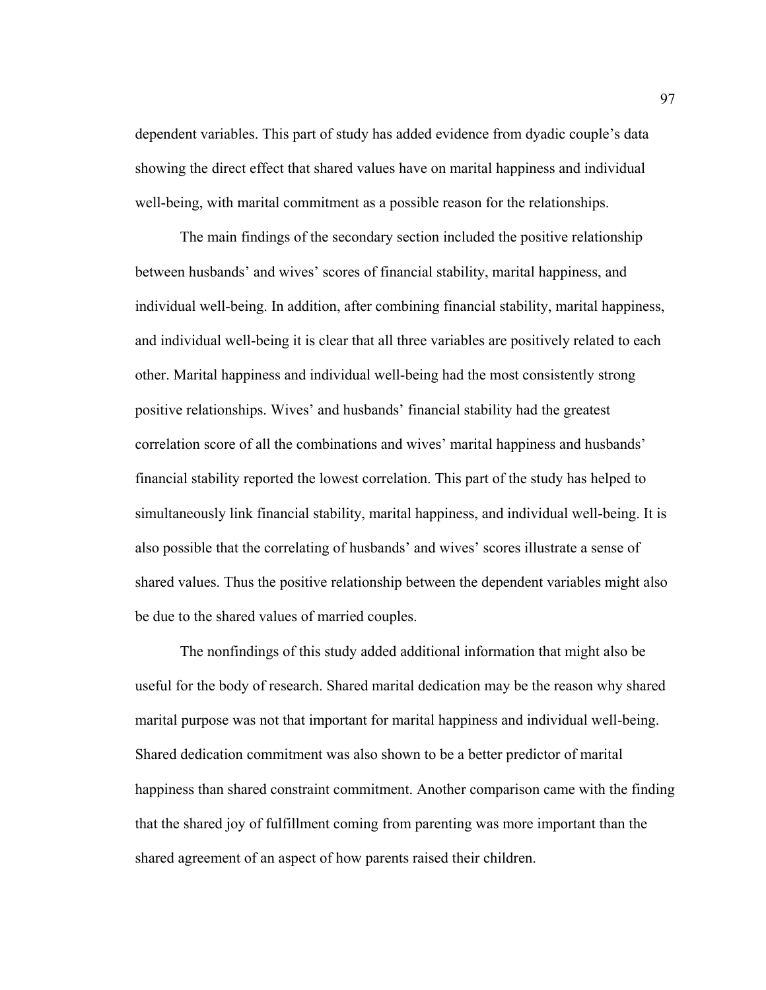dependent variables. This part of study has added evidence from dyadic couple's data showing the direct effect that shared values have on marital happiness and individual well-being, with marital commitment as a possible reason for the relationships.

The main findings of the secondary section included the positive relationship between husbands' and wives' scores of financial stability, marital happiness, and individual well-being. In addition, after combining financial stability, marital happiness, and individual well-being it is clear that all three variables are positively related to each other. Marital happiness and individual well-being had the most consistently strong positive relationships. Wives' and husbands' financial stability had the greatest correlation score of all the combinations and wives' marital happiness and husbands' financial stability reported the lowest correlation. This part of the study has helped to simultaneously link financial stability, marital happiness, and individual well-being. It is also possible that the correlating of husbands' and wives' scores illustrate a sense of shared values. Thus the positive relationship between the dependent variables might also be due to the shared values of married couples.

The nonfindings of this study added additional information that might also be useful for the body of research. Shared marital dedication may be the reason why shared marital purpose was not that important for marital happiness and individual well-being. Shared dedication commitment was also shown to be a better predictor of marital happiness than shared constraint commitment. Another comparison came with the finding that the shared joy of fulfillment coming from parenting was more important than the shared agreement of an aspect of how parents raised their children.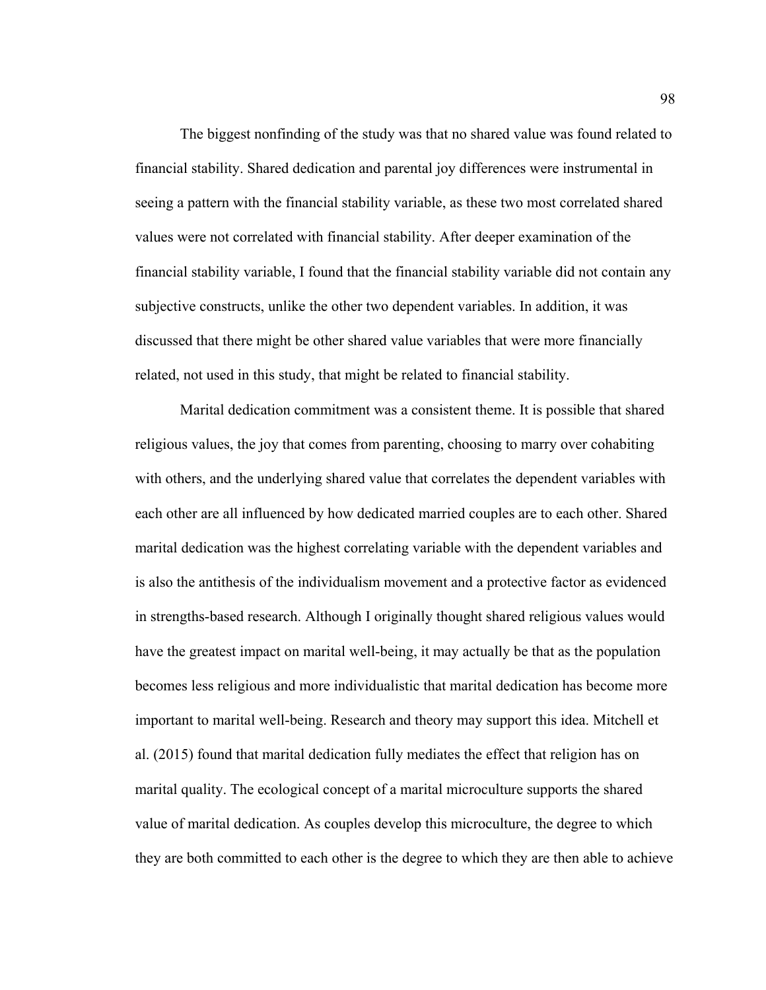The biggest nonfinding of the study was that no shared value was found related to financial stability. Shared dedication and parental joy differences were instrumental in seeing a pattern with the financial stability variable, as these two most correlated shared values were not correlated with financial stability. After deeper examination of the financial stability variable, I found that the financial stability variable did not contain any subjective constructs, unlike the other two dependent variables. In addition, it was discussed that there might be other shared value variables that were more financially related, not used in this study, that might be related to financial stability.

Marital dedication commitment was a consistent theme. It is possible that shared religious values, the joy that comes from parenting, choosing to marry over cohabiting with others, and the underlying shared value that correlates the dependent variables with each other are all influenced by how dedicated married couples are to each other. Shared marital dedication was the highest correlating variable with the dependent variables and is also the antithesis of the individualism movement and a protective factor as evidenced in strengths-based research. Although I originally thought shared religious values would have the greatest impact on marital well-being, it may actually be that as the population becomes less religious and more individualistic that marital dedication has become more important to marital well-being. Research and theory may support this idea. Mitchell et al. (2015) found that marital dedication fully mediates the effect that religion has on marital quality. The ecological concept of a marital microculture supports the shared value of marital dedication. As couples develop this microculture, the degree to which they are both committed to each other is the degree to which they are then able to achieve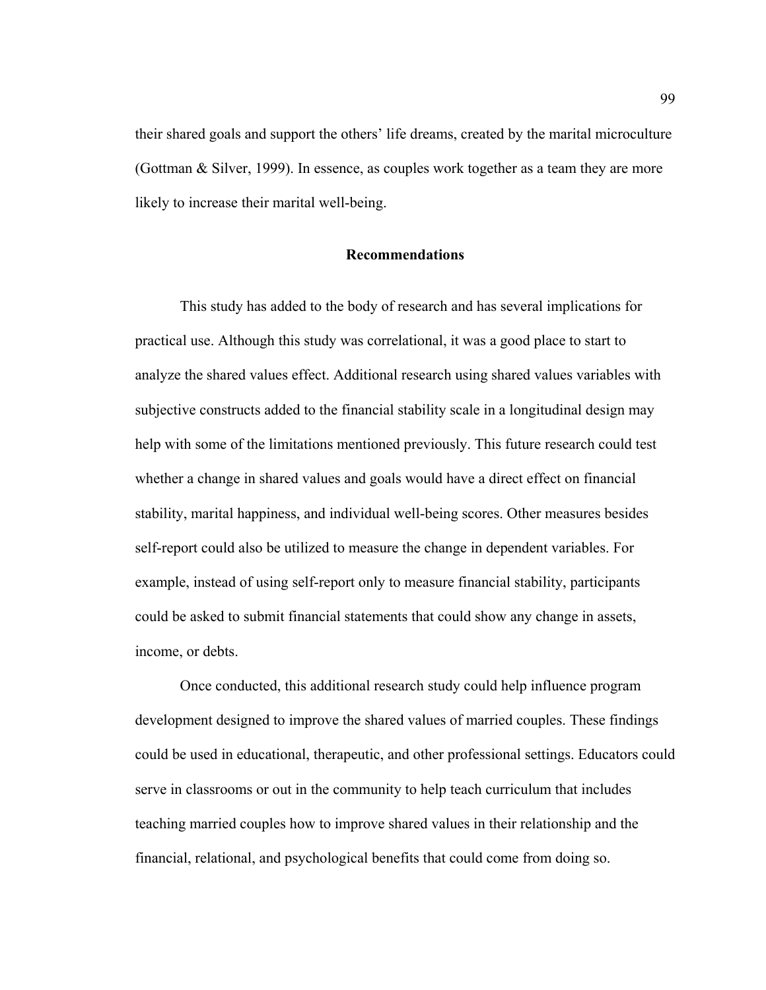their shared goals and support the others' life dreams, created by the marital microculture (Gottman & Silver, 1999). In essence, as couples work together as a team they are more likely to increase their marital well-being.

#### **Recommendations**

This study has added to the body of research and has several implications for practical use. Although this study was correlational, it was a good place to start to analyze the shared values effect. Additional research using shared values variables with subjective constructs added to the financial stability scale in a longitudinal design may help with some of the limitations mentioned previously. This future research could test whether a change in shared values and goals would have a direct effect on financial stability, marital happiness, and individual well-being scores. Other measures besides self-report could also be utilized to measure the change in dependent variables. For example, instead of using self-report only to measure financial stability, participants could be asked to submit financial statements that could show any change in assets, income, or debts.

Once conducted, this additional research study could help influence program development designed to improve the shared values of married couples. These findings could be used in educational, therapeutic, and other professional settings. Educators could serve in classrooms or out in the community to help teach curriculum that includes teaching married couples how to improve shared values in their relationship and the financial, relational, and psychological benefits that could come from doing so.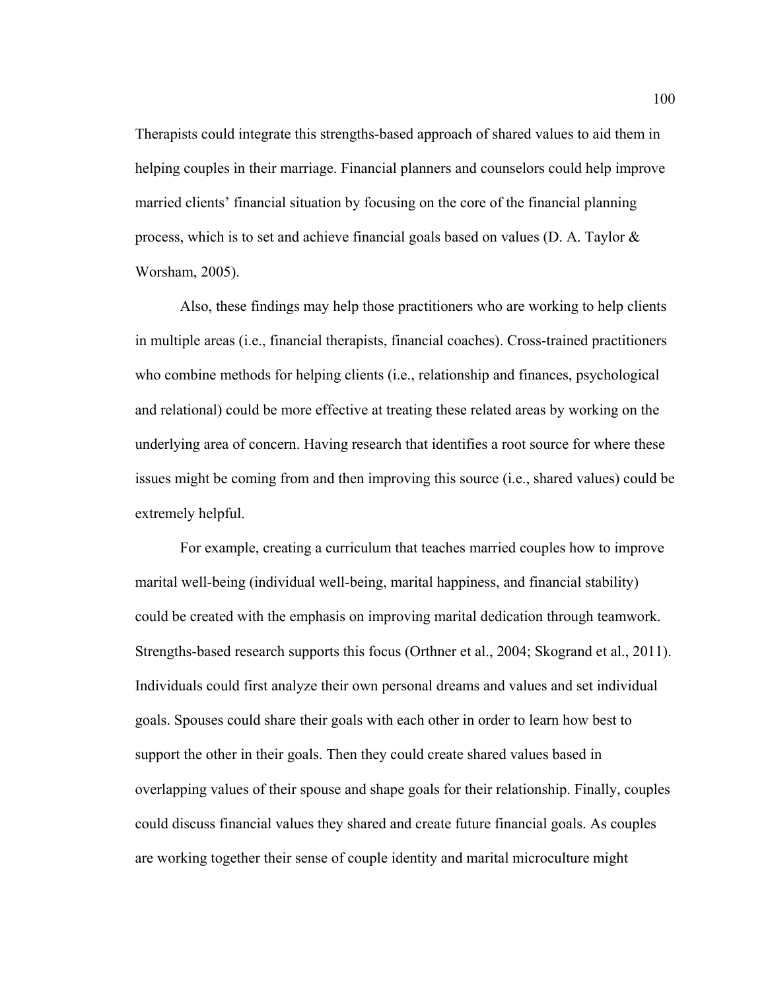Therapists could integrate this strengths-based approach of shared values to aid them in helping couples in their marriage. Financial planners and counselors could help improve married clients' financial situation by focusing on the core of the financial planning process, which is to set and achieve financial goals based on values (D. A. Taylor & Worsham, 2005).

Also, these findings may help those practitioners who are working to help clients in multiple areas (i.e., financial therapists, financial coaches). Cross-trained practitioners who combine methods for helping clients (i.e., relationship and finances, psychological and relational) could be more effective at treating these related areas by working on the underlying area of concern. Having research that identifies a root source for where these issues might be coming from and then improving this source (i.e., shared values) could be extremely helpful.

For example, creating a curriculum that teaches married couples how to improve marital well-being (individual well-being, marital happiness, and financial stability) could be created with the emphasis on improving marital dedication through teamwork. Strengths-based research supports this focus (Orthner et al., 2004; Skogrand et al., 2011). Individuals could first analyze their own personal dreams and values and set individual goals. Spouses could share their goals with each other in order to learn how best to support the other in their goals. Then they could create shared values based in overlapping values of their spouse and shape goals for their relationship. Finally, couples could discuss financial values they shared and create future financial goals. As couples are working together their sense of couple identity and marital microculture might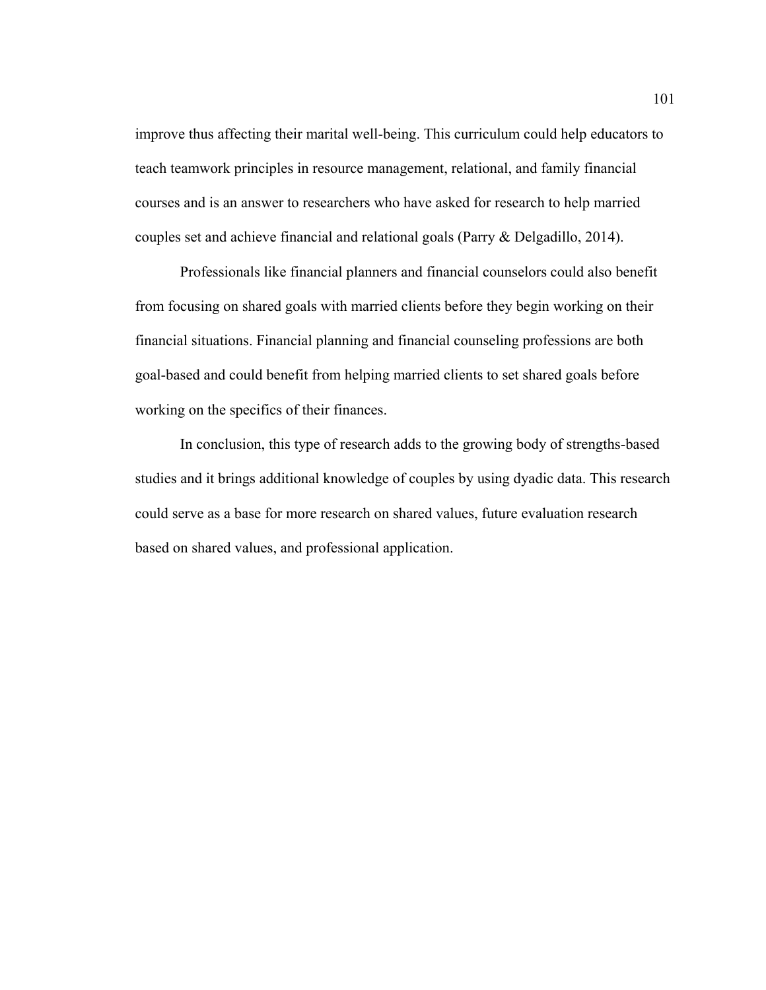improve thus affecting their marital well-being. This curriculum could help educators to teach teamwork principles in resource management, relational, and family financial courses and is an answer to researchers who have asked for research to help married couples set and achieve financial and relational goals (Parry & Delgadillo, 2014).

Professionals like financial planners and financial counselors could also benefit from focusing on shared goals with married clients before they begin working on their financial situations. Financial planning and financial counseling professions are both goal-based and could benefit from helping married clients to set shared goals before working on the specifics of their finances.

In conclusion, this type of research adds to the growing body of strengths-based studies and it brings additional knowledge of couples by using dyadic data. This research could serve as a base for more research on shared values, future evaluation research based on shared values, and professional application.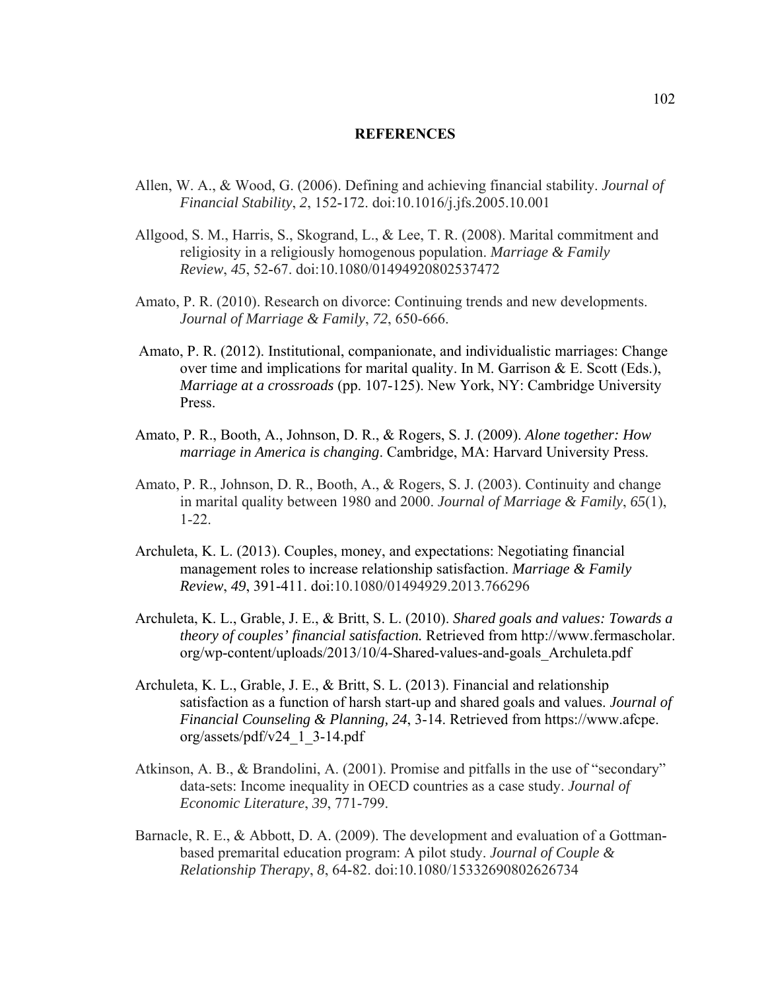#### **REFERENCES**

- Allen, W. A., & Wood, G. (2006). Defining and achieving financial stability. *Journal of Financial Stability*, *2*, 152-172. doi:10.1016/j.jfs.2005.10.001
- Allgood, S. M., Harris, S., Skogrand, L., & Lee, T. R. (2008). Marital commitment and religiosity in a religiously homogenous population. *Marriage & Family Review*, *45*, 52-67. doi:10.1080/01494920802537472
- Amato, P. R. (2010). Research on divorce: Continuing trends and new developments. *Journal of Marriage & Family*, *72*, 650-666.
- Amato, P. R. (2012). Institutional, companionate, and individualistic marriages: Change over time and implications for marital quality. In M. Garrison & E. Scott (Eds.), *Marriage at a crossroads* (pp. 107-125). New York, NY: Cambridge University Press.
- Amato, P. R., Booth, A., Johnson, D. R., & Rogers, S. J. (2009). *Alone together: How marriage in America is changing*. Cambridge, MA: Harvard University Press.
- Amato, P. R., Johnson, D. R., Booth, A., & Rogers, S. J. (2003). Continuity and change in marital quality between 1980 and 2000. *Journal of Marriage & Family*, *65*(1), 1-22.
- Archuleta, K. L. (2013). Couples, money, and expectations: Negotiating financial management roles to increase relationship satisfaction. *Marriage & Family Review*, *49*, 391-411. doi:10.1080/01494929.2013.766296
- Archuleta, K. L., Grable, J. E., & Britt, S. L. (2010). *Shared goals and values: Towards a theory of couples' financial satisfaction.* Retrieved from http://www.fermascholar. org/wp-content/uploads/2013/10/4-Shared-values-and-goals\_Archuleta.pdf
- Archuleta, K. L., Grable, J. E., & Britt, S. L. (2013). Financial and relationship satisfaction as a function of harsh start-up and shared goals and values. *Journal of Financial Counseling & Planning, 24*, 3-14. Retrieved from https://www.afcpe. org/assets/pdf/v24\_1\_3-14.pdf
- Atkinson, A. B., & Brandolini, A. (2001). Promise and pitfalls in the use of "secondary" data-sets: Income inequality in OECD countries as a case study. *Journal of Economic Literature*, *39*, 771-799.
- Barnacle, R. E., & Abbott, D. A. (2009). The development and evaluation of a Gottmanbased premarital education program: A pilot study. *Journal of Couple & Relationship Therapy*, *8*, 64-82. doi:10.1080/15332690802626734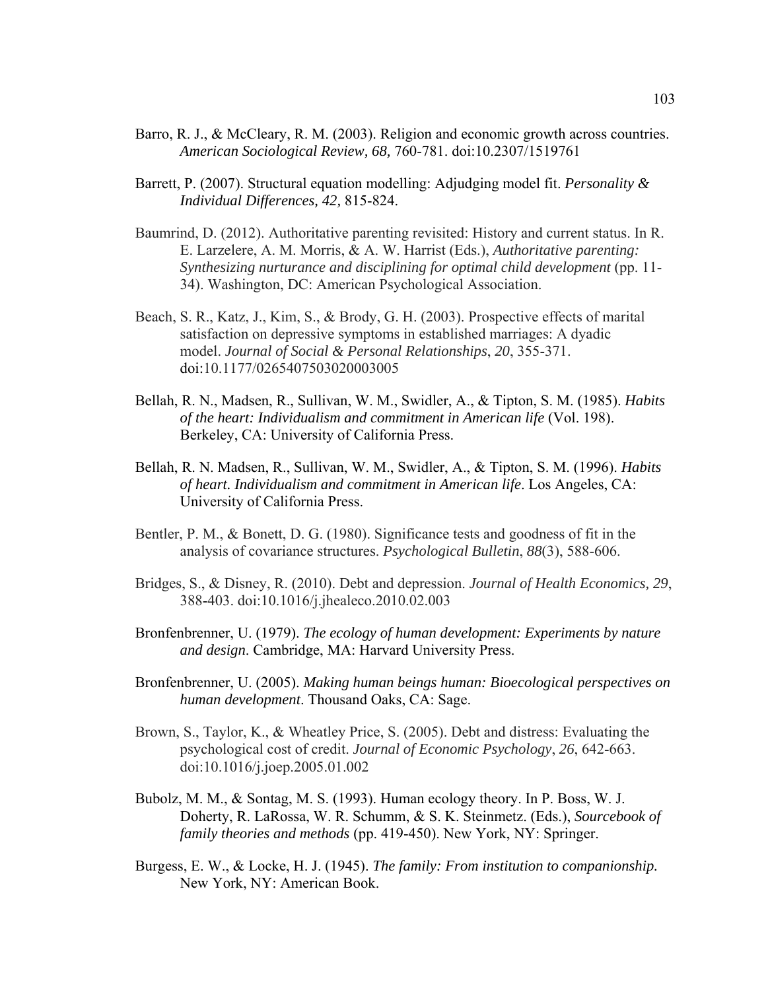- Barro, R. J., & McCleary, R. M. (2003). Religion and economic growth across countries. *American Sociological Review, 68,* 760-781. doi:10.2307/1519761
- Barrett, P. (2007). Structural equation modelling: Adjudging model fit. *Personality & Individual Differences, 42,* 815-824.
- Baumrind, D. (2012). Authoritative parenting revisited: History and current status. In R. E. Larzelere, A. M. Morris, & A. W. Harrist (Eds.), *Authoritative parenting: Synthesizing nurturance and disciplining for optimal child development* (pp. 11- 34). Washington, DC: American Psychological Association.
- Beach, S. R., Katz, J., Kim, S., & Brody, G. H. (2003). Prospective effects of marital satisfaction on depressive symptoms in established marriages: A dyadic model. *Journal of Social & Personal Relationships*, *20*, 355-371. doi:10.1177/0265407503020003005
- Bellah, R. N., Madsen, R., Sullivan, W. M., Swidler, A., & Tipton, S. M. (1985). *Habits of the heart: Individualism and commitment in American life* (Vol. 198). Berkeley, CA: University of California Press.
- Bellah, R. N. Madsen, R., Sullivan, W. M., Swidler, A., & Tipton, S. M. (1996). *Habits of heart. Individualism and commitment in American life*. Los Angeles, CA: University of California Press.
- Bentler, P. M., & Bonett, D. G. (1980). Significance tests and goodness of fit in the analysis of covariance structures. *Psychological Bulletin*, *88*(3), 588-606.
- Bridges, S., & Disney, R. (2010). Debt and depression. *Journal of Health Economics, 29*, 388-403. doi:10.1016/j.jhealeco.2010.02.003
- Bronfenbrenner, U. (1979). *The ecology of human development: Experiments by nature and design*. Cambridge, MA: Harvard University Press.
- Bronfenbrenner, U. (2005). *Making human beings human: Bioecological perspectives on human development*. Thousand Oaks, CA: Sage.
- Brown, S., Taylor, K., & Wheatley Price, S. (2005). Debt and distress: Evaluating the psychological cost of credit. *Journal of Economic Psychology*, *26*, 642-663. doi:10.1016/j.joep.2005.01.002
- Bubolz, M. M., & Sontag, M. S. (1993). Human ecology theory. In P. Boss, W. J. Doherty, R. LaRossa, W. R. Schumm, & S. K. Steinmetz. (Eds.), *Sourcebook of family theories and methods* (pp. 419-450). New York, NY: Springer.
- Burgess, E. W., & Locke, H. J. (1945). *The family: From institution to companionship.* New York, NY: American Book.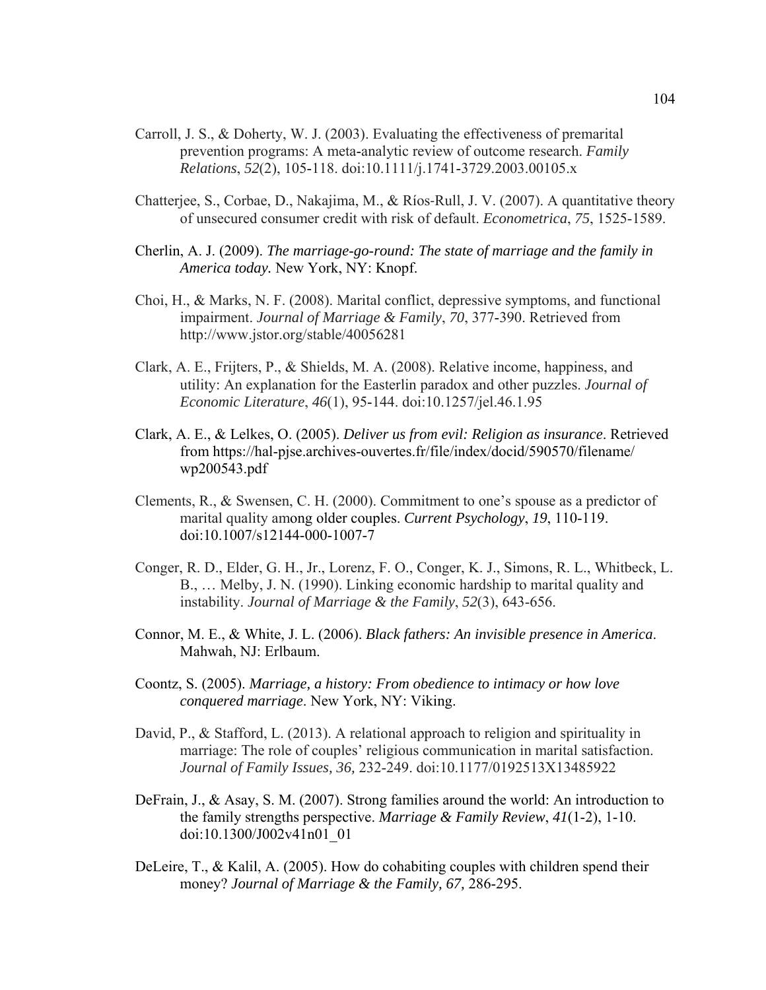- Carroll, J. S., & Doherty, W. J. (2003). Evaluating the effectiveness of premarital prevention programs: A meta-analytic review of outcome research. *Family Relations*, *52*(2), 105-118. doi:10.1111/j.1741-3729.2003.00105.x
- Chatterjee, S., Corbae, D., Nakajima, M., & Ríos‐Rull, J. V. (2007). A quantitative theory of unsecured consumer credit with risk of default. *Econometrica*, *75*, 1525-1589.
- Cherlin, A. J. (2009). *The marriage*-*go*-*round: The state of marriage and the family in America today.* New York, NY: Knopf.
- Choi, H., & Marks, N. F. (2008). Marital conflict, depressive symptoms, and functional impairment. *Journal of Marriage & Family*, *70*, 377-390. Retrieved from http://www.jstor.org/stable/40056281
- Clark, A. E., Frijters, P., & Shields, M. A. (2008). Relative income, happiness, and utility: An explanation for the Easterlin paradox and other puzzles. *Journal of Economic Literature*, *46*(1), 95-144. doi:10.1257/jel.46.1.95
- Clark, A. E., & Lelkes, O. (2005). *Deliver us from evil: Religion as insurance*. Retrieved from https://hal-pjse.archives-ouvertes.fr/file/index/docid/590570/filename/ wp200543.pdf
- Clements, R., & Swensen, C. H. (2000). Commitment to one's spouse as a predictor of marital quality among older couples. *Current Psychology*, *19*, 110-119. doi:10.1007/s12144-000-1007-7
- Conger, R. D., Elder, G. H., Jr., Lorenz, F. O., Conger, K. J., Simons, R. L., Whitbeck, L. B., … Melby, J. N. (1990). Linking economic hardship to marital quality and instability. *Journal of Marriage & the Family*, *52*(3), 643-656.
- Connor, M. E., & White, J. L. (2006). *Black fathers: An invisible presence in America*. Mahwah, NJ: Erlbaum.
- Coontz, S. (2005). *Marriage, a history: From obedience to intimacy or how love conquered marriage*. New York, NY: Viking.
- David, P., & Stafford, L. (2013). A relational approach to religion and spirituality in marriage: The role of couples' religious communication in marital satisfaction. *Journal of Family Issues, 36,* 232-249. doi:10.1177/0192513X13485922
- DeFrain, J., & Asay, S. M. (2007). Strong families around the world: An introduction to the family strengths perspective. *Marriage & Family Review*, *41*(1-2), 1-10. doi:10.1300/J002v41n01\_01
- DeLeire, T., & Kalil, A. (2005). How do cohabiting couples with children spend their money? *Journal of Marriage & the Family, 67,* 286-295.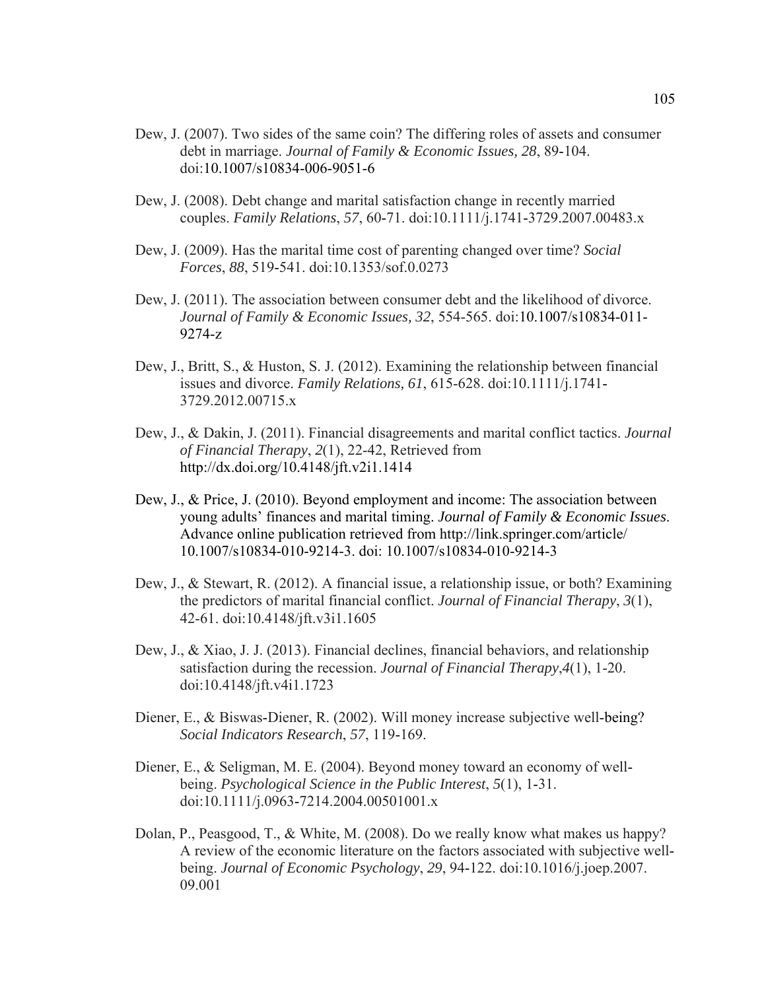- Dew, J. (2007). Two sides of the same coin? The differing roles of assets and consumer debt in marriage. *Journal of Family & Economic Issues, 28*, 89-104. doi:10.1007/s10834-006-9051-6
- Dew, J. (2008). Debt change and marital satisfaction change in recently married couples. *Family Relations*, *57*, 60-71. doi:10.1111/j.1741-3729.2007.00483.x
- Dew, J. (2009). Has the marital time cost of parenting changed over time? *Social Forces*, *88*, 519-541. doi:10.1353/sof.0.0273
- Dew, J. (2011). The association between consumer debt and the likelihood of divorce. *Journal of Family & Economic Issues, 32*, 554-565. doi:10.1007/s10834-011- 9274-z
- Dew, J., Britt, S., & Huston, S. J. (2012). Examining the relationship between financial issues and divorce. *Family Relations, 61*, 615-628. doi:10.1111/j.1741- 3729.2012.00715.x
- Dew, J., & Dakin, J. (2011). Financial disagreements and marital conflict tactics. *Journal of Financial Therapy*, *2*(1), 22-42, Retrieved from http://dx.doi.org/10.4148/jft.v2i1.1414
- Dew, J., & Price, J. (2010). Beyond employment and income: The association between young adults' finances and marital timing. *Journal of Family & Economic Issues*. Advance online publication retrieved from http://link.springer.com/article/ 10.1007/s10834-010-9214-3. doi: 10.1007/s10834-010-9214-3
- Dew, J., & Stewart, R. (2012). A financial issue, a relationship issue, or both? Examining the predictors of marital financial conflict. *Journal of Financial Therapy*, *3*(1), 42-61. doi:10.4148/jft.v3i1.1605
- Dew, J., & Xiao, J. J. (2013). Financial declines, financial behaviors, and relationship satisfaction during the recession. *Journal of Financial Therapy*,*4*(1), 1-20. doi:10.4148/jft.v4i1.1723
- Diener, E., & Biswas-Diener, R. (2002). Will money increase subjective well-being? *Social Indicators Research*, *57*, 119-169.
- Diener, E., & Seligman, M. E. (2004). Beyond money toward an economy of wellbeing. *Psychological Science in the Public Interest*, *5*(1), 1-31. doi:10.1111/j.0963-7214.2004.00501001.x
- Dolan, P., Peasgood, T., & White, M. (2008). Do we really know what makes us happy? A review of the economic literature on the factors associated with subjective wellbeing. *Journal of Economic Psychology*, *29*, 94-122. doi:10.1016/j.joep.2007. 09.001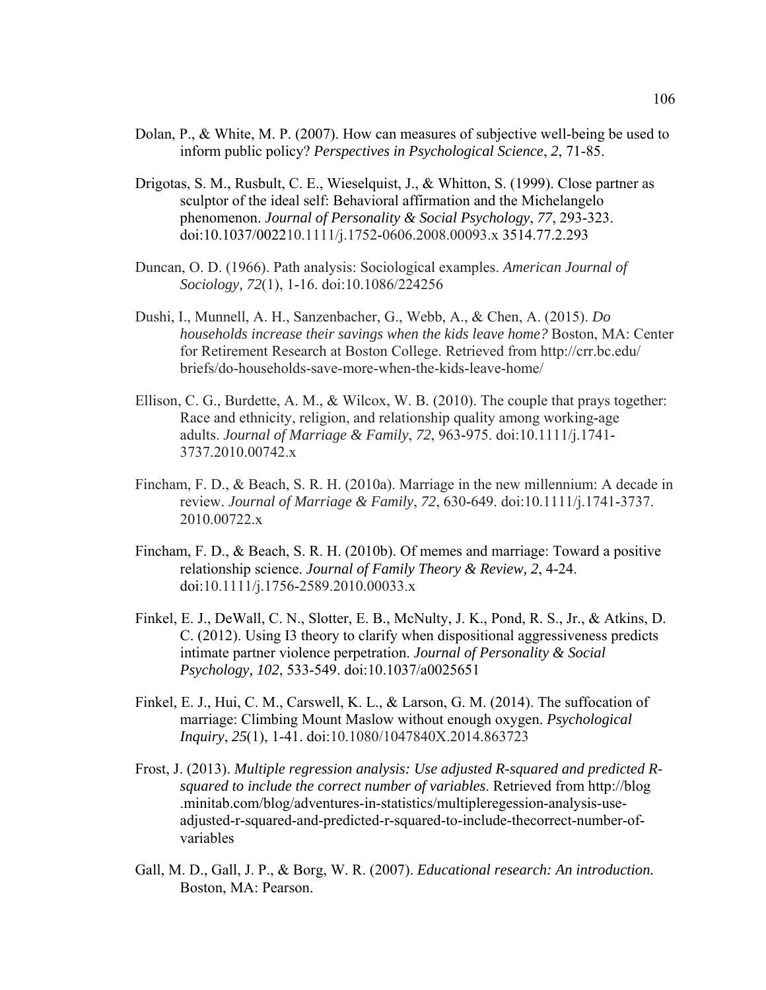- Dolan, P., & White, M. P. (2007). How can measures of subjective well-being be used to inform public policy? *Perspectives in Psychological Science*, *2*, 71-85.
- Drigotas, S. M., Rusbult, C. E., Wieselquist, J., & Whitton, S. (1999). Close partner as sculptor of the ideal self: Behavioral affirmation and the Michelangelo phenomenon. *Journal of Personality & Social Psychology*, *77*, 293-323. doi:10.1037/002210.1111/j.1752-0606.2008.00093.x 3514.77.2.293
- Duncan, O. D. (1966). Path analysis: Sociological examples. *American Journal of Sociology, 72*(1), 1-16. doi:10.1086/224256
- Dushi, I., Munnell, A. H., Sanzenbacher, G., Webb, A., & Chen, A. (2015). *Do households increase their savings when the kids leave home?* Boston, MA: Center for Retirement Research at Boston College. Retrieved from http://crr.bc.edu/ briefs/do-households-save-more-when-the-kids-leave-home/
- Ellison, C. G., Burdette, A. M., & Wilcox, W. B. (2010). The couple that prays together: Race and ethnicity, religion, and relationship quality among working-age adults. *Journal of Marriage & Family*, *72*, 963-975. doi:10.1111/j.1741- 3737.2010.00742.x
- Fincham, F. D., & Beach, S. R. H. (2010a). Marriage in the new millennium: A decade in review. *Journal of Marriage & Family*, *72*, 630-649. doi:10.1111/j.1741-3737. 2010.00722.x
- Fincham, F. D., & Beach, S. R. H. (2010b). Of memes and marriage: Toward a positive relationship science. *Journal of Family Theory & Review, 2*, 4-24. doi:10.1111/j.1756-2589.2010.00033.x
- Finkel, E. J., DeWall, C. N., Slotter, E. B., McNulty, J. K., Pond, R. S., Jr., & Atkins, D. C. (2012). Using I3 theory to clarify when dispositional aggressiveness predicts intimate partner violence perpetration. *Journal of Personality & Social Psychology, 102*, 533-549. doi:10.1037/a0025651
- Finkel, E. J., Hui, C. M., Carswell, K. L., & Larson, G. M. (2014). The suffocation of marriage: Climbing Mount Maslow without enough oxygen. *Psychological Inquiry*, *25*(1), 1-41. doi:10.1080/1047840X.2014.863723
- Frost, J. (2013). *Multiple regression analysis: Use adjusted R-squared and predicted Rsquared to include the correct number of variables*. Retrieved from http://blog .minitab.com/blog/adventures-in-statistics/multipleregession-analysis-useadjusted-r-squared-and-predicted-r-squared-to-include-thecorrect-number-ofvariables
- Gall, M. D., Gall, J. P., & Borg, W. R. (2007). *Educational research: An introduction.* Boston, MA: Pearson.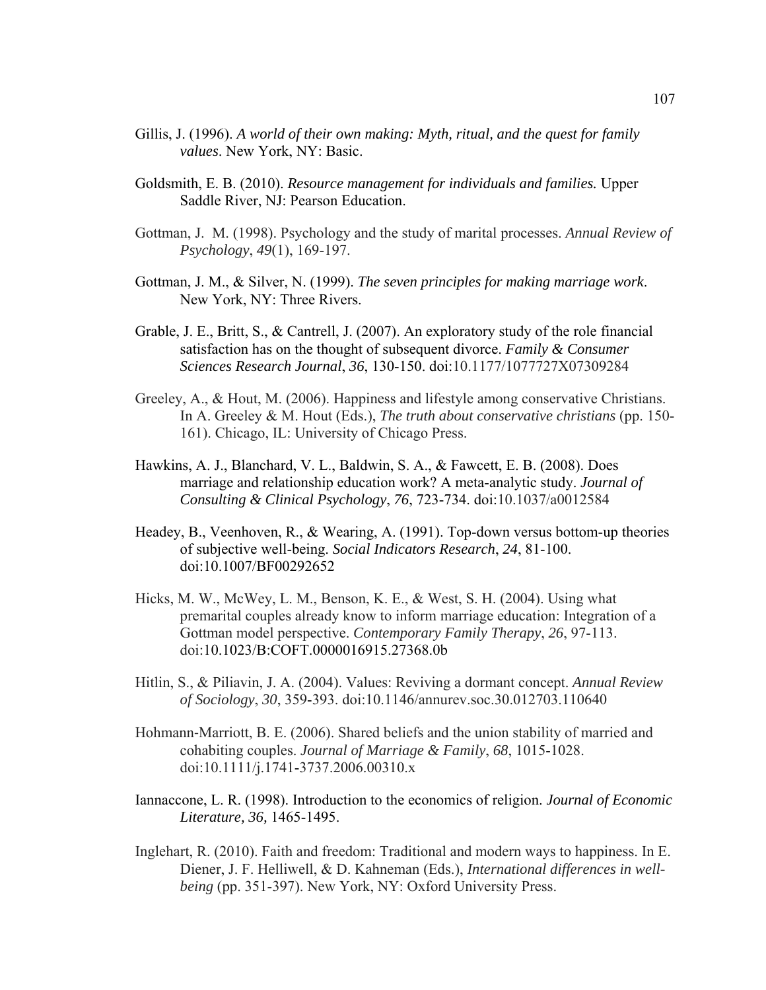- Gillis, J. (1996). *A world of their own making: Myth, ritual, and the quest for family values*. New York, NY: Basic.
- Goldsmith, E. B. (2010). *Resource management for individuals and families.* Upper Saddle River, NJ: Pearson Education.
- Gottman, J. M. (1998). Psychology and the study of marital processes. *Annual Review of Psychology*, *49*(1), 169-197.
- Gottman, J. M., & Silver, N. (1999). *The seven principles for making marriage work*. New York, NY: Three Rivers.
- Grable, J. E., Britt, S., & Cantrell, J. (2007). An exploratory study of the role financial satisfaction has on the thought of subsequent divorce. *Family & Consumer Sciences Research Journal*, *36*, 130-150. doi:10.1177/1077727X07309284
- Greeley, A., & Hout, M. (2006). Happiness and lifestyle among conservative Christians. In A. Greeley & M. Hout (Eds.), *The truth about conservative christians* (pp. 150- 161). Chicago, IL: University of Chicago Press.
- Hawkins, A. J., Blanchard, V. L., Baldwin, S. A., & Fawcett, E. B. (2008). Does marriage and relationship education work? A meta-analytic study. *Journal of Consulting & Clinical Psychology*, *76*, 723-734. doi:10.1037/a0012584
- Headey, B., Veenhoven, R., & Wearing, A. (1991). Top-down versus bottom-up theories of subjective well-being. *Social Indicators Research*, *24*, 81-100. doi:10.1007/BF00292652
- Hicks, M. W., McWey, L. M., Benson, K. E., & West, S. H. (2004). Using what premarital couples already know to inform marriage education: Integration of a Gottman model perspective. *Contemporary Family Therapy*, *26*, 97-113. doi:10.1023/B:COFT.0000016915.27368.0b
- Hitlin, S., & Piliavin, J. A. (2004). Values: Reviving a dormant concept. *Annual Review of Sociology*, *30*, 359-393. doi:10.1146/annurev.soc.30.012703.110640
- Hohmann‐Marriott, B. E. (2006). Shared beliefs and the union stability of married and cohabiting couples. *Journal of Marriage & Family*, *68*, 1015-1028. doi:10.1111/j.1741-3737.2006.00310.x
- Iannaccone, L. R. (1998). Introduction to the economics of religion. *Journal of Economic Literature, 36,* 1465-1495.
- Inglehart, R. (2010). Faith and freedom: Traditional and modern ways to happiness. In E. Diener, J. F. Helliwell, & D. Kahneman (Eds.), *International differences in wellbeing* (pp. 351-397). New York, NY: Oxford University Press.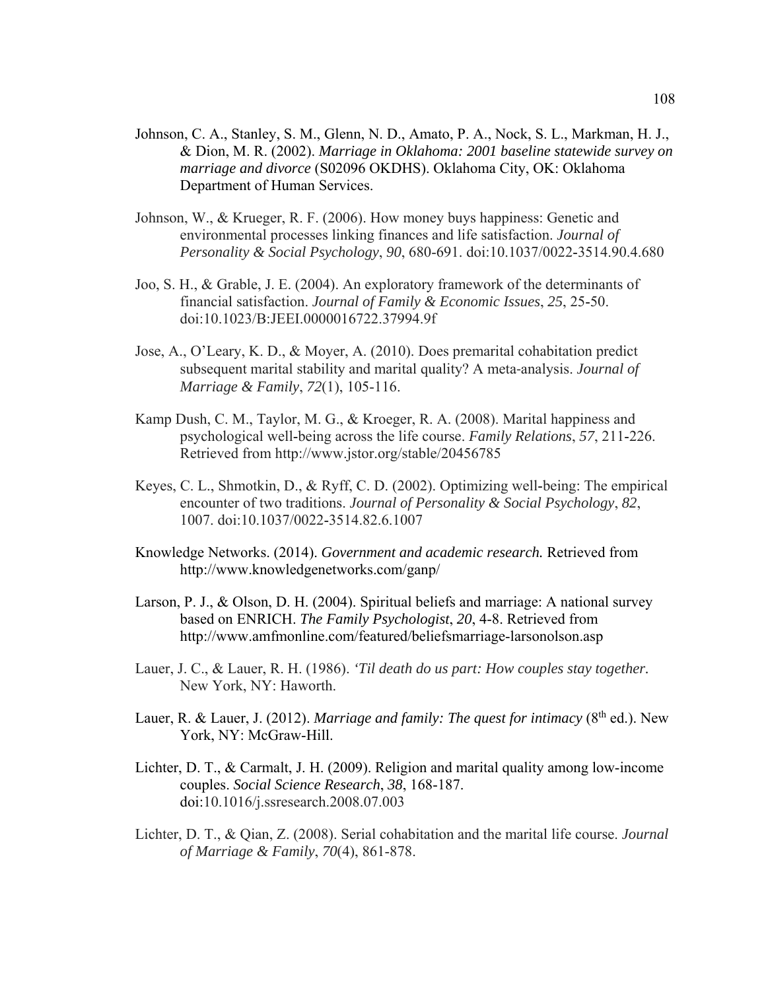- Johnson, C. A., Stanley, S. M., Glenn, N. D., Amato, P. A., Nock, S. L., Markman, H. J., & Dion, M. R. (2002). *Marriage in Oklahoma: 2001 baseline statewide survey on marriage and divorce* (S02096 OKDHS). Oklahoma City, OK: Oklahoma Department of Human Services.
- Johnson, W., & Krueger, R. F. (2006). How money buys happiness: Genetic and environmental processes linking finances and life satisfaction. *Journal of Personality & Social Psychology*, *90*, 680-691. doi:10.1037/0022-3514.90.4.680
- Joo, S. H., & Grable, J. E. (2004). An exploratory framework of the determinants of financial satisfaction. *Journal of Family & Economic Issues*, *25*, 25-50. doi:10.1023/B:JEEI.0000016722.37994.9f
- Jose, A., O'Leary, K. D., & Moyer, A. (2010). Does premarital cohabitation predict subsequent marital stability and marital quality? A meta‐analysis. *Journal of Marriage & Family*, *72*(1), 105-116.
- Kamp Dush, C. M., Taylor, M. G., & Kroeger, R. A. (2008). Marital happiness and psychological well-being across the life course. *Family Relations*, *57*, 211-226. Retrieved from http://www.jstor.org/stable/20456785
- Keyes, C. L., Shmotkin, D., & Ryff, C. D. (2002). Optimizing well-being: The empirical encounter of two traditions. *Journal of Personality & Social Psychology*, *82*, 1007. doi:10.1037/0022-3514.82.6.1007
- Knowledge Networks. (2014). *Government and academic research.* Retrieved from http://www.knowledgenetworks.com/ganp/
- Larson, P. J., & Olson, D. H. (2004). Spiritual beliefs and marriage: A national survey based on ENRICH. *The Family Psychologist*, *20*, 4-8. Retrieved from http://www.amfmonline.com/featured/beliefsmarriage-larsonolson.asp
- Lauer, J. C., & Lauer, R. H. (1986). *'Til death do us part: How couples stay together.*  New York, NY: Haworth.
- Lauer, R. & Lauer, J. (2012). *Marriage and family: The quest for intimacy* (8<sup>th</sup> ed.). New York, NY: McGraw-Hill.
- Lichter, D. T., & Carmalt, J. H. (2009). Religion and marital quality among low-income couples. *Social Science Research*, *38*, 168-187. doi:10.1016/j.ssresearch.2008.07.003
- Lichter, D. T., & Qian, Z. (2008). Serial cohabitation and the marital life course. *Journal of Marriage & Family*, *70*(4), 861-878.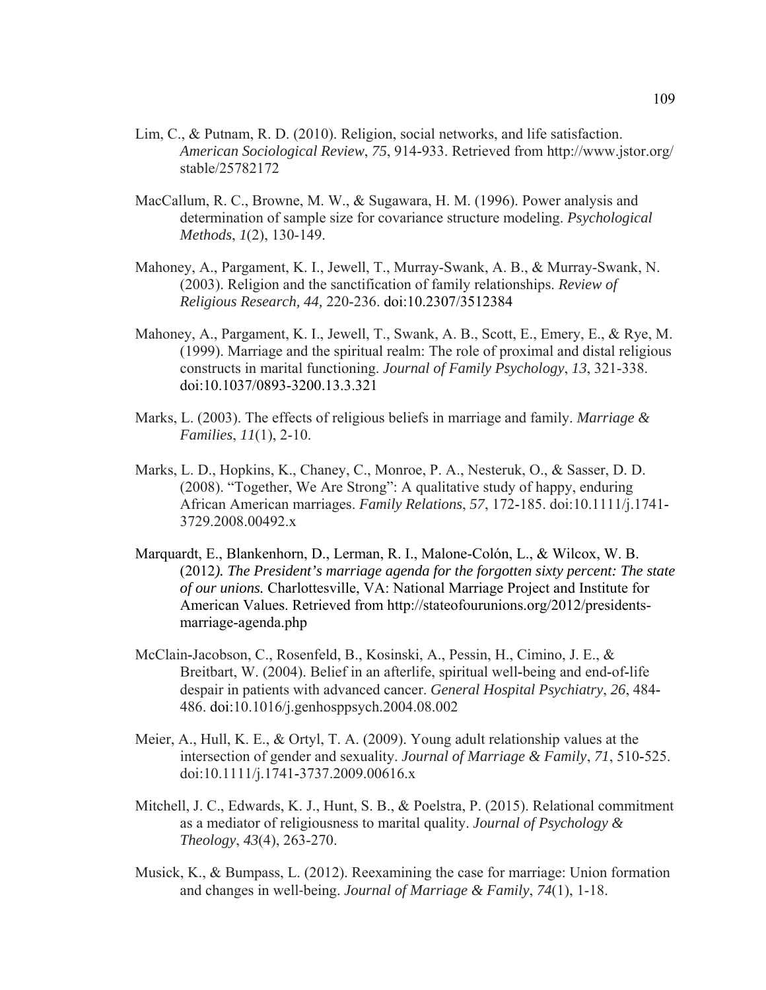- Lim, C., & Putnam, R. D. (2010). Religion, social networks, and life satisfaction. *American Sociological Review*, *75*, 914-933. Retrieved from http://www.jstor.org/ stable/25782172
- MacCallum, R. C., Browne, M. W., & Sugawara, H. M. (1996). Power analysis and determination of sample size for covariance structure modeling. *Psychological Methods*, *1*(2), 130-149.
- Mahoney, A., Pargament, K. I., Jewell, T., Murray-Swank, A. B., & Murray-Swank, N. (2003). Religion and the sanctification of family relationships. *Review of Religious Research, 44,* 220-236. doi:10.2307/3512384
- Mahoney, A., Pargament, K. I., Jewell, T., Swank, A. B., Scott, E., Emery, E., & Rye, M. (1999). Marriage and the spiritual realm: The role of proximal and distal religious constructs in marital functioning. *Journal of Family Psychology*, *13*, 321-338. doi:10.1037/0893-3200.13.3.321
- Marks, L. (2003). The effects of religious beliefs in marriage and family. *Marriage & Families*, *11*(1), 2-10.
- Marks, L. D., Hopkins, K., Chaney, C., Monroe, P. A., Nesteruk, O., & Sasser, D. D. (2008). "Together, We Are Strong": A qualitative study of happy, enduring African American marriages. *Family Relations*, *57*, 172-185. doi:10.1111/j.1741- 3729.2008.00492.x
- Marquardt, E., Blankenhorn, D., Lerman, R. I., Malone-Colón, L., & Wilcox, W. B. (2012*). The President's marriage agenda for the forgotten sixty percent: The state of our unions.* Charlottesville, VA: National Marriage Project and Institute for American Values. Retrieved from http://stateofourunions.org/2012/presidentsmarriage-agenda.php
- McClain-Jacobson, C., Rosenfeld, B., Kosinski, A., Pessin, H., Cimino, J. E., & Breitbart, W. (2004). Belief in an afterlife, spiritual well-being and end-of-life despair in patients with advanced cancer. *General Hospital Psychiatry*, *26*, 484- 486. doi:10.1016/j.genhosppsych.2004.08.002
- Meier, A., Hull, K. E., & Ortyl, T. A. (2009). Young adult relationship values at the intersection of gender and sexuality. *Journal of Marriage & Family*, *71*, 510-525. doi:10.1111/j.1741-3737.2009.00616.x
- Mitchell, J. C., Edwards, K. J., Hunt, S. B., & Poelstra, P. (2015). Relational commitment as a mediator of religiousness to marital quality. *Journal of Psychology & Theology*, *43*(4), 263-270.
- Musick, K., & Bumpass, L. (2012). Reexamining the case for marriage: Union formation and changes in well‐being. *Journal of Marriage & Family*, *74*(1), 1-18.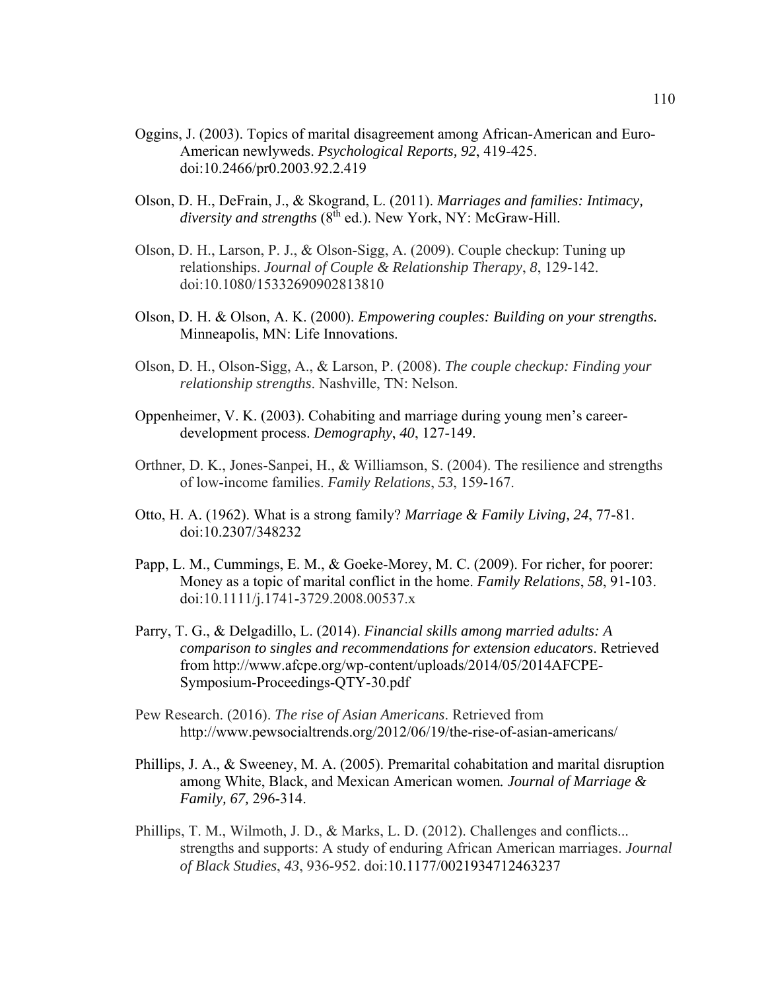- Oggins, J. (2003). Topics of marital disagreement among African-American and Euro-American newlyweds. *Psychological Reports, 92*, 419-425. doi:10.2466/pr0.2003.92.2.419
- Olson, D. H., DeFrain, J., & Skogrand, L. (2011). *Marriages and families: Intimacy,*  diversity and strengths (8<sup>th</sup> ed.). New York, NY: McGraw-Hill.
- Olson, D. H., Larson, P. J., & Olson-Sigg, A. (2009). Couple checkup: Tuning up relationships. *Journal of Couple & Relationship Therapy*, *8*, 129-142. doi:10.1080/15332690902813810
- Olson, D. H. & Olson, A. K. (2000). *Empowering couples: Building on your strengths.*  Minneapolis, MN: Life Innovations.
- Olson, D. H., Olson-Sigg, A., & Larson, P. (2008). *The couple checkup: Finding your relationship strengths*. Nashville, TN: Nelson.
- Oppenheimer, V. K. (2003). Cohabiting and marriage during young men's careerdevelopment process. *Demography*, *40*, 127-149.
- Orthner, D. K., Jones-Sanpei, H., & Williamson, S. (2004). The resilience and strengths of low-income families. *Family Relations*, *53*, 159-167.
- Otto, H. A. (1962). What is a strong family? *Marriage & Family Living, 24*, 77-81. doi:10.2307/348232
- Papp, L. M., Cummings, E. M., & Goeke-Morey, M. C. (2009). For richer, for poorer: Money as a topic of marital conflict in the home. *Family Relations*, *58*, 91-103. doi:10.1111/j.1741-3729.2008.00537.x
- Parry, T. G., & Delgadillo, L. (2014). *Financial skills among married adults: A comparison to singles and recommendations for extension educators*. Retrieved from http://www.afcpe.org/wp-content/uploads/2014/05/2014AFCPE-Symposium-Proceedings-QTY-30.pdf
- Pew Research. (2016). *The rise of Asian Americans*. Retrieved from http://www.pewsocialtrends.org/2012/06/19/the-rise-of-asian-americans/
- Phillips, J. A., & Sweeney, M. A. (2005). Premarital cohabitation and marital disruption among White, Black, and Mexican American women*. Journal of Marriage & Family, 67,* 296-314.
- Phillips, T. M., Wilmoth, J. D., & Marks, L. D. (2012). Challenges and conflicts... strengths and supports: A study of enduring African American marriages. *Journal of Black Studies*, *43*, 936-952. doi:10.1177/0021934712463237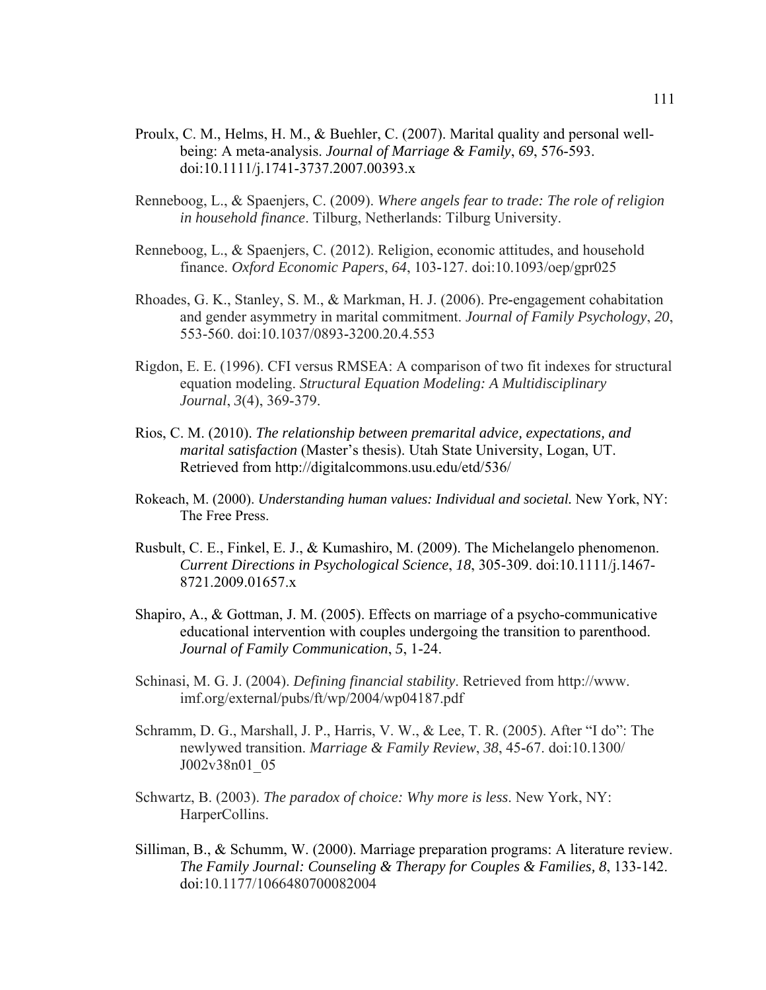- Proulx, C. M., Helms, H. M., & Buehler, C. (2007). Marital quality and personal wellbeing: A meta-analysis. *Journal of Marriage & Family*, *69*, 576-593. doi:10.1111/j.1741-3737.2007.00393.x
- Renneboog, L., & Spaenjers, C. (2009). *Where angels fear to trade: The role of religion in household finance*. Tilburg, Netherlands: Tilburg University.
- Renneboog, L., & Spaenjers, C. (2012). Religion, economic attitudes, and household finance. *Oxford Economic Papers*, *64*, 103-127. doi:10.1093/oep/gpr025
- Rhoades, G. K., Stanley, S. M., & Markman, H. J. (2006). Pre-engagement cohabitation and gender asymmetry in marital commitment. *Journal of Family Psychology*, *20*, 553-560. doi:10.1037/0893-3200.20.4.553
- Rigdon, E. E. (1996). CFI versus RMSEA: A comparison of two fit indexes for structural equation modeling. *Structural Equation Modeling: A Multidisciplinary Journal*, *3*(4), 369-379.
- Rios, C. M. (2010). *The relationship between premarital advice, expectations, and marital satisfaction* (Master's thesis). Utah State University, Logan, UT. Retrieved from http://digitalcommons.usu.edu/etd/536/
- Rokeach, M. (2000). *Understanding human values: Individual and societal.* New York, NY: The Free Press.
- Rusbult, C. E., Finkel, E. J., & Kumashiro, M. (2009). The Michelangelo phenomenon. *Current Directions in Psychological Science*, *18*, 305-309. doi:10.1111/j.1467- 8721.2009.01657.x
- Shapiro, A., & Gottman, J. M. (2005). Effects on marriage of a psycho-communicative educational intervention with couples undergoing the transition to parenthood. *Journal of Family Communication*, *5*, 1-24.
- Schinasi, M. G. J. (2004). *Defining financial stability*. Retrieved from http://www. imf.org/external/pubs/ft/wp/2004/wp04187.pdf
- Schramm, D. G., Marshall, J. P., Harris, V. W., & Lee, T. R. (2005). After "I do": The newlywed transition. *Marriage & Family Review*, *38*, 45-67. doi:10.1300/ J002v38n01\_05
- Schwartz, B. (2003). *The paradox of choice: Why more is less*. New York, NY: HarperCollins.
- Silliman, B., & Schumm, W. (2000). Marriage preparation programs: A literature review. *The Family Journal: Counseling & Therapy for Couples & Families, 8*, 133-142. doi:10.1177/1066480700082004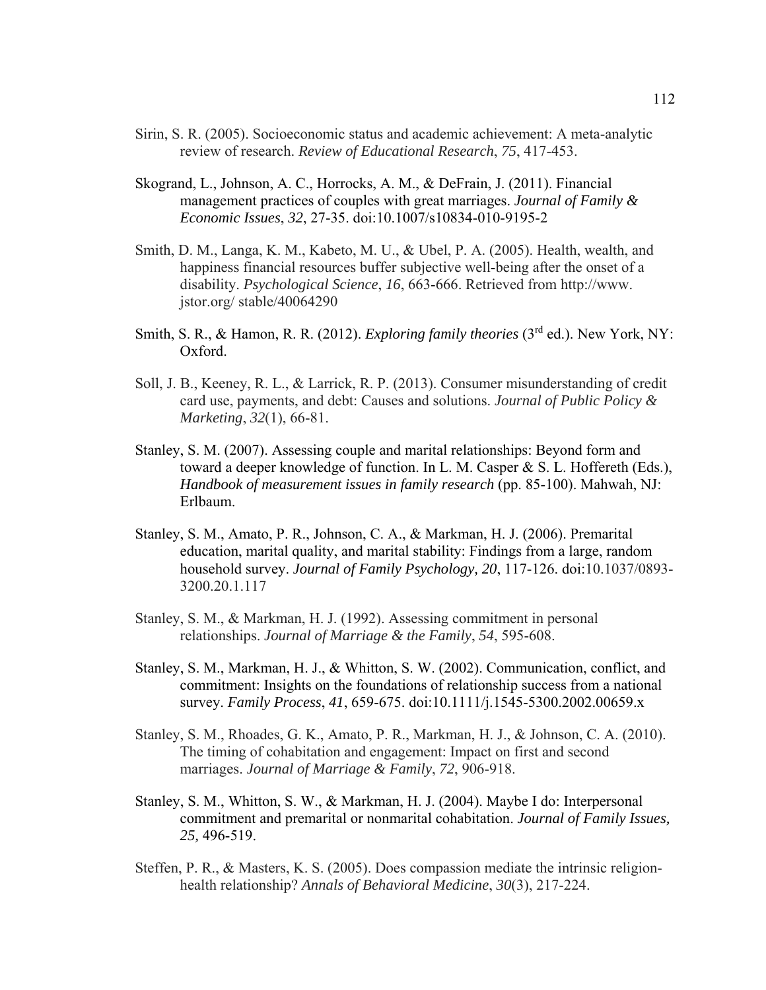- Sirin, S. R. (2005). Socioeconomic status and academic achievement: A meta-analytic review of research. *Review of Educational Research*, *75*, 417-453.
- Skogrand, L., Johnson, A. C., Horrocks, A. M., & DeFrain, J. (2011). Financial management practices of couples with great marriages. *Journal of Family & Economic Issues*, *32*, 27-35. doi:10.1007/s10834-010-9195-2
- Smith, D. M., Langa, K. M., Kabeto, M. U., & Ubel, P. A. (2005). Health, wealth, and happiness financial resources buffer subjective well-being after the onset of a disability. *Psychological Science*, *16*, 663-666. Retrieved from http://www. jstor.org/ stable/40064290
- Smith, S. R., & Hamon, R. R. (2012). *Exploring family theories* (3<sup>rd</sup> ed.). New York, NY: Oxford.
- Soll, J. B., Keeney, R. L., & Larrick, R. P. (2013). Consumer misunderstanding of credit card use, payments, and debt: Causes and solutions. *Journal of Public Policy & Marketing*, *32*(1), 66-81.
- Stanley, S. M. (2007). Assessing couple and marital relationships: Beyond form and toward a deeper knowledge of function. In L. M. Casper & S. L. Hoffereth (Eds.), *Handbook of measurement issues in family research* (pp. 85-100). Mahwah, NJ: Erlbaum.
- Stanley, S. M., Amato, P. R., Johnson, C. A., & Markman, H. J. (2006). Premarital education, marital quality, and marital stability: Findings from a large, random household survey. *Journal of Family Psychology, 20*, 117-126. doi:10.1037/0893- 3200.20.1.117
- Stanley, S. M., & Markman, H. J. (1992). Assessing commitment in personal relationships. *Journal of Marriage & the Family*, *54*, 595-608.
- Stanley, S. M., Markman, H. J., & Whitton, S. W. (2002). Communication, conflict, and commitment: Insights on the foundations of relationship success from a national survey. *Family Process*, *41*, 659-675. doi:10.1111/j.1545-5300.2002.00659.x
- Stanley, S. M., Rhoades, G. K., Amato, P. R., Markman, H. J., & Johnson, C. A. (2010). The timing of cohabitation and engagement: Impact on first and second marriages. *Journal of Marriage & Family*, *72*, 906-918.
- Stanley, S. M., Whitton, S. W., & Markman, H. J. (2004). Maybe I do: Interpersonal commitment and premarital or nonmarital cohabitation. *Journal of Family Issues, 25,* 496-519.
- Steffen, P. R., & Masters, K. S. (2005). Does compassion mediate the intrinsic religionhealth relationship? *Annals of Behavioral Medicine*, *30*(3), 217-224.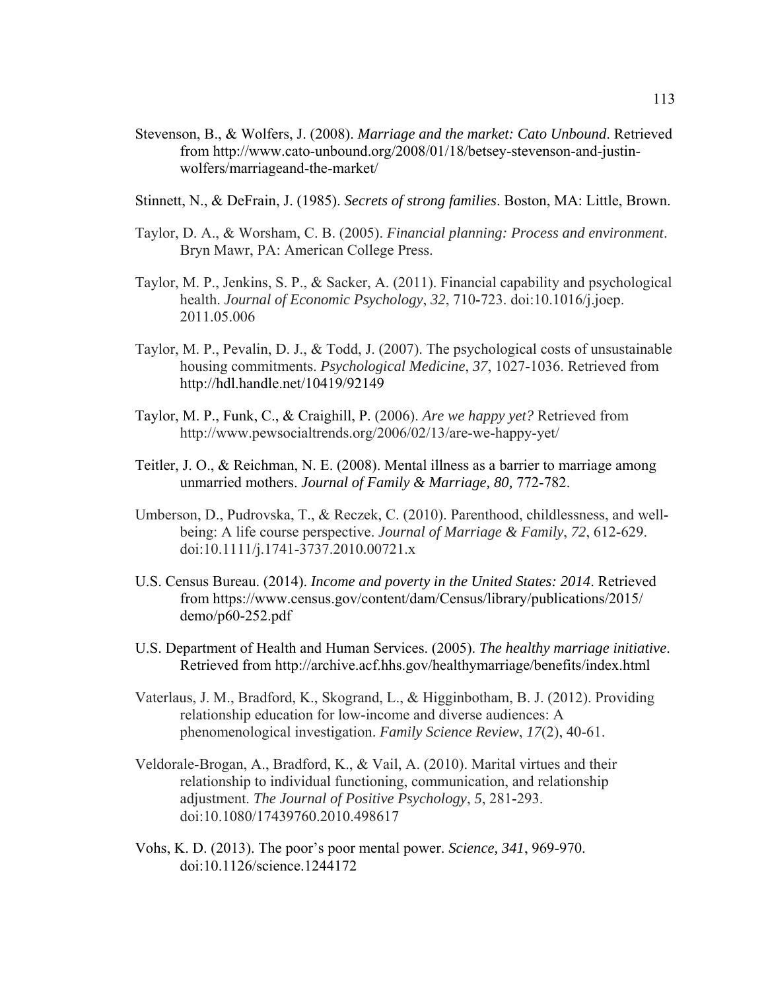- Stevenson, B., & Wolfers, J. (2008). *Marriage and the market: Cato Unbound*. Retrieved from http://www.cato-unbound.org/2008/01/18/betsey-stevenson-and-justinwolfers/marriageand-the-market/
- Stinnett, N., & DeFrain, J. (1985). *Secrets of strong families*. Boston, MA: Little, Brown.
- Taylor, D. A., & Worsham, C. B. (2005). *Financial planning: Process and environment*. Bryn Mawr, PA: American College Press.
- Taylor, M. P., Jenkins, S. P., & Sacker, A. (2011). Financial capability and psychological health. *Journal of Economic Psychology*, *32*, 710-723. doi:10.1016/j.joep. 2011.05.006
- Taylor, M. P., Pevalin, D. J., & Todd, J. (2007). The psychological costs of unsustainable housing commitments. *Psychological Medicine*, *37*, 1027-1036. Retrieved from http://hdl.handle.net/10419/92149
- Taylor, M. P., Funk, C., & Craighill, P. (2006). *Are we happy yet?* Retrieved from http://www.pewsocialtrends.org/2006/02/13/are-we-happy-yet/
- Teitler, J. O., & Reichman, N. E. (2008). Mental illness as a barrier to marriage among unmarried mothers. *Journal of Family & Marriage, 80,* 772-782.
- Umberson, D., Pudrovska, T., & Reczek, C. (2010). Parenthood, childlessness, and wellbeing: A life course perspective. *Journal of Marriage & Family*, *72*, 612-629. doi:10.1111/j.1741-3737.2010.00721.x
- U.S. Census Bureau. (2014). *Income and poverty in the United States: 2014*. Retrieved from https://www.census.gov/content/dam/Census/library/publications/2015/ demo/p60-252.pdf
- U.S. Department of Health and Human Services. (2005). *The healthy marriage initiative*. Retrieved from http://archive.acf.hhs.gov/healthymarriage/benefits/index.html
- Vaterlaus, J. M., Bradford, K., Skogrand, L., & Higginbotham, B. J. (2012). Providing relationship education for low-income and diverse audiences: A phenomenological investigation. *Family Science Review*, *17*(2), 40-61.
- Veldorale-Brogan, A., Bradford, K., & Vail, A. (2010). Marital virtues and their relationship to individual functioning, communication, and relationship adjustment. *The Journal of Positive Psychology*, *5*, 281-293. doi:10.1080/17439760.2010.498617
- Vohs, K. D. (2013). The poor's poor mental power. *Science, 341*, 969-970. doi:10.1126/science.1244172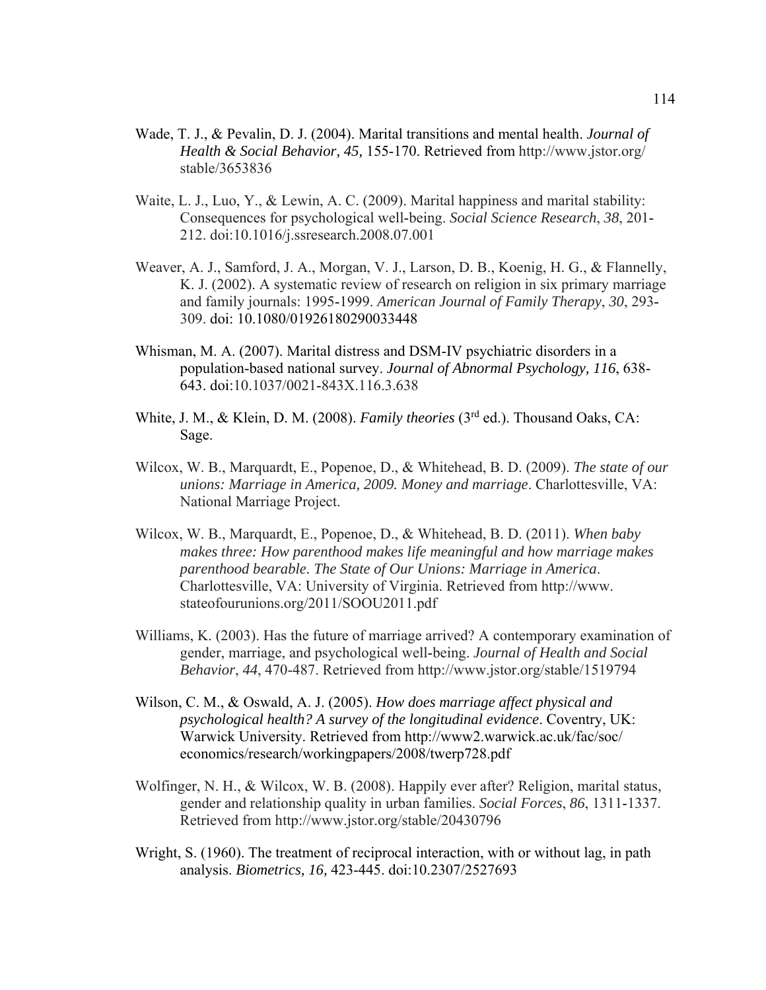- Wade, T. J., & Pevalin, D. J. (2004). Marital transitions and mental health. *Journal of Health & Social Behavior, 45,* 155-170. Retrieved from http://www.jstor.org/ stable/3653836
- Waite, L. J., Luo, Y., & Lewin, A. C. (2009). Marital happiness and marital stability: Consequences for psychological well-being. *Social Science Research*, *38*, 201- 212. doi:10.1016/j.ssresearch.2008.07.001
- Weaver, A. J., Samford, J. A., Morgan, V. J., Larson, D. B., Koenig, H. G., & Flannelly, K. J. (2002). A systematic review of research on religion in six primary marriage and family journals: 1995-1999. *American Journal of Family Therapy*, *30*, 293- 309. doi: 10.1080/01926180290033448
- Whisman, M. A. (2007). Marital distress and DSM-IV psychiatric disorders in a population-based national survey. *Journal of Abnormal Psychology, 116*, 638- 643. doi:10.1037/0021-843X.116.3.638
- White, J. M., & Klein, D. M. (2008). *Family theories* (3rd ed.). Thousand Oaks, CA: Sage.
- Wilcox, W. B., Marquardt, E., Popenoe, D., & Whitehead, B. D. (2009). *The state of our unions: Marriage in America, 2009. Money and marriage*. Charlottesville, VA: National Marriage Project.
- Wilcox, W. B., Marquardt, E., Popenoe, D., & Whitehead, B. D. (2011). *When baby makes three: How parenthood makes life meaningful and how marriage makes parenthood bearable. The State of Our Unions: Marriage in America*. Charlottesville, VA: University of Virginia. Retrieved from http://www. stateofourunions.org/2011/SOOU2011.pdf
- Williams, K. (2003). Has the future of marriage arrived? A contemporary examination of gender, marriage, and psychological well-being. *Journal of Health and Social Behavior*, *44*, 470-487. Retrieved from http://www.jstor.org/stable/1519794
- Wilson, C. M., & Oswald, A. J. (2005). *How does marriage affect physical and psychological health? A survey of the longitudinal evidence*. Coventry, UK: Warwick University. Retrieved from http://www2.warwick.ac.uk/fac/soc/ economics/research/workingpapers/2008/twerp728.pdf
- Wolfinger, N. H., & Wilcox, W. B. (2008). Happily ever after? Religion, marital status, gender and relationship quality in urban families. *Social Forces*, *86*, 1311-1337. Retrieved from http://www.jstor.org/stable/20430796
- Wright, S. (1960). The treatment of reciprocal interaction, with or without lag, in path analysis. *Biometrics, 16,* 423-445. doi:10.2307/2527693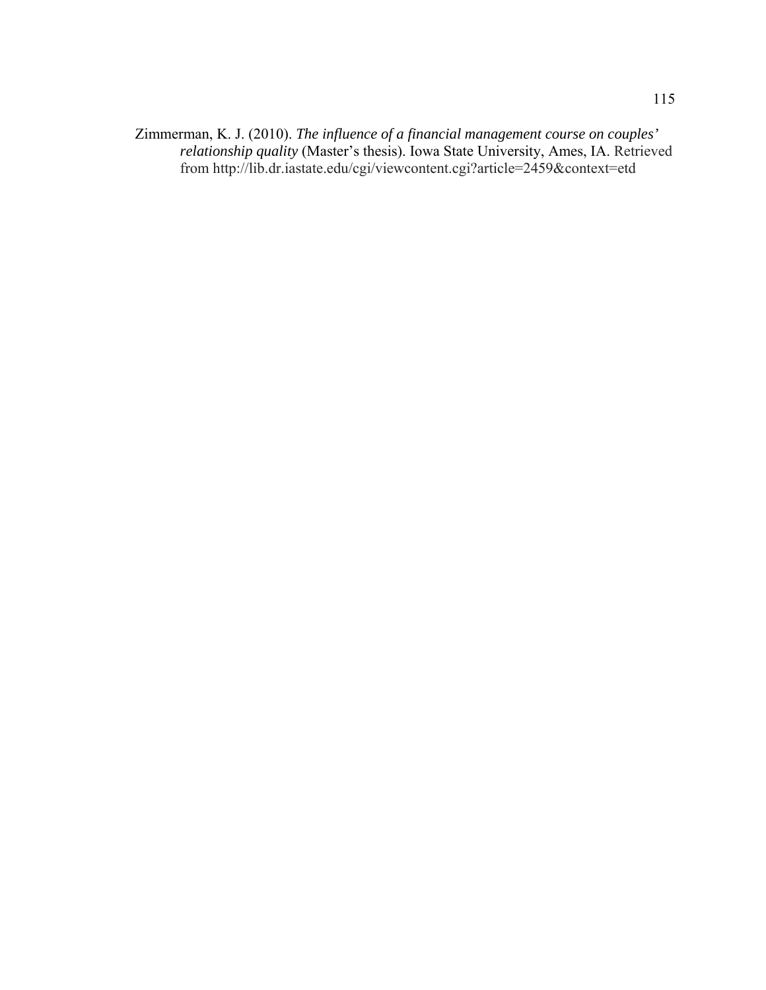Zimmerman, K. J. (2010). *The influence of a financial management course on couples' relationship quality* (Master's thesis). Iowa State University, Ames, IA. Retrieved from http://lib.dr.iastate.edu/cgi/viewcontent.cgi?article=2459&context=etd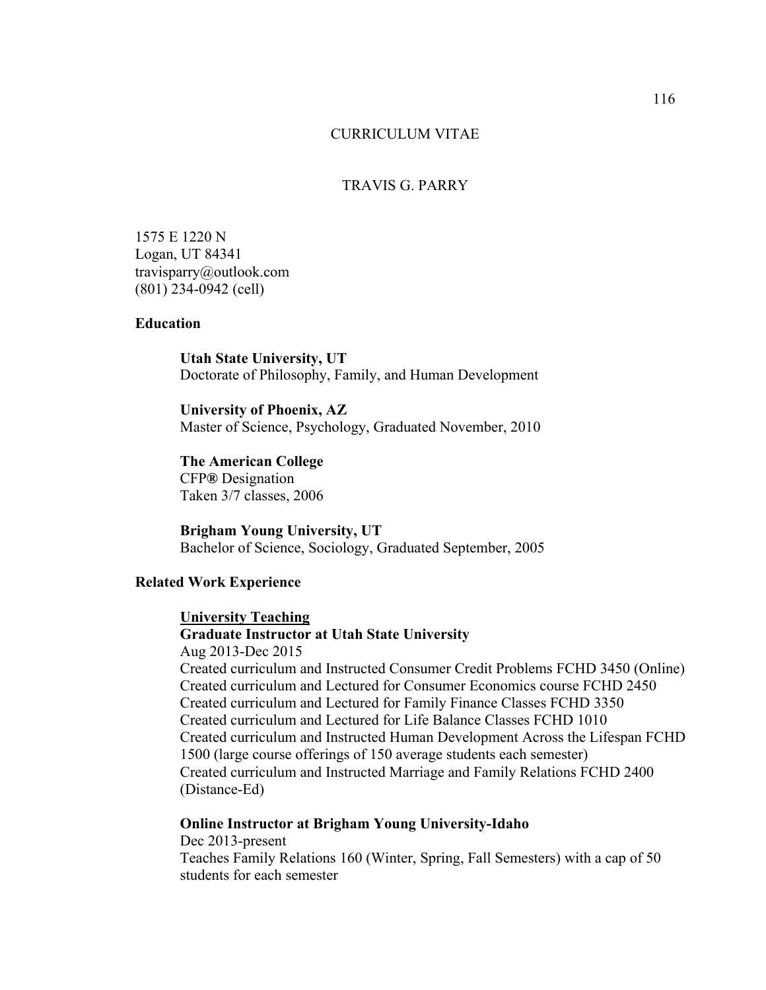#### CURRICULUM VITAE

## TRAVIS G. PARRY

1575 E 1220 N Logan, UT 84341 travisparry@outlook.com (801) 234-0942 (cell)

# **Education**

**Utah State University, UT**  Doctorate of Philosophy, Family, and Human Development

**University of Phoenix, AZ**  Master of Science, Psychology, Graduated November, 2010

**The American College**  CFP**®** Designation Taken 3/7 classes, 2006

**Brigham Young University, UT**  Bachelor of Science, Sociology, Graduated September, 2005

## **Related Work Experience**

#### **University Teaching**

# **Graduate Instructor at Utah State University**

Aug 2013-Dec 2015 Created curriculum and Instructed Consumer Credit Problems FCHD 3450 (Online) Created curriculum and Lectured for Consumer Economics course FCHD 2450 Created curriculum and Lectured for Family Finance Classes FCHD 3350 Created curriculum and Lectured for Life Balance Classes FCHD 1010 Created curriculum and Instructed Human Development Across the Lifespan FCHD 1500 (large course offerings of 150 average students each semester) Created curriculum and Instructed Marriage and Family Relations FCHD 2400 (Distance-Ed)

# **Online Instructor at Brigham Young University-Idaho**

Dec 2013-present Teaches Family Relations 160 (Winter, Spring, Fall Semesters) with a cap of 50 students for each semester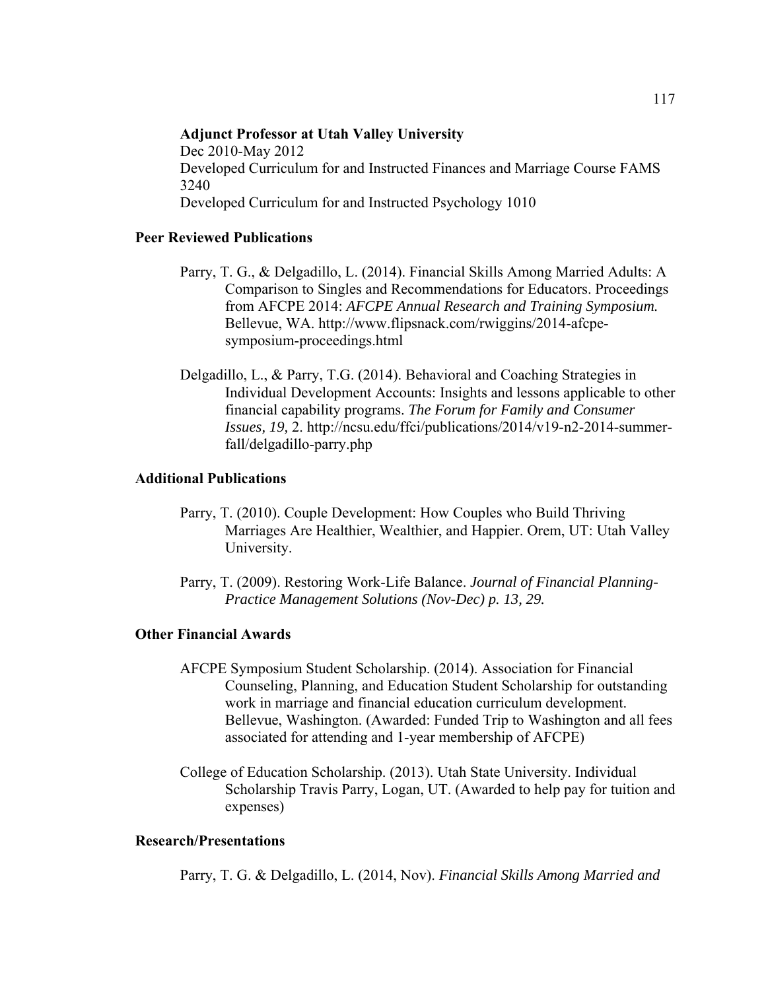# **Adjunct Professor at Utah Valley University**  Dec 2010-May 2012 Developed Curriculum for and Instructed Finances and Marriage Course FAMS 3240 Developed Curriculum for and Instructed Psychology 1010

## **Peer Reviewed Publications**

- Parry, T. G., & Delgadillo, L. (2014). Financial Skills Among Married Adults: A Comparison to Singles and Recommendations for Educators. Proceedings from AFCPE 2014: *AFCPE Annual Research and Training Symposium.* Bellevue, WA. http://www.flipsnack.com/rwiggins/2014-afcpesymposium-proceedings.html
- Delgadillo, L., & Parry, T.G. (2014). Behavioral and Coaching Strategies in Individual Development Accounts: Insights and lessons applicable to other financial capability programs. *The Forum for Family and Consumer Issues, 19,* 2. http://ncsu.edu/ffci/publications/2014/v19-n2-2014-summerfall/delgadillo-parry.php

## **Additional Publications**

- Parry, T. (2010). Couple Development: How Couples who Build Thriving Marriages Are Healthier, Wealthier, and Happier. Orem, UT: Utah Valley University.
- Parry, T. (2009). Restoring Work-Life Balance. *Journal of Financial Planning-Practice Management Solutions (Nov-Dec) p. 13, 29.*

# **Other Financial Awards**

- AFCPE Symposium Student Scholarship. (2014). Association for Financial Counseling, Planning, and Education Student Scholarship for outstanding work in marriage and financial education curriculum development. Bellevue, Washington. (Awarded: Funded Trip to Washington and all fees associated for attending and 1-year membership of AFCPE)
- College of Education Scholarship. (2013). Utah State University. Individual Scholarship Travis Parry, Logan, UT. (Awarded to help pay for tuition and expenses)

## **Research/Presentations**

Parry, T. G. & Delgadillo, L. (2014, Nov). *Financial Skills Among Married and*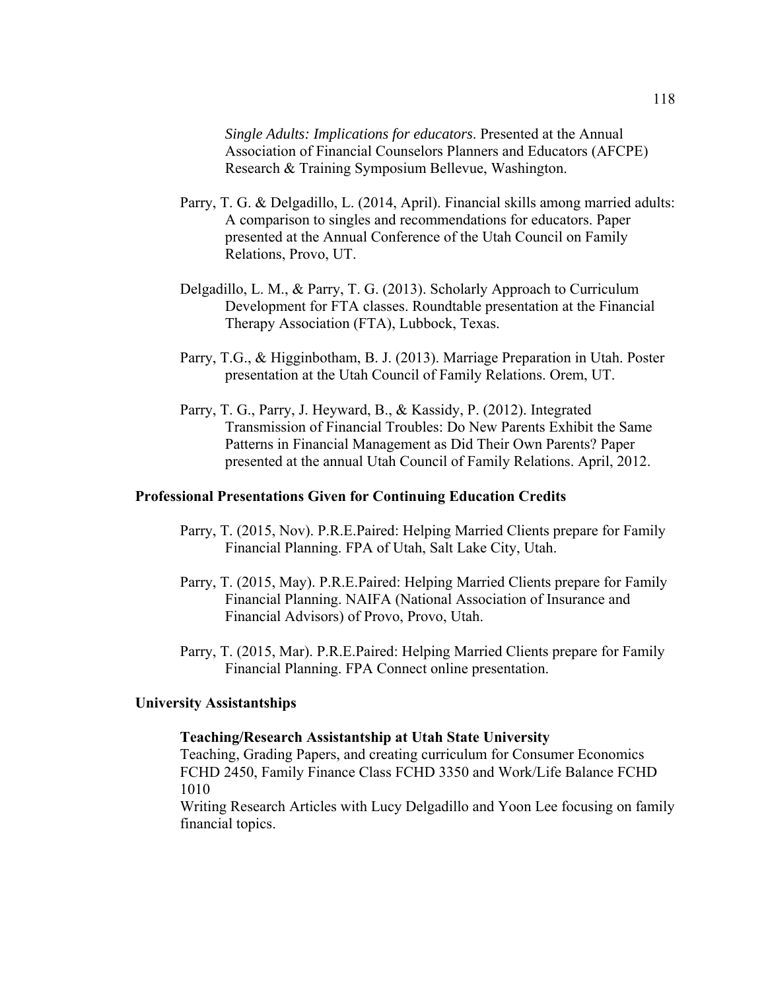*Single Adults: Implications for educators*. Presented at the Annual Association of Financial Counselors Planners and Educators (AFCPE) Research & Training Symposium Bellevue, Washington.

- Parry, T. G. & Delgadillo, L. (2014, April). Financial skills among married adults: A comparison to singles and recommendations for educators. Paper presented at the Annual Conference of the Utah Council on Family Relations, Provo, UT.
- Delgadillo, L. M., & Parry, T. G. (2013). Scholarly Approach to Curriculum Development for FTA classes. Roundtable presentation at the Financial Therapy Association (FTA), Lubbock, Texas.
- Parry, T.G., & Higginbotham, B. J. (2013). Marriage Preparation in Utah. Poster presentation at the Utah Council of Family Relations. Orem, UT.
- Parry, T. G., Parry, J. Heyward, B., & Kassidy, P. (2012). Integrated Transmission of Financial Troubles: Do New Parents Exhibit the Same Patterns in Financial Management as Did Their Own Parents? Paper presented at the annual Utah Council of Family Relations. April, 2012.

#### **Professional Presentations Given for Continuing Education Credits**

- Parry, T. (2015, Nov). P.R.E.Paired: Helping Married Clients prepare for Family Financial Planning. FPA of Utah, Salt Lake City, Utah.
- Parry, T. (2015, May). P.R.E.Paired: Helping Married Clients prepare for Family Financial Planning. NAIFA (National Association of Insurance and Financial Advisors) of Provo, Provo, Utah.
- Parry, T. (2015, Mar). P.R.E.Paired: Helping Married Clients prepare for Family Financial Planning. FPA Connect online presentation.

#### **University Assistantships**

## **Teaching/Research Assistantship at Utah State University**

Teaching, Grading Papers, and creating curriculum for Consumer Economics FCHD 2450, Family Finance Class FCHD 3350 and Work/Life Balance FCHD 1010

Writing Research Articles with Lucy Delgadillo and Yoon Lee focusing on family financial topics.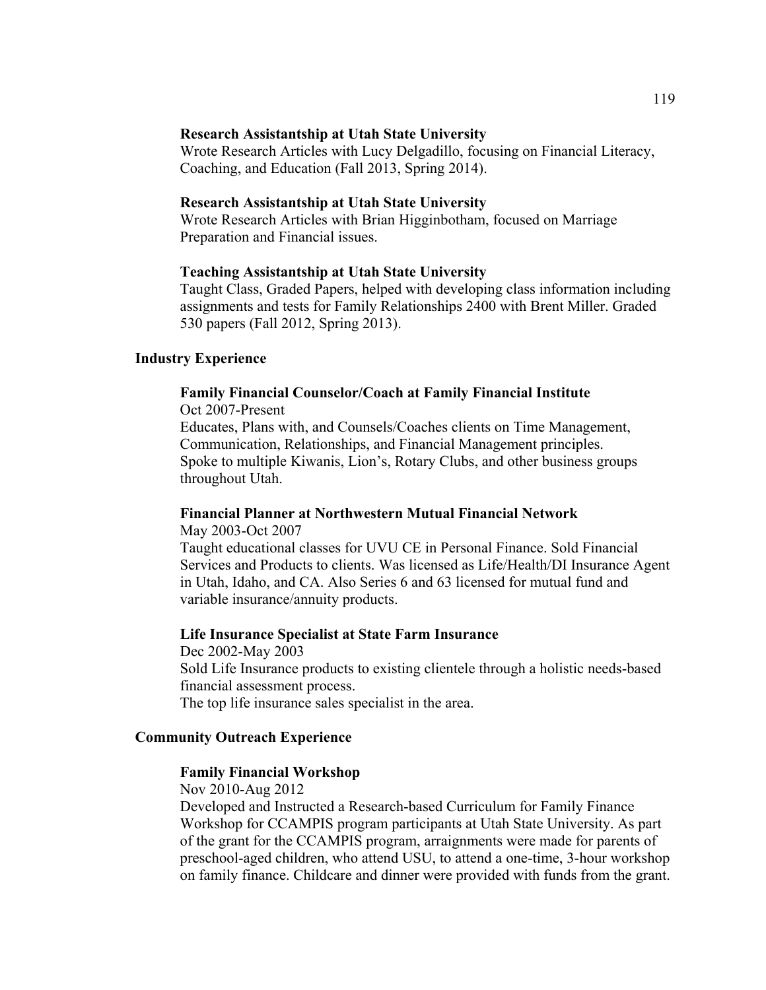#### **Research Assistantship at Utah State University**

Wrote Research Articles with Lucy Delgadillo, focusing on Financial Literacy, Coaching, and Education (Fall 2013, Spring 2014).

## **Research Assistantship at Utah State University**

Wrote Research Articles with Brian Higginbotham, focused on Marriage Preparation and Financial issues.

#### **Teaching Assistantship at Utah State University**

Taught Class, Graded Papers, helped with developing class information including assignments and tests for Family Relationships 2400 with Brent Miller. Graded 530 papers (Fall 2012, Spring 2013).

## **Industry Experience**

# **Family Financial Counselor/Coach at Family Financial Institute**

Oct 2007-Present

Educates, Plans with, and Counsels/Coaches clients on Time Management, Communication, Relationships, and Financial Management principles. Spoke to multiple Kiwanis, Lion's, Rotary Clubs, and other business groups throughout Utah.

# **Financial Planner at Northwestern Mutual Financial Network**

May 2003-Oct 2007 Taught educational classes for UVU CE in Personal Finance. Sold Financial Services and Products to clients. Was licensed as Life/Health/DI Insurance Agent in Utah, Idaho, and CA. Also Series 6 and 63 licensed for mutual fund and variable insurance/annuity products.

#### **Life Insurance Specialist at State Farm Insurance**

Dec 2002-May 2003 Sold Life Insurance products to existing clientele through a holistic needs-based financial assessment process. The top life insurance sales specialist in the area.

## **Community Outreach Experience**

## **Family Financial Workshop**

Nov 2010-Aug 2012

Developed and Instructed a Research-based Curriculum for Family Finance Workshop for CCAMPIS program participants at Utah State University. As part of the grant for the CCAMPIS program, arraignments were made for parents of preschool-aged children, who attend USU, to attend a one-time, 3-hour workshop on family finance. Childcare and dinner were provided with funds from the grant.